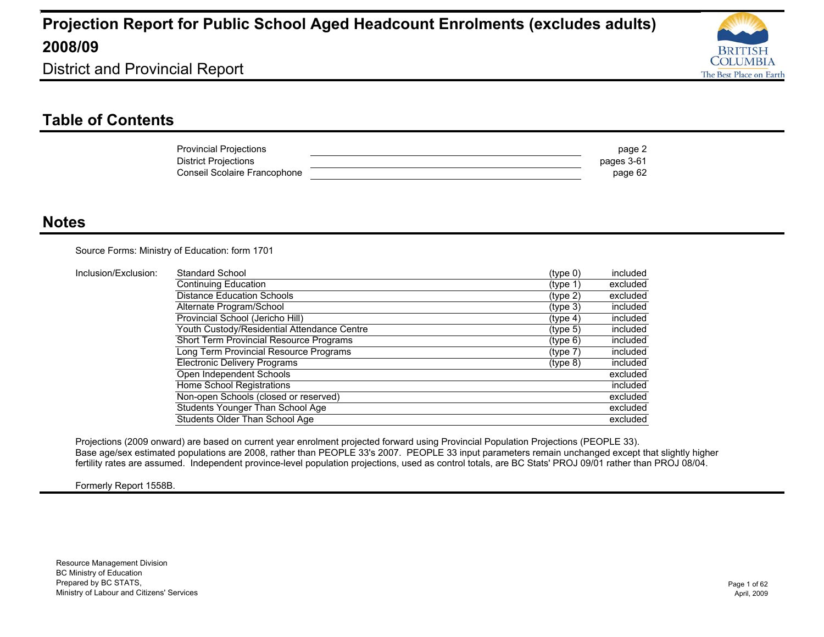

District and Provincial Report

### **Table of Contents**

| <b>Provincial Projections</b> | page 2     |
|-------------------------------|------------|
| <b>District Projections</b>   | pages 3-61 |
| Conseil Scolaire Francophone  | page 62    |

#### **Notes**

Source Forms: Ministry of Education: form 1701

| Inclusion/Exclusion: | Standard School                             | (type 0)             | included |
|----------------------|---------------------------------------------|----------------------|----------|
|                      | Continuing Education                        | (type 1)             | excluded |
|                      | <b>Distance Education Schools</b>           | $(t$ ype 2)          | excluded |
|                      | Alternate Program/School                    | (type 3)             | included |
|                      | Provincial School (Jericho Hill)            | (tvpe 4)             | included |
|                      | Youth Custody/Residential Attendance Centre | (typ <sub>e</sub> 5) | included |
|                      | Short Term Provincial Resource Programs     | $(t$ ype 6)          | included |
|                      | Long Term Provincial Resource Programs      | (type 7)             | included |
|                      | <b>Electronic Delivery Programs</b>         | $(type_8)$           | included |
|                      | Open Independent Schools                    |                      | excluded |
|                      | Home School Registrations                   |                      | included |
|                      | Non-open Schools (closed or reserved)       |                      | excluded |
|                      | Students Younger Than School Age            |                      | excluded |
|                      | Students Older Than School Age              |                      | excluded |

Projections (2009 onward) are based on current year enrolment projected forward using Provincial Population Projections (PEOPLE 33). Base age/sex estimated populations are 2008, rather than PEOPLE 33's 2007. PEOPLE 33 input parameters remain unchanged except that slightly higher fertility rates are assumed. Independent province-level population projections, used as control totals, are BC Stats' PROJ 09/01 rather than PROJ 08/04.

#### Formerly Report 1558B.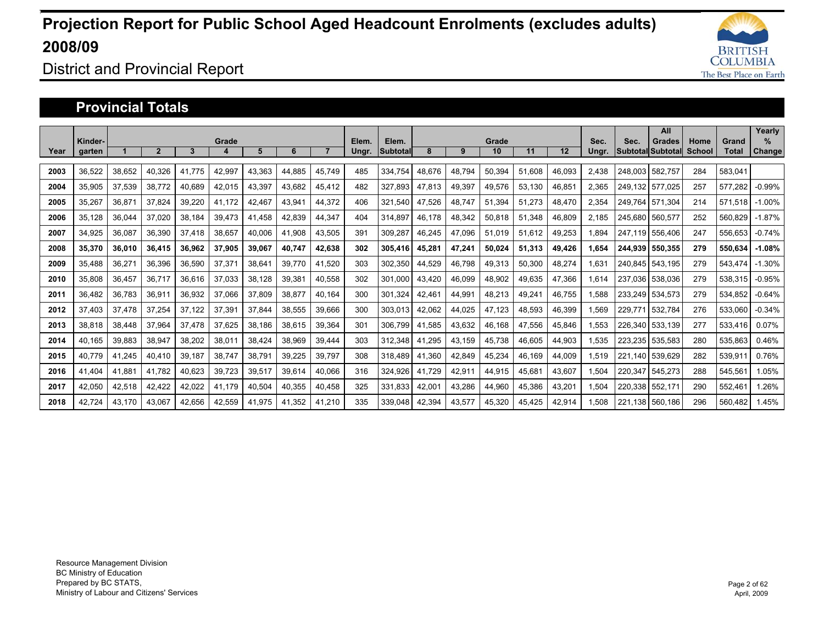

### District and Provincial Report

#### **Provincial Totals**

|      |         |        |                |              |        |        |        |        |       |          |        |        |        |        |        |       |         | All               |        |         | Yearly   |
|------|---------|--------|----------------|--------------|--------|--------|--------|--------|-------|----------|--------|--------|--------|--------|--------|-------|---------|-------------------|--------|---------|----------|
|      | Kinder- |        |                |              | Grade  |        |        |        | Elem. | Elem.    |        |        | Grade  |        |        | Sec.  | Sec.    | <b>Grades</b>     | Home   | Grand   | $\%$     |
| Year | garten  |        | $\overline{2}$ | $\mathbf{3}$ |        | 5      | 6      |        | Ungr. | Subtotal | 8      | 9      | 10     | 11     | 12     | Ungr. |         | Subtotal Subtotal | School | Total   | Change   |
| 2003 | 36,522  | 38.652 | 40.326         | 41.775       | 42.997 | 43.363 | 44.885 | 45.749 | 485   | 334.754  | 48.676 | 48.794 | 50.394 | 51.608 | 46.093 | 2.438 | 248.003 | 582.757           | 284    | 583.041 |          |
| 2004 | 35,905  | 37,539 | 38.772         | 40.689       | 42,015 | 43,397 | 43.682 | 45,412 | 482   | 327.893  | 47.813 | 49,397 | 49,576 | 53,130 | 46,851 | 2.365 | 249.132 | 577.025           | 257    | 577.282 | $-0.99%$ |
| 2005 | 35.267  | 36.871 | 37.824         | 39.220       | 41.172 | 42.467 | 43.941 | 44.372 | 406   | 321.540  | 47.526 | 48.747 | 51.394 | 51.273 | 48.470 | 2,354 | 249.764 | 571.304           | 214    | 571.518 | $-1.00%$ |
| 2006 | 35.128  | 36.044 | 37.020         | 38.184       | 39.473 | 41.458 | 42.839 | 44.347 | 404   | 314.897  | 46,178 | 48,342 | 50.818 | 51.348 | 46.809 | 2.185 | 245.680 | 560.577           | 252    | 560.829 | $-1.87%$ |
| 2007 | 34.925  | 36,087 | 36,390         | 37.418       | 38,657 | 40,006 | 41,908 | 43,505 | 391   | 309,287  | 46.245 | 47.096 | 51,019 | 51.612 | 49,253 | .894  | 247.119 | 556,406           | 247    | 556,653 | $-0.74%$ |
| 2008 | 35.370  | 36,010 | 36.415         | 36.962       | 37,905 | 39.067 | 40.747 | 42,638 | 302   | 305,416  | 45.281 | 47,241 | 50,024 | 51.313 | 49,426 | .654  | 244.939 | 550.355           | 279    | 550.634 | $-1.08%$ |
| 2009 | 35,488  | 36,271 | 36,396         | 36,590       | 37,371 | 38,641 | 39.770 | 41,520 | 303   | 302.350  | 44.529 | 46,798 | 49,313 | 50,300 | 48,274 | .631  | 240.845 | 543.195           | 279    | 543.474 | $-1.30%$ |
| 2010 | 35,808  | 36,457 | 36,717         | 36.616       | 37,033 | 38,128 | 39,381 | 40,558 | 302   | 301.000  | 43.420 | 46,099 | 48,902 | 49.635 | 47,366 | .614  | 237,036 | 538,036           | 279    | 538,315 | $-0.95%$ |
| 2011 | 36.482  | 36.783 | 36,911         | 36.932       | 37,066 | 37,809 | 38,877 | 40.164 | 300   | 301,324  | 42.461 | 44,991 | 48,213 | 49.241 | 46.755 | 1.588 | 233.249 | 534,573           | 279    | 534.852 | $-0.64%$ |
| 2012 | 37,403  | 37,478 | 37,254         | 37.122       | 37,391 | 37,844 | 38,555 | 39,666 | 300   | 303,013  | 42,062 | 44,025 | 47,123 | 48,593 | 46,399 | .569  | 229.771 | 532,784           | 276    | 533,060 | $-0.34%$ |
| 2013 | 38,818  | 38,448 | 37,964         | 37,478       | 37,625 | 38,186 | 38,615 | 39,364 | 301   | 306,799  | 41,585 | 43,632 | 46,168 | 47,556 | 45,846 | ,553  | 226,340 | 533,139           | 277    | 533,416 | $0.07\%$ |
| 2014 | 40.165  | 39,883 | 38,947         | 38,202       | 38,011 | 38,424 | 38,969 | 39,444 | 303   | 312.348  | 41.295 | 43,159 | 45,738 | 46,605 | 44,903 | 1,535 | 223.235 | 535,583           | 280    | 535,863 | 0.46%    |
| 2015 | 40.779  | 41,245 | 40,410         | 39,187       | 38,747 | 38,791 | 39,225 | 39,797 | 308   | 318,489  | 41,360 | 42,849 | 45,234 | 46,169 | 44,009 | 1,519 | 221.140 | 539,629           | 282    | 539,911 | 0.76%    |
| 2016 | 41.404  | 41,881 | 41,782         | 40,623       | 39,723 | 39,517 | 39,614 | 40,066 | 316   | 324,926  | 41,729 | 42,911 | 44,915 | 45,681 | 43,607 | ,504  | 220,347 | 545,273           | 288    | 545,56  | 1.05%    |
| 2017 | 42.050  | 42,518 | 42,422         | 42,022       | 41.179 | 40,504 | 40,355 | 40,458 | 325   | 331,833  | 42,001 | 43,286 | 44,960 | 45,386 | 43,201 | 1,504 | 220,338 | 552,171           | 290    | 552,46' | l.26%    |
| 2018 | 42.724  | 43.170 | 43.067         | 42.656       | 42.559 | 41.975 | 41.352 | 41.210 | 335   | 339.048  | 42.394 | 43.577 | 45.320 | 45.425 | 42.914 | 1.508 | 221.138 | 560.186           | 296    | 560.482 | .45%     |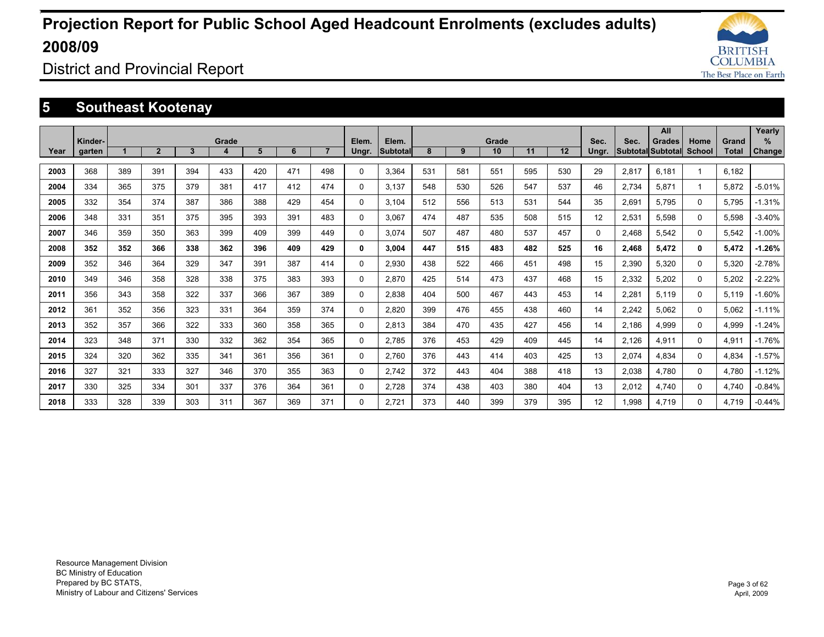

District and Provincial Report

### **5 Southeast Kootenay**

|      |         |     |                |     |       |     |     |                |       |                 |     |     |       |     |     |                   |       | All               |          |              | Yearly        |
|------|---------|-----|----------------|-----|-------|-----|-----|----------------|-------|-----------------|-----|-----|-------|-----|-----|-------------------|-------|-------------------|----------|--------------|---------------|
|      | Kinder- |     |                |     | Grade |     |     |                | Elem. | Elem.           |     |     | Grade |     |     | Sec.              | Sec.  | <b>Grades</b>     | Home     | Grand        | %             |
| Year | garten  |     | $\overline{2}$ | 3   | 4     | 5   | 6   | $\overline{7}$ | Ungr. | <b>Subtotal</b> | 8   | 9   | 10    | 11  | 12  | Ungr.             |       | Subtotal Subtotal | School   | <b>Total</b> | <b>Change</b> |
| 2003 | 368     | 389 | 391            | 394 | 433   | 420 | 471 | 498            | 0     | 3.364           | 531 | 581 | 551   | 595 | 530 | 29                | 2,817 | 6.181             | 1        | 6.182        |               |
| 2004 | 334     | 365 | 375            | 379 | 381   | 417 | 412 | 474            | 0     | 3.137           | 548 | 530 | 526   | 547 | 537 | 46                | 2,734 | 5.871             | 1        | 5.872        | $-5.01%$      |
| 2005 | 332     | 354 | 374            | 387 | 386   | 388 | 429 | 454            | 0     | 3.104           | 512 | 556 | 513   | 531 | 544 | 35                | 2,691 | 5.795             | $\Omega$ | 5.795        | $-1.31%$      |
| 2006 | 348     | 331 | 351            | 375 | 395   | 393 | 391 | 483            | 0     | 3.067           | 474 | 487 | 535   | 508 | 515 | $12 \overline{ }$ | 2,531 | 5.598             | $\Omega$ | 5.598        | $-3.40%$      |
| 2007 | 346     | 359 | 350            | 363 | 399   | 409 | 399 | 449            | 0     | 3.074           | 507 | 487 | 480   | 537 | 457 | 0                 | 2.468 | 5.542             | $\Omega$ | 5.542        | $-1.00%$      |
| 2008 | 352     | 352 | 366            | 338 | 362   | 396 | 409 | 429            | 0     | 3.004           | 447 | 515 | 483   | 482 | 525 | 16                | 2,468 | 5,472             | 0        | 5.472        | $-1.26%$      |
| 2009 | 352     | 346 | 364            | 329 | 347   | 391 | 387 | 414            | 0     | 2.930           | 438 | 522 | 466   | 451 | 498 | 15                | 2,390 | 5.320             | $\Omega$ | 5.320        | $-2.78%$      |
| 2010 | 349     | 346 | 358            | 328 | 338   | 375 | 383 | 393            | 0     | 2.870           | 425 | 514 | 473   | 437 | 468 | 15                | 2,332 | 5,202             | $\Omega$ | 5,202        | $-2.22%$      |
| 2011 | 356     | 343 | 358            | 322 | 337   | 366 | 367 | 389            | 0     | 2.838           | 404 | 500 | 467   | 443 | 453 | 14                | 2.281 | 5.119             | $\Omega$ | 5.119        | $-1.60%$      |
| 2012 | 361     | 352 | 356            | 323 | 331   | 364 | 359 | 374            | 0     | 2.820           | 399 | 476 | 455   | 438 | 460 | 14                | 2.242 | 5.062             | $\Omega$ | 5.062        | $-1.11%$      |
| 2013 | 352     | 357 | 366            | 322 | 333   | 360 | 358 | 365            | 0     | 2.813           | 384 | 470 | 435   | 427 | 456 | 14                | 2,186 | 4,999             | $\Omega$ | 4.999        | $-1.24%$      |
| 2014 | 323     | 348 | 371            | 330 | 332   | 362 | 354 | 365            | 0     | 2.785           | 376 | 453 | 429   | 409 | 445 | 14                | 2,126 | 4,911             | $\Omega$ | 4,911        | $-1.76%$      |
| 2015 | 324     | 320 | 362            | 335 | 341   | 361 | 356 | 361            | 0     | 2,760           | 376 | 443 | 414   | 403 | 425 | 13                | 2,074 | 4.834             | $\Omega$ | 4,834        | $-1.57%$      |
| 2016 | 327     | 321 | 333            | 327 | 346   | 370 | 355 | 363            | 0     | 2,742           | 372 | 443 | 404   | 388 | 418 | 13                | 2,038 | 4.780             | $\Omega$ | 4.780        | $-1.12%$      |
| 2017 | 330     | 325 | 334            | 301 | 337   | 376 | 364 | 361            | 0     | 2.728           | 374 | 438 | 403   | 380 | 404 | 13                | 2,012 | 4.740             | 0        | 4.740        | $-0.84%$      |
| 2018 | 333     | 328 | 339            | 303 | 311   | 367 | 369 | 371            | 0     | 2.721           | 373 | 440 | 399   | 379 | 395 | 12                | 1.998 | 4.719             | 0        | 4.719        | $-0.44%$      |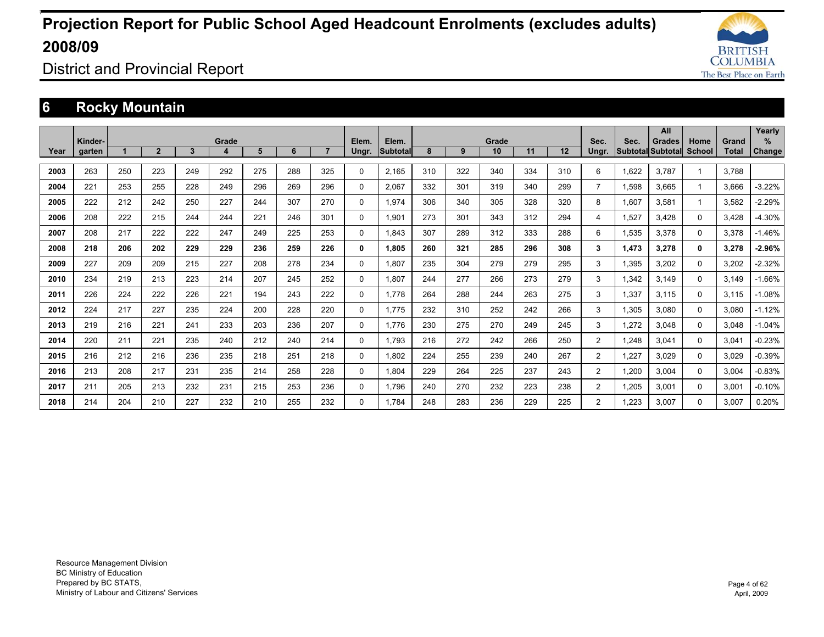

District and Provincial Report

### **6 Rocky Mountain**

|      |         |     |              |     |       |     |     |                |              |                 |     |     |             |     |     |                |       | All                      |                       |                       | Yearly        |
|------|---------|-----|--------------|-----|-------|-----|-----|----------------|--------------|-----------------|-----|-----|-------------|-----|-----|----------------|-------|--------------------------|-----------------------|-----------------------|---------------|
|      | Kinder- |     | $\mathbf{2}$ | 3   | Grade | 5   | 6   | $\overline{7}$ | Elem.        | Elem.           | 8   | 9   | Grade<br>10 | 11  | 12  | Sec.           | Sec.  | <b>Grades</b>            | Home<br><b>School</b> | Grand<br><b>Total</b> | %             |
| Year | garten  |     |              |     | 4     |     |     |                | Ungr.        | <b>Subtotal</b> |     |     |             |     |     | Ungr.          |       | <b>Subtotal Subtotal</b> |                       |                       | <b>Change</b> |
| 2003 | 263     | 250 | 223          | 249 | 292   | 275 | 288 | 325            | $\Omega$     | 2.165           | 310 | 322 | 340         | 334 | 310 | 6              | 1.622 | 3.787                    |                       | 3.788                 |               |
| 2004 | 221     | 253 | 255          | 228 | 249   | 296 | 269 | 296            | $\mathbf{0}$ | 2.067           | 332 | 301 | 319         | 340 | 299 | $\overline{7}$ | 1,598 | 3.665                    |                       | 3,666                 | $-3.22%$      |
| 2005 | 222     | 212 | 242          | 250 | 227   | 244 | 307 | 270            | $\Omega$     | 1,974           | 306 | 340 | 305         | 328 | 320 | 8              | 1,607 | 3,581                    |                       | 3,582                 | $-2.29%$      |
| 2006 | 208     | 222 | 215          | 244 | 244   | 221 | 246 | 301            | $\Omega$     | 1.901           | 273 | 301 | 343         | 312 | 294 | 4              | 1.527 | 3.428                    | $\Omega$              | 3.428                 | $-4.30%$      |
| 2007 | 208     | 217 | 222          | 222 | 247   | 249 | 225 | 253            | $\Omega$     | 1.843           | 307 | 289 | 312         | 333 | 288 | 6              | 1,535 | 3,378                    | $\Omega$              | 3,378                 | $-1.46%$      |
| 2008 | 218     | 206 | 202          | 229 | 229   | 236 | 259 | 226            | 0            | 1.805           | 260 | 321 | 285         | 296 | 308 | 3              | 1.473 | 3,278                    | 0                     | 3,278                 | $-2.96%$      |
| 2009 | 227     | 209 | 209          | 215 | 227   | 208 | 278 | 234            | $\Omega$     | 1.807           | 235 | 304 | 279         | 279 | 295 | 3              | 1,395 | 3,202                    | $\Omega$              | 3,202                 | $-2.32%$      |
| 2010 | 234     | 219 | 213          | 223 | 214   | 207 | 245 | 252            | $\Omega$     | 1.807           | 244 | 277 | 266         | 273 | 279 | 3              | 1,342 | 3.149                    | $\Omega$              | 3.149                 | $-1.66%$      |
| 2011 | 226     | 224 | 222          | 226 | 221   | 194 | 243 | 222            | $\mathbf 0$  | 1.778           | 264 | 288 | 244         | 263 | 275 | 3              | 1,337 | 3.115                    | $\Omega$              | 3.115                 | $-1.08%$      |
| 2012 | 224     | 217 | 227          | 235 | 224   | 200 | 228 | 220            | $\mathbf{0}$ | 1.775           | 232 | 310 | 252         | 242 | 266 | 3              | 1,305 | 3.080                    | $\Omega$              | 3,080                 | $-1.12%$      |
| 2013 | 219     | 216 | 221          | 241 | 233   | 203 | 236 | 207            | $\Omega$     | 1.776           | 230 | 275 | 270         | 249 | 245 | 3              | 1.272 | 3.048                    | $\Omega$              | 3.048                 | $-1.04%$      |
| 2014 | 220     | 211 | 221          | 235 | 240   | 212 | 240 | 214            | $\Omega$     | 1.793           | 216 | 272 | 242         | 266 | 250 | $\overline{2}$ | 1.248 | 3.041                    | 0                     | 3,041                 | $-0.23%$      |
| 2015 | 216     | 212 | 216          | 236 | 235   | 218 | 251 | 218            | $\mathbf 0$  | 1,802           | 224 | 255 | 239         | 240 | 267 | $\overline{2}$ | 1,227 | 3,029                    | $\Omega$              | 3,029                 | $-0.39%$      |
| 2016 | 213     | 208 | 217          | 231 | 235   | 214 | 258 | 228            | $\Omega$     | 1.804           | 229 | 264 | 225         | 237 | 243 | $\overline{2}$ | 1.200 | 3.004                    | $\Omega$              | 3.004                 | $-0.83%$      |
| 2017 | 211     | 205 | 213          | 232 | 231   | 215 | 253 | 236            | $\Omega$     | 1.796           | 240 | 270 | 232         | 223 | 238 | $\overline{2}$ | 1,205 | 3.001                    | 0                     | 3,001                 | $-0.10%$      |
| 2018 | 214     | 204 | 210          | 227 | 232   | 210 | 255 | 232            | $\Omega$     | 1.784           | 248 | 283 | 236         | 229 | 225 | $\overline{2}$ | .223  | 3.007                    | $\Omega$              | 3.007                 | 0.20%         |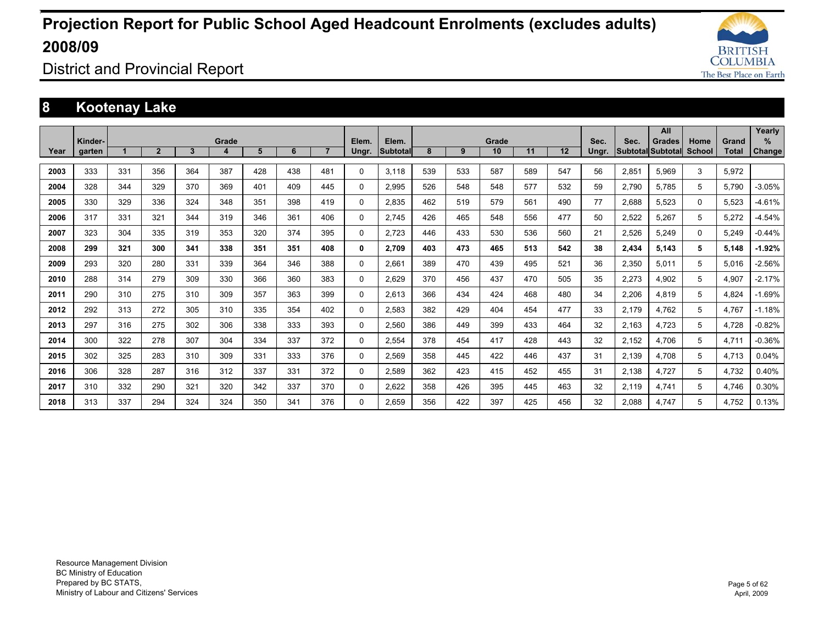

District and Provincial Report

### **8 Kootenay Lake**

|      |         |     |                |     |       |     |     |                |          |          |     |     |       |     |     |       |       | All                      |          |              | Yearly        |
|------|---------|-----|----------------|-----|-------|-----|-----|----------------|----------|----------|-----|-----|-------|-----|-----|-------|-------|--------------------------|----------|--------------|---------------|
|      | Kinder- |     |                |     | Grade |     |     |                | Elem.    | Elem.    |     |     | Grade |     |     | Sec.  | Sec.  | <b>Grades</b>            | Home     | Grand        | %             |
| Year | garten  |     | 2 <sup>1</sup> | 3   | 4     | 5   | 6   | $\overline{7}$ | Ungr.    | Subtotal | 8   | 9   | 10    | 11  | 12  | Ungr. |       | <b>Subtotal Subtotal</b> | School   | <b>Total</b> | <b>Change</b> |
| 2003 | 333     | 331 | 356            | 364 | 387   | 428 | 438 | 481            | $\Omega$ | 3.118    | 539 | 533 | 587   | 589 | 547 | 56    | 2.851 | 5.969                    | 3        | 5,972        |               |
| 2004 | 328     | 344 | 329            | 370 | 369   | 401 | 409 | 445            | $\Omega$ | 2.995    | 526 | 548 | 548   | 577 | 532 | 59    | 2,790 | 5.785                    | 5        | 5,790        | $-3.05%$      |
| 2005 | 330     | 329 | 336            | 324 | 348   | 351 | 398 | 419            | 0        | 2,835    | 462 | 519 | 579   | 561 | 490 | 77    | 2,688 | 5,523                    | $\Omega$ | 5,523        | $-4.61%$      |
| 2006 | 317     | 331 | 321            | 344 | 319   | 346 | 361 | 406            | $\Omega$ | 2.745    | 426 | 465 | 548   | 556 | 477 | 50    | 2,522 | 5.267                    | 5        | 5.272        | $-4.54%$      |
| 2007 | 323     | 304 | 335            | 319 | 353   | 320 | 374 | 395            | 0        | 2,723    | 446 | 433 | 530   | 536 | 560 | 21    | 2,526 | 5,249                    | $\Omega$ | 5,249        | $-0.44%$      |
| 2008 | 299     | 321 | 300            | 341 | 338   | 351 | 351 | 408            | 0        | 2.709    | 403 | 473 | 465   | 513 | 542 | 38    | 2.434 | 5.143                    | 5        | 5.148        | $-1.92%$      |
| 2009 | 293     | 320 | 280            | 331 | 339   | 364 | 346 | 388            | $\Omega$ | 2.661    | 389 | 470 | 439   | 495 | 521 | 36    | 2,350 | 5,011                    | 5        | 5,016        | $-2.56%$      |
| 2010 | 288     | 314 | 279            | 309 | 330   | 366 | 360 | 383            | $\Omega$ | 2,629    | 370 | 456 | 437   | 470 | 505 | 35    | 2,273 | 4,902                    | 5        | 4,907        | $-2.17%$      |
| 2011 | 290     | 310 | 275            | 310 | 309   | 357 | 363 | 399            | 0        | 2.613    | 366 | 434 | 424   | 468 | 480 | 34    | 2,206 | 4.819                    | 5        | 4.824        | $-1.69%$      |
| 2012 | 292     | 313 | 272            | 305 | 310   | 335 | 354 | 402            | 0        | 2,583    | 382 | 429 | 404   | 454 | 477 | 33    | 2,179 | 4.762                    | 5        | 4,767        | $-1.18%$      |
| 2013 | 297     | 316 | 275            | 302 | 306   | 338 | 333 | 393            | 0        | 2.560    | 386 | 449 | 399   | 433 | 464 | 32    | 2.163 | 4.723                    | 5        | 4.728        | $-0.82%$      |
| 2014 | 300     | 322 | 278            | 307 | 304   | 334 | 337 | 372            | 0        | 2.554    | 378 | 454 | 417   | 428 | 443 | 32    | 2,152 | 4.706                    | 5        | 4.711        | $-0.36%$      |
| 2015 | 302     | 325 | 283            | 310 | 309   | 331 | 333 | 376            | 0        | 2,569    | 358 | 445 | 422   | 446 | 437 | 31    | 2,139 | 4.708                    | 5        | 4,713        | 0.04%         |
| 2016 | 306     | 328 | 287            | 316 | 312   | 337 | 331 | 372            | 0        | 2.589    | 362 | 423 | 415   | 452 | 455 | 31    | 2.138 | 4.727                    | 5        | 4.732        | 0.40%         |
| 2017 | 310     | 332 | 290            | 321 | 320   | 342 | 337 | 370            | $\Omega$ | 2,622    | 358 | 426 | 395   | 445 | 463 | 32    | 2,119 | 4.741                    | 5        | 4,746        | 0.30%         |
| 2018 | 313     | 337 | 294            | 324 | 324   | 350 | 341 | 376            | $\Omega$ | 2.659    | 356 | 422 | 397   | 425 | 456 | 32    | 2.088 | 4.747                    | 5        | 4.752        | 0.13%         |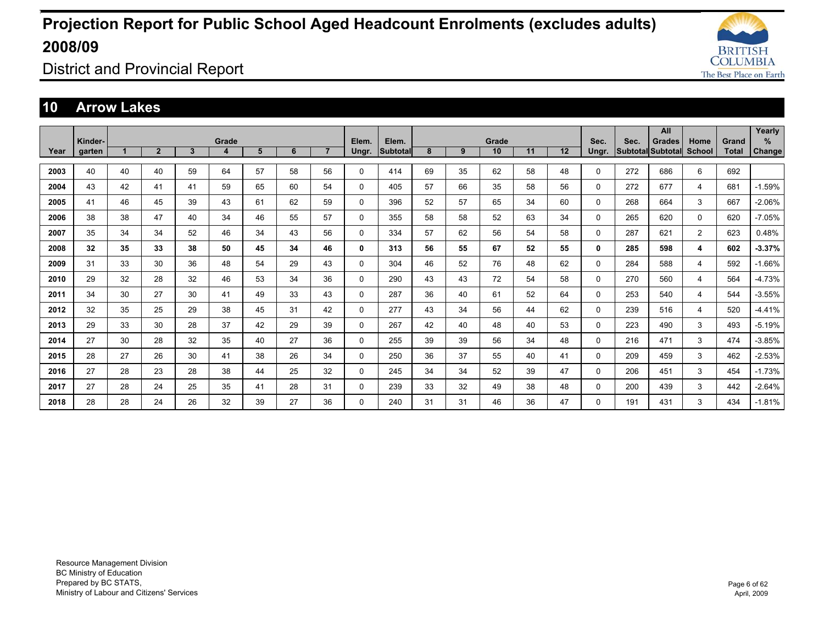

District and Provincial Report

#### **10 Arrow Lakes**

|      |         |    |                |    |       |    |    |                |              |                 |    |    |       |    |    |             |      | All                      |                |       | Yearly   |
|------|---------|----|----------------|----|-------|----|----|----------------|--------------|-----------------|----|----|-------|----|----|-------------|------|--------------------------|----------------|-------|----------|
|      | Kinder- |    |                |    | Grade |    |    |                | Elem.        | Elem.           |    |    | Grade |    |    | Sec.        | Sec. | <b>Grades</b>            | Home           | Grand | %        |
| Year | garten  |    | $\overline{2}$ | 3  | 4     | 5  | 6  | $\overline{7}$ | Ungr.        | <b>Subtotal</b> | 8  | 9  | 10    | 11 | 12 | Ungr.       |      | <b>Subtotal Subtotal</b> | School         | Total | Change   |
| 2003 | 40      | 40 | 40             | 59 | 64    | 57 | 58 | 56             | 0            | 414             | 69 | 35 | 62    | 58 | 48 | $\mathbf 0$ | 272  | 686                      | 6              | 692   |          |
|      |         |    |                |    |       |    |    |                |              |                 |    |    |       |    |    |             |      |                          |                |       |          |
| 2004 | 43      | 42 | 41             | 41 | 59    | 65 | 60 | 54             | $\mathbf 0$  | 405             | 57 | 66 | 35    | 58 | 56 | $\mathbf 0$ | 272  | 677                      | 4              | 681   | $-1.59%$ |
| 2005 | 41      | 46 | 45             | 39 | 43    | 61 | 62 | 59             | $\mathbf 0$  | 396             | 52 | 57 | 65    | 34 | 60 | $\mathbf 0$ | 268  | 664                      | 3              | 667   | $-2.06%$ |
| 2006 | 38      | 38 | 47             | 40 | 34    | 46 | 55 | 57             | $\mathbf 0$  | 355             | 58 | 58 | 52    | 63 | 34 | $\mathbf 0$ | 265  | 620                      | 0              | 620   | $-7.05%$ |
| 2007 | 35      | 34 | 34             | 52 | 46    | 34 | 43 | 56             | 0            | 334             | 57 | 62 | 56    | 54 | 58 | 0           | 287  | 621                      | $\overline{2}$ | 623   | 0.48%    |
| 2008 | 32      | 35 | 33             | 38 | 50    | 45 | 34 | 46             | 0            | 313             | 56 | 55 | 67    | 52 | 55 | 0           | 285  | 598                      | 4              | 602   | $-3.37%$ |
| 2009 | 31      | 33 | 30             | 36 | 48    | 54 | 29 | 43             | $\mathbf 0$  | 304             | 46 | 52 | 76    | 48 | 62 | $\mathbf 0$ | 284  | 588                      | 4              | 592   | $-1.66%$ |
| 2010 | 29      | 32 | 28             | 32 | 46    | 53 | 34 | 36             | $\mathbf 0$  | 290             | 43 | 43 | 72    | 54 | 58 | $\mathbf 0$ | 270  | 560                      | 4              | 564   | $-4.73%$ |
| 2011 | 34      | 30 | 27             | 30 | 41    | 49 | 33 | 43             | $\mathbf{0}$ | 287             | 36 | 40 | 61    | 52 | 64 | $\mathbf 0$ | 253  | 540                      | 4              | 544   | $-3.55%$ |
| 2012 | 32      | 35 | 25             | 29 | 38    | 45 | 31 | 42             | $\mathbf{0}$ | 277             | 43 | 34 | 56    | 44 | 62 | 0           | 239  | 516                      | 4              | 520   | $-4.41%$ |
| 2013 | 29      | 33 | 30             | 28 | 37    | 42 | 29 | 39             | 0            | 267             | 42 | 40 | 48    | 40 | 53 | 0           | 223  | 490                      | 3              | 493   | $-5.19%$ |
| 2014 | 27      | 30 | 28             | 32 | 35    | 40 | 27 | 36             | 0            | 255             | 39 | 39 | 56    | 34 | 48 | 0           | 216  | 471                      | 3              | 474   | $-3.85%$ |
| 2015 | 28      | 27 | 26             | 30 | 41    | 38 | 26 | 34             | $\Omega$     | 250             | 36 | 37 | 55    | 40 | 41 | $\Omega$    | 209  | 459                      | 3              | 462   | $-2.53%$ |
| 2016 | 27      | 28 | 23             | 28 | 38    | 44 | 25 | 32             | $\mathbf 0$  | 245             | 34 | 34 | 52    | 39 | 47 | $\mathbf 0$ | 206  | 451                      | 3              | 454   | $-1.73%$ |
| 2017 | 27      | 28 | 24             | 25 | 35    | 41 | 28 | 31             | $\mathbf 0$  | 239             | 33 | 32 | 49    | 38 | 48 | $\mathbf 0$ | 200  | 439                      | 3              | 442   | $-2.64%$ |
| 2018 | 28      | 28 | 24             | 26 | 32    | 39 | 27 | 36             | 0            | 240             | 31 | 31 | 46    | 36 | 47 | $\Omega$    | 191  | 431                      | 3              | 434   | $-1.81%$ |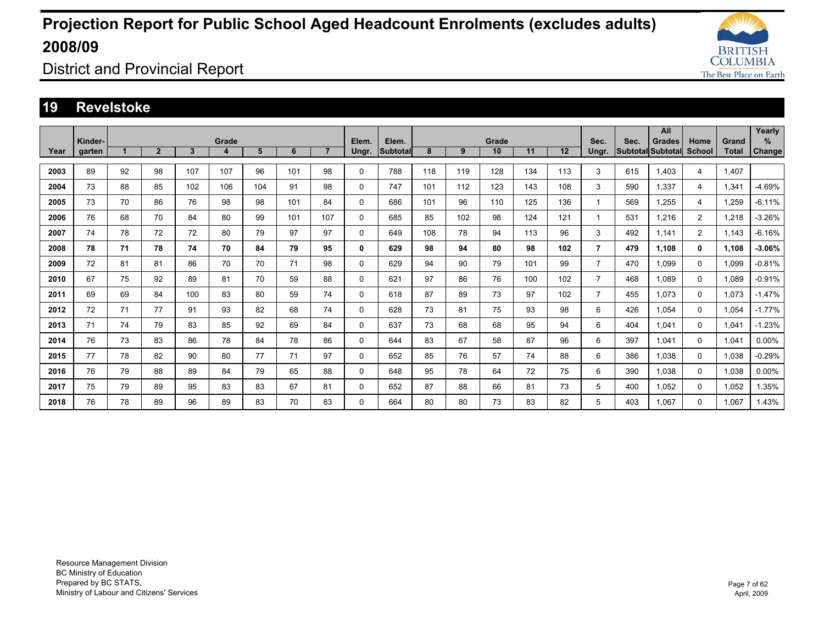

District and Provincial Report

#### **19 Revelstoke**

|      | Kinder- |    |                |     | Grade |     |     |                | Elem.    | Elem.           |     |     | Grade |     |     | Sec.           | Sec.                     | All<br><b>Grades</b> | Home           | Grand        | Yearly<br>% |
|------|---------|----|----------------|-----|-------|-----|-----|----------------|----------|-----------------|-----|-----|-------|-----|-----|----------------|--------------------------|----------------------|----------------|--------------|-------------|
| Year | garten  |    | $\overline{2}$ | 3   | 4     | 5   | 6   | $\overline{7}$ | Ungr.    | <b>Subtotal</b> | 8   | 9   | 10    | 11  | 12  | Ungr.          | <b>Subtotal Subtotal</b> |                      | School         | <b>Total</b> | Change      |
| 2003 | 89      | 92 | 98             | 107 | 107   | 96  | 101 | 98             | 0        | 788             | 118 | 119 | 128   | 134 | 113 | 3              | 615                      | 1,403                | 4              | 1,407        |             |
| 2004 | 73      | 88 | 85             | 102 | 106   | 104 | 91  | 98             | $\Omega$ | 747             | 101 | 112 | 123   | 143 | 108 | 3              | 590                      | 1.337                | 4              | 1,341        | $-4.69%$    |
| 2005 | 73      | 70 | 86             | 76  | 98    | 98  | 101 | 84             | 0        | 686             | 101 | 96  | 110   | 125 | 136 | $\mathbf 1$    | 569                      | 1.255                | 4              | .259         | $-6.11%$    |
| 2006 | 76      | 68 | 70             | 84  | 80    | 99  | 101 | 107            | 0        | 685             | 85  | 102 | 98    | 124 | 121 | -1             | 531                      | 1.216                | $\overline{2}$ | .218         | $-3.26%$    |
| 2007 | 74      | 78 | 72             | 72  | 80    | 79  | 97  | 97             | 0        | 649             | 108 | 78  | 94    | 113 | 96  | 3              | 492                      | 1.141                | 2              | 1.143        | $-6.16%$    |
| 2008 | 78      | 71 | 78             | 74  | 70    | 84  | 79  | 95             | 0        | 629             | 98  | 94  | 80    | 98  | 102 | $\overline{7}$ | 479                      | 1.108                | 0              | 1.108        | $-3.06%$    |
| 2009 | 72      | 81 | 81             | 86  | 70    | 70  | 71  | 98             | 0        | 629             | 94  | 90  | 79    | 101 | 99  | $\overline{7}$ | 470                      | 1.099                | $\Omega$       | 1.099        | $-0.81%$    |
| 2010 | 67      | 75 | 92             | 89  | 81    | 70  | 59  | 88             | 0        | 621             | 97  | 86  | 76    | 100 | 102 | $\overline{7}$ | 468                      | 1.089                | $\mathbf 0$    | 1.089        | $-0.91%$    |
| 2011 | 69      | 69 | 84             | 100 | 83    | 80  | 59  | 74             | 0        | 618             | 87  | 89  | 73    | 97  | 102 | $\overline{7}$ | 455                      | 1.073                | 0              | 1.073        | $-1.47%$    |
| 2012 | 72      | 71 | 77             | 91  | 93    | 82  | 68  | 74             | 0        | 628             | 73  | 81  | 75    | 93  | 98  | 6              | 426                      | 1.054                | $\Omega$       | 1.054        | $-1.77%$    |
| 2013 | 71      | 74 | 79             | 83  | 85    | 92  | 69  | 84             | 0        | 637             | 73  | 68  | 68    | 95  | 94  | 6              | 404                      | 1.041                | 0              | 1.041        | $-1.23%$    |
| 2014 | 76      | 73 | 83             | 86  | 78    | 84  | 78  | 86             | 0        | 644             | 83  | 67  | 58    | 87  | 96  | 6              | 397                      | 1.041                | 0              | 1.041        | $0.00\%$    |
| 2015 | 77      | 78 | 82             | 90  | 80    | 77  | 71  | 97             | 0        | 652             | 85  | 76  | 57    | 74  | 88  | 6              | 386                      | 1.038                | $\mathbf 0$    | 1,038        | $-0.29%$    |
| 2016 | 76      | 79 | 88             | 89  | 84    | 79  | 65  | 88             | 0        | 648             | 95  | 78  | 64    | 72  | 75  | 6              | 390                      | 1.038                | 0              | 1,038        | $0.00\%$    |
| 2017 | 75      | 79 | 89             | 95  | 83    | 83  | 67  | 81             | $\Omega$ | 652             | 87  | 88  | 66    | 81  | 73  | 5              | 400                      | 1.052                | $\Omega$       | 1.052        | 1.35%       |
| 2018 | 76      | 78 | 89             | 96  | 89    | 83  | 70  | 83             | $\Omega$ | 664             | 80  | 80  | 73    | 83  | 82  | 5              | 403                      | 1.067                | 0              | 1.067        | 1.43%       |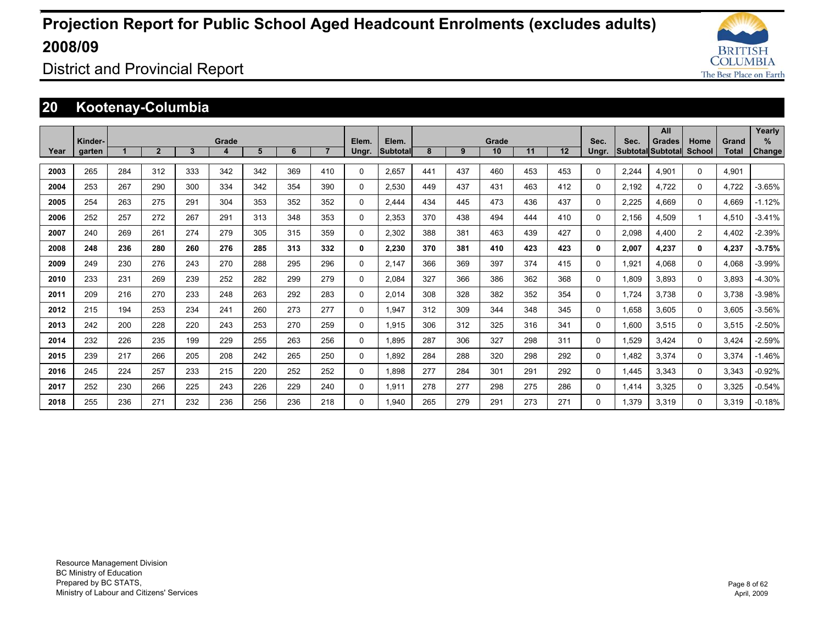

District and Provincial Report

### **20 Kootenay-Columbia**

|      |                   |     |                |              |            |     |     |                |                |                   |     |     |             |     |     |               |       | All                                       |                |                | Yearly                |
|------|-------------------|-----|----------------|--------------|------------|-----|-----|----------------|----------------|-------------------|-----|-----|-------------|-----|-----|---------------|-------|-------------------------------------------|----------------|----------------|-----------------------|
| Year | Kinder-<br>garten |     | $\overline{2}$ | $\mathbf{3}$ | Grade<br>4 | 5   | 6   | $\overline{7}$ | Elem.<br>Ungr. | Elem.<br>Subtotal | 8   | 9   | Grade<br>10 | 11  | 12  | Sec.<br>Ungr. | Sec.  | <b>Grades</b><br><b>Subtotal Subtotal</b> | Home<br>School | Grand<br>Total | $\%$<br><b>Change</b> |
| 2003 | 265               | 284 | 312            | 333          | 342        | 342 | 369 | 410            | $\Omega$       | 2,657             | 441 | 437 | 460         | 453 | 453 | $\Omega$      | 2,244 | 4,901                                     | $\Omega$       | 4,901          |                       |
| 2004 | 253               | 267 | 290            | 300          | 334        | 342 | 354 | 390            | 0              | 2,530             | 449 | 437 | 431         | 463 | 412 | 0             | 2,192 | 4.722                                     | 0              | 4.722          | $-3.65%$              |
| 2005 | 254               | 263 | 275            | 291          | 304        | 353 | 352 | 352            | 0              | 2.444             | 434 | 445 | 473         | 436 | 437 | 0             | 2,225 | 4.669                                     | $\Omega$       | 4.669          | $-1.12%$              |
| 2006 | 252               | 257 | 272            | 267          | 291        | 313 | 348 | 353            | $\Omega$       | 2.353             | 370 | 438 | 494         | 444 | 410 | 0             | 2,156 | 4.509                                     |                | 4.510          | $-3.41%$              |
| 2007 | 240               | 269 | 261            | 274          | 279        | 305 | 315 | 359            | $\Omega$       | 2,302             | 388 | 381 | 463         | 439 | 427 | $\Omega$      | 2,098 | 4,400                                     | 2              | 4,402          | $-2.39%$              |
| 2008 | 248               | 236 | 280            | 260          | 276        | 285 | 313 | 332            | 0              | 2,230             | 370 | 381 | 410         | 423 | 423 | 0             | 2,007 | 4,237                                     | 0              | 4,237          | $-3.75%$              |
| 2009 | 249               | 230 | 276            | 243          | 270        | 288 | 295 | 296            | 0              | 2.147             | 366 | 369 | 397         | 374 | 415 | 0             | 1,921 | 4.068                                     | 0              | 4.068          | $-3.99%$              |
| 2010 | 233               | 231 | 269            | 239          | 252        | 282 | 299 | 279            | 0              | 2.084             | 327 | 366 | 386         | 362 | 368 | 0             | 1.809 | 3.893                                     | 0              | 3.893          | $-4.30%$              |
| 2011 | 209               | 216 | 270            | 233          | 248        | 263 | 292 | 283            | 0              | 2.014             | 308 | 328 | 382         | 352 | 354 | 0             | 1.724 | 3.738                                     | 0              | 3.738          | $-3.98%$              |
| 2012 | 215               | 194 | 253            | 234          | 241        | 260 | 273 | 277            | $\Omega$       | 1.947             | 312 | 309 | 344         | 348 | 345 | 0             | 1.658 | 3.605                                     | $\Omega$       | 3.605          | $-3.56%$              |
| 2013 | 242               | 200 | 228            | 220          | 243        | 253 | 270 | 259            | $\Omega$       | 1,915             | 306 | 312 | 325         | 316 | 341 | $\Omega$      | 1,600 | 3,515                                     | $\Omega$       | 3,515          | $-2.50%$              |
| 2014 | 232               | 226 | 235            | 199          | 229        | 255 | 263 | 256            | $\Omega$       | 1,895             | 287 | 306 | 327         | 298 | 311 | 0             | 1,529 | 3.424                                     | $\Omega$       | 3,424          | $-2.59%$              |
| 2015 | 239               | 217 | 266            | 205          | 208        | 242 | 265 | 250            | 0              | 1.892             | 284 | 288 | 320         | 298 | 292 | 0             | 1.482 | 3.374                                     | 0              | 3,374          | $-1.46%$              |
| 2016 | 245               | 224 | 257            | 233          | 215        | 220 | 252 | 252            | 0              | 1.898             | 277 | 284 | 301         | 291 | 292 | 0             | 1.445 | 3.343                                     | 0              | 3,343          | $-0.92%$              |
| 2017 | 252               | 230 | 266            | 225          | 243        | 226 | 229 | 240            | $\Omega$       | 1,911             | 278 | 277 | 298         | 275 | 286 | 0             | 1,414 | 3.325                                     | 0              | 3,325          | $-0.54%$              |
| 2018 | 255               | 236 | 271            | 232          | 236        | 256 | 236 | 218            | $\Omega$       | 1.940             | 265 | 279 | 291         | 273 | 271 | 0             | 1.379 | 3.319                                     | 0              | 3.319          | $-0.18%$              |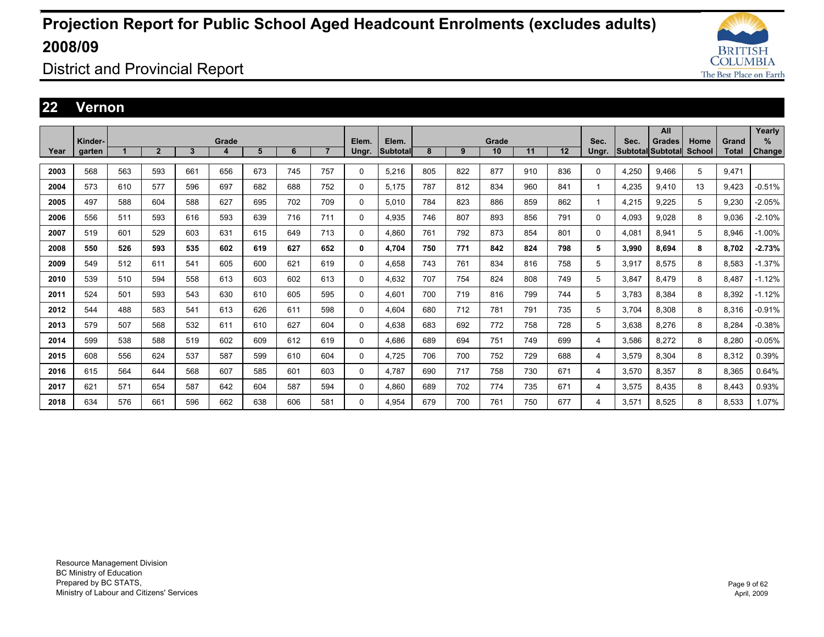

District and Provincial Report

### **22 Vernon**

|      |         |     |                |     |       |     |     |                |          |                 |     |     |       |     |     |       |       | All               |               |              | Yearly        |
|------|---------|-----|----------------|-----|-------|-----|-----|----------------|----------|-----------------|-----|-----|-------|-----|-----|-------|-------|-------------------|---------------|--------------|---------------|
|      | Kinder- |     |                |     | Grade |     |     |                | Elem.    | Elem.           |     |     | Grade |     |     | Sec.  | Sec.  | <b>Grades</b>     | Home          | Grand        | %             |
| Year | garten  |     | $\overline{2}$ | 3   | 4     | 5   | 6   | $\overline{7}$ | Ungr.    | <b>Subtotal</b> | 8   | 9   | 10    | 11  | 12  | Ungr. |       | Subtotal Subtotal | <b>School</b> | <b>Total</b> | <b>Change</b> |
| 2003 | 568     | 563 | 593            | 661 | 656   | 673 | 745 | 757            | $\Omega$ | 5,216           | 805 | 822 | 877   | 910 | 836 | 0     | 4,250 | 9,466             | 5             | 9,471        |               |
| 2004 | 573     | 610 | 577            | 596 | 697   | 682 | 688 | 752            | 0        | 5.175           | 787 | 812 | 834   | 960 | 841 |       | 4,235 | 9.410             | 13            | 9,423        | $-0.51%$      |
| 2005 | 497     | 588 | 604            | 588 | 627   | 695 | 702 | 709            | 0        | 5.010           | 784 | 823 | 886   | 859 | 862 |       | 4,215 | 9.225             | 5             | 9,230        | $-2.05%$      |
| 2006 | 556     | 511 | 593            | 616 | 593   | 639 | 716 | 711            | 0        | 4,935           | 746 | 807 | 893   | 856 | 791 | 0     | 4,093 | 9.028             | 8             | 9,036        | $-2.10%$      |
| 2007 | 519     | 601 | 529            | 603 | 631   | 615 | 649 | 713            | 0        | 4.860           | 761 | 792 | 873   | 854 | 801 | 0     | 4,081 | 8.941             | 5             | 8,946        | $-1.00%$      |
| 2008 | 550     | 526 | 593            | 535 | 602   | 619 | 627 | 652            | 0        | 4.704           | 750 | 771 | 842   | 824 | 798 | 5     | 3,990 | 8.694             | 8             | 8.702        | $-2.73%$      |
| 2009 | 549     | 512 | 611            | 541 | 605   | 600 | 621 | 619            | 0        | 4,658           | 743 | 761 | 834   | 816 | 758 | 5     | 3,917 | 8,575             | 8             | 8,583        | $-1.37%$      |
| 2010 | 539     | 510 | 594            | 558 | 613   | 603 | 602 | 613            | 0        | 4.632           | 707 | 754 | 824   | 808 | 749 | 5     | 3,847 | 8.479             | 8             | 8.487        | $-1.12%$      |
| 2011 | 524     | 501 | 593            | 543 | 630   | 610 | 605 | 595            | 0        | 4.601           | 700 | 719 | 816   | 799 | 744 | 5     | 3.783 | 8,384             | 8             | 8.392        | $-1.12%$      |
| 2012 | 544     | 488 | 583            | 541 | 613   | 626 | 611 | 598            | 0        | 4.604           | 680 | 712 | 781   | 791 | 735 | 5     | 3,704 | 8,308             | 8             | 8,316        | $-0.91%$      |
| 2013 | 579     | 507 | 568            | 532 | 611   | 610 | 627 | 604            | 0        | 4.638           | 683 | 692 | 772   | 758 | 728 | 5     | 3,638 | 8,276             | 8             | 8.284        | $-0.38%$      |
| 2014 | 599     | 538 | 588            | 519 | 602   | 609 | 612 | 619            | 0        | 4.686           | 689 | 694 | 751   | 749 | 699 | 4     | 3,586 | 8.272             | 8             | 8.280        | $-0.05%$      |
| 2015 | 608     | 556 | 624            | 537 | 587   | 599 | 610 | 604            | 0        | 4,725           | 706 | 700 | 752   | 729 | 688 | 4     | 3,579 | 8,304             | 8             | 8,312        | 0.39%         |
| 2016 | 615     | 564 | 644            | 568 | 607   | 585 | 601 | 603            | 0        | 4.787           | 690 | 717 | 758   | 730 | 671 | 4     | 3,570 | 8,357             | 8             | 8,365        | 0.64%         |
| 2017 | 621     | 571 | 654            | 587 | 642   | 604 | 587 | 594            | 0        | 4.860           | 689 | 702 | 774   | 735 | 671 | 4     | 3,575 | 8.435             | 8             | 8.443        | 0.93%         |
| 2018 | 634     | 576 | 661            | 596 | 662   | 638 | 606 | 581            | 0        | 4.954           | 679 | 700 | 761   | 750 | 677 | 4     | 3,571 | 8.525             | 8             | 8.533        | 1.07%         |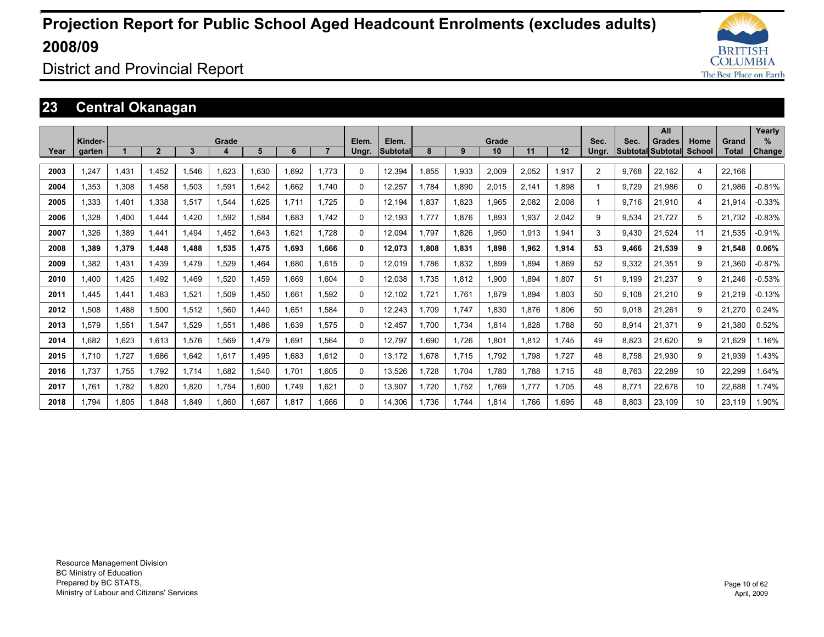

District and Provincial Report

### **23 Central Okanagan**

|      |         |       |                |              |            |       |       |                |                |                          |       |       |             |       |       |                |       | All                                |                       |                       | Yearly      |
|------|---------|-------|----------------|--------------|------------|-------|-------|----------------|----------------|--------------------------|-------|-------|-------------|-------|-------|----------------|-------|------------------------------------|-----------------------|-----------------------|-------------|
| Year | Kinder- |       | $\overline{2}$ | $\mathbf{3}$ | Grade<br>4 | 5     | 6     | $\overline{7}$ | Elem.<br>Ungr. | Elem.<br><b>Subtotal</b> | 8     | 9     | Grade<br>10 | 11    | 12    | Sec.<br>Ungr.  | Sec.  | <b>Grades</b><br>Subtotal Subtotal | Home<br><b>School</b> | Grand<br><b>Total</b> | %<br>Change |
|      | garten  |       |                |              |            |       |       |                |                |                          |       |       |             |       |       |                |       |                                    |                       |                       |             |
| 2003 | 1.247   | 1.431 | 1.452          | .546         | 1.623      | .630  | 1.692 | 1,773          | 0              | 12,394                   | .855  | 1,933 | 2,009       | 2.052 | 1.917 | $\overline{2}$ | 9.768 | 22.162                             | 4                     | 22.166                |             |
| 2004 | 1.353   | 1.308 | 1.458          | 1.503        | 1.591      | .642  | 1.662 | 1.740          | 0              | 12.257                   | .784  | 1.890 | 2.015       | 2,141 | 1.898 | 1              | 9.729 | 21.986                             | $\Omega$              | 21.986                | $-0.81%$    |
| 2005 | 1.333   | 1.401 | 1.338          | 1.517        | 1.544      | .625  | 1.711 | 1.725          | 0              | 12.194                   | .837  | 1.823 | 1,965       | 2.082 | 2,008 | 1              | 9.716 | 21.910                             | 4                     | 21.914                | $-0.33%$    |
| 2006 | 1.328   | 1.400 | 1.444          | .420         | 1.592      | .584  | 1.683 | 1.742          | 0              | 12.193                   | 1.777 | 1.876 | 1.893       | 1.937 | 2.042 | 9              | 9.534 | 21,727                             | 5                     | 21.732                | $-0.83%$    |
| 2007 | 1.326   | 1,389 | 1.441          | 1.494        | 1,452      | .643  | 1.621 | 1.728          | 0              | 12,094                   | 1.797 | 1.826 | 1,950       | 1,913 | 1,941 | 3              | 9.430 | 21.524                             | 11                    | 21.535                | $-0.91%$    |
| 2008 | 1,389   | 1,379 | 1,448          | 1.488        | 1,535      | 1,475 | 1,693 | 1.666          | 0              | 12,073                   | 1,808 | 1,831 | 1,898       | 1,962 | 1,914 | 53             | 9.466 | 21,539                             | 9                     | 21,548                | 0.06%       |
| 2009 | 1,382   | 1,431 | 1.439          | 1.479        | 1,529      | .464  | 1.680 | 1,615          | 0              | 12,019                   | 1.786 | 1,832 | 1,899       | 1.894 | 1.869 | 52             | 9,332 | 21,351                             | 9                     | 21,360                | $-0.87%$    |
| 2010 | 1.400   | 1,425 | 1.492          | 1.469        | 1,520      | ,459  | 1.669 | 1.604          | 0              | 12,038                   | 1.735 | 1,812 | 1,900       | 1.894 | 1.807 | 51             | 9.199 | 21,237                             | 9                     | 21.246                | $-0.53%$    |
| 2011 | 1.445   | 1,441 | 1.483          | 521.ا        | 1,509      | ,450  | 1.661 | 1,592          | 0              | 12,102                   | 1.721 | 1.761 | 1,879       | 1.894 | 1.803 | 50             | 9.108 | 21,210                             | 9                     | 21,219                | $-0.13%$    |
| 2012 | 1,508   | 1.488 | 1,500          | 1,512        | 1,560      | .440  | 1.651 | 1.584          | 0              | 12,243                   | 1.709 | 1,747 | 1,830       | 1.876 | 1.806 | 50             | 9.018 | 21,261                             | 9                     | 21,270                | 0.24%       |
| 2013 | 1.579   | 1,551 | 1.547          | 1,529        | 1,551      | .486  | 1.639 | 1.575          | 0              | 12,457                   | 1.700 | 1.734 | 1.814       | 1.828 | 1.788 | 50             | 8,914 | 21.371                             | 9                     | 21.380                | 0.52%       |
| 2014 | 1.682   | 1,623 | 1.613          | 1,576        | 1,569      | .479  | 1.691 | 1.564          | 0              | 12,797                   | .690  | 1.726 | 1,801       | 1,812 | 1.745 | 49             | 8,823 | 21,620                             | 9                     | 21,629                | 1.16%       |
| 2015 | 1.710   | 1.727 | 1.686          | 1.642        | 1,617      | ,495  | 1.683 | 1.612          | 0              | 13,172                   | .678  | 1.715 | 1,792       | 1.798 | 1.727 | 48             | 8.758 | 21.930                             | 9                     | 21,939                | .43%        |
| 2016 | 1.737   | 1.755 | 1.792          | 1.714        | 1.682      | .540  | 1.701 | 1.605          | 0              | 13,526                   | .728  | 1.704 | 1,780       | 1.788 | 1.715 | 48             | 8.763 | 22,289                             | 10                    | 22,299                | .64%        |
| 2017 | 1.761   | 1,782 | 1,820          | 1,820        | 1,754      | 0.600 | 1.749 | 1.621          | 0              | 13,907                   | 1.720 | 1,752 | 1,769       | 1.777 | 1.705 | 48             | 8.771 | 22,678                             | 10                    | 22,688                | 1.74%       |
| 2018 | 1.794   | 1.805 | 1.848          | 1.849        | 1.860      | .667  | 1.817 | 1.666          | 0              | 14.306                   | 1.736 | 1.744 | 1.814       | 1.766 | 1.695 | 48             | 8.803 | 23.109                             | 10                    | 23.119                | .90%        |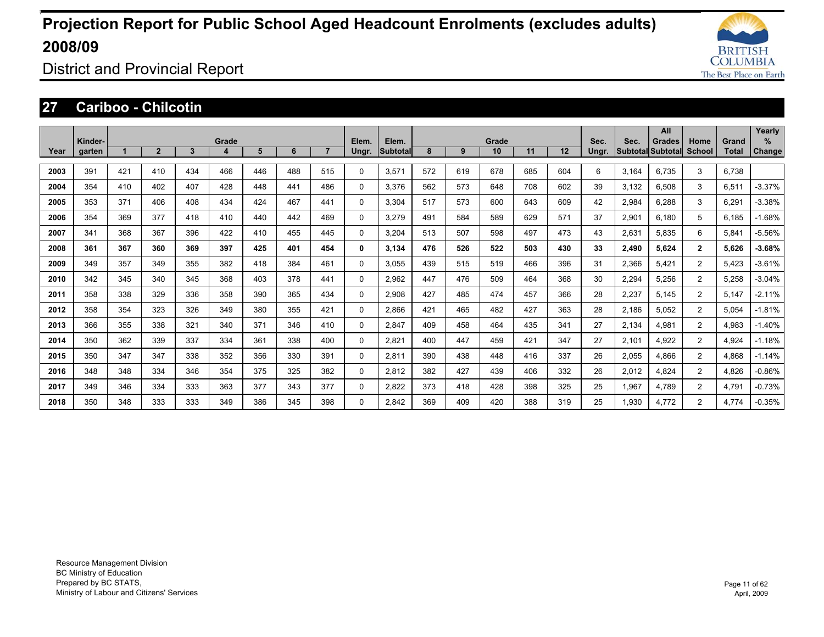

District and Provincial Report

### **27 Cariboo - Chilcotin**

|      |                   |     |                |              |            |     |     |                |                |                          |     |     |             |     |     |               |       | All                                       |                       |                | Yearly             |
|------|-------------------|-----|----------------|--------------|------------|-----|-----|----------------|----------------|--------------------------|-----|-----|-------------|-----|-----|---------------|-------|-------------------------------------------|-----------------------|----------------|--------------------|
| Year | Kinder-<br>garten |     | $\overline{2}$ | $\mathbf{3}$ | Grade<br>4 | 5   | 6   | $\overline{7}$ | Elem.<br>Ungr. | Elem.<br><b>Subtotal</b> | 8   | 9   | Grade<br>10 | 11  | 12  | Sec.<br>Ungr. | Sec.  | <b>Grades</b><br><b>Subtotal Subtotal</b> | Home<br><b>School</b> | Grand<br>Total | %<br><b>Change</b> |
|      |                   |     |                |              |            |     |     |                |                |                          |     |     |             |     |     |               |       |                                           |                       |                |                    |
| 2003 | 391               | 421 | 410            | 434          | 466        | 446 | 488 | 515            | 0              | 3,571                    | 572 | 619 | 678         | 685 | 604 | 6             | 3,164 | 6.735                                     | 3                     | 6.738          |                    |
| 2004 | 354               | 410 | 402            | 407          | 428        | 448 | 441 | 486            | 0              | 3.376                    | 562 | 573 | 648         | 708 | 602 | 39            | 3,132 | 6.508                                     | 3                     | 6,511          | $-3.37%$           |
| 2005 | 353               | 371 | 406            | 408          | 434        | 424 | 467 | 441            | 0              | 3.304                    | 517 | 573 | 600         | 643 | 609 | 42            | 2,984 | 6.288                                     | 3                     | 6.291          | $-3.38%$           |
| 2006 | 354               | 369 | 377            | 418          | 410        | 440 | 442 | 469            | 0              | 3.279                    | 491 | 584 | 589         | 629 | 571 | 37            | 2,901 | 6.180                                     | 5                     | 6.185          | $-1.68%$           |
| 2007 | 341               | 368 | 367            | 396          | 422        | 410 | 455 | 445            | 0              | 3,204                    | 513 | 507 | 598         | 497 | 473 | 43            | 2,631 | 5.835                                     | 6                     | 5,841          | $-5.56%$           |
| 2008 | 361               | 367 | 360            | 369          | 397        | 425 | 401 | 454            | 0              | 3.134                    | 476 | 526 | 522         | 503 | 430 | 33            | 2,490 | 5.624                                     | $\overline{2}$        | 5.626          | $-3.68%$           |
| 2009 | 349               | 357 | 349            | 355          | 382        | 418 | 384 | 461            | 0              | 3.055                    | 439 | 515 | 519         | 466 | 396 | 31            | 2,366 | 5.421                                     | $\overline{2}$        | 5.423          | $-3.61%$           |
| 2010 | 342               | 345 | 340            | 345          | 368        | 403 | 378 | 441            | 0              | 2.962                    | 447 | 476 | 509         | 464 | 368 | 30            | 2.294 | 5.256                                     | $\overline{2}$        | 5.258          | $-3.04%$           |
| 2011 | 358               | 338 | 329            | 336          | 358        | 390 | 365 | 434            | 0              | 2.908                    | 427 | 485 | 474         | 457 | 366 | 28            | 2,237 | 5.145                                     | $\overline{2}$        | 5.147          | $-2.11%$           |
| 2012 | 358               | 354 | 323            | 326          | 349        | 380 | 355 | 421            | 0              | 2.866                    | 421 | 465 | 482         | 427 | 363 | 28            | 2.186 | 5.052                                     | $\overline{2}$        | 5.054          | $-1.81%$           |
| 2013 | 366               | 355 | 338            | 321          | 340        | 371 | 346 | 410            | 0              | 2,847                    | 409 | 458 | 464         | 435 | 341 | 27            | 2,134 | 4,981                                     | $\overline{2}$        | 4,983          | $-1.40%$           |
| 2014 | 350               | 362 | 339            | 337          | 334        | 361 | 338 | 400            | 0              | 2,821                    | 400 | 447 | 459         | 421 | 347 | 27            | 2,101 | 4,922                                     | 2                     | 4,924          | $-1.18%$           |
| 2015 | 350               | 347 | 347            | 338          | 352        | 356 | 330 | 391            | 0              | 2,811                    | 390 | 438 | 448         | 416 | 337 | 26            | 2,055 | 4.866                                     | $\overline{2}$        | 4,868          | $-1.14%$           |
| 2016 | 348               | 348 | 334            | 346          | 354        | 375 | 325 | 382            | 0              | 2,812                    | 382 | 427 | 439         | 406 | 332 | 26            | 2,012 | 4.824                                     | $\overline{2}$        | 4.826          | $-0.86%$           |
| 2017 | 349               | 346 | 334            | 333          | 363        | 377 | 343 | 377            | 0              | 2,822                    | 373 | 418 | 428         | 398 | 325 | 25            | 1,967 | 4.789                                     | $\overline{c}$        | 4,791          | $-0.73%$           |
| 2018 | 350               | 348 | 333            | 333          | 349        | 386 | 345 | 398            | 0              | 2.842                    | 369 | 409 | 420         | 388 | 319 | 25            | 1.930 | 4.772                                     | $\overline{c}$        | 4.774          | $-0.35%$           |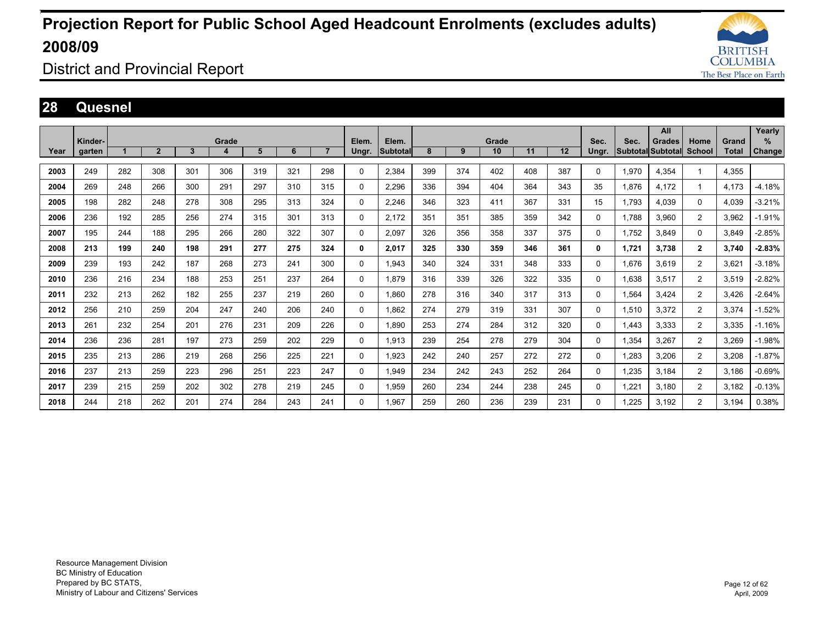

District and Provincial Report

#### **28 Quesnel**

|      |                   |     |                |     |       |     |     |     |                |                   |     |     |             |     |     |               |       | All                                       |                         |                       | Yearly      |
|------|-------------------|-----|----------------|-----|-------|-----|-----|-----|----------------|-------------------|-----|-----|-------------|-----|-----|---------------|-------|-------------------------------------------|-------------------------|-----------------------|-------------|
| Year | Kinder-<br>garten |     | $\overline{2}$ | 3   | Grade | 5   | 6   |     | Elem.<br>Ungr. | Elem.<br>Subtotal | 8   | 9   | Grade<br>10 | 11  | 12  | Sec.<br>Ungr. | Sec.  | <b>Grades</b><br><b>Subtotal Subtotal</b> | Home<br><b>School</b>   | Grand<br><b>Total</b> | %<br>Change |
|      |                   |     |                |     |       |     |     |     |                |                   |     |     |             |     |     |               |       |                                           |                         |                       |             |
| 2003 | 249               | 282 | 308            | 301 | 306   | 319 | 321 | 298 | 0              | 2,384             | 399 | 374 | 402         | 408 | 387 | $\Omega$      | 1,970 | 4,354                                     | $\overline{\mathbf{1}}$ | 4,355                 |             |
| 2004 | 269               | 248 | 266            | 300 | 291   | 297 | 310 | 315 | 0              | 2,296             | 336 | 394 | 404         | 364 | 343 | 35            | 1,876 | 4,172                                     | $\overline{1}$          | 4,173                 | $-4.18%$    |
| 2005 | 198               | 282 | 248            | 278 | 308   | 295 | 313 | 324 | 0              | 2,246             | 346 | 323 | 411         | 367 | 331 | 15            | 1.793 | 4.039                                     | 0                       | 4,039                 | $-3.21%$    |
| 2006 | 236               | 192 | 285            | 256 | 274   | 315 | 301 | 313 | 0              | 2,172             | 351 | 351 | 385         | 359 | 342 | 0             | 1,788 | 3,960                                     | $\overline{2}$          | 3,962                 | $-1.91%$    |
| 2007 | 195               | 244 | 188            | 295 | 266   | 280 | 322 | 307 | 0              | 2,097             | 326 | 356 | 358         | 337 | 375 | 0             | 1.752 | 3.849                                     | 0                       | 3,849                 | $-2.85%$    |
| 2008 | 213               | 199 | 240            | 198 | 291   | 277 | 275 | 324 | 0              | 2,017             | 325 | 330 | 359         | 346 | 361 | 0             | 1.721 | 3,738                                     | $\mathbf{2}$            | 3,740                 | $-2.83%$    |
| 2009 | 239               | 193 | 242            | 187 | 268   | 273 | 241 | 300 | 0              | 1,943             | 340 | 324 | 331         | 348 | 333 | 0             | 1,676 | 3,619                                     | $\overline{2}$          | 3,621                 | $-3.18%$    |
| 2010 | 236               | 216 | 234            | 188 | 253   | 251 | 237 | 264 | 0              | 1.879             | 316 | 339 | 326         | 322 | 335 | 0             | 1.638 | 3,517                                     | $\overline{2}$          | 3,519                 | $-2.82%$    |
| 2011 | 232               | 213 | 262            | 182 | 255   | 237 | 219 | 260 | 0              | 1.860             | 278 | 316 | 340         | 317 | 313 | 0             | 1,564 | 3,424                                     | $\overline{2}$          | 3,426                 | $-2.64%$    |
| 2012 | 256               | 210 | 259            | 204 | 247   | 240 | 206 | 240 | 0              | 1.862             | 274 | 279 | 319         | 331 | 307 | 0             | 1,510 | 3,372                                     | $\overline{2}$          | 3,374                 | $-1.52%$    |
| 2013 | 261               | 232 | 254            | 201 | 276   | 231 | 209 | 226 | 0              | 1.890             | 253 | 274 | 284         | 312 | 320 | 0             | 1.443 | 3,333                                     | $\overline{2}$          | 3,335                 | $-1.16%$    |
| 2014 | 236               | 236 | 281            | 197 | 273   | 259 | 202 | 229 | 0              | 1.913             | 239 | 254 | 278         | 279 | 304 | 0             | 1,354 | 3.267                                     | $\overline{2}$          | 3.269                 | $-1.98%$    |
| 2015 | 235               | 213 | 286            | 219 | 268   | 256 | 225 | 221 | 0              | 1,923             | 242 | 240 | 257         | 272 | 272 | 0             | 1,283 | 3,206                                     | $\overline{2}$          | 3,208                 | $-1.87%$    |
| 2016 | 237               | 213 | 259            | 223 | 296   | 251 | 223 | 247 | 0              | 1,949             | 234 | 242 | 243         | 252 | 264 | 0             | 1,235 | 3,184                                     | $\overline{2}$          | 3.186                 | $-0.69%$    |
| 2017 | 239               | 215 | 259            | 202 | 302   | 278 | 219 | 245 | 0              | 1,959             | 260 | 234 | 244         | 238 | 245 | 0             | 1,221 | 3.180                                     | $\overline{2}$          | 3.182                 | $-0.13%$    |
| 2018 | 244               | 218 | 262            | 201 | 274   | 284 | 243 | 241 | $\Omega$       | 1.967             | 259 | 260 | 236         | 239 | 231 | $\Omega$      | .225  | 3.192                                     | $\overline{2}$          | 3.194                 | 0.38%       |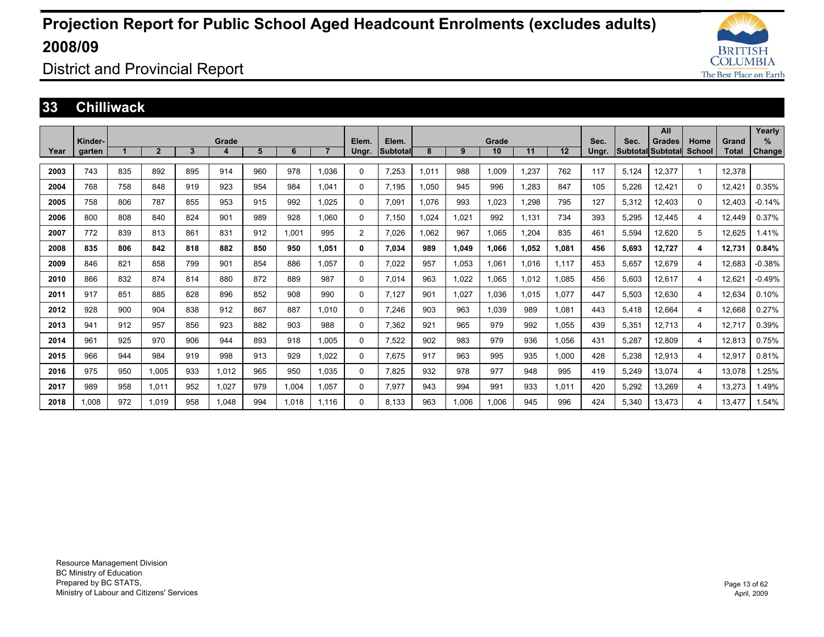

District and Provincial Report

#### **33 Chilliwack**

|      |         |     |                |     |       |     |       |                |                |          |       |       |       |       |       |       |       | All               |          |              | Yearly   |
|------|---------|-----|----------------|-----|-------|-----|-------|----------------|----------------|----------|-------|-------|-------|-------|-------|-------|-------|-------------------|----------|--------------|----------|
|      | Kinder- |     |                |     | Grade |     |       |                | Elem.          | Elem.    |       |       | Grade |       |       | Sec.  | Sec.  | <b>Grades</b>     | Home     | Grand        | %        |
| Year | garten  |     | $\overline{2}$ | 3   | 4     | 5   | 6     | $\overline{7}$ | Ungr.          | Subtotal | 8     | 9     | 10    | 11    | 12    | Ungr. |       | Subtotal Subtotal | School   | <b>Total</b> | Change   |
|      |         |     |                |     |       |     |       |                |                |          |       |       |       |       |       |       |       |                   |          |              |          |
| 2003 | 743     | 835 | 892            | 895 | 914   | 960 | 978   | 1.036          | $\Omega$       | 7,253    | 1,011 | 988   | 1.009 | ,237  | 762   | 117   | 5,124 | 12,377            |          | 12,378       |          |
| 2004 | 768     | 758 | 848            | 919 | 923   | 954 | 984   | 1,041          | $\Omega$       | 7,195    | 1,050 | 945   | 996   | ,283  | 847   | 105   | 5,226 | 12,421            | $\Omega$ | 12,421       | 0.35%    |
| 2005 | 758     | 806 | 787            | 855 | 953   | 915 | 992   | 1.025          | 0              | 7,091    | 1,076 | 993   | 1.023 | ,298  | 795   | 127   | 5,312 | 12,403            | 0        | 12,403       | $-0.14%$ |
| 2006 | 800     | 808 | 840            | 824 | 901   | 989 | 928   | 1.060          | 0              | 7,150    | 1,024 | 1,021 | 992   | 1,131 | 734   | 393   | 5,295 | 12,445            | 4        | 12,449       | 0.37%    |
| 2007 | 772     | 839 | 813            | 861 | 831   | 912 | 1.001 | 995            | $\overline{2}$ | 7.026    | 1,062 | 967   | 1,065 | 1,204 | 835   | 461   | 5,594 | 12,620            | 5        | 12,625       | 1.41%    |
| 2008 | 835     | 806 | 842            | 818 | 882   | 850 | 950   | 1,051          | 0              | 7,034    | 989   | 1,049 | 1.066 | 1,052 | 1,081 | 456   | 5,693 | 12,727            | 4        | 12,731       | 0.84%    |
| 2009 | 846     | 821 | 858            | 799 | 901   | 854 | 886   | 1.057          | 0              | 7,022    | 957   | 1.053 | 1.061 | 1,016 | 1.117 | 453   | 5,657 | 12,679            | 4        | 12,683       | $-0.38%$ |
| 2010 | 866     | 832 | 874            | 814 | 880   | 872 | 889   | 987            | $\mathbf 0$    | 7,014    | 963   | 1,022 | 1.065 | 1,012 | 1.085 | 456   | 5,603 | 12,617            | 4        | 12.621       | $-0.49%$ |
| 2011 | 917     | 851 | 885            | 828 | 896   | 852 | 908   | 990            | 0              | 7.127    | 901   | 1.027 | 1.036 | 1,015 | 1.077 | 447   | 5,503 | 12,630            | 4        | 12.634       | 0.10%    |
| 2012 | 928     | 900 | 904            | 838 | 912   | 867 | 887   | 1.010          | $\Omega$       | 7,246    | 903   | 963   | 1.039 | 989   | 1,081 | 443   | 5,418 | 12,664            | 4        | 12,668       | 0.27%    |
| 2013 | 941     | 912 | 957            | 856 | 923   | 882 | 903   | 988            | $\Omega$       | 7,362    | 921   | 965   | 979   | 992   | 1.055 | 439   | 5,351 | 12,713            | 4        | 12.717       | 0.39%    |
| 2014 | 961     | 925 | 970            | 906 | 944   | 893 | 918   | 1.005          | 0              | 7,522    | 902   | 983   | 979   | 936   | 1.056 | 431   | 5,287 | 12,809            | 4        | 12,813       | 0.75%    |
| 2015 | 966     | 944 | 984            | 919 | 998   | 913 | 929   | 1.022          | 0              | 7.675    | 917   | 963   | 995   | 935   | 1.000 | 428   | 5.238 | 12,913            | 4        | 12.917       | 0.81%    |
| 2016 | 975     | 950 | 1,005          | 933 | 1,012 | 965 | 950   | 1.035          | $\Omega$       | 7,825    | 932   | 978   | 977   | 948   | 995   | 419   | 5,249 | 13,074            | 4        | 13,078       | 1.25%    |
| 2017 | 989     | 958 | 1,011          | 952 | 1,027 | 979 | 1.004 | 1,057          | $\Omega$       | 7,977    | 943   | 994   | 991   | 933   | 1,011 | 420   | 5,292 | 13,269            | 4        | 13,273       | .49%     |
| 2018 | 1.008   | 972 | 1.019          | 958 | 1.048 | 994 | 1.018 | 1.116          | $\Omega$       | 8.133    | 963   | 1.006 | 1.006 | 945   | 996   | 424   | 5.340 | 13.473            | 4        | 13.477       | 1.54%    |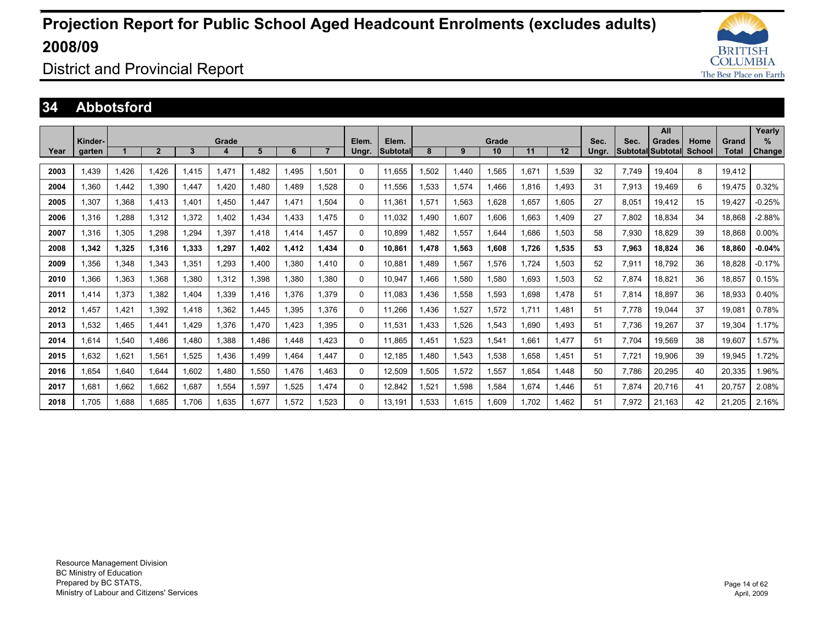

District and Provincial Report

### **34 Abbotsford**

|      |                   |       |                |       |            |       |       |       |                |                   |       |       |             |       |       |               |       | All                                       |                |                | Yearly                |
|------|-------------------|-------|----------------|-------|------------|-------|-------|-------|----------------|-------------------|-------|-------|-------------|-------|-------|---------------|-------|-------------------------------------------|----------------|----------------|-----------------------|
| Year | Kinder-<br>garten |       | $\overline{2}$ | 3     | Grade<br>Δ | 5     | 6     |       | Elem.<br>Ungr. | Elem.<br>Subtotal | 8     | 9     | Grade<br>10 | 11    | 12    | Sec.<br>Unar. | Sec.  | <b>Grades</b><br><b>Subtotal Subtotal</b> | Home<br>School | Grand<br>Total | $\%$<br><b>Change</b> |
|      |                   |       |                |       |            |       |       |       |                |                   |       |       |             |       |       |               |       |                                           |                |                |                       |
| 2003 | 1,439             | 1,426 | 1.426          | 1.415 | 1.471      | .482  | 1.495 | 1,501 | $\Omega$       | 11.655            | .502  | 1.440 | 1,565       | 1.671 | 1.539 | 32            | 7.749 | 19.404                                    | 8              | 19,412         |                       |
| 2004 | 1,360             | 1,442 | 1,390          | 1.447 | 1,420      | ,480  | 1,489 | 1,528 | $\Omega$       | 11.556            | .533  | 1,574 | 1.466       | 1.816 | 1,493 | 31            | 7,913 | 19,469                                    | 6              | 19,475         | 0.32%                 |
| 2005 | 1,307             | 1,368 | 1.413          | 1.401 | 1.450      | ,447  | 1.471 | 1.504 | $\Omega$       | 11.361            | .571  | 1,563 | 1,628       | 1.657 | 1.605 | 27            | 8,051 | 19,412                                    | 15             | 19.427         | $-0.25%$              |
| 2006 | 1,316             | 1.288 | 1,312          | 1,372 | 1.402      | ,434  | 1.433 | 1.475 | $\Omega$       | 11.032            | .490  | 1,607 | 1,606       | 1.663 | 1.409 | 27            | 7.802 | 18,834                                    | 34             | 18,868         | $-2.88%$              |
| 2007 | 1,316             | 1.305 | 1.298          | 1.294 | 1.397      | .418  | 1.414 | 1.457 | $\Omega$       | 10.899            | .482  | 1,557 | 1.644       | 1.686 | 1.503 | 58            | 7.930 | 18.829                                    | 39             | 18.868         | $0.00\%$              |
| 2008 | 1.342             | 1.325 | 1.316          | 1.333 | 1.297      | 1.402 | 1.412 | 1.434 | 0              | 10.861            | 1.478 | 1,563 | 1.608       | 1.726 | 1.535 | 53            | 7.963 | 18.824                                    | 36             | 18.860         | $-0.04%$              |
| 2009 | 1.356             | 1,348 | 1.343          | 1.351 | 1.293      | .400  | 1.380 | 1.410 | $\Omega$       | 10.881            | .489  | 1,567 | 1.576       | 1.724 | 1.503 | 52            | 7.911 | 18.792                                    | 36             | 18.828         | $-0.17%$              |
| 2010 | 1,366             | 1,363 | 1.368          | 1.380 | 1,312      | ,398  | 1.380 | 1.380 | $\Omega$       | 10.947            | .466  | 1,580 | 1,580       | 1.693 | 1,503 | 52            | 7.874 | 18.821                                    | 36             | 18,857         | 0.15%                 |
| 2011 | 1.414             | 1,373 | 1.382          | 1.404 | 1,339      | .416  | 1,376 | 1.379 | $\Omega$       | 11.083            | .436  | 1,558 | 1,593       | .698  | 1,478 | 51            | 7.814 | 18.897                                    | 36             | 18,933         | 0.40%                 |
| 2012 | 1.457             | 1,421 | 1,392          | 1,418 | 1,362      | .445  | 1,395 | 1.376 | $\Omega$       | 11.266            | .436  | 1,527 | 1,572       | 1.711 | 1,481 | 51            | 7.778 | 19,044                                    | 37             | 19,081         | 0.78%                 |
| 2013 | 1,532             | 1,465 | 1.441          | A29.  | 1,376      | .470  | 1,423 | 1.395 | $\Omega$       | 11,531            | .433  | 1,526 | 1,543       | .690  | 1,493 | 51            | 7,736 | 19,267                                    | 37             | 19,304         | 1.17%                 |
| 2014 | 1,614             | 1,540 | 1,486          | 480,  | 1,388      | ,486  | 1.448 | 1.423 | $\Omega$       | 11,865            | .451  | 1,523 | 1,541       | 1,661 | 1,477 | 51            | 7,704 | 19,569                                    | 38             | 19,607         | 1.57%                 |
| 2015 | 1.632             | 1,621 | 1.561          | 1.525 | 1.436      | .499  | 1.464 | 1.447 | $\Omega$       | 12.185            | .480  | 1,543 | 1,538       | .658  | 1.451 | 51            | 7.721 | 19,906                                    | 39             | 19.945         | 1.72%                 |
| 2016 | 1.654             | 1,640 | 1.644          | 1.602 | 1.480      | ,550  | 1.476 | 1.463 | $\Omega$       | 12.509            | .505  | 1,572 | 1,557       | .654  | 1,448 | 50            | 7.786 | 20,295                                    | 40             | 20.335         | .96%                  |
| 2017 | 1.681             | 1,662 | 1.662          | 1.687 | 1,554      | ,597  | 1,525 | 1.474 | $\Omega$       | 12.842            | .521  | 1,598 | 1,584       | 1.674 | 1,446 | 51            | 7,874 | 20,716                                    | 41             | 20.757         | 2.08%                 |
| 2018 | 1.705             | 1.688 | 1.685          | 1.706 | 1.635      | .677  | 1,572 | 1.523 | $\Omega$       | 13.191            | .533  | 1.615 | 1.609       | .702  | 1.462 | 51            | 7,972 | 21.163                                    | 42             | 21,205         | 2.16%                 |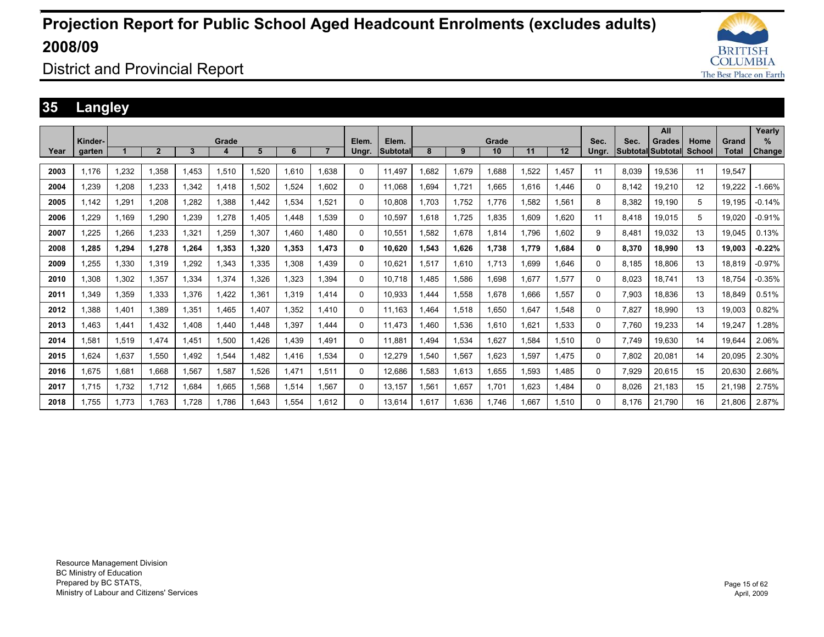

District and Provincial Report

### **35 Langley**

|      |         |       |                |       |       |       |       |       |          |                 |      |       |       |       |       |       |       | All               |        |        | Yearly        |
|------|---------|-------|----------------|-------|-------|-------|-------|-------|----------|-----------------|------|-------|-------|-------|-------|-------|-------|-------------------|--------|--------|---------------|
|      | Kinder- |       |                |       | Grade |       |       |       | Elem.    | Elem.           |      |       | Grade |       |       | Sec.  | Sec.  | Grades            | Home   | Grand  | ℅             |
| Year | aarten  |       | $\overline{2}$ | 3     | 4     | 5     | 6     |       | Ungr.    | <b>Subtotal</b> | 8    | 9     | 10    | 11    | 12    | Unar. |       | Subtotal Subtotal | School | Total  | <b>Change</b> |
|      |         |       |                |       |       |       |       |       |          |                 |      |       |       |       |       |       |       |                   |        |        |               |
| 2003 | 1,176   | 1,232 | 1.358          | .453  | 1,510 | .520  | 1.610 | 1.638 | $\Omega$ | 11.497          | .682 | 1,679 | 1.688 | .522  | 1.457 | 11    | 8.039 | 19,536            | 11     | 19.547 |               |
| 2004 | 1,239   | 1,208 | 1.233          | 1,342 | 1,418 | .502  | 1,524 | 1.602 | $\Omega$ | 11.068          | .694 | 1,721 | 1.665 | 1,616 | 1,446 | 0     | 8,142 | 19,210            | 12     | 19,222 | $-1.66%$      |
| 2005 | 1,142   | 1,291 | 1.208          | 1,282 | 1,388 | .442  | 1,534 | 1,521 | 0        | 10.808          | .703 | 1,752 | 1.776 | .582  | 1.561 | 8     | 8,382 | 19,190            | 5      | 19,195 | $-0.14%$      |
| 2006 | 1,229   | 1.169 | 1.290          | 1.239 | 1.278 | .405  | 1.448 | 1.539 | 0        | 10.597          | .618 | 1.725 | 1.835 | 1.609 | 1.620 | 11    | 8.418 | 19.015            | 5      | 19.020 | $-0.91%$      |
| 2007 | 1,225   | 1,266 | 1,233          | 1,321 | 1,259 | .307  | 1.460 | 1.480 | $\Omega$ | 10,551          | .582 | 1,678 | 1,814 | 1.796 | 1,602 | 9     | 8,481 | 19,032            | 13     | 19,045 | 0.13%         |
| 2008 | 1,285   | 1,294 | 1,278          | 1.264 | 1,353 | 1,320 | 1,353 | 1,473 | 0        | 10.620          | .543 | 1,626 | 1,738 | 1.779 | 1.684 | 0     | 8,370 | 18,990            | 13     | 19,003 | $-0.22%$      |
| 2009 | 1,255   | 1,330 | 1.319          | 1.292 | 1,343 | .335  | 1,308 | 1.439 | 0        | 10.621          | .517 | 1,610 | 1.713 | 1.699 | 1.646 | 0     | 8.185 | 18.806            | 13     | 18.819 | $-0.97%$      |
| 2010 | 1,308   | 1,302 | 1,357          | 1,334 | 1,374 | .326  | 1,323 | 1.394 | $\Omega$ | 10.718          | .485 | 1,586 | 1,698 | 1.677 | 1.577 | 0     | 8,023 | 18.741            | 13     | 18.754 | $-0.35%$      |
| 2011 | 1,349   | 1,359 | 1,333          | 1,376 | 1.422 | .361  | 1,319 | 1.414 | $\Omega$ | 10,933          | .444 | 1,558 | 1,678 | 1.666 | 1,557 | 0     | 7,903 | 18,836            | 13     | 18.849 | 0.51%         |
| 2012 | 1.388   | 1.401 | 1.389          | 1.351 | 1.465 | .407  | 1.352 | 1.410 | $\Omega$ | 11.163          | .464 | 1,518 | 1.650 | 1.647 | 1.548 | 0     | 7.827 | 18,990            | 13     | 19.003 | 0.82%         |
| 2013 | 1.463   | 1,441 | 1,432          | 1.408 | 1,440 | ,448  | 1,397 | 1,444 | $\Omega$ | 11.473          | .460 | 1,536 | 1,610 | 1.621 | 1,533 | 0     | 7.760 | 19,233            | 14     | 19,247 | .28%          |
| 2014 | 1,581   | 1,519 | 1.474          | 1.451 | 1,500 | ,426  | 1.439 | 1.491 | $\Omega$ | 11.881          | .494 | 1,534 | 1,627 | .584  | 1,510 | 0     | 7.749 | 19,630            | 14     | 19.644 | 2.06%         |
| 2015 | 1.624   | 1,637 | 1.550          | 1.492 | 1,544 | .482  | 1.416 | 1.534 | $\Omega$ | 12.279          | .540 | 1,567 | 1.623 | .597  | 1.475 | 0     | 7.802 | 20,081            | 14     | 20.095 | 2.30%         |
| 2016 | 1,675   | 1,681 | 1,668          | 1,567 | 1,587 | .526  | 1,471 | 1,511 | $\Omega$ | 12,686          | .583 | 1,613 | 1,655 | .593  | 1,485 | 0     | 7,929 | 20,615            | 15     | 20,630 | 2.66%         |
| 2017 | 1,715   | 1,732 | 1,712          | 1,684 | 1,665 | .568  | 1,514 | 1,567 | $\Omega$ | 13,157          | .561 | 1,657 | 1,701 | .623  | 1,484 | 0     | 8,026 | 21,183            | 15     | 21,198 | 2.75%         |
| 2018 | 1.755   | 1.773 | 1.763          | 1.728 | 1.786 | .643  | 1.554 | 1.612 | $\Omega$ | 13.614          | .617 | 1.636 | 1.746 | .667  | 1.510 | 0     | 8.176 | 21.790            | 16     | 21.806 | 2.87%         |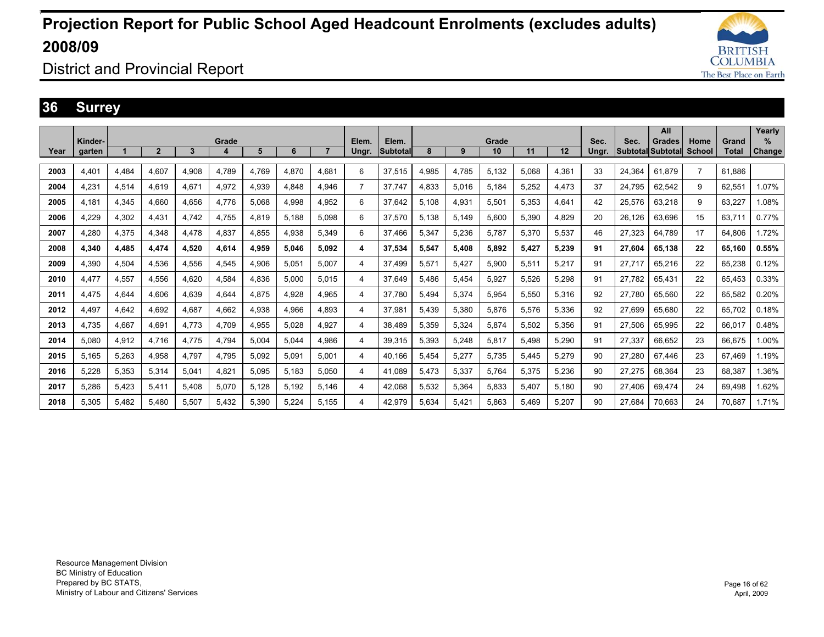

### District and Provincial Report

### **36 Surrey**

|      |         |       |              |       |       |       |       |       |                |          |       |       |       |       |       |       |        | All               |                |        | Yearly |
|------|---------|-------|--------------|-------|-------|-------|-------|-------|----------------|----------|-------|-------|-------|-------|-------|-------|--------|-------------------|----------------|--------|--------|
|      | Kinder- |       |              |       | Grade |       |       |       | Elem.          | Elem.    |       |       | Grade |       |       | Sec.  | Sec.   | Grades            | Home           | Grand  | $\%$   |
| Year | garten  |       | $\mathbf{2}$ | 3     |       | 5     | 6     |       | Ungr.          | Subtotal | 8     | 9     | 10    | 11    | 12    | Ungr. |        | Subtotal Subtotal | School         | Total  | Change |
|      |         |       |              |       |       |       |       |       |                |          |       |       |       |       |       |       |        |                   | $\overline{7}$ |        |        |
| 2003 | 4,401   | 4.484 | 4.607        | 4.908 | 4.789 | 4.769 | 4.870 | 4.681 | 6              | 37,515   | 4,985 | 4,785 | 5,132 | 5.068 | 4.361 | 33    | 24,364 | 61.879            |                | 61.886 |        |
| 2004 | 4,231   | 4,514 | 4.619        | 4,671 | 4,972 | 4,939 | 4,848 | 4,946 | $\overline{7}$ | 37,747   | 4,833 | 5,016 | 5,184 | 5,252 | 4,473 | 37    | 24.795 | 62,542            | 9              | 62,551 | 1.07%  |
| 2005 | 4,181   | 4,345 | 4.660        | 4.656 | 4,776 | 5.068 | 4,998 | 4.952 | 6              | 37,642   | 5,108 | 4,931 | 5,501 | 5.353 | 4,641 | 42    | 25,576 | 63,218            | 9              | 63,227 | 1.08%  |
| 2006 | 4,229   | 4,302 | 4,431        | 4.742 | 4,755 | 4,819 | 5,188 | 5,098 | 6              | 37,570   | 5,138 | 5,149 | 5,600 | 5,390 | 4.829 | 20    | 26.126 | 63,696            | 15             | 63.711 | 0.77%  |
| 2007 | 4.280   | 4,375 | 4.348        | 4.478 | 4,837 | 4,855 | 4,938 | 5.349 | 6              | 37.466   | 5,347 | 5,236 | 5.787 | 5,370 | 5,537 | 46    | 27,323 | 64,789            | 17             | 64.806 | 1.72%  |
| 2008 | 4.340   | 4.485 | 4.474        | 4.520 | 4,614 | 4,959 | 5.046 | 5.092 | 4              | 37.534   | 5,547 | 5,408 | 5,892 | 5.427 | 5.239 | 91    | 27.604 | 65,138            | 22             | 65.160 | 0.55%  |
| 2009 | 4.390   | 4.504 | 4.536        | 4.556 | 4,545 | 4.906 | 5.051 | 5.007 | 4              | 37.499   | 5.571 | 5.427 | 5,900 | 5.511 | 5.217 | 91    | 27.717 | 65,216            | 22             | 65.238 | 0.12%  |
| 2010 | 4.477   | 4.557 | 4.556        | 4.620 | 4,584 | 4.836 | 5.000 | 5.015 | 4              | 37.649   | 5.486 | 5.454 | 5.927 | 5.526 | 5.298 | 91    | 27.782 | 65.431            | 22             | 65.453 | 0.33%  |
| 2011 | 4.475   | 4.644 | 4.606        | 4.639 | 4.644 | 4.875 | 4.928 | 4.965 | 4              | 37.780   | 5.494 | 5,374 | 5.954 | 5.550 | 5.316 | 92    | 27.780 | 65.560            | 22             | 65.582 | 0.20%  |
| 2012 | 4.497   | 4.642 | 4.692        | 4.687 | 4.662 | 4,938 | 4.966 | 4.893 | 4              | 37.981   | 5.439 | 5,380 | 5.876 | 5.576 | 5.336 | 92    | 27.699 | 65.680            | 22             | 65.702 | 0.18%  |
| 2013 | 4.735   | 4,667 | 4,691        | 4.773 | 4,709 | 4,955 | 5,028 | 4,927 | 4              | 38,489   | 5,359 | 5,324 | 5,874 | 5,502 | 5,356 | 91    | 27,506 | 65,995            | 22             | 66,017 | 0.48%  |
| 2014 | 5.080   | 4,912 | 4.716        | 4.775 | 4,794 | 5.004 | 5.044 | 4,986 | 4              | 39,315   | 5,393 | 5,248 | 5,817 | 5.498 | 5,290 | 91    | 27.337 | 66,652            | 23             | 66.675 | 1.00%  |
| 2015 | 5.165   | 5,263 | 4.958        | 4.797 | 4.795 | 5.092 | 5.091 | 5.001 | 4              | 40.166   | 5.454 | 5,277 | 5.735 | 5.445 | 5.279 | 90    | 27.280 | 67.446            | 23             | 67.469 | 1.19%  |
| 2016 | 5.228   | 5,353 | 5.314        | 5.041 | 4.821 | 5.095 | 5.183 | 5.050 | 4              | 41.089   | 5.473 | 5,337 | 5.764 | 5.375 | 5.236 | 90    | 27.275 | 68.364            | 23             | 68.387 | 1.36%  |
| 2017 | 5.286   | 5,423 | 5.411        | 5.408 | 5.070 | 5.128 | 5.192 | 5.146 | 4              | 42.068   | 5.532 | 5,364 | 5.833 | 5.407 | 5.180 | 90    | 27.406 | 69.474            | 24             | 69.498 | 1.62%  |
| 2018 | 5.305   | 5.482 | 5.480        | 5.507 | 5.432 | 5.390 | 5.224 | 5.155 | 4              | 42.979   | 5.634 | 5.421 | 5.863 | 5.469 | 5.207 | 90    | 27.684 | 70.663            | 24             | 70.687 | 1.71%  |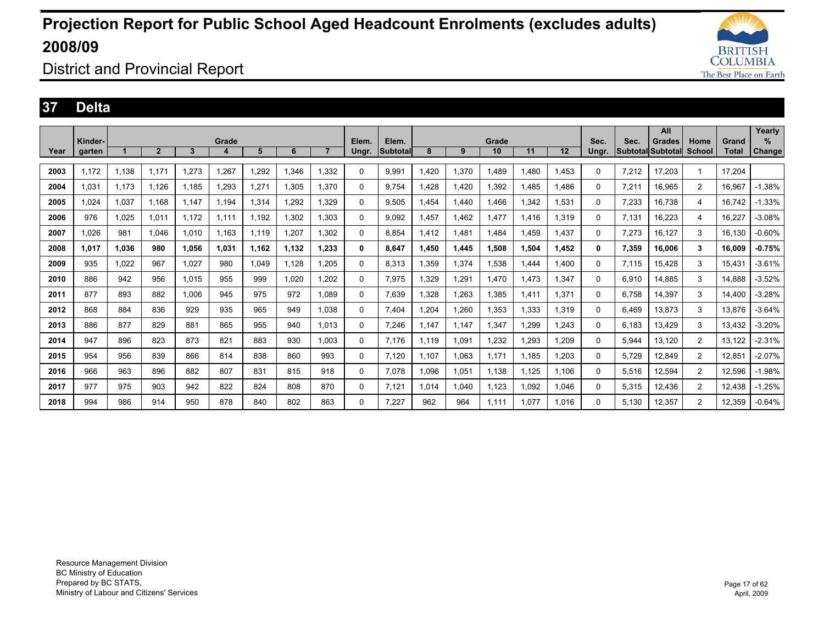

### District and Provincial Report

#### **37 Delta**

|      |                   |       |                |       |            |       |       |       |                |                    |       |       |             |       |       |               |       | All                                |                       |                       | Yearly      |
|------|-------------------|-------|----------------|-------|------------|-------|-------|-------|----------------|--------------------|-------|-------|-------------|-------|-------|---------------|-------|------------------------------------|-----------------------|-----------------------|-------------|
| Year | Kinder-<br>garten |       | $\overline{2}$ | 3     | Grade<br>4 | 5     | 6     |       | Elem.<br>Ungr. | Elem.<br>Subtotall | 8     | 9     | Grade<br>10 | 11    | 12    | Sec.<br>Unar. | Sec.  | <b>Grades</b><br>Subtotal Subtotal | Home<br><b>School</b> | Grand<br><b>Total</b> | %<br>Change |
|      |                   |       |                |       |            |       |       |       |                |                    |       |       |             |       |       |               |       |                                    |                       |                       |             |
| 2003 | 1.172             | 1,138 | 1.171          | 1,273 | 1,267      | 1.292 | 1,346 | 1.332 | 0              | 9,991              | 1.420 | 1,370 | 1.489       | .480  | 1.453 | 0             | 7,212 | 17.203                             | $\overline{1}$        | 17.204                |             |
| 2004 | 1.031             | 1,173 | 1.126          | 1,185 | 1,293      | 1,271 | 1,305 | 1.370 | 0              | 9,754              | .428  | 1,420 | 1,392       | ,485  | 1,486 | 0             | 7,211 | 16,965                             | $\overline{2}$        | 16,967                | $-1.38%$    |
| 2005 | 1.024             | 1,037 | 1.168          | 1.147 | 1.194      | 1,314 | 1,292 | 1.329 | 0              | 9,505              | .454  | 1,440 | 1.466       | ,342  | 1,531 | 0             | 7,233 | 16,738                             | 4                     | 16,742                | $-1.33\%$   |
| 2006 | 976               | 1.025 | 1.011          | 1.172 | 1.111      | 1.192 | 1.302 | 1.303 | 0              | 9.092              | 1.457 | 1.462 | 1.477       | 1.416 | 1.319 | 0             | 7,131 | 16,223                             | 4                     | 16,227                | $-3.08%$    |
| 2007 | 1.026             | 981   | 1.046          | 1,010 | 1.163      | 1.119 | 1,207 | 1.302 | 0              | 8.854              | 1.412 | 1.481 | 1.484       | .459  | 1,437 | 0             | 7,273 | 16,127                             | 3                     | 16.130                | $-0.60%$    |
| 2008 | 1.017             | 1.036 | 980            | 1.056 | 1.031      | 1.162 | 1,132 | 1.233 | 0              | 8,647              | 1.450 | 1,445 | 1,508       | 1.504 | 1,452 | 0             | 7,359 | 16.006                             | 3                     | 16.009                | $-0.75%$    |
| 2009 | 935               | 1,022 | 967            | 1,027 | 980        | 1,049 | 1,128 | 1.205 | 0              | 8,313              | 1,359 | 1,374 | 1,538       | .444  | 1,400 | 0             | 7,115 | 15,428                             | 3                     | 15,431                | $-3.61%$    |
| 2010 | 886               | 942   | 956            | 1.015 | 955        | 999   | 1.020 | 1.202 | 0              | 7,975              | 1.329 | 1,291 | 1.470       | 1.473 | 1.347 | 0             | 6.910 | 14.885                             | 3                     | 14.888                | $-3.52%$    |
| 2011 | 877               | 893   | 882            | 1,006 | 945        | 975   | 972   | 1.089 | 0              | 7,639              | 1,328 | 1,263 | 1,385       | 1,411 | 1,371 | 0             | 6.758 | 14,397                             | 3                     | 14,400                | $-3.28%$    |
| 2012 | 868               | 884   | 836            | 929   | 935        | 965   | 949   | 1.038 | 0              | 7.404              | 1,204 | 1,260 | 1,353       | 1.333 | 1.319 | 0             | 6.469 | 13,873                             | 3                     | 13.876                | $-3.64%$    |
| 2013 | 886               | 877   | 829            | 881   | 865        | 955   | 940   | 1,013 | 0              | 7,246              | 1.147 | 1,147 | 1,347       | ,299  | 1,243 | 0             | 6,183 | 13,429                             | 3                     | 13,432                | $-3.20%$    |
| 2014 | 947               | 896   | 823            | 873   | 821        | 883   | 930   | 1.003 | 0              | 7.176              | 1.119 | 1,091 | 1,232       | ,293  | 1.209 | 0             | 5,944 | 13,120                             | 2                     | 13.122                | $-2.31%$    |
| 2015 | 954               | 956   | 839            | 866   | 814        | 838   | 860   | 993   | 0              | 7.120              | 1.107 | 1,063 | 1.171       | 1.185 | 1.203 | 0             | 5.729 | 12.849                             | 2                     | 12.851                | $-2.07%$    |
| 2016 | 966               | 963   | 896            | 882   | 807        | 831   | 815   | 918   | 0              | 7,078              | 1,096 | 1,051 | 1,138       | 1,125 | 1,106 | 0             | 5,516 | 12,594                             | $\overline{2}$        | 12,596                | $-1.98%$    |
| 2017 | 977               | 975   | 903            | 942   | 822        | 824   | 808   | 870   | 0              | 7,121              | 1.014 | 1,040 | 1,123       | 1.092 | 1,046 | 0             | 5,315 | 12,436                             | $\overline{2}$        | 12,438                | $-1.25%$    |
| 2018 | 994               | 986   | 914            | 950   | 878        | 840   | 802   | 863   | 0              | 7.227              | 962   | 964   | 1.111       | 1.077 | 1.016 | 0             | 5.130 | 12,357                             | $\overline{2}$        | 12,359                | $-0.64%$    |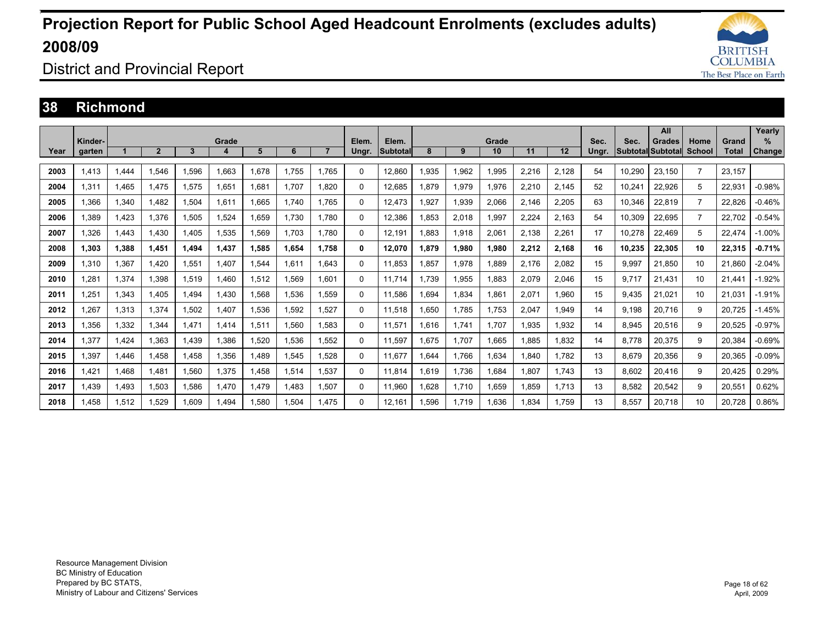

District and Provincial Report

#### **38 Richmond**

|      |                   |       |                |       |       |       |       |                |                |                   |      |       |             |       |       |               |                              | All           |                |                       | Yearly         |
|------|-------------------|-------|----------------|-------|-------|-------|-------|----------------|----------------|-------------------|------|-------|-------------|-------|-------|---------------|------------------------------|---------------|----------------|-----------------------|----------------|
| Year | Kinder-<br>garten |       | $\overline{2}$ | 3     | Grade | 5     | 6     | $\overline{7}$ | Elem.<br>Ungr. | Elem.<br>Subtotal | 8    | 9     | Grade<br>10 | 11    | 12    | Sec.<br>Unar. | Sec.<br>l Subtotall Subtotal | <b>Grades</b> | Home<br>School | Grand<br><b>Total</b> | $\%$<br>Change |
|      |                   |       |                |       |       |       |       |                |                |                   |      |       |             |       |       |               |                              |               |                |                       |                |
| 2003 | 1.413             | 1.444 | 1.546          | 1,596 | 1.663 | 1.678 | 1,755 | 1.765          | 0              | 12.860            | .935 | 1,962 | 1,995       | 2,216 | 2,128 | 54            | 10,290                       | 23,150        | $\overline{7}$ | 23.157                |                |
| 2004 | 1,311             | 1.465 | 1.475          | 1,575 | 1,651 | 1,681 | 1.707 | 1.820          | $\Omega$       | 12,685            | .879 | 1,979 | 1,976       | 2,210 | 2,145 | 52            | 10,241                       | 22,926        | 5              | 22,931                | $-0.98%$       |
| 2005 | 1.366             | 1,340 | 1.482          | 1,504 | 1,611 | 1.665 | 1.740 | 1.765          | $\Omega$       | 12.473            | ,927 | 1,939 | 2,066       | 2,146 | 2,205 | 63            | 10.346                       | 22,819        | $\overline{7}$ | 22.826                | $-0.46%$       |
| 2006 | 1.389             | 1,423 | 1.376          | 1,505 | 1,524 | 1,659 | 1,730 | 1.780          | $\Omega$       | 12,386            | .853 | 2,018 | 1,997       | 2,224 | 2,163 | 54            | 10,309                       | 22,695        | $\overline{7}$ | 22.702                | $-0.54%$       |
| 2007 | 1.326             | 1.443 | 1.430          | 1.405 | 1,535 | 1,569 | 1.703 | 1.780          | $\Omega$       | 12.191            | .883 | 1,918 | 2,061       | 2,138 | 2,261 | 17            | 10.278                       | 22,469        | 5              | 22.474                | $-1.00%$       |
| 2008 | 1.303             | 1.388 | 1.451          | 1.494 | 1.437 | 1.585 | 1.654 | 1.758          | $\bf{0}$       | 12,070            | .879 | 1,980 | 1.980       | 2.212 | 2.168 | 16            | 10.235                       | 22.305        | 10             | 22.315                | $-0.71%$       |
| 2009 | 1.310             | 1,367 | 1.420          | 1,551 | .407  | 1,544 | 1.611 | 1.643          | $\Omega$       | 11.853            | .857 | 1,978 | 1.889       | 2.176 | 2,082 | 15            | 9,997                        | 21.850        | 10             | 21.860                | $-2.04%$       |
| 2010 | .281              | 1,374 | 1.398          | 1,519 | .460  | 1,512 | 1.569 | 1.601          | 0              | 11.714            | .739 | 1,955 | 1,883       | 2,079 | 2,046 | 15            | 9.717                        | 21.431        | 10             | 21.441                | $-1.92%$       |
| 2011 | 1,251             | 1,343 | 1.405          | 1.494 | .430  | 1.568 | 1.536 | 1.559          | $\Omega$       | 11.586            | .694 | 1,834 | 1,861       | 2,071 | 1.960 | 15            | 9.435                        | 21.021        | 10             | 21.031                | $-1.91%$       |
| 2012 | .267              | 1,313 | 1,374          | 1,502 | .407  | 1,536 | 1,592 | 1,527          | $\Omega$       | 11,518            | .650 | 1.785 | 1,753       | 2,047 | 1,949 | 14            | 9,198                        | 20,716        | 9              | 20,725                | $-1.45%$       |
| 2013 | .356              | 1,332 | 1,344          | 1,471 | 1,414 | 1,511 | 1,560 | 1.583          | $\Omega$       | 11,571            | .616 | 1,741 | 1,707       | .935  | 1,932 | 14            | 8,945                        | 20,516        | 9              | 20,525                | $-0.97%$       |
| 2014 | 1,377             | 1,424 | 1,363          | 1,439 | ,386  | 1,520 | 1,536 | .552           | $\Omega$       | 11,597            | .675 | 1,707 | 1,665       | 1,885 | 1,832 | 14            | 8,778                        | 20,375        | 9              | 20,384                | $-0.69%$       |
| 2015 | .397              | 1.446 | 1.458          | 1.458 | .356  | 1,489 | 1.545 | .528           | $\Omega$       | 11.677            | .644 | 1.766 | 1,634       | .840  | 1.782 | 13            | 8.679                        | 20,356        | 9              | 20.365                | $-0.09%$       |
| 2016 | 1.421             | 1.468 | 1.481          | 1,560 | 1,375 | 1,458 | 1,514 | 1.537          | $\Omega$       | 11.814            | .619 | 1,736 | 1,684       | 1.807 | 1.743 | 13            | 8,602                        | 20.416        | 9              | 20.425                | 0.29%          |
| 2017 | 1.439             | 1.493 | 1,503          | 1,586 | 1.470 | 1,479 | 1.483 | 1.507          | $\Omega$       | 11.960            | .628 | 1,710 | 1,659       | 1.859 | 1.713 | 13            | 8,582                        | 20,542        | 9              | 20,551                | 0.62%          |
| 2018 | .458              | 1,512 | 1.529          | 1.609 | .494  | 1,580 | 1.504 | 1.475          | $\Omega$       | 12.161            | .596 | 1.719 | 1.636       | 1.834 | 1.759 | 13            | 8.557                        | 20.718        | 10             | 20.728                | 0.86%          |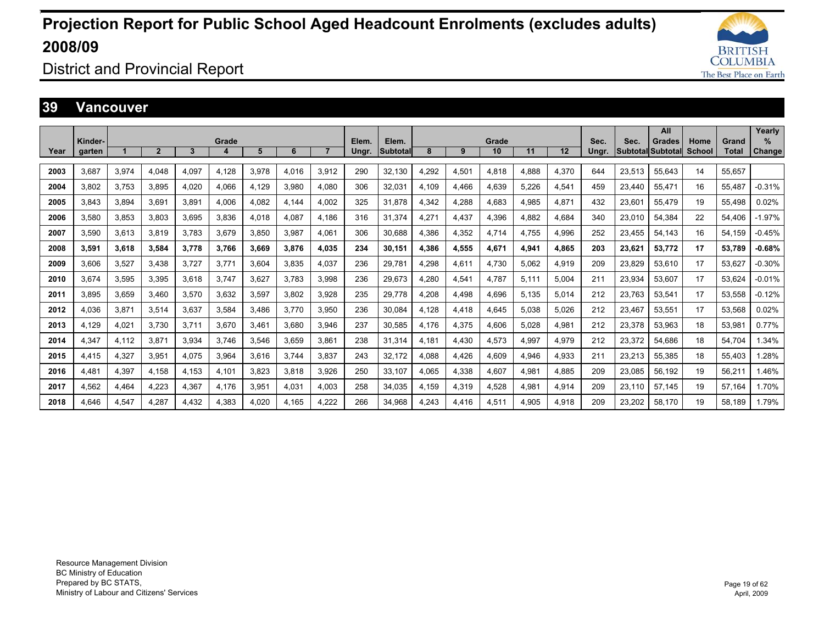

District and Provincial Report

#### **39 Vancouver**

|      |         |       |                |       |       |       |       |                |       |          |       |       |       |       |       |       |        | All                      |               |        | Yearly   |
|------|---------|-------|----------------|-------|-------|-------|-------|----------------|-------|----------|-------|-------|-------|-------|-------|-------|--------|--------------------------|---------------|--------|----------|
|      | Kinder- |       |                |       | Grade |       |       |                | Elem. | Elem.    |       |       | Grade |       |       | Sec.  | Sec.   | Grades                   | Home          | Grand  | $\%$     |
| Year | garten  |       | $\overline{2}$ | 3     | 4     | 5     | 6     | $\overline{7}$ | Ungr. | Subtotal | 8     | 9     | 10    | 11    | 12    | Ungr. |        | <b>Subtotal Subtotal</b> | <b>School</b> | Total  | Change   |
| 2003 | 3.687   | 3,974 | 4.048          | 4.097 | 4,128 | 3.978 | 4.016 | 3.912          | 290   | 32.130   | 4,292 | 4,501 | 4.818 | 4.888 | 4,370 | 644   | 23,513 | 55.643                   | 14            | 55.657 |          |
| 2004 | 3.802   | 3,753 | 3,895          | 4.020 | 4,066 | 4,129 | 3,980 | 4.080          | 306   | 32,031   | 4,109 | 4,466 | 4,639 | 5,226 | 4,541 | 459   | 23.440 | 55,471                   | 16            | 55.487 | $-0.31%$ |
| 2005 | 3.843   | 3.894 | 3.691          | 3.891 | 4.006 | 4.082 | 4.144 | 4.002          | 325   | 31.878   | 4,342 | 4,288 | 4.683 | 4.985 | 4.871 | 432   | 23.601 | 55,479                   | 19            | 55.498 | 0.02%    |
| 2006 | 3.580   | 3.853 | 3.803          | 3.695 | 3.836 | 4.018 | 4.087 | 4.186          | 316   | 31.374   | 4.271 | 4,437 | 4.396 | 4.882 | 4.684 | 340   | 23.010 | 54.384                   | 22            | 54.406 | $-1.97%$ |
| 2007 | 3.590   | 3,613 | 3.819          | 3.783 | 3,679 | 3.850 | 3.987 | 4.061          | 306   | 30.688   | 4.386 | 4,352 | 4.714 | 4.755 | 4,996 | 252   | 23.455 | 54.143                   | 16            | 54.159 | $-0.45%$ |
| 2008 | 3.591   | 3.618 | 3.584          | 3.778 | 3.766 | 3.669 | 3.876 | 4.035          | 234   | 30.151   | 4.386 | 4,555 | 4.671 | 4.941 | 4.865 | 203   | 23.621 | 53.772                   | 17            | 53.789 | $-0.68%$ |
| 2009 | 3.606   | 3,527 | 3.438          | 3.727 | 3.771 | 3.604 | 3.835 | 4.037          | 236   | 29.781   | 4.298 | 4,611 | 4.730 | 5.062 | 4.919 | 209   | 23.829 | 53.610                   | 17            | 53.627 | $-0.30%$ |
| 2010 | 3.674   | 3,595 | 3,395          | 3.618 | 3.747 | 3,627 | 3.783 | 3.998          | 236   | 29.673   | 4,280 | 4,541 | 4.787 | 5.111 | 5.004 | 211   | 23,934 | 53.607                   | 17            | 53.624 | $-0.01%$ |
| 2011 | 3.895   | 3.659 | 3.460          | 3.570 | 3.632 | 3.597 | 3.802 | 3.928          | 235   | 29.778   | 4,208 | 4,498 | 4.696 | 5.135 | 5.014 | 212   | 23.763 | 53.541                   | 17            | 53.558 | $-0.12%$ |
| 2012 | 4.036   | 3,871 | 3.514          | 3.637 | 3.584 | 3.486 | 3.770 | 3.950          | 236   | 30.084   | 4.128 | 4,418 | 4.645 | 5.038 | 5.026 | 212   | 23.467 | 53.551                   | 17            | 53,568 | 0.02%    |
| 2013 | 4.129   | 4,021 | 3.730          | 3.711 | 3,670 | 3,461 | 3.680 | 3.946          | 237   | 30,585   | 4,176 | 4,375 | 4,606 | 5,028 | 4,981 | 212   | 23,378 | 53.963                   | 18            | 53,981 | 0.77%    |
| 2014 | 4,347   | 4,112 | 3,871          | 3,934 | 3,746 | 3,546 | 3,659 | 3.861          | 238   | 31,314   | 4,181 | 4,430 | 4,573 | 4,997 | 4,979 | 212   | 23,372 | 54,686                   | 18            | 54,704 | 1.34%    |
| 2015 | 4.415   | 4,327 | 3.951          | 4.075 | 3,964 | 3.616 | 3.744 | 3.837          | 243   | 32.172   | 4,088 | 4,426 | 4.609 | 4.946 | 4.933 | 211   | 23,213 | 55,385                   | 18            | 55.403 | .28%     |
| 2016 | 4.481   | 4,397 | 4,158          | 4,153 | 4,101 | 3,823 | 3,818 | 3,926          | 250   | 33,107   | 4,065 | 4,338 | 4,607 | 4,981 | 4,885 | 209   | 23,085 | 56,192                   | 19            | 56,211 | 1.46%    |
| 2017 | 4,562   | 4,464 | 4,223          | 4,367 | 4,176 | 3,951 | 4,031 | 4.003          | 258   | 34,035   | 4,159 | 4,319 | 4,528 | 4,981 | 4,914 | 209   | 23,110 | 57.145                   | 19            | 57.164 | 1.70%    |
| 2018 | 4.646   | 4.547 | 4.287          | 4.432 | 4.383 | 4.020 | 4.165 | 4.222          | 266   | 34.968   | 4.243 | 4.416 | 4.511 | 4.905 | 4.918 | 209   | 23.202 | 58.170                   | 19            | 58.189 | 1.79%    |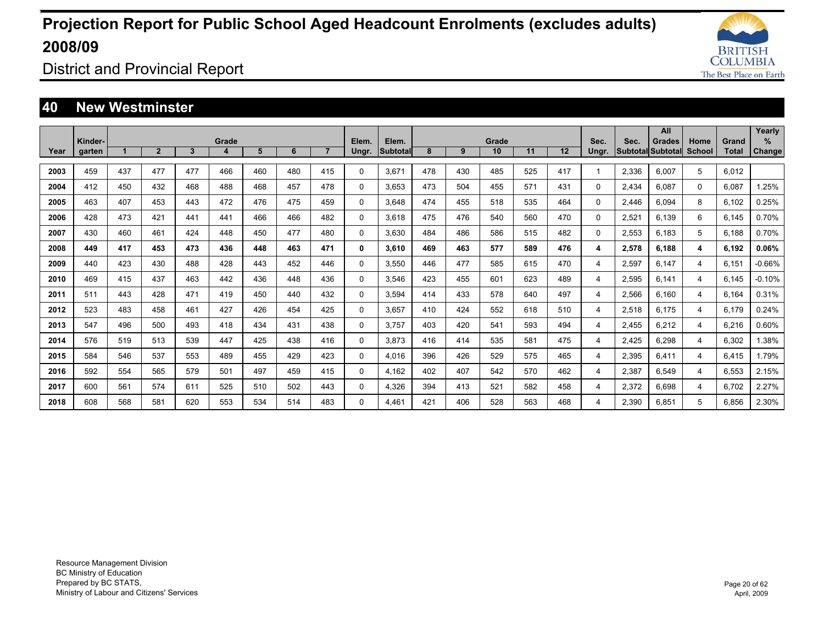

District and Provincial Report

#### **40 New Westminster**

|      |                   |     |                |                |            |     |     |                |                |                          |     |     |             |     |     |               |       | All                                |                |                       | Yearly                |
|------|-------------------|-----|----------------|----------------|------------|-----|-----|----------------|----------------|--------------------------|-----|-----|-------------|-----|-----|---------------|-------|------------------------------------|----------------|-----------------------|-----------------------|
| Year | Kinder-<br>garten |     | $\overline{2}$ | $\overline{3}$ | Grade<br>4 | 5   | 6   | $\overline{7}$ | Elem.<br>Ungr. | Elem.<br><b>Subtotal</b> | 8   | 9   | Grade<br>10 | 11  | 12  | Sec.<br>Ungr. | Sec.  | Grades<br><b>Subtotal Subtotal</b> | Home<br>School | Grand<br><b>Total</b> | $\%$<br><b>Change</b> |
|      |                   |     |                |                |            |     |     |                |                |                          |     |     |             |     |     |               |       |                                    |                |                       |                       |
| 2003 | 459               | 437 | 477            | 477            | 466        | 460 | 480 | 415            | 0              | 3,671                    | 478 | 430 | 485         | 525 | 417 | $\mathbf 1$   | 2,336 | 6,007                              | 5              | 6,012                 |                       |
| 2004 | 412               | 450 | 432            | 468            | 488        | 468 | 457 | 478            | 0              | 3.653                    | 473 | 504 | 455         | 571 | 431 | 0             | 2.434 | 6.087                              | 0              | 6.087                 | 1.25%                 |
| 2005 | 463               | 407 | 453            | 443            | 472        | 476 | 475 | 459            | 0              | 3.648                    | 474 | 455 | 518         | 535 | 464 | $\Omega$      | 2.446 | 6.094                              | 8              | 6.102                 | 0.25%                 |
| 2006 | 428               | 473 | 421            | 441            | 441        | 466 | 466 | 482            | 0              | 3.618                    | 475 | 476 | 540         | 560 | 470 | 0             | 2,521 | 6.139                              | 6              | 6.145                 | 0.70%                 |
| 2007 | 430               | 460 | 461            | 424            | 448        | 450 | 477 | 480            | 0              | 3,630                    | 484 | 486 | 586         | 515 | 482 | $\Omega$      | 2,553 | 6.183                              | 5              | 6.188                 | 0.70%                 |
| 2008 | 449               | 417 | 453            | 473            | 436        | 448 | 463 | 471            | 0              | 3,610                    | 469 | 463 | 577         | 589 | 476 | 4             | 2,578 | 6.188                              | 4              | 6.192                 | 0.06%                 |
| 2009 | 440               | 423 | 430            | 488            | 428        | 443 | 452 | 446            | 0              | 3.550                    | 446 | 477 | 585         | 615 | 470 | 4             | 2,597 | 6.147                              | 4              | 6.151                 | $-0.66%$              |
| 2010 | 469               | 415 | 437            | 463            | 442        | 436 | 448 | 436            | 0              | 3.546                    | 423 | 455 | 601         | 623 | 489 | 4             | 2,595 | 6.141                              | 4              | 6.145                 | $-0.10%$              |
| 2011 | 511               | 443 | 428            | 471            | 419        | 450 | 440 | 432            | 0              | 3.594                    | 414 | 433 | 578         | 640 | 497 | 4             | 2,566 | 6.160                              | 4              | 6.164                 | 0.31%                 |
| 2012 | 523               | 483 | 458            | 461            | 427        | 426 | 454 | 425            | 0              | 3.657                    | 410 | 424 | 552         | 618 | 510 | 4             | 2,518 | 6.175                              | 4              | 6.179                 | 0.24%                 |
| 2013 | 547               | 496 | 500            | 493            | 418        | 434 | 431 | 438            | 0              | 3,757                    | 403 | 420 | 541         | 593 | 494 | 4             | 2,455 | 6,212                              | 4              | 6,216                 | 0.60%                 |
| 2014 | 576               | 519 | 513            | 539            | 447        | 425 | 438 | 416            | 0              | 3,873                    | 416 | 414 | 535         | 581 | 475 | 4             | 2,425 | 6,298                              | 4              | 6,302                 | 1.38%                 |
| 2015 | 584               | 546 | 537            | 553            | 489        | 455 | 429 | 423            | 0              | 4.016                    | 396 | 426 | 529         | 575 | 465 | 4             | 2,395 | 6.411                              | 4              | 6.415                 | 1.79%                 |
| 2016 | 592               | 554 | 565            | 579            | 501        | 497 | 459 | 415            | 0              | 4,162                    | 402 | 407 | 542         | 570 | 462 | 4             | 2,387 | 6.549                              | 4              | 6.553                 | 2.15%                 |
| 2017 | 600               | 561 | 574            | 611            | 525        | 510 | 502 | 443            | 0              | 4,326                    | 394 | 413 | 521         | 582 | 458 | 4             | 2,372 | 6.698                              | 4              | 6.702                 | 2.27%                 |
| 2018 | 608               | 568 | 581            | 620            | 553        | 534 | 514 | 483            | 0              | 4.461                    | 421 | 406 | 528         | 563 | 468 | 4             | 2.390 | 6.851                              | 5              | 6.856                 | 2.30%                 |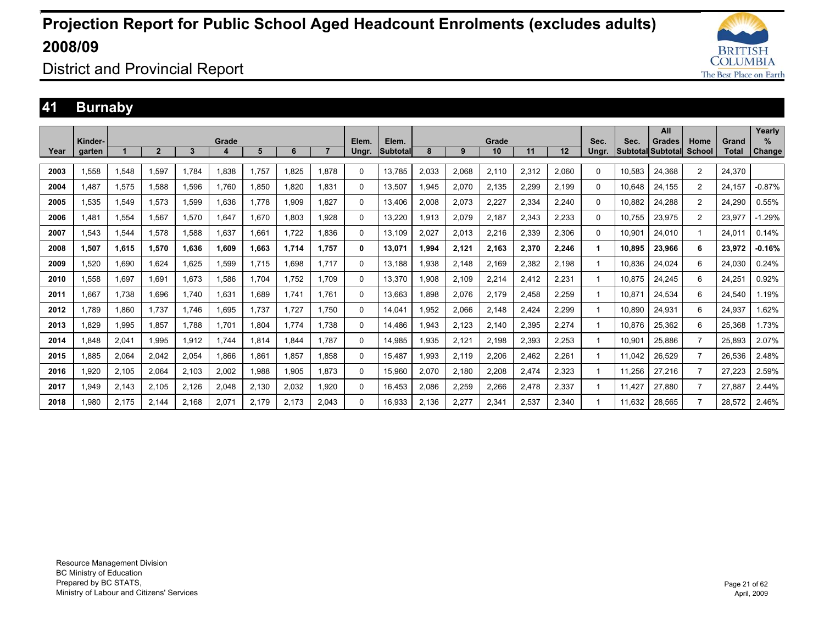

District and Provincial Report

### **41 Burnaby**

|      |         |       |                |       |       |       |       |       |              |          |       |       |       |       |       |          |        | All               |                |              | Yearly   |
|------|---------|-------|----------------|-------|-------|-------|-------|-------|--------------|----------|-------|-------|-------|-------|-------|----------|--------|-------------------|----------------|--------------|----------|
|      | Kinder- |       |                |       | Grade |       |       |       | Elem.        | Elem.    |       |       | Grade |       |       | Sec.     | Sec.   | Grades            | Home           | Grand        | %        |
| Year | garten  |       | $\overline{2}$ | 3     | 4     | 5     | 6     |       | Ungr.        | Subtotal | 8     | 9     | 10    | 11    | 12    | Ungr.    |        | Subtotal Subtotal | School         | <b>Total</b> | Change   |
| 2003 | 1,558   | 1,548 | 1.597          | 1,784 | 1,838 | 1,757 | 1,825 | 1.878 | $\Omega$     | 13,785   | 2,033 | 2,068 | 2,110 | 2,312 | 2,060 | $\Omega$ | 10,583 | 24,368            | 2              | 24,370       |          |
| 2004 | 1.487   | 1,575 | 1.588          | 1,596 | 1.760 | 1,850 | 1.820 | 1.831 | 0            | 13.507   | .945  | 2,070 | 2,135 | 2,299 | 2.199 | $\Omega$ | 10.648 | 24,155            | $\overline{2}$ | 24.157       | $-0.87%$ |
| 2005 | 1.535   | 1,549 | 1.573          | 1,599 | 1.636 | 1.778 | 1,909 | 1.827 | $\Omega$     | 13.406   | 2.008 | 2,073 | 2,227 | 2,334 | 2.240 | 0        | 10.882 | 24,288            | $\overline{2}$ | 24,290       | 0.55%    |
| 2006 | 1.481   | 1,554 | 1,567          | 1,570 | 1,647 | 1,670 | 1,803 | 1,928 | $\Omega$     | 13,220   | .913  | 2,079 | 2,187 | 2,343 | 2,233 | 0        | 10.755 | 23,975            | $\overline{2}$ | 23,977       | $-1.29%$ |
| 2007 | 1.543   | 1,544 | 1.578          | 1.588 | 1.637 | 1.661 | 1.722 | 1.836 | 0            | 13,109   | 2.027 | 2,013 | 2,216 | 2,339 | 2,306 | 0        | 10.901 | 24,010            |                | 24.011       | 0.14%    |
| 2008 | 1,507   | 1,615 | 1,570          | 1.636 | 1,609 | 1,663 | 1,714 | 1.757 | $\mathbf{0}$ | 13,071   | ,994  | 2,121 | 2,163 | 2,370 | 2,246 | 1.       | 10.895 | 23,966            | 6              | 23.972       | $-0.16%$ |
| 2009 | 1.520   | 1.690 | 1.624          | 1.625 | 1,599 | 1.715 | 1.698 | 1.717 | $\Omega$     | 13.188   | .938  | 2.148 | 2.169 | 2,382 | 2.198 | 1        | 10.836 | 24,024            | 6              | 24.030       | 0.24%    |
| 2010 | 1,558   | 1,697 | 1,691          | 1,673 | 1,586 | 1.704 | 1,752 | 1.709 | $\Omega$     | 13,370   | .908  | 2,109 | 2,214 | 2,412 | 2,231 | 1        | 10,875 | 24,245            | 6              | 24,251       | 0.92%    |
| 2011 | .667    | 1.738 | 1.696          | 1.740 | 1,631 | 1,689 | 1.741 | 1.761 | $\Omega$     | 13.663   | .898  | 2,076 | 2,179 | 2,458 | 2,259 | 1        | 10.871 | 24,534            | 6              | 24.540       | 1.19%    |
| 2012 | 1.789   | 1.860 | 1.737          | 1.746 | .695  | 1.737 | 1.727 | 1.750 | $\Omega$     | 14.041   | .952  | 2,066 | 2.148 | 2.424 | 2.299 | 1        | 10.890 | 24.931            | 6              | 24.937       | .62%     |
| 2013 | .829    | 1,995 | 1,857          | 1.788 | 1,701 | 1,804 | 1.774 | 1.738 | $\Omega$     | 14.486   | .943  | 2,123 | 2,140 | 2,395 | 2,274 |          | 10.876 | 25,362            | 6              | 25,368       | 1.73%    |
| 2014 | .848    | 2,041 | 1,995          | 1,912 | 1.744 | 1,814 | 1.844 | 1.787 | 0            | 14.985   | .935  | 2,121 | 2,198 | 2,393 | 2,253 |          | 10,901 | 25,886            | $\overline{7}$ | 25.893       | 2.07%    |
| 2015 | .885    | 2,064 | 2,042          | 2,054 | 1,866 | 1,861 | 1,857 | 1.858 | $\Omega$     | 15,487   | .993  | 2,119 | 2,206 | 2,462 | 2,261 | 1        | 11,042 | 26,529            | $\overline{7}$ | 26,536       | 2.48%    |
| 2016 | 1.920   | 2,105 | 2,064          | 2,103 | 2,002 | 1,988 | 1,905 | 1.873 | 0            | 15,960   | 2,070 | 2,180 | 2,208 | 2,474 | 2,323 |          | 11,256 | 27,216            | $\overline{7}$ | 27,223       | 2.59%    |
| 2017 | 949. ا  | 2,143 | 2,105          | 2,126 | 2,048 | 2,130 | 2,032 | 1.920 | 0            | 16.453   | 2,086 | 2,259 | 2,266 | 2,478 | 2,337 |          | 11.427 | 27,880            | $\overline{7}$ | 27,887       | 2.44%    |
| 2018 | .980    | 2.175 | 2.144          | 2.168 | 2,071 | 2.179 | 2.173 | 2.043 | $\Omega$     | 16.933   | 2.136 | 2,277 | 2,341 | 2,537 | 2.340 |          | 11.632 | 28.565            | $\overline{7}$ | 28,572       | 2.46%    |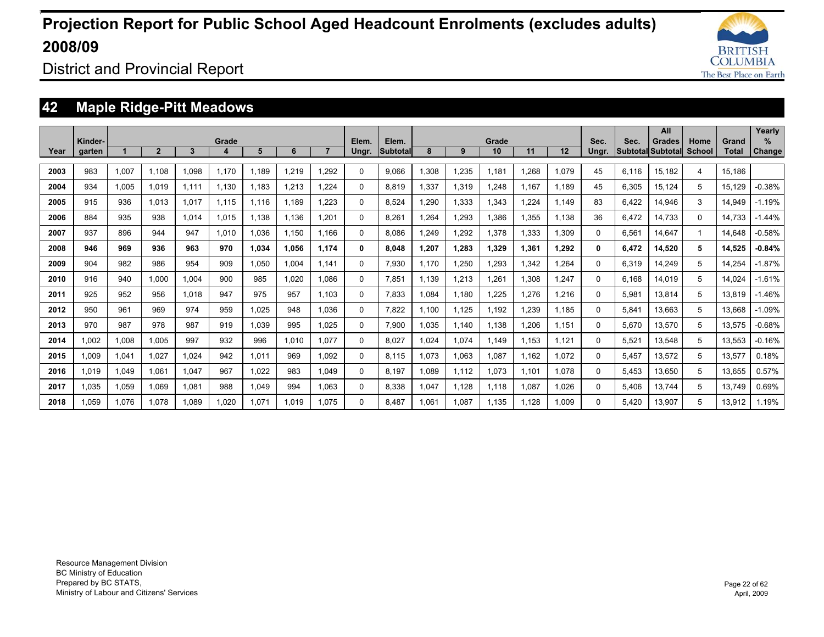

District and Provincial Report

### **42 Maple Ridge-Pitt Meadows**

|      |         |       |                |       |       |       |       |       |          |          |       |       |             |       |       |          |                            | All           |                       |        | Yearly        |
|------|---------|-------|----------------|-------|-------|-------|-------|-------|----------|----------|-------|-------|-------------|-------|-------|----------|----------------------------|---------------|-----------------------|--------|---------------|
|      | Kinder- |       | $\overline{2}$ | 3     | Grade | 5     | 6     |       | Elem.    | Elem.    | 8     | 9     | Grade<br>10 | 11    | 12    | Sec.     | Sec.<br> Subtotal Subtotal | <b>Grades</b> | Home<br><b>School</b> | Grand  | $\%$          |
| Year | garten  |       |                |       |       |       |       |       | Ungr.    | Subtotal |       |       |             |       |       | Ungr.    |                            |               |                       | Total  | <b>Change</b> |
| 2003 | 983     | 1,007 | 1.108          | 1,098 | 1.170 | 1.189 | 1,219 | 1,292 | 0        | 9,066    | 1,308 | 1,235 | 1.181       | 1,268 | 1.079 | 45       | 6,116                      | 15,182        | 4                     | 15.186 |               |
| 2004 | 934     | 1,005 | 1.019          | 1.111 | 1.130 | 1.183 | 1,213 | .224  | 0        | 8.819    | 1,337 | 1,319 | 1.248       | 1.167 | 1.189 | 45       | 6,305                      | 15,124        | 5                     | 15.129 | $-0.38%$      |
| 2005 | 915     | 936   | 1.013          | 1,017 | 1.115 | 1.116 | 1,189 | 1.223 | 0        | 8.524    | 1,290 | 1,333 | 1,343       | 1.224 | 1.149 | 83       | 6.422                      | 14,946        | 3                     | 14.949 | $-1.19%$      |
| 2006 | 884     | 935   | 938            | 1,014 | 1.015 | 1,138 | 1,136 | 1,201 | $\Omega$ | 8,261    | 1,264 | 1,293 | 1,386       | 1,355 | 1,138 | 36       | 6,472                      | 14,733        | $\Omega$              | 14.733 | $-1.44%$      |
| 2007 | 937     | 896   | 944            | 947   | 1.010 | 1.036 | 1,150 | 1.166 | 0        | 8.086    | 1.249 | 1,292 | 1,378       | 1,333 | 1.309 | 0        | 6,561                      | 14.647        | 1                     | 14.648 | $-0.58%$      |
| 2008 | 946     | 969   | 936            | 963   | 970   | 1.034 | 1.056 | 1.174 | 0        | 8.048    | 1.207 | 1.283 | 1,329       | 1.361 | 1.292 | 0        | 6.472                      | 14.520        | 5                     | 14,525 | $-0.84%$      |
| 2009 | 904     | 982   | 986            | 954   | 909   | 1.050 | 1.004 | 1.141 | $\Omega$ | 7.930    | 1.170 | 1.250 | 1.293       | 1.342 | 1.264 | $\Omega$ | 6.319                      | 14.249        | 5                     | 14.254 | $-1.87%$      |
| 2010 | 916     | 940   | 1.000          | 1.004 | 900   | 985   | 1.020 | 1.086 | 0        | 7.851    | 1.139 | 1,213 | 1,261       | 1.308 | 1.247 | 0        | 6.168                      | 14.019        | 5                     | 14.024 | $-1.61%$      |
| 2011 | 925     | 952   | 956            | 1.018 | 947   | 975   | 957   | 1.103 | 0        | 7.833    | 1.084 | 1.180 | 1.225       | 1.276 | 1.216 | $\Omega$ | 5.981                      | 13.814        | 5                     | 13.819 | $-1.46%$      |
| 2012 | 950     | 961   | 969            | 974   | 959   | 1.025 | 948   | 1.036 | 0        | 7.822    | 1.100 | 1.125 | 1.192       | 1.239 | 1.185 | $\Omega$ | 5.841                      | 13.663        | 5                     | 13.668 | $-1.09%$      |
| 2013 | 970     | 987   | 978            | 987   | 919   | 1.039 | 995   | 1.025 | 0        | 7.900    | 1.035 | 1.140 | 1.138       | 1.206 | 1.151 | $\Omega$ | 5.670                      | 13.570        | 5                     | 13.575 | $-0.68%$      |
| 2014 | 1.002   | 1.008 | 1.005          | 997   | 932   | 996   | 1.010 | 1.077 | 0        | 8.027    | 1.024 | 1,074 | 1.149       | 1.153 | 1.121 | $\Omega$ | 5.521                      | 13.548        | 5                     | 13.553 | $-0.16%$      |
| 2015 | 1.009   | 1,041 | 1,027          | 1.024 | 942   | 1,011 | 969   | 1.092 | 0        | 8.115    | 1.073 | 1,063 | 1,087       | 1.162 | 1.072 | $\Omega$ | 5,457                      | 13,572        | 5                     | 13,577 | 0.18%         |
| 2016 | 1.019   | 1,049 | 1,061          | 1,047 | 967   | 1,022 | 983   | 1.049 | 0        | 8,197    | 1.089 | 1,112 | 1,073       | 1.101 | 1.078 | $\Omega$ | 5,453                      | 13,650        | 5                     | 13,655 | 0.57%         |
| 2017 | 1.035   | 1.059 | 1.069          | 1.081 | 988   | 1.049 | 994   | 1.063 | $\Omega$ | 8.338    | 1.047 | 1.128 | 1.118       | 1.087 | 1.026 | $\Omega$ | 5.406                      | 13.744        | 5                     | 13.749 | 0.69%         |
| 2018 | 1.059   | 1.076 | 1.078          | 1.089 | 1.020 | 1.071 | 1.019 | 1.075 | 0        | 8.487    | 1.061 | 1.087 | 1.135       | 1.128 | 1.009 | $\Omega$ | 5.420                      | 13.907        | 5                     | 13.912 | 1.19%         |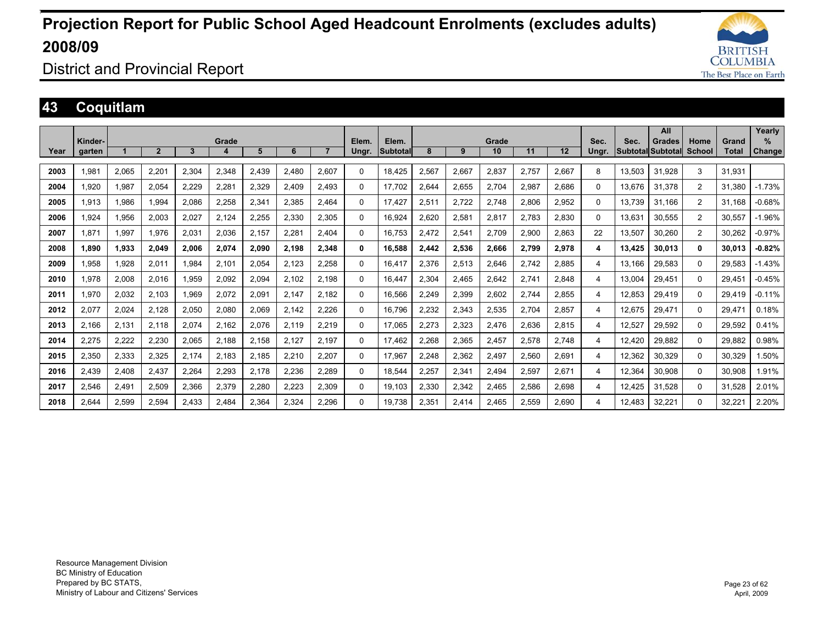

### District and Provincial Report

### **43 Coquitlam**

|      |         |       |                |       |       |       |       |       |       |          |       |       |       |       |       |          |        | All               |                |              | Yearly   |
|------|---------|-------|----------------|-------|-------|-------|-------|-------|-------|----------|-------|-------|-------|-------|-------|----------|--------|-------------------|----------------|--------------|----------|
|      | Kinder- |       |                |       | Grade |       |       |       | Elem. | Elem.    |       |       | Grade |       |       | Sec.     | Sec.   | Grades            | Home           | Grand        | %        |
| Year | garten  |       | $\overline{2}$ | 3     | 4     | 5     | 6     |       | Ungr. | Subtotal | 8     | 9     | 10    | 11    | 12    | Unar.    |        | Subtotal Subtotal | School         | <b>Total</b> | Change   |
| 2003 | 1,981   | 2,065 | 2,201          | 2,304 | 2,348 | 2,439 | 2,480 | 2,607 | 0     | 18,425   | 2,567 | 2,667 | 2,837 | 2,757 | 2,667 | 8        | 13,503 | 31,928            | 3              | 31,931       |          |
| 2004 | 1.920   | 1,987 | 2,054          | 2,229 | 2,281 | 2,329 | 2.409 | 2,493 | 0     | 17.702   | 2,644 | 2,655 | 2,704 | 2,987 | 2,686 | $\Omega$ | 13.676 | 31,378            | 2              | 31.380       | $-1.73%$ |
| 2005 | 1,913   | 1,986 | 1.994          | 2.086 | 2,258 | 2,341 | 2,385 | 2,464 | 0     | 17.427   | 2,511 | 2,722 | 2,748 | 2,806 | 2,952 | $\Omega$ | 13.739 | 31.166            | 2              | 31.168       | $-0.68%$ |
| 2006 | 1,924   | 1,956 | 2,003          | 2,027 | 2,124 | 2,255 | 2,330 | 2,305 | 0     | 16,924   | 2,620 | 2,581 | 2,817 | 2,783 | 2,830 | 0        | 13.631 | 30,555            | 2              | 30,557       | $-1.96%$ |
| 2007 | 1.871   | 1,997 | 1.976          | 2,031 | 2,036 | 2.157 | 2,281 | 2.404 | 0     | 16.753   | 2,472 | 2,541 | 2,709 | 2,900 | 2,863 | 22       | 13.507 | 30.260            | $\overline{2}$ | 30,262       | $-0.97%$ |
| 2008 | 1,890   | 1,933 | 2,049          | 2,006 | 2,074 | 2,090 | 2,198 | 2,348 | 0     | 16,588   | 2,442 | 2,536 | 2,666 | 2,799 | 2,978 | 4        | 13.425 | 30,013            | $\mathbf{0}$   | 30.013       | $-0.82%$ |
| 2009 | 1.958   | 1,928 | 2.011          | 1.984 | 2,101 | 2.054 | 2.123 | 2,258 | 0     | 16.417   | 2.376 | 2,513 | 2.646 | 2,742 | 2,885 | 4        | 13.166 | 29,583            | $\mathbf{0}$   | 29.583       | $-1.43%$ |
| 2010 | 1,978   | 2,008 | 2,016          | 1,959 | 2,092 | 2,094 | 2,102 | 2,198 | 0     | 16,447   | 2,304 | 2,465 | 2,642 | 2,741 | 2,848 | 4        | 13,004 | 29,451            | $\Omega$       | 29,451       | $-0.45%$ |
| 2011 | 1,970   | 2,032 | 2.103          | 1.969 | 2,072 | 2,091 | 2.147 | 2.182 | 0     | 16,566   | 2.249 | 2,399 | 2,602 | 2.744 | 2,855 | 4        | 12.853 | 29,419            | $\Omega$       | 29.419       | $-0.11%$ |
| 2012 | 2.077   | 2,024 | 2.128          | 2.050 | 2.080 | 2.069 | 2.142 | 2.226 | 0     | 16.796   | 2.232 | 2,343 | 2,535 | 2.704 | 2,857 | 4        | 12.675 | 29.471            | $\Omega$       | 29.471       | 0.18%    |
| 2013 | 2,166   | 2,131 | 2,118          | 2,074 | 2,162 | 2,076 | 2,119 | 2,219 | 0     | 17,065   | 2,273 | 2,323 | 2,476 | 2,636 | 2,815 | 4        | 12,527 | 29,592            | $\mathbf{0}$   | 29,592       | 0.41%    |
| 2014 | 2,275   | 2,222 | 2,230          | 2,065 | 2,188 | 2,158 | 2,127 | 2.197 | 0     | 17,462   | 2,268 | 2,365 | 2,457 | 2,578 | 2,748 | 4        | 12.420 | 29,882            | $\mathbf{0}$   | 29.882       | 0.98%    |
| 2015 | 2,350   | 2,333 | 2,325          | 2,174 | 2,183 | 2,185 | 2,210 | 2,207 | 0     | 17,967   | 2,248 | 2,362 | 2,497 | 2,560 | 2,691 | 4        | 12,362 | 30,329            | $\mathbf{0}$   | 30,329       | .50%     |
| 2016 | 2,439   | 2,408 | 2,437          | 2,264 | 2,293 | 2.178 | 2,236 | 2,289 | 0     | 18,544   | 2,257 | 2,341 | 2,494 | 2,597 | 2,671 | 4        | 12,364 | 30,908            | 0              | 30,908       | .91%     |
| 2017 | 2,546   | 2,491 | 2,509          | 2,366 | 2,379 | 2,280 | 2,223 | 2,309 | 0     | 19.103   | 2,330 | 2,342 | 2,465 | 2,586 | 2,698 | 4        | 12.425 | 31,528            | $\mathbf{0}$   | 31,528       | 2.01%    |
| 2018 | 2.644   | 2,599 | 2.594          | 2.433 | 2,484 | 2,364 | 2,324 | 2.296 | 0     | 19.738   | 2.351 | 2.414 | 2.465 | 2,559 | 2,690 | 4        | 12.483 | 32,221            | $\Omega$       | 32,221       | 2.20%    |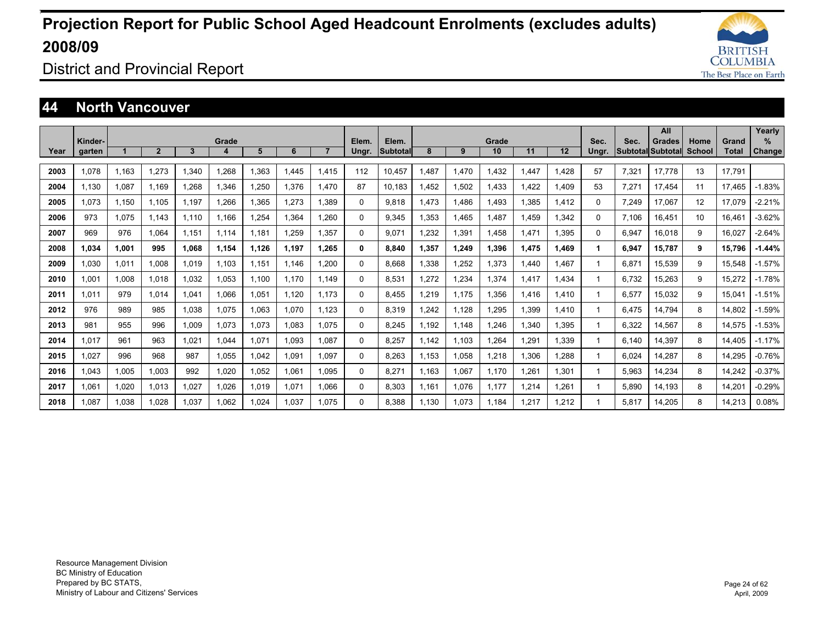

District and Provincial Report

#### **44 North Vancouver**

|      |                   |       |                |       |            |       |       |                |                |                          |       |       |             |       |       |               |       | All                                |                       |                | Yearly             |
|------|-------------------|-------|----------------|-------|------------|-------|-------|----------------|----------------|--------------------------|-------|-------|-------------|-------|-------|---------------|-------|------------------------------------|-----------------------|----------------|--------------------|
| Year | Kinder-<br>garten |       | $\overline{2}$ | 3     | Grade<br>4 | 5     | 6     | $\overline{7}$ | Elem.<br>Ungr. | Elem.<br><b>Subtotal</b> | 8     | 9     | Grade<br>10 | 11    | 12    | Sec.<br>Ungr. | Sec.  | <b>Grades</b><br>Subtotal Subtotal | Home<br><b>School</b> | Grand<br>Total | %<br><b>Change</b> |
|      |                   |       |                |       |            |       |       |                |                |                          |       |       |             |       |       |               |       |                                    |                       |                |                    |
| 2003 | 1.078             | 1.163 | 1.273          | .340  | 1.268      | 1.363 | 1.445 | 1.415          | 112            | 10.457                   | 1.487 | 1.470 | 1.432       | 1.447 | .428  | 57            | 7.321 | 17.778                             | 13                    | 17.791         |                    |
| 2004 | 1.130             | 1.087 | 1.169          | 1.268 | 1.346      | .250  | 1.376 | 1.470          | 87             | 10.183                   | 1.452 | 1.502 | 1.433       | 1.422 | 1.409 | 53            | 7.271 | 17.454                             | 11                    | 17.465         | $-1.83%$           |
| 2005 | 1.073             | 1.150 | 1.105          | 1.197 | 1.266      | 1.365 | 1.273 | 1.389          | 0              | 9.818                    | 1.473 | 1.486 | 1.493       | 1.385 | 1.412 | 0             | 7.249 | 17.067                             | 12                    | 17.079         | $-2.21%$           |
| 2006 | 973               | 1.075 | 1.143          | 1.110 | 1.166      | 1.254 | 1.364 | 1.260          | 0              | 9.345                    | 1.353 | 1.465 | 1.487       | 1.459 | .342  | $\Omega$      | 7.106 | 16.451                             | 10                    | 16.461         | $-3.62%$           |
| 2007 | 969               | 976   | 1.064          | 1,151 | 1.114      | 1,181 | 1.259 | 1.357          | 0              | 9.071                    | 1.232 | 1,391 | 1.458       | 1,471 | .395  | $\Omega$      | 6,947 | 16.018                             | 9                     | 16.027         | $-2.64%$           |
| 2008 | 1.034             | 1,001 | 995            | 1.068 | 1,154      | 1,126 | 1.197 | 1.265          | 0              | 8.840                    | 1,357 | 1,249 | 1,396       | 1,475 | 1.469 | 1             | 6,947 | 15,787                             | 9                     | 15.796         | $-1.44%$           |
| 2009 | 1.030             | 1,011 | 1.008          | 1.019 | 1.103      | 1,151 | 1.146 | 1,200          | 0              | 8.668                    | 1.338 | 1,252 | 1,373       | 1.440 | .467  |               | 6,871 | 15,539                             | 9                     | 15,548         | $-1.57%$           |
| 2010 | 1.001             | 1.008 | 1.018          | 1,032 | 1,053      | 1.100 | 1.170 | 1.149          | 0              | 8,531                    | 1,272 | 1,234 | 1.374       | 1.417 | 1.434 | $\mathbf 1$   | 6.732 | 15,263                             | 9                     | 15,272         | $-1.78%$           |
| 2011 | 1.011             | 979   | 1.014          | .041  | 1.066      | 1,051 | 1,120 | 1.173          | 0              | 8.455                    | 1,219 | 1.175 | 1.356       | 1.416 | l.410 |               | 6,577 | 15,032                             | 9                     | 15,041         | $-1.51%$           |
| 2012 | 976               | 989   | 985            | 1.038 | 1,075      | .063  | 1.070 | 1.123          | 0              | 8.319                    | 1.242 | 1.128 | 1,295       | 1.399 | .410  | 1             | 6.475 | 14.794                             | 8                     | 14.802         | $-1.59%$           |
| 2013 | 981               | 955   | 996            | .009  | 1.073      | 1,073 | 1.083 | 1.075          | 0              | 8.245                    | 1.192 | 1.148 | 1.246       | 1,340 | .395  | 1             | 6,322 | 14.567                             | 8                     | 14.575         | $-1.53%$           |
| 2014 | 1.017             | 961   | 963            | 1.021 | 1,044      | 1,071 | 1,093 | 1.087          | 0              | 8,257                    | 1.142 | 1.103 | 1,264       | 1.291 | 1.339 |               | 6.140 | 14.397                             | 8                     | 14.405         | $-1.17%$           |
| 2015 | 1.027             | 996   | 968            | 987   | 1.055      | 1.042 | 1.091 | 1.097          | 0              | 8.263                    | 1.153 | 1,058 | 1.218       | 1,306 | .288  |               | 6.024 | 14.287                             | 8                     | 14.295         | $-0.76%$           |
| 2016 | 1.043             | 1.005 | 1.003          | 992   | 1.020      | 1,052 | 1.061 | 1.095          | 0              | 8.271                    | 1.163 | 1,067 | 1.170       | 1.261 | 1.301 |               | 5,963 | 14.234                             | 8                     | 14.242         | $-0.37%$           |
| 2017 | 1.061             | 1,020 | 1.013          | 1.027 | 1.026      | 1,019 | 1,071 | 1.066          | 0              | 8.303                    | 1.161 | 1,076 | 1.177       | 1,214 | 1,261 |               | 5,890 | 14.193                             | 8                     | 14,201         | $-0.29%$           |
| 2018 | 1.087             | 1.038 | 1.028          | 1.037 | 1,062      | 1.024 | 1.037 | 1.075          | 0              | 8.388                    | 1.130 | 1.073 | 1.184       | 1.217 | .212  |               | 5.817 | 14.205                             | 8                     | 14.213         | 0.08%              |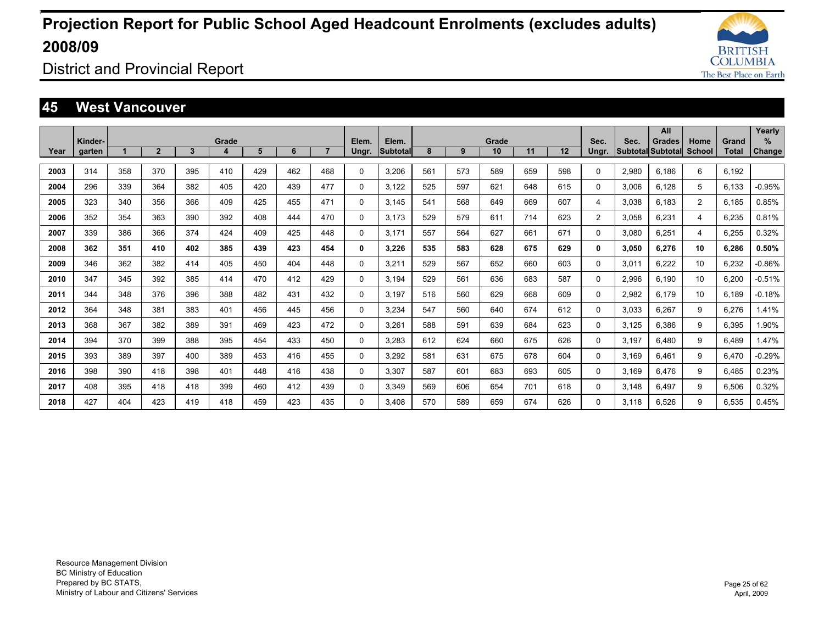

District and Provincial Report

#### **45 West Vancouver**

|      |                   |     |              |              |            |     |     |                |          |                          |     |     |             |     |     |                |       | All                         |                       |                       | Yearly        |
|------|-------------------|-----|--------------|--------------|------------|-----|-----|----------------|----------|--------------------------|-----|-----|-------------|-----|-----|----------------|-------|-----------------------------|-----------------------|-----------------------|---------------|
| Year | Kinder-<br>garten |     | $\mathbf{2}$ | $\mathbf{3}$ | Grade<br>4 | 5   | 6   | $\overline{7}$ | Elem.    | Elem.<br><b>Subtotal</b> | 8   | 9   | Grade<br>10 | 11  | 12  | Sec.<br>Ungr.  | Sec.  | Grades<br>Subtotal Subtotal | Home<br><b>School</b> | Grand<br><b>Total</b> | %             |
|      |                   |     |              |              |            |     |     |                | Ungr.    |                          |     |     |             |     |     |                |       |                             |                       |                       | <b>Change</b> |
| 2003 | 314               | 358 | 370          | 395          | 410        | 429 | 462 | 468            | 0        | 3.206                    | 561 | 573 | 589         | 659 | 598 | $\Omega$       | 2,980 | 6.186                       | 6                     | 6.192                 |               |
| 2004 | 296               | 339 | 364          | 382          | 405        | 420 | 439 | 477            | 0        | 3.122                    | 525 | 597 | 621         | 648 | 615 | $\Omega$       | 3.006 | 6.128                       | 5                     | 6.133                 | $-0.95%$      |
| 2005 | 323               | 340 | 356          | 366          | 409        | 425 | 455 | 471            | $\Omega$ | 3.145                    | 541 | 568 | 649         | 669 | 607 | 4              | 3.038 | 6.183                       | 2                     | 6.185                 | 0.85%         |
| 2006 | 352               | 354 | 363          | 390          | 392        | 408 | 444 | 470            | 0        | 3.173                    | 529 | 579 | 611         | 714 | 623 | $\overline{2}$ | 3.058 | 6.231                       | 4                     | 6.235                 | 0.81%         |
| 2007 | 339               | 386 | 366          | 374          | 424        | 409 | 425 | 448            | 0        | 3.171                    | 557 | 564 | 627         | 661 | 671 | $\Omega$       | 3.080 | 6,251                       | 4                     | 6,255                 | 0.32%         |
| 2008 | 362               | 351 | 410          | 402          | 385        | 439 | 423 | 454            | 0        | 3,226                    | 535 | 583 | 628         | 675 | 629 | 0              | 3,050 | 6,276                       | 10                    | 6,286                 | 0.50%         |
| 2009 | 346               | 362 | 382          | 414          | 405        | 450 | 404 | 448            | 0        | 3,211                    | 529 | 567 | 652         | 660 | 603 | 0              | 3,011 | 6,222                       | 10                    | 6,232                 | $-0.86%$      |
| 2010 | 347               | 345 | 392          | 385          | 414        | 470 | 412 | 429            | 0        | 3.194                    | 529 | 561 | 636         | 683 | 587 | $\Omega$       | 2,996 | 6.190                       | 10                    | 6.200                 | $-0.51%$      |
| 2011 | 344               | 348 | 376          | 396          | 388        | 482 | 431 | 432            | 0        | 3,197                    | 516 | 560 | 629         | 668 | 609 | 0              | 2,982 | 6.179                       | 10                    | 6.189                 | $-0.18%$      |
| 2012 | 364               | 348 | 381          | 383          | 401        | 456 | 445 | 456            | 0        | 3,234                    | 547 | 560 | 640         | 674 | 612 | 0              | 3,033 | 6,267                       | 9                     | 6,276                 | 1.41%         |
| 2013 | 368               | 367 | 382          | 389          | 391        | 469 | 423 | 472            | 0        | 3,261                    | 588 | 591 | 639         | 684 | 623 | 0              | 3,125 | 6.386                       | 9                     | 6.395                 | 1.90%         |
| 2014 | 394               | 370 | 399          | 388          | 395        | 454 | 433 | 450            | 0        | 3,283                    | 612 | 624 | 660         | 675 | 626 | 0              | 3.197 | 6.480                       | 9                     | 6.489                 | 1.47%         |
| 2015 | 393               | 389 | 397          | 400          | 389        | 453 | 416 | 455            | 0        | 3,292                    | 581 | 631 | 675         | 678 | 604 | 0              | 3.169 | 6.461                       | 9                     | 6.470                 | $-0.29%$      |
| 2016 | 398               | 390 | 418          | 398          | 401        | 448 | 416 | 438            | 0        | 3.307                    | 587 | 601 | 683         | 693 | 605 | 0              | 3.169 | 6.476                       | 9                     | 6.485                 | 0.23%         |
| 2017 | 408               | 395 | 418          | 418          | 399        | 460 | 412 | 439            | 0        | 3,349                    | 569 | 606 | 654         | 701 | 618 | 0              | 3,148 | 6.497                       | 9                     | 6,506                 | 0.32%         |
| 2018 | 427               | 404 | 423          | 419          | 418        | 459 | 423 | 435            | 0        | 3.408                    | 570 | 589 | 659         | 674 | 626 | $\Omega$       | 3.118 | 6.526                       | 9                     | 6.535                 | 0.45%         |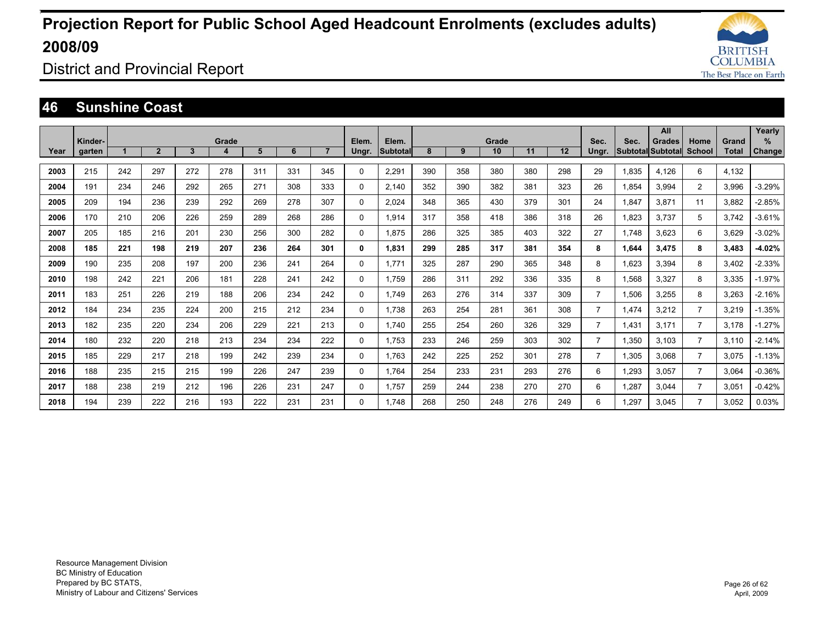

District and Provincial Report

#### **46 Sunshine Coast**

|      | Kinder- |     |                |              | Grade |     |     |                | Elem.    | Elem.           |     |     | Grade |     |     | Sec.           | Sec.                     | All<br><b>Grades</b> | Home           | Grand | Yearly<br>%   |
|------|---------|-----|----------------|--------------|-------|-----|-----|----------------|----------|-----------------|-----|-----|-------|-----|-----|----------------|--------------------------|----------------------|----------------|-------|---------------|
| Year | garten  |     | $\overline{2}$ | $\mathbf{3}$ | 4     | 5   | 6   | $\overline{7}$ | Ungr.    | <b>Subtotal</b> | 8   | 9   | 10    | 11  | 12  | Ungr.          | <b>Subtotal Subtotal</b> |                      | <b>School</b>  | Total | <b>Change</b> |
| 2003 | 215     | 242 | 297            | 272          | 278   | 311 | 331 | 345            | 0        | 2,291           | 390 | 358 | 380   | 380 | 298 | 29             | 1,835                    | 4.126                | 6              | 4,132 |               |
| 2004 | 191     | 234 | 246            | 292          | 265   | 271 | 308 | 333            | 0        | 2,140           | 352 | 390 | 382   | 381 | 323 | 26             | 1,854                    | 3,994                | $\overline{2}$ | 3,996 | $-3.29%$      |
| 2005 | 209     | 194 | 236            | 239          | 292   | 269 | 278 | 307            | 0        | 2,024           | 348 | 365 | 430   | 379 | 301 | 24             | 1.847                    | 3,871                | 11             | 3.882 | $-2.85%$      |
| 2006 | 170     | 210 | 206            | 226          | 259   | 289 | 268 | 286            | $\Omega$ | 1.914           | 317 | 358 | 418   | 386 | 318 | 26             | 1,823                    | 3.737                | 5              | 3.742 | $-3.61%$      |
| 2007 | 205     | 185 | 216            | 201          | 230   | 256 | 300 | 282            | 0        | 1.875           | 286 | 325 | 385   | 403 | 322 | 27             | 1.748                    | 3.623                | 6              | 3.629 | $-3.02%$      |
| 2008 | 185     | 221 | 198            | 219          | 207   | 236 | 264 | 301            | 0        | 1.831           | 299 | 285 | 317   | 381 | 354 | 8              | 1.644                    | 3.475                | 8              | 3.483 | $-4.02%$      |
| 2009 | 190     | 235 | 208            | 197          | 200   | 236 | 241 | 264            | 0        | 1.771           | 325 | 287 | 290   | 365 | 348 | 8              | 1.623                    | 3.394                | 8              | 3.402 | $-2.33%$      |
| 2010 | 198     | 242 | 221            | 206          | 181   | 228 | 241 | 242            | 0        | 1.759           | 286 | 311 | 292   | 336 | 335 | 8              | 1,568                    | 3,327                | 8              | 3,335 | $-1.97%$      |
| 2011 | 183     | 251 | 226            | 219          | 188   | 206 | 234 | 242            | 0        | 1.749           | 263 | 276 | 314   | 337 | 309 | $\overline{7}$ | 1,506                    | 3,255                | 8              | 3,263 | $-2.16%$      |
| 2012 | 184     | 234 | 235            | 224          | 200   | 215 | 212 | 234            | 0        | 1.738           | 263 | 254 | 281   | 361 | 308 | $\overline{7}$ | 1,474                    | 3,212                | $\overline{7}$ | 3,219 | $-1.35%$      |
| 2013 | 182     | 235 | 220            | 234          | 206   | 229 | 221 | 213            | 0        | 1.740           | 255 | 254 | 260   | 326 | 329 | $\overline{7}$ | 1,431                    | 3.171                |                | 3.178 | $-1.27%$      |
| 2014 | 180     | 232 | 220            | 218          | 213   | 234 | 234 | 222            | $\Omega$ | 1,753           | 233 | 246 | 259   | 303 | 302 | $\overline{7}$ | 1,350                    | 3.103                | $\overline{7}$ | 3.110 | $-2.14%$      |
| 2015 | 185     | 229 | 217            | 218          | 199   | 242 | 239 | 234            | 0        | 1.763           | 242 | 225 | 252   | 301 | 278 | $\overline{7}$ | 1,305                    | 3.068                | $\overline{7}$ | 3.075 | $-1.13%$      |
| 2016 | 188     | 235 | 215            | 215          | 199   | 226 | 247 | 239            | $\Omega$ | 1.764           | 254 | 233 | 231   | 293 | 276 | 6              | 1,293                    | 3.057                | $\overline{7}$ | 3.064 | $-0.36%$      |
| 2017 | 188     | 238 | 219            | 212          | 196   | 226 | 231 | 247            | $\Omega$ | 1.757           | 259 | 244 | 238   | 270 | 270 | 6              | 1,287                    | 3.044                |                | 3.051 | $-0.42%$      |
| 2018 | 194     | 239 | 222            | 216          | 193   | 222 | 231 | 231            | $\Omega$ | 1.748           | 268 | 250 | 248   | 276 | 249 | 6              | 1.297                    | 3.045                |                | 3.052 | 0.03%         |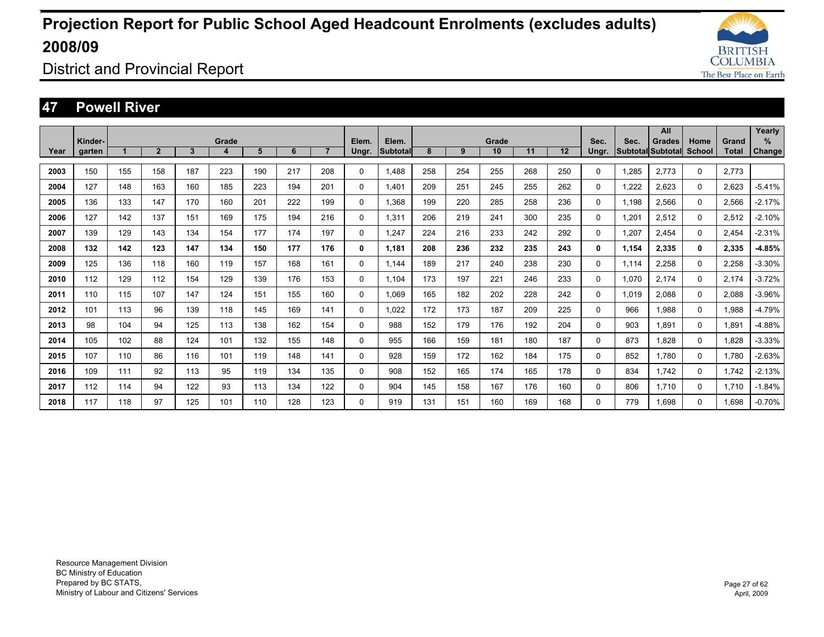

District and Provincial Report

#### **47 Powell River**

|      |                   |     |              |              |            |     |     |                |                |                   |     |     |             |     |     |               |       | All                                |          |                       | Yearly         |
|------|-------------------|-----|--------------|--------------|------------|-----|-----|----------------|----------------|-------------------|-----|-----|-------------|-----|-----|---------------|-------|------------------------------------|----------|-----------------------|----------------|
| Year | Kinder-<br>garten |     | $\mathbf{2}$ | $\mathbf{3}$ | Grade<br>4 | 5   | 6   | $\overline{7}$ | Elem.<br>Ungr. | Elem.<br>Subtotal | 8   | 9   | Grade<br>10 | 11  | 12  | Sec.<br>Ungr. | Sec.  | Grades<br>Subtotal Subtotal School | Home     | Grand<br><b>Total</b> | $\%$<br>Change |
|      |                   |     |              |              |            |     |     |                |                |                   |     |     |             |     |     |               |       |                                    |          |                       |                |
| 2003 | 150               | 155 | 158          | 187          | 223        | 190 | 217 | 208            | 0              | 1.488             | 258 | 254 | 255         | 268 | 250 | 0             | 1.285 | 2.773                              | 0        | 2.773                 |                |
| 2004 | 127               | 148 | 163          | 160          | 185        | 223 | 194 | 201            | $\Omega$       | 1.401             | 209 | 251 | 245         | 255 | 262 | 0             | 1.222 | 2.623                              | 0        | 2.623                 | $-5.41%$       |
| 2005 | 136               | 133 | 147          | 170          | 160        | 201 | 222 | 199            | 0              | 1.368             | 199 | 220 | 285         | 258 | 236 | $\mathbf 0$   | 1.198 | 2,566                              | 0        | 2.566                 | $-2.17%$       |
| 2006 | 127               | 142 | 137          | 151          | 169        | 175 | 194 | 216            | $\Omega$       | 1.311             | 206 | 219 | 241         | 300 | 235 | $\mathbf 0$   | 1.201 | 2,512                              | 0        | 2.512                 | $-2.10%$       |
| 2007 | 139               | 129 | 143          | 134          | 154        | 177 | 174 | 197            | 0              | 1.247             | 224 | 216 | 233         | 242 | 292 | 0             | 1,207 | 2.454                              | $\Omega$ | 2.454                 | $-2.31%$       |
| 2008 | 132               | 142 | 123          | 147          | 134        | 150 | 177 | 176            | 0              | 1.181             | 208 | 236 | 232         | 235 | 243 | $\mathbf{0}$  | 1,154 | 2,335                              | 0        | 2,335                 | $-4.85%$       |
| 2009 | 125               | 136 | 118          | 160          | 119        | 157 | 168 | 161            | 0              | 1.144             | 189 | 217 | 240         | 238 | 230 | 0             | 1,114 | 2,258                              | 0        | 2,258                 | $-3.30%$       |
| 2010 | 112               | 129 | 112          | 154          | 129        | 139 | 176 | 153            | 0              | 1.104             | 173 | 197 | 221         | 246 | 233 | $\Omega$      | 1.070 | 2.174                              | 0        | 2.174                 | $-3.72%$       |
| 2011 | 110               | 115 | 107          | 147          | 124        | 151 | 155 | 160            | 0              | 1.069             | 165 | 182 | 202         | 228 | 242 | $\Omega$      | 1,019 | 2.088                              | 0        | 2.088                 | $-3.96%$       |
| 2012 | 101               | 113 | 96           | 139          | 118        | 145 | 169 | 141            | 0              | 1.022             | 172 | 173 | 187         | 209 | 225 | 0             | 966   | 1.988                              | 0        | 1.988                 | $-4.79%$       |
| 2013 | 98                | 104 | 94           | 125          | 113        | 138 | 162 | 154            | 0              | 988               | 152 | 179 | 176         | 192 | 204 | 0             | 903   | 1.891                              | 0        | 1.891                 | $-4.88%$       |
| 2014 | 105               | 102 | 88           | 124          | 101        | 132 | 155 | 148            | 0              | 955               | 166 | 159 | 181         | 180 | 187 | $\mathbf 0$   | 873   | 1.828                              | 0        | 1,828                 | $-3.33%$       |
| 2015 | 107               | 110 | 86           | 116          | 101        | 119 | 148 | 141            | 0              | 928               | 159 | 172 | 162         | 184 | 175 | $\mathbf 0$   | 852   | 1.780                              | 0        | 1.780                 | $-2.63%$       |
| 2016 | 109               | 111 | 92           | 113          | 95         | 119 | 134 | 135            | 0              | 908               | 152 | 165 | 174         | 165 | 178 | 0             | 834   | 1.742                              | 0        | 1.742                 | $-2.13%$       |
| 2017 | 112               | 114 | 94           | 122          | 93         | 113 | 134 | 122            | 0              | 904               | 145 | 158 | 167         | 176 | 160 | 0             | 806   | 1.710                              | 0        | 1.710                 | $-1.84%$       |
| 2018 | 117               | 118 | 97           | 125          | 101        | 110 | 128 | 123            | $\Omega$       | 919               | 131 | 151 | 160         | 169 | 168 | $\Omega$      | 779   | 1.698                              | 0        | 1.698                 | $-0.70%$       |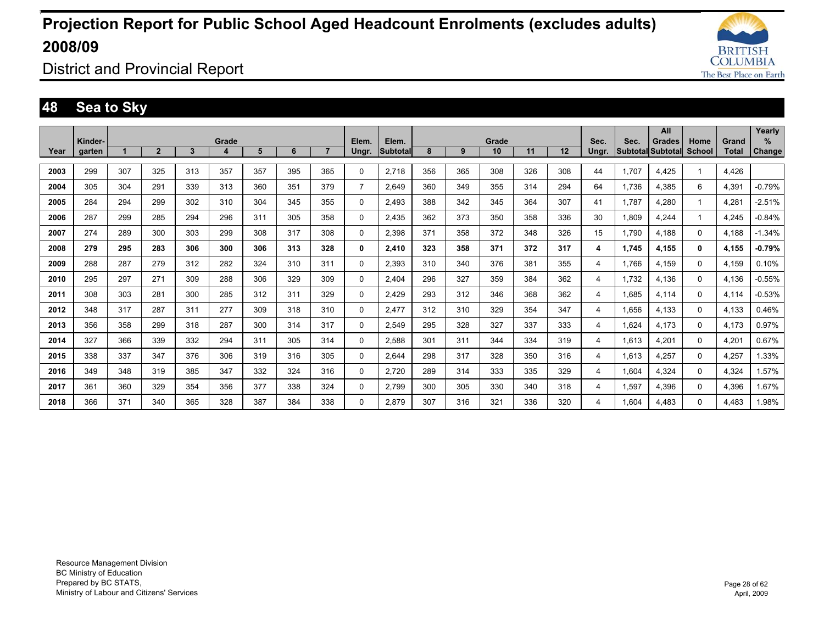

District and Provincial Report

### **48 Sea to Sky**

|      |         |     |                |              |       |     |     |                |                |                 |     |     |       |     |     |       |       | All               |        |       | Yearly        |
|------|---------|-----|----------------|--------------|-------|-----|-----|----------------|----------------|-----------------|-----|-----|-------|-----|-----|-------|-------|-------------------|--------|-------|---------------|
|      | Kinder- |     |                |              | Grade |     |     |                | Elem.          | Elem.           |     |     | Grade |     |     | Sec.  | Sec.  | Grades            | Home   | Grand | $\%$          |
| Year | garten  |     | $\overline{2}$ | $\mathbf{3}$ | 4     | 5   | 6   | $\overline{7}$ | Ungr.          | <b>Subtotal</b> | 8   | 9   | 10    | 11  | 12  | Ungr. |       | Subtotal Subtotal | School | Total | <b>Change</b> |
| 2003 | 299     | 307 | 325            | 313          | 357   | 357 | 395 | 365            | 0              | 2,718           | 356 | 365 | 308   | 326 | 308 | 44    | 1.707 | 4,425             | 1      | 4.426 |               |
| 2004 | 305     | 304 | 291            | 339          | 313   | 360 | 351 | 379            | $\overline{7}$ | 2.649           | 360 | 349 | 355   | 314 | 294 | 64    | 1.736 | 4,385             | 6      | 4.391 | $-0.79%$      |
| 2005 | 284     | 294 | 299            | 302          | 310   | 304 | 345 | 355            | 0              | 2.493           | 388 | 342 | 345   | 364 | 307 | 41    | 1.787 | 4,280             | 1      | 4.281 | $-2.51%$      |
| 2006 | 287     | 299 | 285            | 294          | 296   | 311 | 305 | 358            | 0              | 2,435           | 362 | 373 | 350   | 358 | 336 | 30    | 1,809 | 4,244             | 1      | 4.245 | $-0.84%$      |
| 2007 | 274     | 289 | 300            | 303          | 299   | 308 | 317 | 308            | 0              | 2,398           | 371 | 358 | 372   | 348 | 326 | 15    | 1.790 | 4.188             | 0      | 4.188 | $-1.34%$      |
| 2008 | 279     | 295 | 283            | 306          | 300   | 306 | 313 | 328            | 0              | 2.410           | 323 | 358 | 371   | 372 | 317 | 4     | 1.745 | 4.155             | 0      | 4.155 | $-0.79%$      |
| 2009 | 288     | 287 | 279            | 312          | 282   | 324 | 310 | 311            | 0              | 2.393           | 310 | 340 | 376   | 381 | 355 | 4     | 1.766 | 4.159             | 0      | 4.159 | 0.10%         |
| 2010 | 295     | 297 | 271            | 309          | 288   | 306 | 329 | 309            | 0              | 2.404           | 296 | 327 | 359   | 384 | 362 | 4     | 1.732 | 4.136             | 0      | 4.136 | $-0.55%$      |
| 2011 | 308     | 303 | 281            | 300          | 285   | 312 | 311 | 329            | 0              | 2.429           | 293 | 312 | 346   | 368 | 362 | 4     | 1.685 | 4.114             | 0      | 4.114 | $-0.53%$      |
| 2012 | 348     | 317 | 287            | 311          | 277   | 309 | 318 | 310            | 0              | 2.477           | 312 | 310 | 329   | 354 | 347 | 4     | 1.656 | 4.133             | 0      | 4.133 | 0.46%         |
| 2013 | 356     | 358 | 299            | 318          | 287   | 300 | 314 | 317            | 0              | 2.549           | 295 | 328 | 327   | 337 | 333 | 4     | 1.624 | 4.173             | 0      | 4.173 | 0.97%         |
| 2014 | 327     | 366 | 339            | 332          | 294   | 311 | 305 | 314            | 0              | 2.588           | 301 | 311 | 344   | 334 | 319 | 4     | 1.613 | 4,201             | 0      | 4,201 | 0.67%         |
| 2015 | 338     | 337 | 347            | 376          | 306   | 319 | 316 | 305            | 0              | 2.644           | 298 | 317 | 328   | 350 | 316 | 4     | 1.613 | 4.257             | 0      | 4.257 | 1.33%         |
| 2016 | 349     | 348 | 319            | 385          | 347   | 332 | 324 | 316            | 0              | 2.720           | 289 | 314 | 333   | 335 | 329 | 4     | 1.604 | 4.324             | 0      | 4.324 | 1.57%         |
| 2017 | 361     | 360 | 329            | 354          | 356   | 377 | 338 | 324            | 0              | 2.799           | 300 | 305 | 330   | 340 | 318 | 4     | 1,597 | 4,396             | 0      | 4.396 | 1.67%         |
| 2018 | 366     | 371 | 340            | 365          | 328   | 387 | 384 | 338            | 0              | 2.879           | 307 | 316 | 321   | 336 | 320 | 4     | 1.604 | 4.483             | 0      | 4.483 | 1.98%         |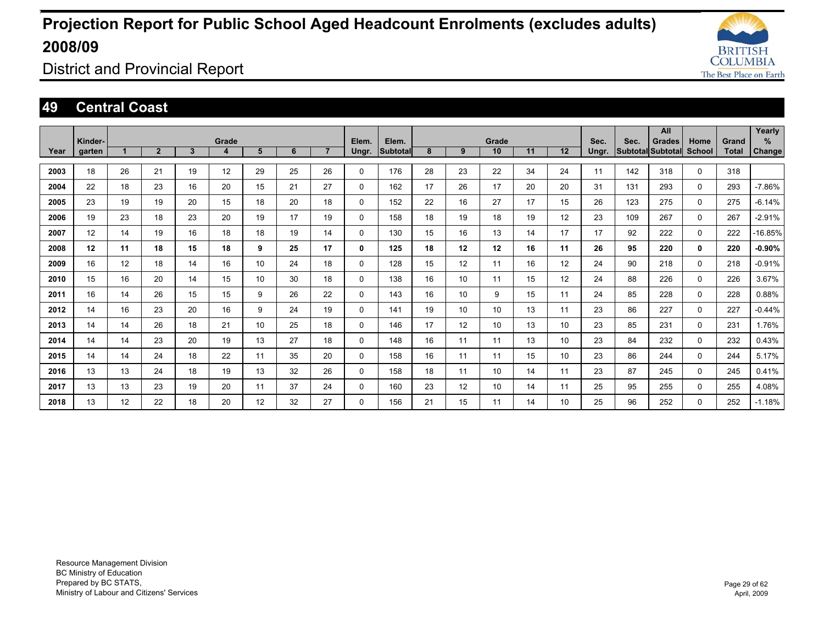

District and Provincial Report

#### **49 Central Coast**

|      |         |    |                |    |       |    |    |                |          |          |    |    |                 |    |    |       |      | All                      |               |       | Yearly   |
|------|---------|----|----------------|----|-------|----|----|----------------|----------|----------|----|----|-----------------|----|----|-------|------|--------------------------|---------------|-------|----------|
|      | Kinder- |    |                |    | Grade |    |    |                | Elem.    | Elem.    |    |    | Grade           |    |    | Sec.  | Sec. | <b>Grades</b>            | Home          | Grand | %        |
| Year | garten  |    | $\overline{2}$ | 3  | 4     | 5  | 6  | $\overline{7}$ | Ungr.    | Subtotal | 8  | 9  | 10              | 11 | 12 | Ungr. |      | <b>Subtotal Subtotal</b> | <b>School</b> | Total | Change   |
|      |         |    |                |    |       |    |    |                |          |          |    |    |                 |    |    |       |      |                          |               |       |          |
| 2003 | 18      | 26 | 21             | 19 | 12    | 29 | 25 | 26             | 0        | 176      | 28 | 23 | 22              | 34 | 24 | 11    | 142  | 318                      | $\mathbf 0$   | 318   |          |
| 2004 | 22      | 18 | 23             | 16 | 20    | 15 | 21 | 27             | 0        | 162      | 17 | 26 | 17              | 20 | 20 | 31    | 131  | 293                      | $\mathbf 0$   | 293   | $-7.86%$ |
| 2005 | 23      | 19 | 19             | 20 | 15    | 18 | 20 | 18             | 0        | 152      | 22 | 16 | 27              | 17 | 15 | 26    | 123  | 275                      | $\mathbf 0$   | 275   | $-6.14%$ |
| 2006 | 19      | 23 | 18             | 23 | 20    | 19 | 17 | 19             | 0        | 158      | 18 | 19 | 18              | 19 | 12 | 23    | 109  | 267                      | $\mathbf 0$   | 267   | $-2.91%$ |
| 2007 | 12      | 14 | 19             | 16 | 18    | 18 | 19 | 14             | 0        | 130      | 15 | 16 | 13              | 14 | 17 | 17    | 92   | 222                      | $\mathbf 0$   | 222   | -16.85%  |
| 2008 | 12      | 11 | 18             | 15 | 18    | 9  | 25 | 17             | 0        | 125      | 18 | 12 | 12              | 16 | 11 | 26    | 95   | 220                      | 0             | 220   | $-0.90%$ |
| 2009 | 16      | 12 | 18             | 14 | 16    | 10 | 24 | 18             | 0        | 128      | 15 | 12 | 11              | 16 | 12 | 24    | 90   | 218                      | $\mathbf 0$   | 218   | $-0.91%$ |
| 2010 | 15      | 16 | 20             | 14 | 15    | 10 | 30 | 18             | 0        | 138      | 16 | 10 | 11              | 15 | 12 | 24    | 88   | 226                      | $\Omega$      | 226   | 3.67%    |
| 2011 | 16      | 14 | 26             | 15 | 15    | 9  | 26 | 22             | 0        | 143      | 16 | 10 | 9               | 15 | 11 | 24    | 85   | 228                      | $\mathbf 0$   | 228   | 0.88%    |
| 2012 | 14      | 16 | 23             | 20 | 16    | 9  | 24 | 19             | $\Omega$ | 141      | 19 | 10 | 10 <sup>1</sup> | 13 | 11 | 23    | 86   | 227                      | $\Omega$      | 227   | $-0.44%$ |
| 2013 | 14      | 14 | 26             | 18 | 21    | 10 | 25 | 18             | 0        | 146      | 17 | 12 | 10              | 13 | 10 | 23    | 85   | 231                      | $\mathbf 0$   | 231   | 1.76%    |
| 2014 | 14      | 14 | 23             | 20 | 19    | 13 | 27 | 18             | 0        | 148      | 16 | 11 | 11              | 13 | 10 | 23    | 84   | 232                      | 0             | 232   | 0.43%    |
| 2015 | 14      | 14 | 24             | 18 | 22    | 11 | 35 | 20             | 0        | 158      | 16 | 11 | 11              | 15 | 10 | 23    | 86   | 244                      | $\mathbf 0$   | 244   | 5.17%    |
| 2016 | 13      | 13 | 24             | 18 | 19    | 13 | 32 | 26             | 0        | 158      | 18 | 11 | 10 <sup>°</sup> | 14 | 11 | 23    | 87   | 245                      | $\mathbf 0$   | 245   | 0.41%    |
| 2017 | 13      | 13 | 23             | 19 | 20    | 11 | 37 | 24             | $\Omega$ | 160      | 23 | 12 | 10 <sup>°</sup> | 14 | 11 | 25    | 95   | 255                      | $\mathbf 0$   | 255   | 4.08%    |
| 2018 | 13      | 12 | 22             | 18 | 20    | 12 | 32 | 27             | $\Omega$ | 156      | 21 | 15 | 11              | 14 | 10 | 25    | 96   | 252                      | $\Omega$      | 252   | $-1.18%$ |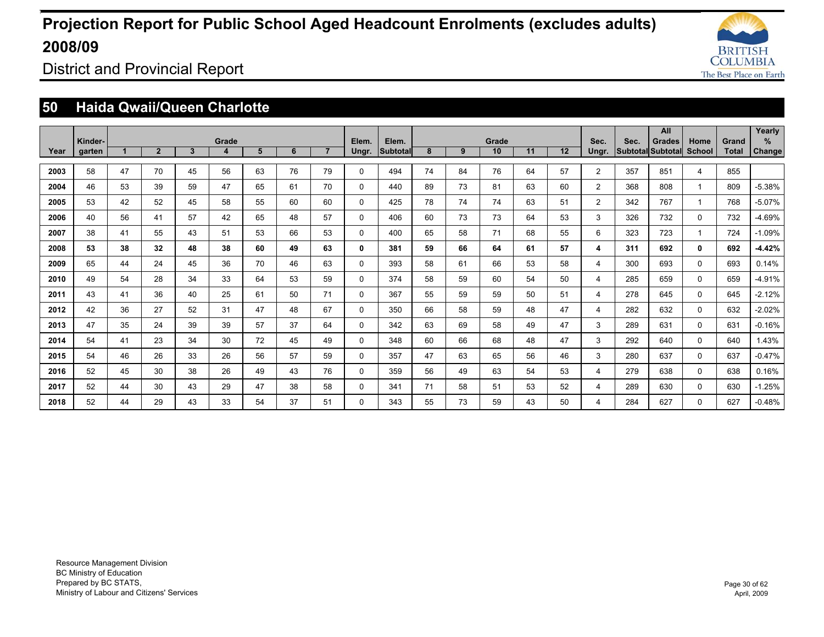

District and Provincial Report

### **50 Haida Qwaii/Queen Charlotte**

|      |         |    |                |              |            |    |    |                |              |                          |    |    |             |    |    |                |      | All                                       |                       |              | Yearly        |
|------|---------|----|----------------|--------------|------------|----|----|----------------|--------------|--------------------------|----|----|-------------|----|----|----------------|------|-------------------------------------------|-----------------------|--------------|---------------|
|      | Kinder- | 1  | $\overline{2}$ | $\mathbf{3}$ | Grade<br>4 | 5  | 6  | $\overline{7}$ | Elem.        | Elem.<br><b>Subtotal</b> | 8  | 9  | Grade<br>10 | 11 | 12 | Sec.           | Sec. | <b>Grades</b><br><b>Subtotal Subtotal</b> | Home<br><b>School</b> | Grand        | %             |
| Year | garten  |    |                |              |            |    |    |                | Ungr.        |                          |    |    |             |    |    | Ungr.          |      |                                           |                       | <b>Total</b> | <b>Change</b> |
| 2003 | 58      | 47 | 70             | 45           | 56         | 63 | 76 | 79             | $\Omega$     | 494                      | 74 | 84 | 76          | 64 | 57 | $\overline{2}$ | 357  | 851                                       | 4                     | 855          |               |
| 2004 | 46      | 53 | 39             | 59           | 47         | 65 | 61 | 70             | $\Omega$     | 440                      | 89 | 73 | 81          | 63 | 60 | $\overline{2}$ | 368  | 808                                       |                       | 809          | $-5.38%$      |
| 2005 | 53      | 42 | 52             | 45           | 58         | 55 | 60 | 60             | $\mathbf 0$  | 425                      | 78 | 74 | 74          | 63 | 51 | $\overline{2}$ | 342  | 767                                       |                       | 768          | $-5.07%$      |
| 2006 | 40      | 56 | 41             | 57           | 42         | 65 | 48 | 57             | $\mathbf 0$  | 406                      | 60 | 73 | 73          | 64 | 53 | 3              | 326  | 732                                       | $\mathbf 0$           | 732          | $-4.69%$      |
| 2007 | 38      | 41 | 55             | 43           | 51         | 53 | 66 | 53             | $\mathbf{0}$ | 400                      | 65 | 58 | 71          | 68 | 55 | 6              | 323  | 723                                       |                       | 724          | $-1.09%$      |
| 2008 | 53      | 38 | 32             | 48           | 38         | 60 | 49 | 63             | 0            | 381                      | 59 | 66 | 64          | 61 | 57 | 4              | 311  | 692                                       | 0                     | 692          | $-4.42%$      |
| 2009 | 65      | 44 | 24             | 45           | 36         | 70 | 46 | 63             | $\mathbf 0$  | 393                      | 58 | 61 | 66          | 53 | 58 | 4              | 300  | 693                                       | $\mathbf 0$           | 693          | 0.14%         |
| 2010 | 49      | 54 | 28             | 34           | 33         | 64 | 53 | 59             | $\mathbf 0$  | 374                      | 58 | 59 | 60          | 54 | 50 | 4              | 285  | 659                                       | $\mathbf 0$           | 659          | $-4.91%$      |
| 2011 | 43      | 41 | 36             | 40           | 25         | 61 | 50 | 71             | $\Omega$     | 367                      | 55 | 59 | 59          | 50 | 51 | 4              | 278  | 645                                       | $\Omega$              | 645          | $-2.12%$      |
| 2012 | 42      | 36 | 27             | 52           | 31         | 47 | 48 | 67             | $\mathbf 0$  | 350                      | 66 | 58 | 59          | 48 | 47 | 4              | 282  | 632                                       | $\mathbf 0$           | 632          | $-2.02%$      |
| 2013 | 47      | 35 | 24             | 39           | 39         | 57 | 37 | 64             | $\Omega$     | 342                      | 63 | 69 | 58          | 49 | 47 | 3              | 289  | 631                                       | $\Omega$              | 631          | $-0.16%$      |
| 2014 | 54      | 41 | 23             | 34           | 30         | 72 | 45 | 49             | $\Omega$     | 348                      | 60 | 66 | 68          | 48 | 47 | 3              | 292  | 640                                       | $\mathbf 0$           | 640          | 1.43%         |
| 2015 | 54      | 46 | 26             | 33           | 26         | 56 | 57 | 59             | $\Omega$     | 357                      | 47 | 63 | 65          | 56 | 46 | 3              | 280  | 637                                       | 0                     | 637          | $-0.47%$      |
| 2016 | 52      | 45 | 30             | 38           | 26         | 49 | 43 | 76             | $\mathbf{0}$ | 359                      | 56 | 49 | 63          | 54 | 53 | 4              | 279  | 638                                       | 0                     | 638          | 0.16%         |
| 2017 | 52      | 44 | 30             | 43           | 29         | 47 | 38 | 58             | $\Omega$     | 341                      | 71 | 58 | 51          | 53 | 52 | 4              | 289  | 630                                       | 0                     | 630          | $-1.25%$      |
| 2018 | 52      | 44 | 29             | 43           | 33         | 54 | 37 | 51             | $\Omega$     | 343                      | 55 | 73 | 59          | 43 | 50 | 4              | 284  | 627                                       | 0                     | 627          | $-0.48%$      |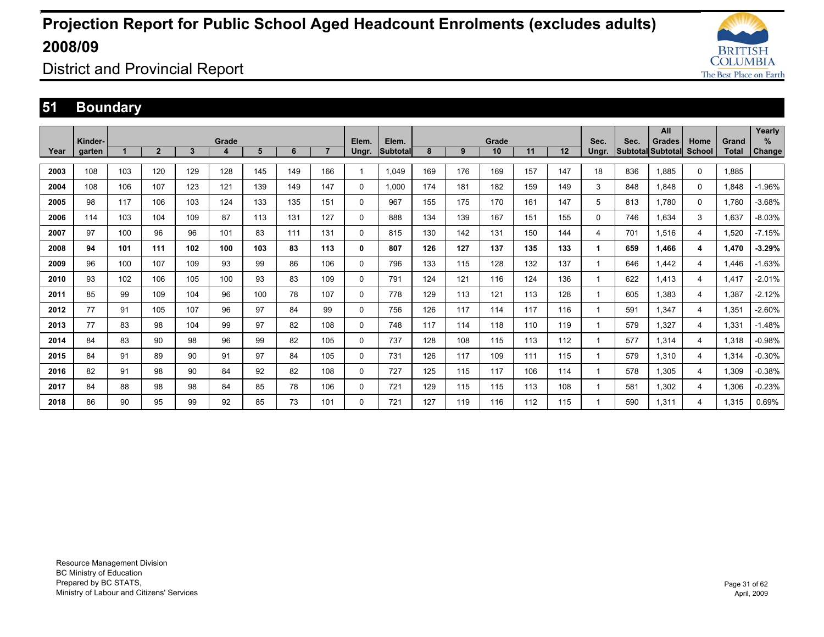![](_page_30_Picture_1.jpeg)

District and Provincial Report

### **51 Boundary**

|      |         |     |                |     |       |     |     |                |          |                 |     |     |       |     |     |       |      | All                      |          |              | Yearly        |
|------|---------|-----|----------------|-----|-------|-----|-----|----------------|----------|-----------------|-----|-----|-------|-----|-----|-------|------|--------------------------|----------|--------------|---------------|
|      | Kinder- |     |                |     | Grade |     |     | $\overline{7}$ | Elem.    | Elem.           |     |     | Grade |     | 12  | Sec.  | Sec. | <b>Grades</b>            | Home     | Grand        | $\%$          |
| Year | garten  |     | $\overline{2}$ | 3   | 4     | 5   | 6   |                | Ungr.    | <b>Subtotal</b> | 8   | 9   | 10    | 11  |     | Ungr. |      | <b>Subtotal Subtotal</b> | School   | <b>Total</b> | <b>Change</b> |
| 2003 | 108     | 103 | 120            | 129 | 128   | 145 | 149 | 166            |          | 1,049           | 169 | 176 | 169   | 157 | 147 | 18    | 836  | 1,885                    | $\Omega$ | 1,885        |               |
| 2004 | 108     | 106 | 107            | 123 | 121   | 139 | 149 | 147            | 0        | 1.000           | 174 | 181 | 182   | 159 | 149 | 3     | 848  | 1.848                    | 0        | 1.848        | $-1.96%$      |
| 2005 | 98      | 117 | 106            | 103 | 124   | 133 | 135 | 151            | 0        | 967             | 155 | 175 | 170   | 161 | 147 | 5     | 813  | 1.780                    | 0        | 1.780        | $-3.68%$      |
| 2006 | 114     | 103 | 104            | 109 | 87    | 113 | 131 | 127            | 0        | 888             | 134 | 139 | 167   | 151 | 155 | 0     | 746  | 1.634                    | 3        | 1,637        | $-8.03%$      |
| 2007 | 97      | 100 | 96             | 96  | 101   | 83  | 111 | 131            | 0        | 815             | 130 | 142 | 131   | 150 | 144 | 4     | 701  | 1,516                    | 4        | 1,520        | $-7.15%$      |
| 2008 | 94      | 101 | 111            | 102 | 100   | 103 | 83  | 113            | 0        | 807             | 126 | 127 | 137   | 135 | 133 | 1     | 659  | 1.466                    | 4        | 1,470        | $-3.29%$      |
| 2009 | 96      | 100 | 107            | 109 | 93    | 99  | 86  | 106            | $\Omega$ | 796             | 133 | 115 | 128   | 132 | 137 |       | 646  | 1.442                    | 4        | 1.446        | $-1.63%$      |
| 2010 | 93      | 102 | 106            | 105 | 100   | 93  | 83  | 109            | 0        | 791             | 124 | 121 | 116   | 124 | 136 |       | 622  | 1.413                    | 4        | 1.417        | $-2.01%$      |
| 2011 | 85      | 99  | 109            | 104 | 96    | 100 | 78  | 107            | 0        | 778             | 129 | 113 | 121   | 113 | 128 | 1     | 605  | 1.383                    | 4        | 1.387        | $-2.12%$      |
| 2012 | 77      | 91  | 105            | 107 | 96    | 97  | 84  | 99             | 0        | 756             | 126 | 117 | 114   | 117 | 116 | 1     | 591  | 1.347                    | 4        | 1,351        | $-2.60%$      |
| 2013 | 77      | 83  | 98             | 104 | 99    | 97  | 82  | 108            | 0        | 748             | 117 | 114 | 118   | 110 | 119 |       | 579  | 1,327                    | 4        | 1,331        | $-1.48%$      |
| 2014 | 84      | 83  | 90             | 98  | 96    | 99  | 82  | 105            | 0        | 737             | 128 | 108 | 115   | 113 | 112 |       | 577  | 1,314                    | 4        | 1,318        | $-0.98%$      |
| 2015 | 84      | 91  | 89             | 90  | 91    | 97  | 84  | 105            | 0        | 731             | 126 | 117 | 109   | 111 | 115 |       | 579  | 1,310                    | 4        | 1,314        | $-0.30%$      |
| 2016 | 82      | 91  | 98             | 90  | 84    | 92  | 82  | 108            | 0        | 727             | 125 | 115 | 117   | 106 | 114 |       | 578  | 1.305                    | 4        | 1,309        | $-0.38%$      |
| 2017 | 84      | 88  | 98             | 98  | 84    | 85  | 78  | 106            | 0        | 721             | 129 | 115 | 115   | 113 | 108 |       | 581  | 1,302                    | 4        | 1,306        | $-0.23%$      |
| 2018 | 86      | 90  | 95             | 99  | 92    | 85  | 73  | 101            | 0        | 721             | 127 | 119 | 116   | 112 | 115 |       | 590  | 1.311                    | 4        | 1.315        | 0.69%         |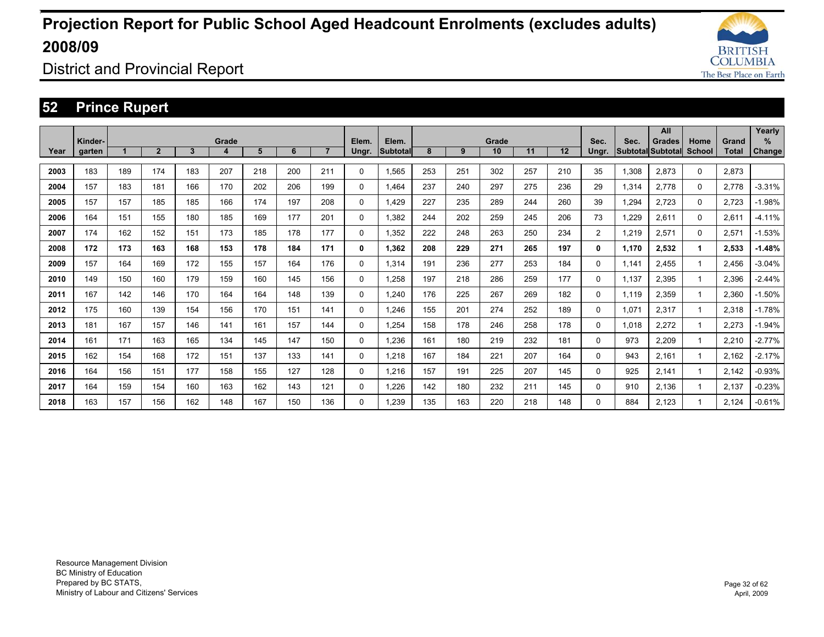![](_page_31_Picture_1.jpeg)

District and Provincial Report

### **52 Prince Rupert**

|      |         |     |                |              |       |     |     |                |             |                 |     |     |       |     |     |                |       | All                      |        |       | Yearly        |
|------|---------|-----|----------------|--------------|-------|-----|-----|----------------|-------------|-----------------|-----|-----|-------|-----|-----|----------------|-------|--------------------------|--------|-------|---------------|
|      | Kinder- |     |                |              | Grade |     |     | $\overline{7}$ | Elem.       | Elem.           |     |     | Grade |     | 12  | Sec.           | Sec.  | <b>Grades</b>            | Home   | Grand | %             |
| Year | garten  |     | $\overline{2}$ | $\mathbf{3}$ | 4     | 5   | 6   |                | Ungr.       | <b>Subtotal</b> | 8   | 9   | 10    | 11  |     | Ungr.          |       | <b>Subtotal Subtotal</b> | School | Total | <b>Change</b> |
| 2003 | 183     | 189 | 174            | 183          | 207   | 218 | 200 | 211            | 0           | 1,565           | 253 | 251 | 302   | 257 | 210 | 35             | 1,308 | 2,873                    | 0      | 2,873 |               |
| 2004 | 157     | 183 | 181            | 166          | 170   | 202 | 206 | 199            | $\mathbf 0$ | 1.464           | 237 | 240 | 297   | 275 | 236 | 29             | 1,314 | 2.778                    | 0      | 2,778 | $-3.31%$      |
| 2005 | 157     | 157 | 185            | 185          | 166   | 174 | 197 | 208            | $\mathbf 0$ | 1.429           | 227 | 235 | 289   | 244 | 260 | 39             | 1.294 | 2.723                    | 0      | 2.723 | $-1.98%$      |
| 2006 | 164     | 151 | 155            | 180          | 185   | 169 | 177 | 201            | $\mathbf 0$ | 1.382           | 244 | 202 | 259   | 245 | 206 | 73             | 1,229 | 2,611                    | 0      | 2,611 | $-4.11%$      |
| 2007 | 174     | 162 | 152            | 151          | 173   | 185 | 178 | 177            | $\mathbf 0$ | 1,352           | 222 | 248 | 263   | 250 | 234 | $\overline{2}$ | 1,219 | 2,571                    | 0      | 2,571 | $-1.53%$      |
| 2008 | 172     | 173 | 163            | 168          | 153   | 178 | 184 | 171            | 0           | 1.362           | 208 | 229 | 271   | 265 | 197 | 0              | 1.170 | 2,532                    | 1      | 2,533 | $-1.48%$      |
| 2009 | 157     | 164 | 169            | 172          | 155   | 157 | 164 | 176            | $\mathbf 0$ | 1,314           | 191 | 236 | 277   | 253 | 184 | 0              | 1.141 | 2.455                    |        | 2.456 | $-3.04%$      |
| 2010 | 149     | 150 | 160            | 179          | 159   | 160 | 145 | 156            | $\mathbf 0$ | 1.258           | 197 | 218 | 286   | 259 | 177 | 0              | 1.137 | 2,395                    |        | 2.396 | $-2.44%$      |
| 2011 | 167     | 142 | 146            | 170          | 164   | 164 | 148 | 139            | 0           | 1.240           | 176 | 225 | 267   | 269 | 182 | 0              | 1.119 | 2,359                    |        | 2.360 | $-1.50%$      |
| 2012 | 175     | 160 | 139            | 154          | 156   | 170 | 151 | 141            | $\mathbf 0$ | 1.246           | 155 | 201 | 274   | 252 | 189 | 0              | 1.071 | 2.317                    |        | 2.318 | $-1.78%$      |
| 2013 | 181     | 167 | 157            | 146          | 141   | 161 | 157 | 144            | 0           | 1.254           | 158 | 178 | 246   | 258 | 178 | 0              | 1,018 | 2,272                    |        | 2.273 | $-1.94%$      |
| 2014 | 161     | 171 | 163            | 165          | 134   | 145 | 147 | 150            | $\mathbf 0$ | 1.236           | 161 | 180 | 219   | 232 | 181 | 0              | 973   | 2,209                    |        | 2,210 | $-2.77%$      |
| 2015 | 162     | 154 | 168            | 172          | 151   | 137 | 133 | 141            | $\Omega$    | 1.218           | 167 | 184 | 221   | 207 | 164 | 0              | 943   | 2.161                    |        | 2.162 | $-2.17%$      |
| 2016 | 164     | 156 | 151            | 177          | 158   | 155 | 127 | 128            | $\Omega$    | 1.216           | 157 | 191 | 225   | 207 | 145 | 0              | 925   | 2.141                    |        | 2.142 | $-0.93%$      |
| 2017 | 164     | 159 | 154            | 160          | 163   | 162 | 143 | 121            | 0           | 1,226           | 142 | 180 | 232   | 211 | 145 | 0              | 910   | 2.136                    |        | 2,137 | $-0.23%$      |
| 2018 | 163     | 157 | 156            | 162          | 148   | 167 | 150 | 136            | $\Omega$    | 1.239           | 135 | 163 | 220   | 218 | 148 | 0              | 884   | 2.123                    |        | 2.124 | $-0.61%$      |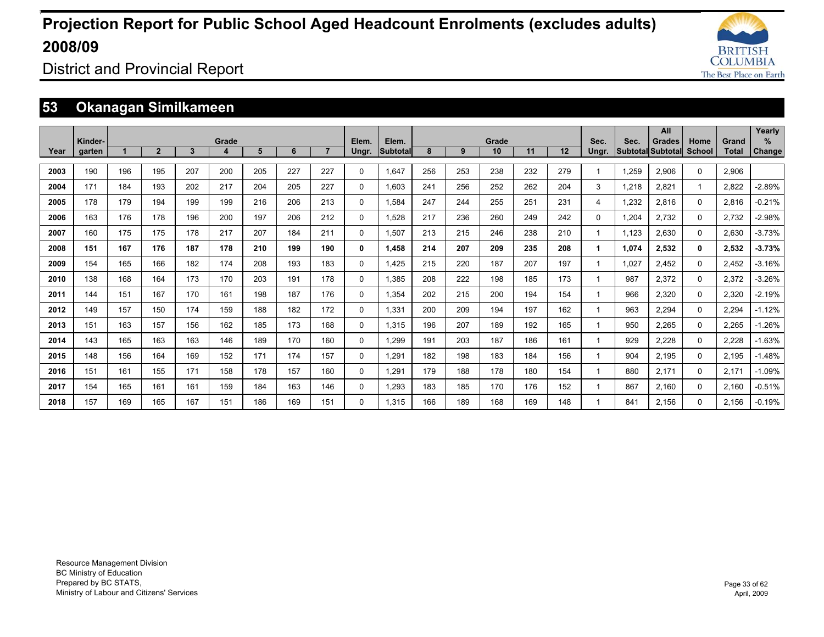![](_page_32_Picture_1.jpeg)

District and Provincial Report

### **53 Okanagan Similkameen**

|      |         |     |                |     |       |     |     |                |          |                 |     |     |       |     |                 |          |       | All                      |          |              | Yearly        |
|------|---------|-----|----------------|-----|-------|-----|-----|----------------|----------|-----------------|-----|-----|-------|-----|-----------------|----------|-------|--------------------------|----------|--------------|---------------|
|      | Kinder- |     |                |     | Grade |     |     | $\overline{7}$ | Elem.    | Elem.           |     |     | Grade |     |                 | Sec.     | Sec.  | <b>Grades</b>            | Home     | Grand        | %             |
| Year | garten  |     | $\overline{2}$ | 3   |       | 5   | 6   |                | Ungr.    | <b>Subtotal</b> | 8   | 9   | 10    | 11  | 12 <sup>2</sup> | Ungr.    |       | <b>Subtotal Subtotal</b> | School   | <b>Total</b> | <b>Change</b> |
| 2003 | 190     | 196 | 195            | 207 | 200   | 205 | 227 | 227            | 0        | 1.647           | 256 | 253 | 238   | 232 | 279             |          | 1.259 | 2.906                    | $\Omega$ | 2.906        |               |
| 2004 | 171     | 184 | 193            | 202 | 217   | 204 | 205 | 227            | 0        | 1.603           | 241 | 256 | 252   | 262 | 204             | 3        | 1.218 | 2.821                    | -1       | 2.822        | $-2.89%$      |
| 2005 | 178     | 179 | 194            | 199 | 199   | 216 | 206 | 213            | 0        | 1.584           | 247 | 244 | 255   | 251 | 231             | 4        | 1,232 | 2,816                    | $\Omega$ | 2,816        | $-0.21%$      |
| 2006 | 163     | 176 | 178            | 196 | 200   | 197 | 206 | 212            | $\Omega$ | 1,528           | 217 | 236 | 260   | 249 | 242             | $\Omega$ | 1,204 | 2,732                    | $\Omega$ | 2,732        | $-2.98%$      |
| 2007 | 160     | 175 | 175            | 178 | 217   | 207 | 184 | 211            | 0        | 1.507           | 213 | 215 | 246   | 238 | 210             |          | 1.123 | 2,630                    | 0        | 2.630        | $-3.73%$      |
| 2008 | 151     | 167 | 176            | 187 | 178   | 210 | 199 | 190            | 0        | 1,458           | 214 | 207 | 209   | 235 | 208             | 1        | 1,074 | 2,532                    | 0        | 2,532        | $-3.73%$      |
| 2009 | 154     | 165 | 166            | 182 | 174   | 208 | 193 | 183            | 0        | 1,425           | 215 | 220 | 187   | 207 | 197             |          | 1,027 | 2,452                    | 0        | 2,452        | $-3.16%$      |
| 2010 | 138     | 168 | 164            | 173 | 170   | 203 | 191 | 178            | 0        | 1,385           | 208 | 222 | 198   | 185 | 173             |          | 987   | 2,372                    | $\Omega$ | 2,372        | $-3.26%$      |
| 2011 | 144     | 151 | 167            | 170 | 161   | 198 | 187 | 176            | 0        | 1.354           | 202 | 215 | 200   | 194 | 154             |          | 966   | 2.320                    | $\Omega$ | 2.320        | $-2.19%$      |
| 2012 | 149     | 157 | 150            | 174 | 159   | 188 | 182 | 172            | 0        | 1,331           | 200 | 209 | 194   | 197 | 162             |          | 963   | 2,294                    | $\Omega$ | 2,294        | $-1.12%$      |
| 2013 | 151     | 163 | 157            | 156 | 162   | 185 | 173 | 168            | 0        | 1.315           | 196 | 207 | 189   | 192 | 165             |          | 950   | 2.265                    | $\Omega$ | 2,265        | $-1.26\%$     |
| 2014 | 143     | 165 | 163            | 163 | 146   | 189 | 170 | 160            | 0        | 1.299           | 191 | 203 | 187   | 186 | 161             |          | 929   | 2,228                    | 0        | 2,228        | $-1.63%$      |
| 2015 | 148     | 156 | 164            | 169 | 152   | 171 | 174 | 157            | 0        | 1.291           | 182 | 198 | 183   | 184 | 156             |          | 904   | 2,195                    | $\Omega$ | 2.195        | $-1.48%$      |
| 2016 | 151     | 161 | 155            | 171 | 158   | 178 | 157 | 160            | 0        | 1,291           | 179 | 188 | 178   | 180 | 154             |          | 880   | 2,171                    | 0        | 2,171        | $-1.09%$      |
| 2017 | 154     | 165 | 161            | 161 | 159   | 184 | 163 | 146            | 0        | 1,293           | 183 | 185 | 170   | 176 | 152             |          | 867   | 2,160                    | $\Omega$ | 2,160        | $-0.51%$      |
| 2018 | 157     | 169 | 165            | 167 | 151   | 186 | 169 | 151            | 0        | 1.315           | 166 | 189 | 168   | 169 | 148             |          | 841   | 2.156                    | 0        | 2.156        | $-0.19%$      |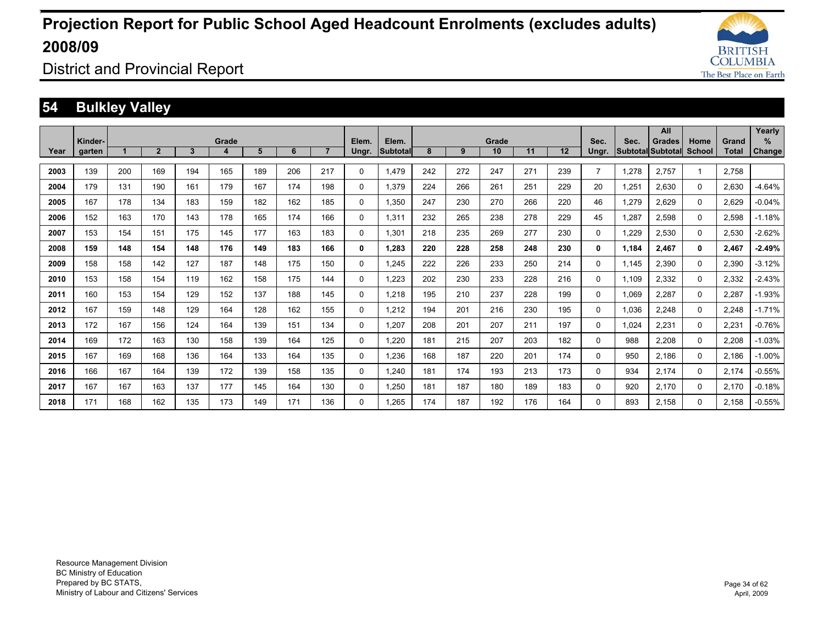![](_page_33_Picture_1.jpeg)

District and Provincial Report

### **54 Bulkley Valley**

|      |         |     |                |     |            |     |     |                |             |                          |     |     |             |     |     |                |       | <b>All</b>                                |                |                | Yearly        |
|------|---------|-----|----------------|-----|------------|-----|-----|----------------|-------------|--------------------------|-----|-----|-------------|-----|-----|----------------|-------|-------------------------------------------|----------------|----------------|---------------|
|      | Kinder- |     | $\overline{2}$ | 3   | Grade<br>4 | 5   | 6   | $\overline{7}$ | Elem.       | Elem.<br><b>Subtotal</b> | 8   | 9   | Grade<br>10 | 11  | 12  | Sec.           | Sec.  | <b>Grades</b><br><b>Subtotal Subtotal</b> | Home<br>School | Grand<br>Total | %             |
| Year | garten  |     |                |     |            |     |     |                | Ungr.       |                          |     |     |             |     |     | Ungr.          |       |                                           |                |                | <b>Change</b> |
| 2003 | 139     | 200 | 169            | 194 | 165        | 189 | 206 | 217            | $\Omega$    | 1.479                    | 242 | 272 | 247         | 271 | 239 | $\overline{7}$ | 1,278 | 2.757                                     |                | 2,758          |               |
| 2004 | 179     | 131 | 190            | 161 | 179        | 167 | 174 | 198            | $\Omega$    | 1,379                    | 224 | 266 | 261         | 251 | 229 | 20             | 1,251 | 2,630                                     | $\Omega$       | 2,630          | $-4.64%$      |
| 2005 | 167     | 178 | 134            | 183 | 159        | 182 | 162 | 185            | $\mathbf 0$ | 1.350                    | 247 | 230 | 270         | 266 | 220 | 46             | 1,279 | 2,629                                     | 0              | 2.629          | $-0.04%$      |
| 2006 | 152     | 163 | 170            | 143 | 178        | 165 | 174 | 166            | 0           | 1.311                    | 232 | 265 | 238         | 278 | 229 | 45             | 1.287 | 2.598                                     | 0              | 2.598          | $-1.18%$      |
| 2007 | 153     | 154 | 151            | 175 | 145        | 177 | 163 | 183            | $\Omega$    | 1.301                    | 218 | 235 | 269         | 277 | 230 | 0              | .229  | 2.530                                     | $\Omega$       | 2,530          | $-2.62%$      |
| 2008 | 159     | 148 | 154            | 148 | 176        | 149 | 183 | 166            | 0           | 1.283                    | 220 | 228 | 258         | 248 | 230 | 0              | 1,184 | 2.467                                     | 0              | 2,467          | $-2.49%$      |
| 2009 | 158     | 158 | 142            | 127 | 187        | 148 | 175 | 150            | $\mathbf 0$ | 1.245                    | 222 | 226 | 233         | 250 | 214 | 0              | 1.145 | 2,390                                     | 0              | 2,390          | $-3.12%$      |
| 2010 | 153     | 158 | 154            | 119 | 162        | 158 | 175 | 144            | 0           | 1.223                    | 202 | 230 | 233         | 228 | 216 | 0              | 1.109 | 2,332                                     | 0              | 2,332          | $-2.43%$      |
| 2011 | 160     | 153 | 154            | 129 | 152        | 137 | 188 | 145            | $\Omega$    | 1,218                    | 195 | 210 | 237         | 228 | 199 | 0              | 1,069 | 2,287                                     | $\Omega$       | 2,287          | $-1.93%$      |
| 2012 | 167     | 159 | 148            | 129 | 164        | 128 | 162 | 155            | $\mathbf 0$ | 1,212                    | 194 | 201 | 216         | 230 | 195 | 0              | 1,036 | 2,248                                     | 0              | 2,248          | $-1.71%$      |
| 2013 | 172     | 167 | 156            | 124 | 164        | 139 | 151 | 134            | $\Omega$    | 1.207                    | 208 | 201 | 207         | 211 | 197 | 0              | 1,024 | 2,231                                     | $\Omega$       | 2,231          | $-0.76%$      |
| 2014 | 169     | 172 | 163            | 130 | 158        | 139 | 164 | 125            | $\Omega$    | 1.220                    | 181 | 215 | 207         | 203 | 182 | 0              | 988   | 2.208                                     | 0              | 2.208          | $-1.03%$      |
| 2015 | 167     | 169 | 168            | 136 | 164        | 133 | 164 | 135            | $\Omega$    | 1,236                    | 168 | 187 | 220         | 201 | 174 | 0              | 950   | 2.186                                     | $\Omega$       | 2,186          | $-1.00%$      |
| 2016 | 166     | 167 | 164            | 139 | 172        | 139 | 158 | 135            | $\Omega$    | 1.240                    | 181 | 174 | 193         | 213 | 173 | 0              | 934   | 2.174                                     | $\Omega$       | 2.174          | $-0.55%$      |
| 2017 | 167     | 167 | 163            | 137 | 177        | 145 | 164 | 130            | 0           | 1,250                    | 181 | 187 | 180         | 189 | 183 | 0              | 920   | 2.170                                     | 0              | 2.170          | $-0.18%$      |
| 2018 | 171     | 168 | 162            | 135 | 173        | 149 | 171 | 136            | $\Omega$    | 1.265                    | 174 | 187 | 192         | 176 | 164 | $\Omega$       | 893   | 2.158                                     | 0              | 2.158          | $-0.55%$      |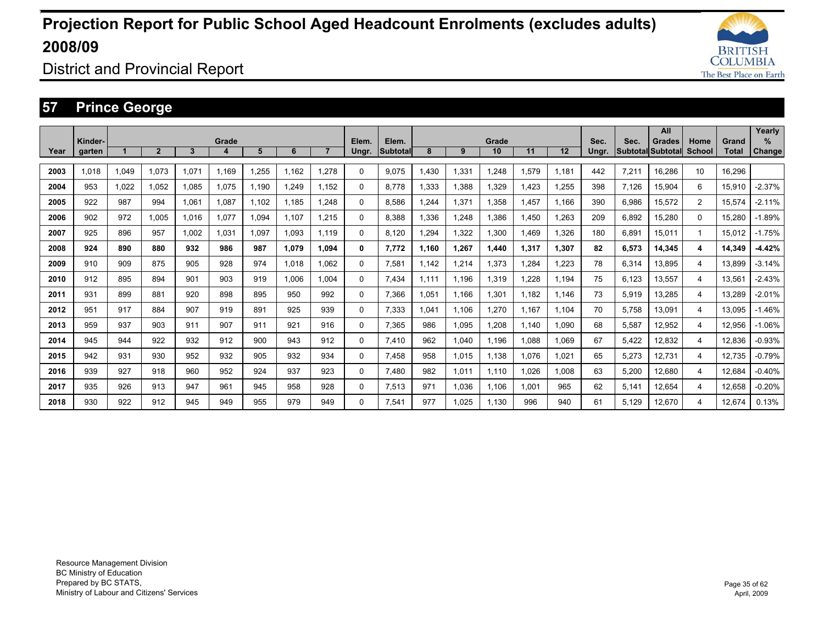![](_page_34_Picture_1.jpeg)

District and Provincial Report

### **57 Prince George**

|      |                   |       |                |       |            |       |       |                |                |                   |       |       |             |       |       |               |       | All                                       |                |                | Yearly                |
|------|-------------------|-------|----------------|-------|------------|-------|-------|----------------|----------------|-------------------|-------|-------|-------------|-------|-------|---------------|-------|-------------------------------------------|----------------|----------------|-----------------------|
| Year | Kinder-<br>garten |       | $\overline{2}$ | 3     | Grade<br>4 | 5     | 6     | $\overline{7}$ | Elem.<br>Ungr. | Elem.<br>Subtotal | 8     | 9     | Grade<br>10 | 11    | 12    | Sec.<br>Ungr. | Sec.  | <b>Grades</b><br><b>Subtotal Subtotal</b> | Home<br>School | Grand<br>Total | $\%$<br><b>Change</b> |
|      |                   |       |                |       |            |       |       |                |                |                   |       |       |             |       |       |               |       |                                           |                |                |                       |
| 2003 | 1,018             | 1,049 | 1,073          | 1,071 | 1.169      | .255  | 1.162 | 1,278          | 0              | 9,075             | 1,430 | 1,331 | 1,248       | 1,579 | 1.181 | 442           | 7,211 | 16,286                                    | 10             | 16,296         |                       |
| 2004 | 953               | 1,022 | 1.052          | 1,085 | 1,075      | 1,190 | 1.249 | 1.152          | 0              | 8.778             | 1,333 | 1,388 | 1,329       | 1,423 | .255  | 398           | 7,126 | 15,904                                    | 6              | 15,910         | $-2.37%$              |
| 2005 | 922               | 987   | 994            | 1.061 | 1.087      | 1.102 | 1,185 | 1.248          | 0              | 8,586             | 1.244 | 1,371 | 1,358       | 1,457 | 1.166 | 390           | 6,986 | 15,572                                    | 2              | 15.574         | $-2.11%$              |
| 2006 | 902               | 972   | 1.005          | 1,016 | 1,077      | 1,094 | 1.107 | 1.215          | 0              | 8,388             | 1,336 | 1,248 | 1,386       | 1,450 | .263  | 209           | 6,892 | 15,280                                    | $\Omega$       | 15,280         | $-1.89%$              |
| 2007 | 925               | 896   | 957            | 1.002 | 1.031      | 1.097 | 1.093 | 1.119          | 0              | 8.120             | .294  | 1,322 | 1,300       | 1.469 | 1.326 | 180           | 6.891 | 15.011                                    |                | 15.012         | $-1.75%$              |
| 2008 | 924               | 890   | 880            | 932   | 986        | 987   | 1.079 | 1.094          | 0              | 7.772             | 1.160 | 1.267 | 1.440       | 1,317 | 1.307 | 82            | 6,573 | 14.345                                    | 4              | 14,349         | $-4.42%$              |
| 2009 | 910               | 909   | 875            | 905   | 928        | 974   | 1.018 | 1.062          | 0              | 7.581             | 1.142 | 1.214 | 1.373       | 1.284 | .223  | 78            | 6.314 | 13.895                                    | 4              | 13.899         | $-3.14%$              |
| 2010 | 912               | 895   | 894            | 901   | 903        | 919   | 1.006 | 1.004          | 0              | 7.434             | 1.111 | 1.196 | 1.319       | .228  | 1.194 | 75            | 6,123 | 13.557                                    | 4              | 13,561         | $-2.43%$              |
| 2011 | 931               | 899   | 881            | 920   | 898        | 895   | 950   | 992            | 0              | 7.366             | 1.051 | 1.166 | 1.301       | 1.182 | 1.146 | 73            | 5,919 | 13.285                                    | 4              | 13.289         | $-2.01%$              |
| 2012 | 951               | 917   | 884            | 907   | 919        | 891   | 925   | 939            | 0              | 7.333             | 1.041 | 1.106 | 1.270       | 1.167 | 1.104 | 70            | 5.758 | 13.091                                    | 4              | 13.095         | $-1.46%$              |
| 2013 | 959               | 937   | 903            | 911   | 907        | 911   | 921   | 916            | 0              | 7.365             | 986   | 1,095 | 1.208       | 1.140 | 1.090 | 68            | 5,587 | 12,952                                    | 4              | 12.956         | $-1.06%$              |
| 2014 | 945               | 944   | 922            | 932   | 912        | 900   | 943   | 912            | 0              | 7.410             | 962   | 1.040 | 1.196       | 1.088 | 1,069 | 67            | 5.422 | 12,832                                    | 4              | 12.836         | $-0.93%$              |
| 2015 | 942               | 931   | 930            | 952   | 932        | 905   | 932   | 934            | 0              | 7.458             | 958   | 1,015 | 1.138       | 1,076 | 1.021 | 65            | 5,273 | 12,731                                    | 4              | 12.735         | $-0.79%$              |
| 2016 | 939               | 927   | 918            | 960   | 952        | 924   | 937   | 923            | 0              | 7,480             | 982   | 1,011 | 1.110       | 1,026 | 1,008 | 63            | 5,200 | 12,680                                    | 4              | 12,684         | $-0.40%$              |
| 2017 | 935               | 926   | 913            | 947   | 961        | 945   | 958   | 928            | 0              | 7.513             | 971   | 1.036 | 1.106       | 1.001 | 965   | 62            | 5.141 | 12.654                                    | 4              | 12.658         | $-0.20%$              |
| 2018 | 930               | 922   | 912            | 945   | 949        | 955   | 979   | 949            | 0              | 7.541             | 977   | 1.025 | 1.130       | 996   | 940   | 61            | 5.129 | 12.670                                    | 4              | 12.674         | 0.13%                 |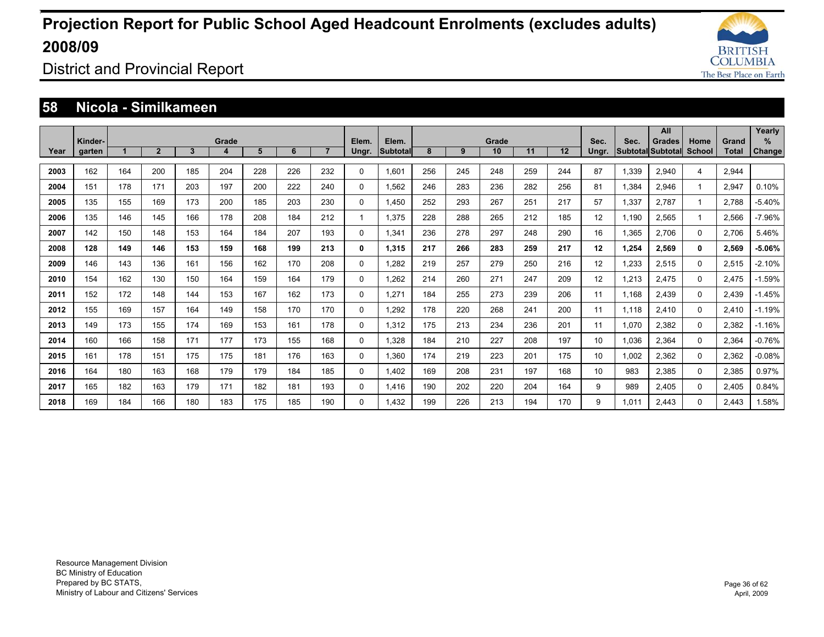![](_page_35_Picture_1.jpeg)

District and Provincial Report

#### **58 Nicola - Similkameen**

|      |                   |     |              |              |            |     |     |                |                |                          |     |     |             |     |     |               |       | All                                       |                |                | Yearly             |
|------|-------------------|-----|--------------|--------------|------------|-----|-----|----------------|----------------|--------------------------|-----|-----|-------------|-----|-----|---------------|-------|-------------------------------------------|----------------|----------------|--------------------|
| Year | Kinder-<br>garten |     | $\mathbf{2}$ | $\mathbf{3}$ | Grade<br>4 | 5   | 6   | $\overline{7}$ | Elem.<br>Ungr. | Elem.<br><b>Subtotal</b> | 8   | 9   | Grade<br>10 | 11  | 12  | Sec.<br>Ungr. | Sec.  | <b>Grades</b><br><b>Subtotal Subtotal</b> | Home<br>School | Grand<br>Total | %<br><b>Change</b> |
|      |                   |     |              |              |            |     |     |                |                |                          |     |     |             |     |     |               |       |                                           |                |                |                    |
| 2003 | 162               | 164 | 200          | 185          | 204        | 228 | 226 | 232            | $\Omega$       | 1.601                    | 256 | 245 | 248         | 259 | 244 | 87            | 1.339 | 2,940                                     | 4              | 2.944          |                    |
| 2004 | 151               | 178 | 171          | 203          | 197        | 200 | 222 | 240            | $\Omega$       | 1.562                    | 246 | 283 | 236         | 282 | 256 | 81            | 1.384 | 2.946                                     |                | 2.947          | 0.10%              |
| 2005 | 135               | 155 | 169          | 173          | 200        | 185 | 203 | 230            | $\Omega$       | 1.450                    | 252 | 293 | 267         | 251 | 217 | 57            | 1.337 | 2.787                                     |                | 2.788          | $-5.40%$           |
| 2006 | 135               | 146 | 145          | 166          | 178        | 208 | 184 | 212            |                | 1.375                    | 228 | 288 | 265         | 212 | 185 | 12            | 1.190 | 2.565                                     |                | 2.566          | $-7.96%$           |
| 2007 | 142               | 150 | 148          | 153          | 164        | 184 | 207 | 193            | $\Omega$       | 1,341                    | 236 | 278 | 297         | 248 | 290 | 16            | 1,365 | 2.706                                     | $\Omega$       | 2,706          | 5.46%              |
| 2008 | 128               | 149 | 146          | 153          | 159        | 168 | 199 | 213            | 0              | 1,315                    | 217 | 266 | 283         | 259 | 217 | 12            | 1,254 | 2,569                                     | $\mathbf{0}$   | 2,569          | $-5.06%$           |
| 2009 | 146               | 143 | 136          | 161          | 156        | 162 | 170 | 208            | 0              | 1,282                    | 219 | 257 | 279         | 250 | 216 | 12            | 1,233 | 2,515                                     | 0              | 2,515          | $-2.10%$           |
| 2010 | 154               | 162 | 130          | 150          | 164        | 159 | 164 | 179            | $\Omega$       | 1,262                    | 214 | 260 | 271         | 247 | 209 | 12            | 1,213 | 2.475                                     | $\Omega$       | 2.475          | $-1.59%$           |
| 2011 | 152               | 172 | 148          | 144          | 153        | 167 | 162 | 173            | $\Omega$       | 1,271                    | 184 | 255 | 273         | 239 | 206 | 11            | 1,168 | 2.439                                     | 0              | 2,439          | $-1.45%$           |
| 2012 | 155               | 169 | 157          | 164          | 149        | 158 | 170 | 170            | 0              | 1,292                    | 178 | 220 | 268         | 241 | 200 | 11            | 1,118 | 2.410                                     | 0              | 2.410          | $-1.19%$           |
| 2013 | 149               | 173 | 155          | 174          | 169        | 153 | 161 | 178            | 0              | 1.312                    | 175 | 213 | 234         | 236 | 201 | 11            | 1,070 | 2.382                                     | 0              | 2,382          | $-1.16%$           |
| 2014 | 160               | 166 | 158          | 171          | 177        | 173 | 155 | 168            | 0              | 1,328                    | 184 | 210 | 227         | 208 | 197 | 10            | 1,036 | 2,364                                     | 0              | 2,364          | $-0.76%$           |
| 2015 | 161               | 178 | 151          | 175          | 175        | 181 | 176 | 163            | $\mathbf 0$    | 1.360                    | 174 | 219 | 223         | 201 | 175 | 10            | 1,002 | 2,362                                     | 0              | 2,362          | $-0.08%$           |
| 2016 | 164               | 180 | 163          | 168          | 179        | 179 | 184 | 185            | 0              | 1.402                    | 169 | 208 | 231         | 197 | 168 | 10            | 983   | 2.385                                     | 0              | 2,385          | 0.97%              |
| 2017 | 165               | 182 | 163          | 179          | 171        | 182 | 181 | 193            | $\Omega$       | 1,416                    | 190 | 202 | 220         | 204 | 164 | 9             | 989   | 2.405                                     | 0              | 2,405          | 0.84%              |
| 2018 | 169               | 184 | 166          | 180          | 183        | 175 | 185 | 190            | $\Omega$       | 1.432                    | 199 | 226 | 213         | 194 | 170 | 9             | 1.011 | 2.443                                     | $\Omega$       | 2.443          | 1.58%              |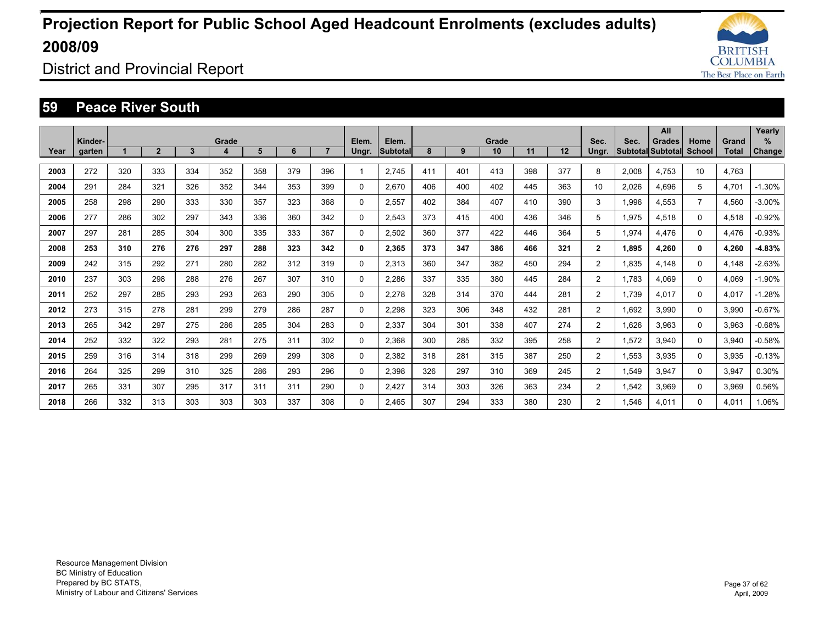![](_page_36_Picture_1.jpeg)

District and Provincial Report

#### **59 Peace River South**

|      |         |     |                |     |       |     |     |     |             |                 |     |     |       |     |     |                |       | All                      |                |       | Yearly        |
|------|---------|-----|----------------|-----|-------|-----|-----|-----|-------------|-----------------|-----|-----|-------|-----|-----|----------------|-------|--------------------------|----------------|-------|---------------|
|      | Kinder- |     |                |     | Grade |     |     |     | Elem.       | Elem.           |     |     | Grade |     |     | Sec.           | Sec.  | <b>Grades</b>            | Home           | Grand | %             |
| Year | garten  |     | $\overline{2}$ | 3   | 4     | 5   | 6   |     | Ungr.       | <b>Subtotal</b> | 8   | 9   | 10    | 11  | 12  | Ungr.          |       | <b>Subtotal Subtotal</b> | <b>School</b>  | Total | <b>Change</b> |
|      |         |     |                |     |       |     |     |     |             |                 |     |     |       |     |     |                |       |                          |                |       |               |
| 2003 | 272     | 320 | 333            | 334 | 352   | 358 | 379 | 396 |             | 2.745           | 411 | 401 | 413   | 398 | 377 | 8              | 2,008 | 4.753                    | 10             | 4,763 |               |
| 2004 | 291     | 284 | 321            | 326 | 352   | 344 | 353 | 399 | $\mathbf 0$ | 2.670           | 406 | 400 | 402   | 445 | 363 | 10             | 2,026 | 4.696                    | 5              | 4,701 | $-1.30%$      |
| 2005 | 258     | 298 | 290            | 333 | 330   | 357 | 323 | 368 | $\mathbf 0$ | 2,557           | 402 | 384 | 407   | 410 | 390 | 3              | 1,996 | 4.553                    | $\overline{7}$ | 4,560 | $-3.00%$      |
| 2006 | 277     | 286 | 302            | 297 | 343   | 336 | 360 | 342 | 0           | 2,543           | 373 | 415 | 400   | 436 | 346 | 5              | 1,975 | 4,518                    | 0              | 4,518 | $-0.92%$      |
| 2007 | 297     | 281 | 285            | 304 | 300   | 335 | 333 | 367 | $\mathbf 0$ | 2,502           | 360 | 377 | 422   | 446 | 364 | 5              | 1,974 | 4.476                    | 0              | 4.476 | $-0.93%$      |
| 2008 | 253     | 310 | 276            | 276 | 297   | 288 | 323 | 342 | 0           | 2,365           | 373 | 347 | 386   | 466 | 321 | $\overline{2}$ | 1.895 | 4.260                    | 0              | 4,260 | $-4.83%$      |
| 2009 | 242     | 315 | 292            | 271 | 280   | 282 | 312 | 319 | 0           | 2,313           | 360 | 347 | 382   | 450 | 294 | $\overline{2}$ | 1,835 | 4.148                    | $\Omega$       | 4,148 | $-2.63%$      |
| 2010 | 237     | 303 | 298            | 288 | 276   | 267 | 307 | 310 | $\mathbf 0$ | 2,286           | 337 | 335 | 380   | 445 | 284 | $\overline{2}$ | 1,783 | 4,069                    | $\Omega$       | 4,069 | $-1.90%$      |
| 2011 | 252     | 297 | 285            | 293 | 293   | 263 | 290 | 305 | $\mathbf 0$ | 2,278           | 328 | 314 | 370   | 444 | 281 | $\overline{2}$ | 1,739 | 4,017                    | $\Omega$       | 4,017 | $-1.28%$      |
| 2012 | 273     | 315 | 278            | 281 | 299   | 279 | 286 | 287 | 0           | 2,298           | 323 | 306 | 348   | 432 | 281 | $\overline{2}$ | 1,692 | 3,990                    | $\Omega$       | 3,990 | $-0.67%$      |
| 2013 | 265     | 342 | 297            | 275 | 286   | 285 | 304 | 283 | $\Omega$    | 2,337           | 304 | 301 | 338   | 407 | 274 | $\overline{2}$ | 1,626 | 3,963                    | $\Omega$       | 3,963 | $-0.68%$      |
| 2014 | 252     | 332 | 322            | 293 | 281   | 275 | 311 | 302 | $\Omega$    | 2,368           | 300 | 285 | 332   | 395 | 258 | $\overline{2}$ | 1,572 | 3,940                    | $\Omega$       | 3,940 | $-0.58%$      |
| 2015 | 259     | 316 | 314            | 318 | 299   | 269 | 299 | 308 | 0           | 2,382           | 318 | 281 | 315   | 387 | 250 | $\overline{2}$ | 1,553 | 3.935                    | 0              | 3,935 | $-0.13%$      |
| 2016 | 264     | 325 | 299            | 310 | 325   | 286 | 293 | 296 | 0           | 2,398           | 326 | 297 | 310   | 369 | 245 | $\overline{2}$ | 1,549 | 3,947                    | $\Omega$       | 3,947 | 0.30%         |
| 2017 | 265     | 331 | 307            | 295 | 317   | 311 | 311 | 290 | $\Omega$    | 2,427           | 314 | 303 | 326   | 363 | 234 | $\overline{2}$ | 1,542 | 3,969                    | $\Omega$       | 3,969 | 0.56%         |
| 2018 | 266     | 332 | 313            | 303 | 303   | 303 | 337 | 308 | $\Omega$    | 2.465           | 307 | 294 | 333   | 380 | 230 | $\overline{2}$ | .546  | 4.011                    | $\Omega$       | 4.011 | 1.06%         |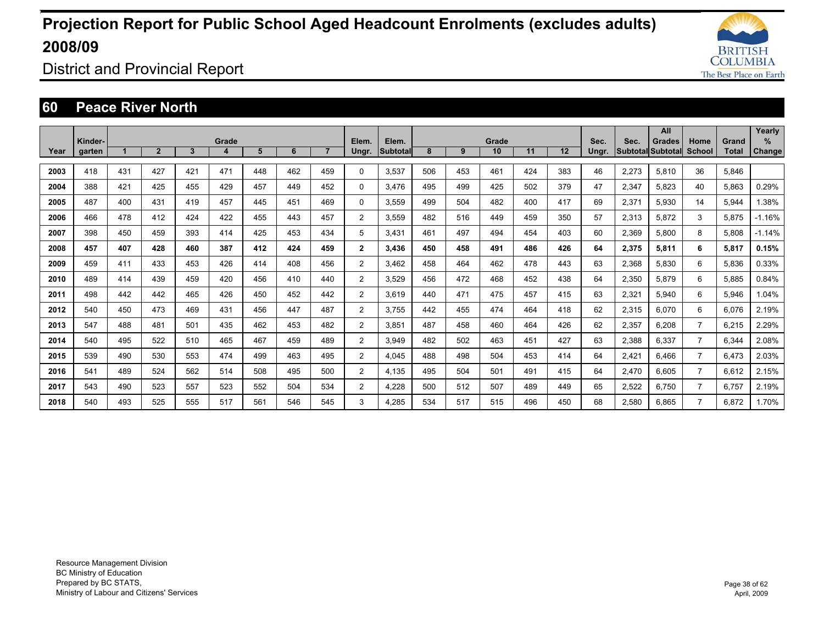![](_page_37_Picture_1.jpeg)

District and Provincial Report

#### **60 Peace River North**

|      |                   |     |                |              |            |     |     |                |                |                          |     |     |             |     |     |               |       | All                                       |                |                | Yearly             |
|------|-------------------|-----|----------------|--------------|------------|-----|-----|----------------|----------------|--------------------------|-----|-----|-------------|-----|-----|---------------|-------|-------------------------------------------|----------------|----------------|--------------------|
| Year | Kinder-<br>garten |     | $\overline{2}$ | $\mathbf{3}$ | Grade<br>4 | 5   | 6   | 7 <sup>2</sup> | Elem.<br>Ungr. | Elem.<br><b>Subtotal</b> | 8   | 9   | Grade<br>10 | 11  | 12  | Sec.<br>Ungr. | Sec.  | <b>Grades</b><br><b>Subtotal Subtotal</b> | Home<br>School | Grand<br>Total | %<br><b>Change</b> |
|      |                   |     |                |              |            |     |     |                |                |                          |     |     |             |     |     |               |       |                                           |                |                |                    |
| 2003 | 418               | 431 | 427            | 421          | 471        | 448 | 462 | 459            | $\Omega$       | 3.537                    | 506 | 453 | 461         | 424 | 383 | 46            | 2.273 | 5.810                                     | 36             | 5.846          |                    |
| 2004 | 388               | 421 | 425            | 455          | 429        | 457 | 449 | 452            | $\Omega$       | 3.476                    | 495 | 499 | 425         | 502 | 379 | 47            | 2.347 | 5.823                                     | 40             | 5.863          | 0.29%              |
| 2005 | 487               | 400 | 431            | 419          | 457        | 445 | 451 | 469            | $\Omega$       | 3.559                    | 499 | 504 | 482         | 400 | 417 | 69            | 2.371 | 5.930                                     | 14             | 5.944          | 1.38%              |
| 2006 | 466               | 478 | 412            | 424          | 422        | 455 | 443 | 457            | $\overline{2}$ | 3.559                    | 482 | 516 | 449         | 459 | 350 | 57            | 2.313 | 5.872                                     | 3              | 5.875          | $-1.16%$           |
| 2007 | 398               | 450 | 459            | 393          | 414        | 425 | 453 | 434            | 5              | 3.431                    | 461 | 497 | 494         | 454 | 403 | 60            | 2,369 | 5.800                                     | 8              | 5,808          | $-1.14%$           |
| 2008 | 457               | 407 | 428            | 460          | 387        | 412 | 424 | 459            | $\overline{2}$ | 3.436                    | 450 | 458 | 491         | 486 | 426 | 64            | 2,375 | 5,811                                     | 6              | 5,817          | 0.15%              |
| 2009 | 459               | 411 | 433            | 453          | 426        | 414 | 408 | 456            | $\overline{2}$ | 3.462                    | 458 | 464 | 462         | 478 | 443 | 63            | 2,368 | 5.830                                     | 6              | 5,836          | 0.33%              |
| 2010 | 489               | 414 | 439            | 459          | 420        | 456 | 410 | 440            | $\overline{2}$ | 3.529                    | 456 | 472 | 468         | 452 | 438 | 64            | 2,350 | 5.879                                     | 6              | 5,885          | 0.84%              |
| 2011 | 498               | 442 | 442            | 465          | 426        | 450 | 452 | 442            | $\overline{2}$ | 3,619                    | 440 | 471 | 475         | 457 | 415 | 63            | 2,321 | 5.940                                     | 6              | 5,946          | 1.04%              |
| 2012 | 540               | 450 | 473            | 469          | 431        | 456 | 447 | 487            | $\overline{2}$ | 3.755                    | 442 | 455 | 474         | 464 | 418 | 62            | 2,315 | 6.070                                     | 6              | 6.076          | 2.19%              |
| 2013 | 547               | 488 | 481            | 501          | 435        | 462 | 453 | 482            | $\overline{2}$ | 3.851                    | 487 | 458 | 460         | 464 | 426 | 62            | 2,357 | 6.208                                     | $\overline{7}$ | 6,215          | 2.29%              |
| 2014 | 540               | 495 | 522            | 510          | 465        | 467 | 459 | 489            | 2              | 3.949                    | 482 | 502 | 463         | 451 | 427 | 63            | 2,388 | 6.337                                     | 7              | 6,344          | 2.08%              |
| 2015 | 539               | 490 | 530            | 553          | 474        | 499 | 463 | 495            | $\overline{2}$ | 4.045                    | 488 | 498 | 504         | 453 | 414 | 64            | 2,421 | 6.466                                     | 7              | 6.473          | 2.03%              |
| 2016 | 541               | 489 | 524            | 562          | 514        | 508 | 495 | 500            | $\overline{2}$ | 4.135                    | 495 | 504 | 501         | 491 | 415 | 64            | 2,470 | 6.605                                     | $\overline{7}$ | 6.612          | 2.15%              |
| 2017 | 543               | 490 | 523            | 557          | 523        | 552 | 504 | 534            | $\overline{2}$ | 4,228                    | 500 | 512 | 507         | 489 | 449 | 65            | 2,522 | 6.750                                     | $\overline{7}$ | 6,757          | 2.19%              |
| 2018 | 540               | 493 | 525            | 555          | 517        | 561 | 546 | 545            | 3              | 4.285                    | 534 | 517 | 515         | 496 | 450 | 68            | 2,580 | 6.865                                     | $\overline{7}$ | 6.872          | 1.70%              |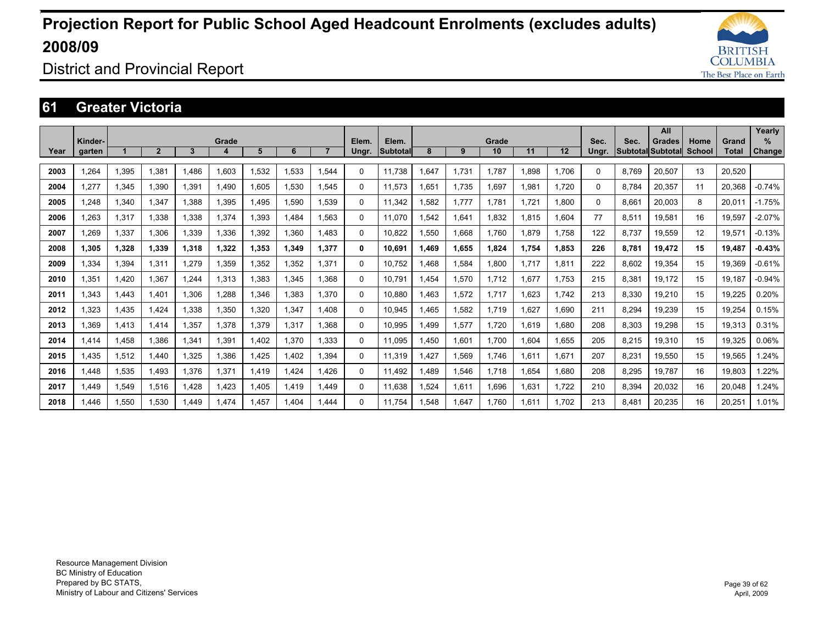![](_page_38_Picture_1.jpeg)

District and Provincial Report

### **61 Greater Victoria**

|      |         |       |                |       |       |       |       |                |              |                 |      |       |             |       |       |       |       | All               |        |        | Yearly        |
|------|---------|-------|----------------|-------|-------|-------|-------|----------------|--------------|-----------------|------|-------|-------------|-------|-------|-------|-------|-------------------|--------|--------|---------------|
|      | Kinder- |       | $\overline{2}$ | 3     | Grade | 5     | 6     | $\overline{7}$ | Elem.        | Elem.           | 8    | 9     | Grade<br>10 | 11    | 12    | Sec.  | Sec.  | <b>Grades</b>     | Home   | Grand  | $\%$          |
| Year | garten  |       |                |       | 4     |       |       |                | Ungr.        | <b>Subtotal</b> |      |       |             |       |       | Ungr. |       | Subtotal Subtotal | School | Total  | <b>Change</b> |
| 2003 | 1,264   | 1,395 | 1.381          | 1.486 | 1.603 | .532  | 1,533 | 1.544          | $\Omega$     | 11.738          | .647 | 1.731 | 1.787       | 1.898 | 1.706 | 0     | 8.769 | 20,507            | 13     | 20.520 |               |
| 2004 | 1,277   | 1,345 | 1,390          | 1,391 | 1.490 | .605  | 1,530 | 1.545          | 0            | 11.573          | .651 | 1.735 | 1,697       | 1.981 | 1.720 | 0     | 8.784 | 20,357            | 11     | 20.368 | $-0.74%$      |
| 2005 | 1.248   | 1,340 | 1.347          | 1.388 | 1.395 | .495  | 1.590 | 1.539          | $\Omega$     | 11.342          | .582 | 1.777 | 1,781       | 1.721 | 1.800 | 0     | 8.661 | 20.003            | 8      | 20.011 | $-1.75%$      |
| 2006 | 1.263   | 1,317 | 1.338          | 1.338 | 1.374 | .393  | 1.484 | 1.563          | $\Omega$     | 11.070          | .542 | 1,641 | 1.832       | 1.815 | 1.604 | 77    | 8,511 | 19.581            | 16     | 19.597 | $-2.07%$      |
| 2007 | 1,269   | 1,337 | 1.306          | 1.339 | 1.336 | .392  | 1.360 | 1.483          | 0            | 10.822          | .550 | 1,668 | 1.760       | 1.879 | 1.758 | 122   | 8.737 | 19,559            | 12     | 19,571 | $-0.13%$      |
| 2008 | 1.305   | 1,328 | 1.339          | 1.318 | 1.322 | 1.353 | 1.349 | 1.377          | $\mathbf{0}$ | 10.691          | .469 | 1,655 | 1.824       | 1.754 | 1.853 | 226   | 8.781 | 19.472            | 15     | 19.487 | $-0.43%$      |
| 2009 | 1,334   | 1,394 | 1,311          | 1.279 | 1,359 | .352  | 1,352 | 1,371          | $\Omega$     | 10.752          | .468 | 1,584 | 1,800       | 1.717 | 1,811 | 222   | 8,602 | 19,354            | 15     | 19,369 | $-0.61%$      |
| 2010 | 1,351   | 1,420 | 1.367          | 1.244 | 1,313 | ,383  | 1,345 | 1.368          | $\Omega$     | 10.791          | .454 | 1,570 | 1,712       | .677  | 1.753 | 215   | 8,381 | 19.172            | 15     | 19.187 | $-0.94%$      |
| 2011 | 1.343   | 1,443 | 1.401          | 1.306 | 1.288 | .346  | 1.383 | 1.370          | 0            | 10.880          | .463 | 1,572 | 1.717       | .623  | 1.742 | 213   | 8,330 | 19,210            | 15     | 19,225 | 0.20%         |
| 2012 | 1,323   | 1,435 | 1.424          | 1,338 | 1,350 | ,320  | 1,347 | 1.408          | $\Omega$     | 10.945          | .465 | 1,582 | 1,719       | .627  | 1,690 | 211   | 8,294 | 19,239            | 15     | 19,254 | 0.15%         |
| 2013 | 1,369   | 1,413 | 1.414          | 1,357 | 1,378 | .379  | 1,317 | 1.368          | $\Omega$     | 10,995          | .499 | 1,577 | 1,720       | 1,619 | 1,680 | 208   | 8,303 | 19,298            | 15     | 19,313 | 0.31%         |
| 2014 | 1.414   | 1.458 | 1.386          | 1,341 | 1,391 | .402  | 1,370 | 1.333          | $\Omega$     | 11.095          | ,450 | 1,601 | 1.700       | 1.604 | 1.655 | 205   | 8,215 | 19,310            | 15     | 19,325 | 0.06%         |
| 2015 | 1,435   | 1,512 | 1,440          | 1,325 | 1,386 | ,425  | 1,402 | 1,394          | $\Omega$     | 11,319          | ,427 | 1,569 | 1,746       | 1,611 | 1,671 | 207   | 8,231 | 19,550            | 15     | 19,565 | 1.24%         |
| 2016 | 1,448   | 1,535 | 1,493          | 1,376 | 1,371 | ,419  | 1,424 | 1.426          | $\Omega$     | 11.492          | .489 | 1,546 | 1,718       | 1,654 | 1,680 | 208   | 8,295 | 19,787            | 16     | 19,803 | 1.22%         |
| 2017 | 1.449   | 1,549 | 1,516          | 1.428 | 1.423 | .405  | 1.419 | 1.449          | $\Omega$     | 11,638          | .524 | 1,611 | 1,696       | 1,631 | 1.722 | 210   | 8,394 | 20,032            | 16     | 20,048 | 1.24%         |
| 2018 | 1.446   | 1.550 | 1.530          | .449  | 1.474 | .457  | 1.404 | 1.444          | $\Omega$     | 11.754          | .548 | 1.647 | 1.760       | 1.611 | 1.702 | 213   | 8.481 | 20.235            | 16     | 20.251 | 1.01%         |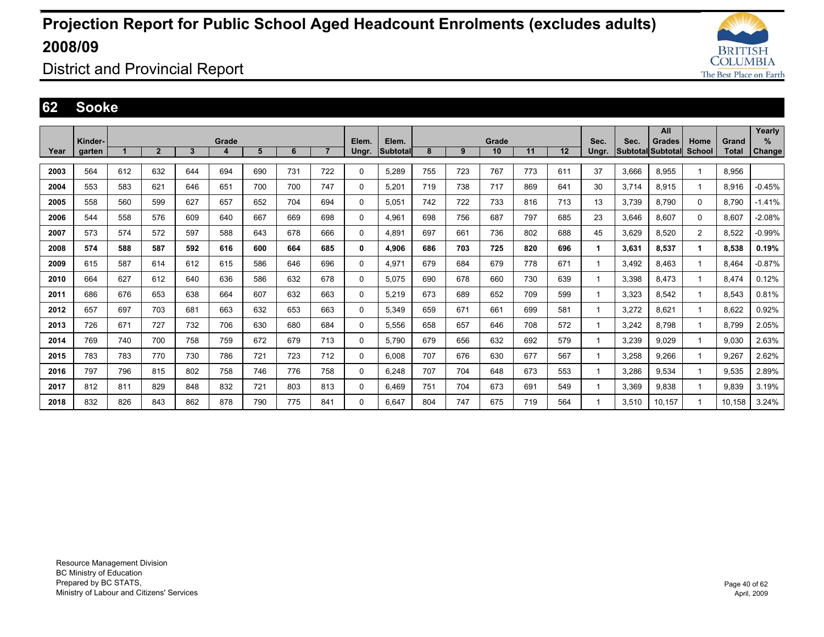![](_page_39_Picture_1.jpeg)

District and Provincial Report

### **62 Sooke**

|      |         |     |                |     |       |     |     |                |             |          |     |     |       |     |     |              |                          | All    |        |              | Yearly        |
|------|---------|-----|----------------|-----|-------|-----|-----|----------------|-------------|----------|-----|-----|-------|-----|-----|--------------|--------------------------|--------|--------|--------------|---------------|
|      | Kinder- |     |                |     | Grade |     |     |                | Elem.       | Elem.    |     |     | Grade |     |     | Sec.         | Sec.                     | Grades | Home   | Grand        | $\%$          |
| Year | garten  |     | $\overline{2}$ | 3   | 4     | 5   | 6   | $\overline{7}$ | Ungr.       | Subtotal | 8   | 9   | 10    | 11  | 12  | Ungr.        | <b>Subtotal Subtotal</b> |        | School | <b>Total</b> | <b>Change</b> |
| 2003 | 564     | 612 | 632            | 644 | 694   | 690 | 731 | 722            | $\Omega$    | 5,289    | 755 | 723 | 767   | 773 | 611 | 37           | 3,666                    | 8,955  | 1      | 8,956        |               |
| 2004 | 553     | 583 | 621            | 646 | 651   | 700 | 700 | 747            | $\Omega$    | 5,201    | 719 | 738 | 717   | 869 | 641 | 30           | 3,714                    | 8,915  | 1      | 8,916        | $-0.45%$      |
| 2005 | 558     | 560 | 599            | 627 | 657   | 652 | 704 | 694            | 0           | 5,051    | 742 | 722 | 733   | 816 | 713 | 13           | 3,739                    | 8,790  | 0      | 8.790        | $-1.41%$      |
| 2006 | 544     | 558 | 576            | 609 | 640   | 667 | 669 | 698            | $\mathbf 0$ | 4,961    | 698 | 756 | 687   | 797 | 685 | 23           | 3,646                    | 8,607  | 0      | 8,607        | $-2.08%$      |
| 2007 | 573     | 574 | 572            | 597 | 588   | 643 | 678 | 666            | $\mathbf 0$ | 4.891    | 697 | 661 | 736   | 802 | 688 | 45           | 3,629                    | 8,520  | 2      | 8,522        | $-0.99%$      |
| 2008 | 574     | 588 | 587            | 592 | 616   | 600 | 664 | 685            | 0           | 4,906    | 686 | 703 | 725   | 820 | 696 | $\mathbf{1}$ | 3,631                    | 8,537  | 1      | 8,538        | 0.19%         |
| 2009 | 615     | 587 | 614            | 612 | 615   | 586 | 646 | 696            | $\mathbf 0$ | 4,971    | 679 | 684 | 679   | 778 | 671 | $\mathbf{1}$ | 3.492                    | 8.463  | 1      | 8.464        | $-0.87%$      |
| 2010 | 664     | 627 | 612            | 640 | 636   | 586 | 632 | 678            | $\mathbf 0$ | 5,075    | 690 | 678 | 660   | 730 | 639 | $\mathbf 1$  | 3,398                    | 8,473  | 1      | 8.474        | 0.12%         |
| 2011 | 686     | 676 | 653            | 638 | 664   | 607 | 632 | 663            | 0           | 5,219    | 673 | 689 | 652   | 709 | 599 |              | 3,323                    | 8.542  | 1      | 8.543        | 0.81%         |
| 2012 | 657     | 697 | 703            | 681 | 663   | 632 | 653 | 663            | 0           | 5,349    | 659 | 671 | 661   | 699 | 581 | $\mathbf{1}$ | 3,272                    | 8,621  | 1      | 8.622        | 0.92%         |
| 2013 | 726     | 671 | 727            | 732 | 706   | 630 | 680 | 684            | $\Omega$    | 5,556    | 658 | 657 | 646   | 708 | 572 | $\mathbf 1$  | 3,242                    | 8.798  | 1      | 8.799        | 2.05%         |
| 2014 | 769     | 740 | 700            | 758 | 759   | 672 | 679 | 713            | 0           | 5,790    | 679 | 656 | 632   | 692 | 579 | -1           | 3,239                    | 9.029  | 1      | 9.030        | 2.63%         |
| 2015 | 783     | 783 | 770            | 730 | 786   | 721 | 723 | 712            | $\mathbf 0$ | 6.008    | 707 | 676 | 630   | 677 | 567 | -1           | 3.258                    | 9.266  | 1      | 9.267        | 2.62%         |
| 2016 | 797     | 796 | 815            | 802 | 758   | 746 | 776 | 758            | 0           | 6,248    | 707 | 704 | 648   | 673 | 553 | $\mathbf{1}$ | 3,286                    | 9,534  | 1      | 9,535        | 2.89%         |
| 2017 | 812     | 811 | 829            | 848 | 832   | 721 | 803 | 813            | $\Omega$    | 6.469    | 751 | 704 | 673   | 691 | 549 | $\mathbf 1$  | 3,369                    | 9,838  | 1      | 9.839        | 3.19%         |
| 2018 | 832     | 826 | 843            | 862 | 878   | 790 | 775 | 841            | $\Omega$    | 6.647    | 804 | 747 | 675   | 719 | 564 | $\mathbf 1$  | 3,510                    | 10.157 | 1      | 10.158       | 3.24%         |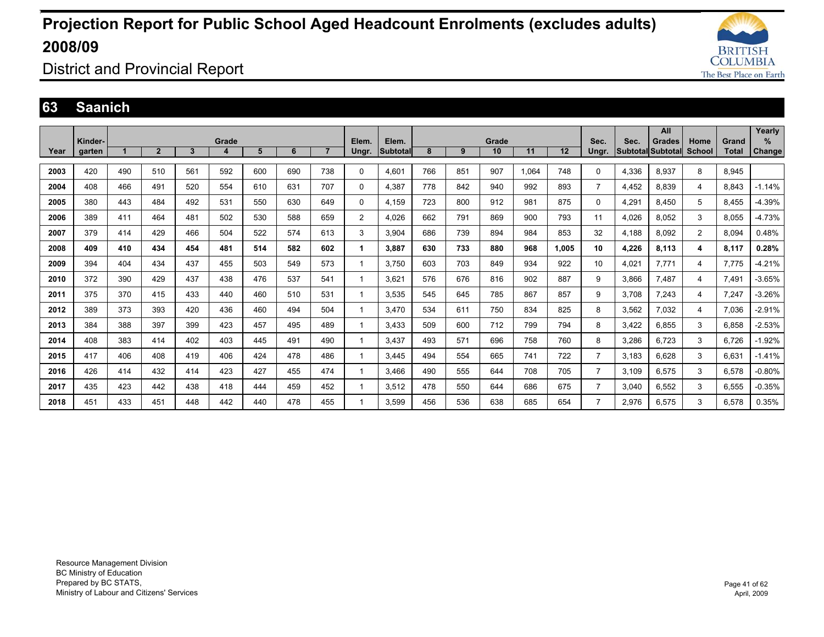![](_page_40_Picture_1.jpeg)

District and Provincial Report

#### **63 Saanich**

|      |         |     |                |     |       |     |     |                |                |          |     |     |       |       |       |                |       | All               |                |       | Yearly        |
|------|---------|-----|----------------|-----|-------|-----|-----|----------------|----------------|----------|-----|-----|-------|-------|-------|----------------|-------|-------------------|----------------|-------|---------------|
|      | Kinder- |     |                |     | Grade |     |     |                | Elem.          | Elem.    |     |     | Grade |       |       | Sec.           | Sec.  | Grades            | Home           | Grand | $\%$          |
| Year | garten  |     | $\overline{2}$ | 3   |       | 5   | 6   | $\overline{7}$ | Ungr.          | Subtotal | 8   | 9   | 10    | 11    | 12    | Ungr.          |       | Subtotal Subtotal | School         | Total | <b>Change</b> |
|      |         |     |                |     |       |     |     |                |                |          |     |     |       |       |       |                |       |                   |                |       |               |
| 2003 | 420     | 490 | 510            | 561 | 592   | 600 | 690 | 738            | 0              | 4,601    | 766 | 851 | 907   | 1,064 | 748   | $\Omega$       | 4,336 | 8,937             | 8              | 8,945 |               |
| 2004 | 408     | 466 | 491            | 520 | 554   | 610 | 631 | 707            | 0              | 4,387    | 778 | 842 | 940   | 992   | 893   | $\overline{7}$ | 4,452 | 8,839             | 4              | 8.843 | $-1.14%$      |
| 2005 | 380     | 443 | 484            | 492 | 531   | 550 | 630 | 649            | 0              | 4,159    | 723 | 800 | 912   | 981   | 875   | 0              | 4,291 | 8.450             | 5              | 8,455 | -4.39%        |
| 2006 | 389     | 411 | 464            | 481 | 502   | 530 | 588 | 659            | $\overline{2}$ | 4.026    | 662 | 791 | 869   | 900   | 793   | 11             | 4,026 | 8.052             | 3              | 8.055 | $-4.73%$      |
| 2007 | 379     | 414 | 429            | 466 | 504   | 522 | 574 | 613            | 3              | 3.904    | 686 | 739 | 894   | 984   | 853   | 32             | 4,188 | 8.092             | $\overline{2}$ | 8.094 | 0.48%         |
| 2008 | 409     | 410 | 434            | 454 | 481   | 514 | 582 | 602            | 1              | 3.887    | 630 | 733 | 880   | 968   | 1.005 | 10             | 4,226 | 8,113             | 4              | 8,117 | 0.28%         |
| 2009 | 394     | 404 | 434            | 437 | 455   | 503 | 549 | 573            |                | 3.750    | 603 | 703 | 849   | 934   | 922   | 10             | 4,021 | 7,771             | 4              | 7,775 | $-4.21%$      |
| 2010 | 372     | 390 | 429            | 437 | 438   | 476 | 537 | 541            |                | 3.621    | 576 | 676 | 816   | 902   | 887   | 9              | 3,866 | 7,487             | 4              | 7.491 | $-3.65%$      |
| 2011 | 375     | 370 | 415            | 433 | 440   | 460 | 510 | 531            |                | 3,535    | 545 | 645 | 785   | 867   | 857   | 9              | 3,708 | 7,243             | 4              | 7,247 | $-3.26%$      |
| 2012 | 389     | 373 | 393            | 420 | 436   | 460 | 494 | 504            |                | 3.470    | 534 | 611 | 750   | 834   | 825   | 8              | 3,562 | 7,032             | 4              | 7.036 | $-2.91%$      |
| 2013 | 384     | 388 | 397            | 399 | 423   | 457 | 495 | 489            |                | 3.433    | 509 | 600 | 712   | 799   | 794   | 8              | 3.422 | 6.855             | 3              | 6.858 | $-2.53%$      |
| 2014 | 408     | 383 | 414            | 402 | 403   | 445 | 491 | 490            |                | 3.437    | 493 | 571 | 696   | 758   | 760   | 8              | 3,286 | 6.723             | 3              | 6.726 | $-1.92%$      |
| 2015 | 417     | 406 | 408            | 419 | 406   | 424 | 478 | 486            |                | 3.445    | 494 | 554 | 665   | 741   | 722   | $\overline{7}$ | 3.183 | 6.628             | 3              | 6.631 | $-1.41%$      |
| 2016 | 426     | 414 | 432            | 414 | 423   | 427 | 455 | 474            |                | 3.466    | 490 | 555 | 644   | 708   | 705   | $\overline{7}$ | 3.109 | 6,575             | 3              | 6,578 | $-0.80%$      |
| 2017 | 435     | 423 | 442            | 438 | 418   | 444 | 459 | 452            |                | 3,512    | 478 | 550 | 644   | 686   | 675   | $\overline{7}$ | 3,040 | 6,552             | 3              | 6,555 | $-0.35%$      |
| 2018 | 451     | 433 | 451            | 448 | 442   | 440 | 478 | 455            |                | 3.599    | 456 | 536 | 638   | 685   | 654   | $\overline{7}$ | 2,976 | 6.575             | 3              | 6.578 | 0.35%         |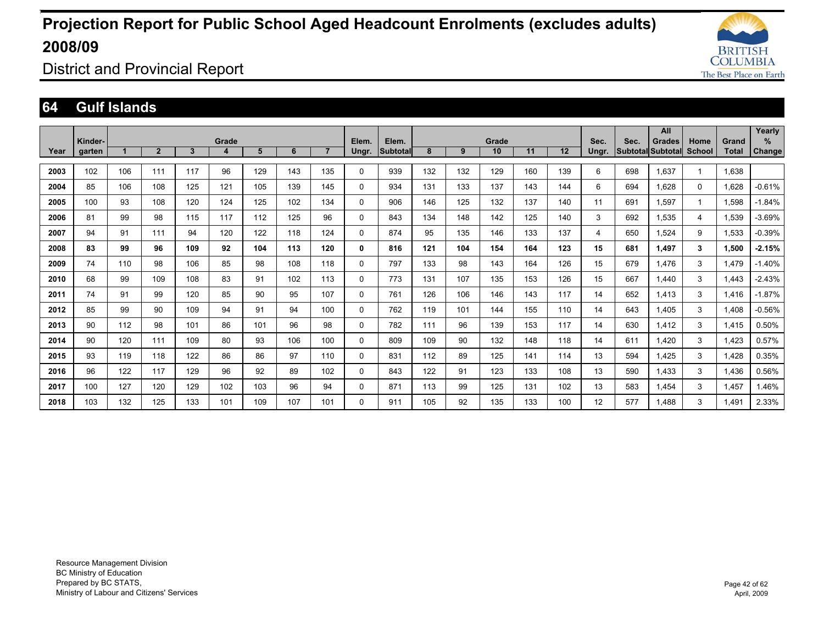![](_page_41_Picture_1.jpeg)

District and Provincial Report

#### **64 Gulf Islands**

|      |                   |     |                |     |            |     |     |                |                |                   |     |     |             |     |     |                 |                                  | All           |                |                       | Yearly             |
|------|-------------------|-----|----------------|-----|------------|-----|-----|----------------|----------------|-------------------|-----|-----|-------------|-----|-----|-----------------|----------------------------------|---------------|----------------|-----------------------|--------------------|
| Year | Kinder-<br>garten |     | $\overline{2}$ | 3   | Grade<br>4 | 5   | 6   | $\overline{7}$ | Elem.<br>Ungr. | Elem.<br>Subtotal | 8   | 9   | Grade<br>10 | 11  | 12  | Sec.<br>Ungr.   | Sec.<br><b>Subtotal Subtotal</b> | <b>Grades</b> | Home<br>School | Grand<br><b>Total</b> | %<br><b>Change</b> |
| 2003 | 102               | 106 | 111            | 117 | 96         | 129 | 143 | 135            | 0              | 939               | 132 | 132 | 129         | 160 | 139 | 6               | 698                              | 1,637         |                | 1,638                 |                    |
| 2004 | 85                | 106 | 108            | 125 | 121        | 105 | 139 | 145            | 0              | 934               | 131 | 133 | 137         | 143 | 144 | 6               | 694                              | 1.628         | $\Omega$       | 1.628                 | $-0.61%$           |
| 2005 | 100               | 93  | 108            | 120 | 124        | 125 | 102 | 134            | 0              | 906               | 146 | 125 | 132         | 137 | 140 | 11              | 691                              | 1.597         |                | 1,598                 | $-1.84%$           |
| 2006 | 81                | 99  | 98             | 115 | 117        | 112 | 125 | 96             | 0              | 843               | 134 | 148 | 142         | 125 | 140 | 3               | 692                              | 1,535         | 4              | 1,539                 | $-3.69%$           |
| 2007 | 94                | 91  | 111            | 94  | 120        | 122 | 118 | 124            | 0              | 874               | 95  | 135 | 146         | 133 | 137 | 4               | 650                              | 1.524         | 9              | 1,533                 | $-0.39%$           |
| 2008 | 83                | 99  | 96             | 109 | 92         | 104 | 113 | 120            | 0              | 816               | 121 | 104 | 154         | 164 | 123 | 15              | 681                              | 1.497         | 3              | 1.500                 | $-2.15%$           |
| 2009 | 74                | 110 | 98             | 106 | 85         | 98  | 108 | 118            | 0              | 797               | 133 | 98  | 143         | 164 | 126 | 15              | 679                              | 1.476         | 3              | 1.479                 | $-1.40%$           |
| 2010 | 68                | 99  | 109            | 108 | 83         | 91  | 102 | 113            | 0              | 773               | 131 | 107 | 135         | 153 | 126 | 15              | 667                              | 1.440         | 3              | 1.443                 | $-2.43%$           |
| 2011 | 74                | 91  | 99             | 120 | 85         | 90  | 95  | 107            | 0              | 761               | 126 | 106 | 146         | 143 | 117 | 14              | 652                              | 1.413         | 3              | 1.416                 | $-1.87%$           |
| 2012 | 85                | 99  | 90             | 109 | 94         | 91  | 94  | 100            | 0              | 762               | 119 | 101 | 144         | 155 | 110 | 14              | 643                              | 1.405         | 3              | 1.408                 | $-0.56%$           |
| 2013 | 90                | 112 | 98             | 101 | 86         | 101 | 96  | 98             | 0              | 782               | 111 | 96  | 139         | 153 | 117 | 14              | 630                              | 1.412         | 3              | 1.415                 | 0.50%              |
| 2014 | 90                | 120 | 111            | 109 | 80         | 93  | 106 | 100            | 0              | 809               | 109 | 90  | 132         | 148 | 118 | 14              | 611                              | 1.420         | 3              | 1.423                 | 0.57%              |
| 2015 | 93                | 119 | 118            | 122 | 86         | 86  | 97  | 110            | 0              | 831               | 112 | 89  | 125         | 141 | 114 | 13              | 594                              | 1.425         | 3              | 1,428                 | 0.35%              |
| 2016 | 96                | 122 | 117            | 129 | 96         | 92  | 89  | 102            | 0              | 843               | 122 | 91  | 123         | 133 | 108 | 13              | 590                              | 1.433         | 3              | 1,436                 | 0.56%              |
| 2017 | 100               | 127 | 120            | 129 | 102        | 103 | 96  | 94             | 0              | 871               | 113 | 99  | 125         | 131 | 102 | 13              | 583                              | 1.454         | 3              | 1.457                 | 1.46%              |
| 2018 | 103               | 132 | 125            | 133 | 101        | 109 | 107 | 101            | $\Omega$       | 911               | 105 | 92  | 135         | 133 | 100 | 12 <sup>2</sup> | 577                              | 1.488         | 3              | 1.491                 | 2.33%              |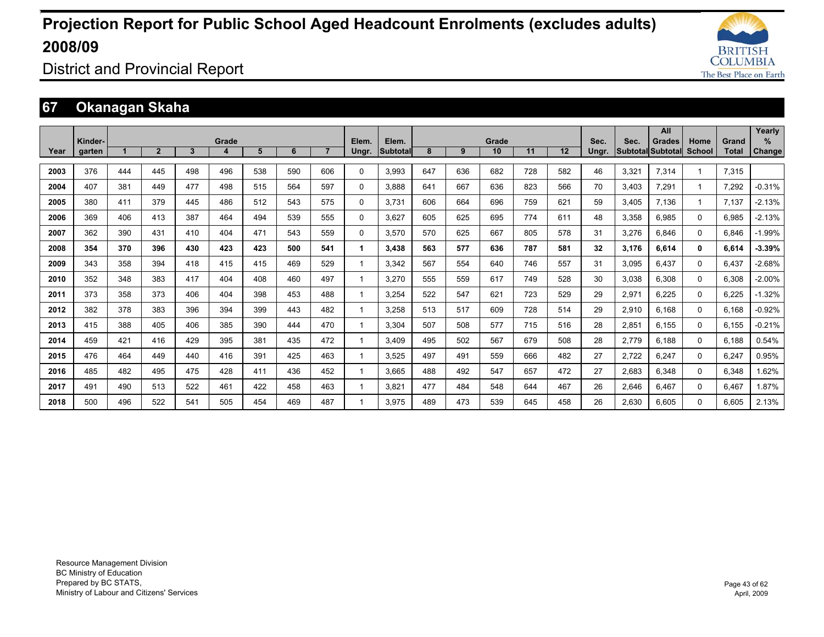![](_page_42_Picture_1.jpeg)

District and Provincial Report

### **67 Okanagan Skaha**

|      |                   |     |                |     |            |     |     |                |                |                          |     |     |             |     |     |               |       | All                                |                |                       | Yearly                |
|------|-------------------|-----|----------------|-----|------------|-----|-----|----------------|----------------|--------------------------|-----|-----|-------------|-----|-----|---------------|-------|------------------------------------|----------------|-----------------------|-----------------------|
| Year | Kinder-<br>garten |     | $\overline{2}$ | 3   | Grade<br>4 | 5   | 6   | $\overline{7}$ | Elem.<br>Ungr. | Elem.<br><b>Subtotal</b> | 8   | 9   | Grade<br>10 | 11  | 12  | Sec.<br>Ungr. | Sec.  | Grades<br><b>Subtotal Subtotal</b> | Home<br>School | Grand<br><b>Total</b> | $\%$<br><b>Change</b> |
|      |                   |     |                |     |            |     |     |                |                |                          |     |     |             |     |     |               |       |                                    |                |                       |                       |
| 2003 | 376               | 444 | 445            | 498 | 496        | 538 | 590 | 606            | 0              | 3,993                    | 647 | 636 | 682         | 728 | 582 | 46            | 3,321 | 7,314                              | 1              | 7,315                 |                       |
| 2004 | 407               | 381 | 449            | 477 | 498        | 515 | 564 | 597            | 0              | 3.888                    | 641 | 667 | 636         | 823 | 566 | 70            | 3.403 | 7,291                              | 1              | 7.292                 | $-0.31%$              |
| 2005 | 380               | 411 | 379            | 445 | 486        | 512 | 543 | 575            | 0              | 3.731                    | 606 | 664 | 696         | 759 | 621 | 59            | 3.405 | 7.136                              | 1              | 7.137                 | $-2.13%$              |
| 2006 | 369               | 406 | 413            | 387 | 464        | 494 | 539 | 555            | 0              | 3,627                    | 605 | 625 | 695         | 774 | 611 | 48            | 3,358 | 6,985                              | 0              | 6,985                 | $-2.13%$              |
| 2007 | 362               | 390 | 431            | 410 | 404        | 471 | 543 | 559            | 0              | 3.570                    | 570 | 625 | 667         | 805 | 578 | 31            | 3,276 | 6.846                              | 0              | 6.846                 | $-1.99%$              |
| 2008 | 354               | 370 | 396            | 430 | 423        | 423 | 500 | 541            | 1              | 3.438                    | 563 | 577 | 636         | 787 | 581 | 32            | 3.176 | 6.614                              | 0              | 6.614                 | $-3.39%$              |
| 2009 | 343               | 358 | 394            | 418 | 415        | 415 | 469 | 529            |                | 3.342                    | 567 | 554 | 640         | 746 | 557 | 31            | 3.095 | 6.437                              | 0              | 6.437                 | $-2.68%$              |
| 2010 | 352               | 348 | 383            | 417 | 404        | 408 | 460 | 497            |                | 3.270                    | 555 | 559 | 617         | 749 | 528 | 30            | 3.038 | 6.308                              | 0              | 6.308                 | $-2.00%$              |
| 2011 | 373               | 358 | 373            | 406 | 404        | 398 | 453 | 488            |                | 3.254                    | 522 | 547 | 621         | 723 | 529 | 29            | 2,971 | 6.225                              | 0              | 6.225                 | $-1.32%$              |
| 2012 | 382               | 378 | 383            | 396 | 394        | 399 | 443 | 482            |                | 3.258                    | 513 | 517 | 609         | 728 | 514 | 29            | 2.910 | 6.168                              | 0              | 6.168                 | $-0.92%$              |
| 2013 | 415               | 388 | 405            | 406 | 385        | 390 | 444 | 470            |                | 3.304                    | 507 | 508 | 577         | 715 | 516 | 28            | 2,851 | 6.155                              | 0              | 6.155                 | $-0.21%$              |
| 2014 | 459               | 421 | 416            | 429 | 395        | 381 | 435 | 472            |                | 3.409                    | 495 | 502 | 567         | 679 | 508 | 28            | 2.779 | 6.188                              | 0              | 6.188                 | 0.54%                 |
| 2015 | 476               | 464 | 449            | 440 | 416        | 391 | 425 | 463            |                | 3,525                    | 497 | 491 | 559         | 666 | 482 | 27            | 2,722 | 6,247                              | 0              | 6,247                 | 0.95%                 |
| 2016 | 485               | 482 | 495            | 475 | 428        | 411 | 436 | 452            |                | 3.665                    | 488 | 492 | 547         | 657 | 472 | 27            | 2,683 | 6,348                              | 0              | 6,348                 | 1.62%                 |
| 2017 | 491               | 490 | 513            | 522 | 461        | 422 | 458 | 463            |                | 3.821                    | 477 | 484 | 548         | 644 | 467 | 26            | 2.646 | 6.467                              | 0              | 6.467                 | 1.87%                 |
| 2018 | 500               | 496 | 522            | 541 | 505        | 454 | 469 | 487            |                | 3.975                    | 489 | 473 | 539         | 645 | 458 | 26            | 2,630 | 6.605                              | 0              | 6.605                 | 2.13%                 |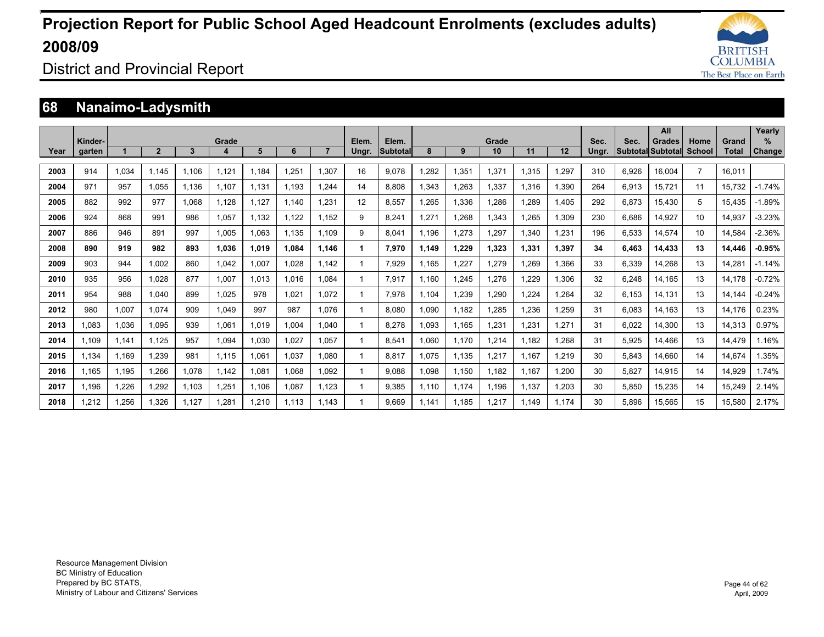![](_page_43_Picture_1.jpeg)

District and Provincial Report

### **68 Nanaimo-Ladysmith**

|      |         |       |                |       |            |       |       |                |       |                 |       |       |             |       |       |       |       | All                                       |                |                | Yearly        |
|------|---------|-------|----------------|-------|------------|-------|-------|----------------|-------|-----------------|-------|-------|-------------|-------|-------|-------|-------|-------------------------------------------|----------------|----------------|---------------|
| Year | Kinder- |       | $\overline{2}$ | 3     | Grade<br>4 | 5     | 6     | $\overline{7}$ | Elem. | Elem.           | 8     | 9     | Grade<br>10 | 11    | 12    | Sec.  | Sec.  | <b>Grades</b><br><b>Subtotal Subtotal</b> | Home<br>School | Grand<br>Total | %             |
|      | garten  |       |                |       |            |       |       |                | Ungr. | <b>Subtotal</b> |       |       |             |       |       | Ungr. |       |                                           |                |                | <b>Change</b> |
| 2003 | 914     | 1.034 | 1.145          | 1.106 | 1.121      | 1.184 | 1.251 | 1.307          | 16    | 9.078           | .282  | 1,351 | 1.371       | 1.315 | .297  | 310   | 6.926 | 16.004                                    | $\overline{7}$ | 16.011         |               |
| 2004 | 971     | 957   | 1.055          | 1.136 | 1.107      | 1.131 | 1.193 | 1.244          | 14    | 8.808           | 1.343 | 1.263 | 1.337       | 1.316 | 1.390 | 264   | 6.913 | 15.721                                    | 11             | 15.732         | $-1.74%$      |
| 2005 | 882     | 992   | 977            | 860.1 | 1.128      | 1.127 | 1.140 | 1.231          | 12    | 8.557           | .265  | 1.336 | 1.286       | 1.289 | 1.405 | 292   | 6.873 | 15.430                                    | 5              | 15.435         | $-1.89%$      |
| 2006 | 924     | 868   | 991            | 986   | 1.057      | 1.132 | 1.122 | 1.152          | 9     | 8.241           | 1.271 | 1.268 | 1.343       | 1.265 | .309  | 230   | 6.686 | 14.927                                    | 10             | 14.937         | $-3.23%$      |
| 2007 | 886     | 946   | 891            | 997   | 1.005      | 1.063 | 1.135 | 1.109          | 9     | 8.041           | 1.196 | 1,273 | 1,297       | 1,340 | .231  | 196   | 6,533 | 14,574                                    | 10             | 14.584         | $-2.36%$      |
| 2008 | 890     | 919   | 982            | 893   | 1,036      | 1,019 | 1.084 | 1.146          |       | 7,970           | 1.149 | 1,229 | 1,323       | 1,331 | 1,397 | 34    | 6,463 | 14,433                                    | 13             | 14,446         | $-0.95%$      |
| 2009 | 903     | 944   | 1.002          | 860   | 1,042      | 1,007 | 1.028 | 1.142          |       | 7.929           | 1.165 | 1,227 | 1,279       | 1.269 | .366  | 33    | 6,339 | 14.268                                    | 13             | 14.281         | $-1.14%$      |
| 2010 | 935     | 956   | 1.028          | 877   | 1.007      | 1,013 | 1.016 | 1.084          |       | 7,917           | 1.160 | 1,245 | 1,276       | .229  | .306  | 32    | 6,248 | 14.165                                    | 13             | 14.178         | $-0.72%$      |
| 2011 | 954     | 988   | 1.040          | 899   | 1.025      | 978   | 1,021 | 1.072          |       | 7.978           | 1.104 | 1,239 | 1,290       | 1,224 | .264  | 32    | 6,153 | 14.131                                    | 13             | 14.144         | $-0.24%$      |
| 2012 | 980     | 1,007 | 1.074          | 909   | 1.049      | 997   | 987   | 1.076          |       | 8.080           | 1.090 | 1.182 | 1,285       | 1.236 | .259  | 31    | 6.083 | 14.163                                    | 13             | 14.176         | 0.23%         |
| 2013 | 1.083   | 1,036 | 1.095          | 939   | 1.061      | 1,019 | 1.004 | 1.040          |       | 8.278           | 1.093 | 1.165 | 1,231       | 1,231 | 1,271 | 31    | 6,022 | 14.300                                    | 13             | 14,313         | 0.97%         |
| 2014 | 1.109   | 1,141 | 1,125          | 957   | 1.094      | 1,030 | 1,027 | 1.057          |       | 8,541           | 1.060 | 1.170 | 1.214       | 1.182 | .268  | 31    | 5,925 | 14.466                                    | 13             | 14.479         | 1.16%         |
| 2015 | 1.134   | 1.169 | 1,239          | 981   | 1.115      | 1,061 | 1.037 | 1.080          |       | 8.817           | 1.075 | 1.135 | 1.217       | 1.167 | 1,219 | 30    | 5,843 | 14.660                                    | 14             | 14.674         | .35%          |
| 2016 | 1.165   | 1.195 | 1,266          | 1.078 | 1.142      | 1,081 | 1.068 | 1.092          |       | 9.088           | 1.098 | 1.150 | 1.182       | 1.167 | .200  | 30    | 5.827 | 14.915                                    | 14             | 14,929         | 1.74%         |
| 2017 | 1.196   | 1,226 | 1,292          | 1,103 | 1,251      | 1,106 | 1,087 | 1.123          |       | 9.385           | 1,110 | 1.174 | 1.196       | 1.137 | .203  | 30    | 5,850 | 15,235                                    | 14             | 15,249         | 2.14%         |
| 2018 | .212    | 1.256 | 1,326          | .127  | 1.281      | 1.210 | 1.113 | 1.143          |       | 9.669           | 1.141 | 1.185 | 1.217       | 1.149 | 1.174 | 30    | 5.896 | 15.565                                    | 15             | 15.580         | 2.17%         |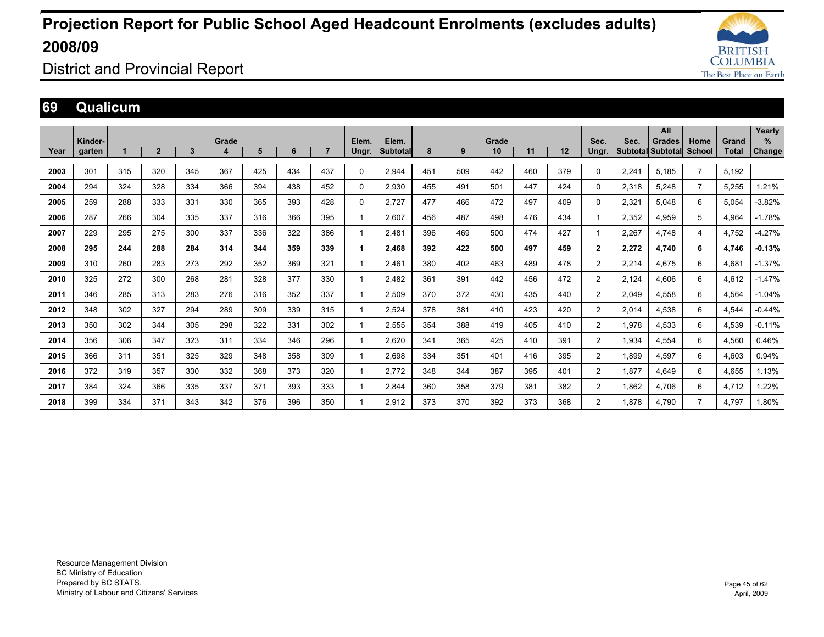![](_page_44_Picture_1.jpeg)

District and Provincial Report

### **69 Qualicum**

|      |         |     |                |     |       |     |     |     |       |          |     |     |       |     |     |                |       | All                      |                |              | Yearly   |
|------|---------|-----|----------------|-----|-------|-----|-----|-----|-------|----------|-----|-----|-------|-----|-----|----------------|-------|--------------------------|----------------|--------------|----------|
|      | Kinder- |     |                |     | Grade |     |     |     | Elem. | Elem.    |     |     | Grade |     |     | Sec.           | Sec.  | <b>Grades</b>            | Home           | Grand        | %        |
| Year | garten  |     | $\overline{2}$ | 3   | 4     | 5   | 6   |     | Ungr. | Subtotal | 8   | 9   | 10    | 11  | 12  | Ungr.          |       | <b>Subtotal Subtotal</b> | <b>School</b>  | <b>Total</b> | Change   |
| 2003 | 301     | 315 | 320            | 345 | 367   | 425 | 434 | 437 | 0     | 2,944    | 451 | 509 | 442   | 460 | 379 | 0              | 2,241 | 5,185                    | $\overline{7}$ | 5,192        |          |
| 2004 | 294     | 324 | 328            | 334 | 366   | 394 | 438 | 452 | 0     | 2,930    | 455 | 491 | 501   | 447 | 424 | 0              | 2,318 | 5,248                    | $\overline{7}$ | 5,255        | 1.21%    |
| 2005 | 259     | 288 | 333            | 331 | 330   | 365 | 393 | 428 | 0     | 2.727    | 477 | 466 | 472   | 497 | 409 | 0              | 2,321 | 5.048                    | 6              | 5,054        | $-3.82%$ |
| 2006 | 287     | 266 | 304            | 335 | 337   | 316 | 366 | 395 |       | 2,607    | 456 | 487 | 498   | 476 | 434 |                | 2,352 | 4,959                    | 5              | 4,964        | $-1.78%$ |
| 2007 | 229     | 295 | 275            | 300 | 337   | 336 | 322 | 386 |       | 2.481    | 396 | 469 | 500   | 474 | 427 |                | 2,267 | 4,748                    | 4              | 4,752        | $-4.27%$ |
| 2008 | 295     | 244 | 288            | 284 | 314   | 344 | 359 | 339 | 1     | 2.468    | 392 | 422 | 500   | 497 | 459 | $\mathbf{2}$   | 2,272 | 4,740                    | 6              | 4,746        | $-0.13%$ |
| 2009 | 310     | 260 | 283            | 273 | 292   | 352 | 369 | 321 |       | 2,461    | 380 | 402 | 463   | 489 | 478 | $\overline{2}$ | 2,214 | 4,675                    | 6              | 4,681        | $-1.37%$ |
| 2010 | 325     | 272 | 300            | 268 | 281   | 328 | 377 | 330 |       | 2.482    | 361 | 391 | 442   | 456 | 472 | $\overline{2}$ | 2,124 | 4,606                    | 6              | 4,612        | $-1.47%$ |
| 2011 | 346     | 285 | 313            | 283 | 276   | 316 | 352 | 337 |       | 2,509    | 370 | 372 | 430   | 435 | 440 | $\overline{2}$ | 2,049 | 4,558                    | 6              | 4,564        | $-1.04%$ |
| 2012 | 348     | 302 | 327            | 294 | 289   | 309 | 339 | 315 |       | 2,524    | 378 | 381 | 410   | 423 | 420 | $\overline{2}$ | 2,014 | 4,538                    | 6              | 4,544        | $-0.44%$ |
| 2013 | 350     | 302 | 344            | 305 | 298   | 322 | 331 | 302 |       | 2.555    | 354 | 388 | 419   | 405 | 410 | $\overline{2}$ | 1,978 | 4,533                    | 6              | 4,539        | $-0.11%$ |
| 2014 | 356     | 306 | 347            | 323 | 311   | 334 | 346 | 296 |       | 2.620    | 341 | 365 | 425   | 410 | 391 | $\overline{2}$ | 1,934 | 4,554                    | 6              | 4,560        | 0.46%    |
| 2015 | 366     | 311 | 351            | 325 | 329   | 348 | 358 | 309 |       | 2,698    | 334 | 351 | 401   | 416 | 395 | 2              | 1,899 | 4,597                    | 6              | 4,603        | 0.94%    |
| 2016 | 372     | 319 | 357            | 330 | 332   | 368 | 373 | 320 |       | 2,772    | 348 | 344 | 387   | 395 | 401 | $\overline{2}$ | 1,877 | 4.649                    | 6              | 4,655        | 1.13%    |
| 2017 | 384     | 324 | 366            | 335 | 337   | 371 | 393 | 333 |       | 2.844    | 360 | 358 | 379   | 381 | 382 | 2              | 1.862 | 4,706                    | 6              | 4,712        | 1.22%    |
| 2018 | 399     | 334 | 371            | 343 | 342   | 376 | 396 | 350 |       | 2.912    | 373 | 370 | 392   | 373 | 368 | $\overline{2}$ | 1.878 | 4.790                    | $\overline{7}$ | 4.797        | 1.80%    |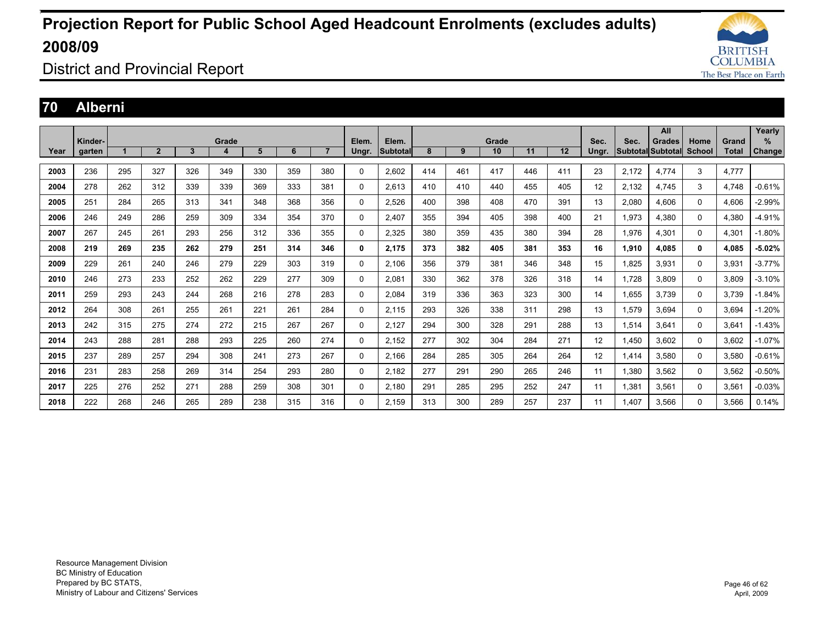![](_page_45_Picture_1.jpeg)

District and Provincial Report

#### **70 Alberni**

|      |         |     |                |     |       |     |     |                |             |                 |     |     |       |     |     |       |       | All               |          |              | Yearly        |
|------|---------|-----|----------------|-----|-------|-----|-----|----------------|-------------|-----------------|-----|-----|-------|-----|-----|-------|-------|-------------------|----------|--------------|---------------|
|      | Kinder- |     |                |     | Grade |     |     |                | Elem.       | Elem.           |     |     | Grade |     |     | Sec.  | Sec.  | <b>Grades</b>     | Home     | Grand        | %             |
| Year | garten  |     | $\overline{2}$ | 3   | 4     | 5   | 6   | $\overline{7}$ | Ungr.       | <b>Subtotal</b> | 8   | 9   | 10    | 11  | 12  | Ungr. |       | Subtotal Subtotal | School   | <b>Total</b> | <b>Change</b> |
| 2003 | 236     | 295 | 327            | 326 | 349   | 330 | 359 | 380            | $\Omega$    | 2.602           | 414 | 461 | 417   | 446 | 411 | 23    | 2,172 | 4.774             | 3        | 4,777        |               |
| 2004 | 278     | 262 | 312            | 339 | 339   | 369 | 333 | 381            | 0           | 2,613           | 410 | 410 | 440   | 455 | 405 | 12    | 2,132 | 4.745             | 3        | 4,748        | $-0.61%$      |
| 2005 | 251     | 284 | 265            | 313 | 341   | 348 | 368 | 356            | $\mathbf 0$ | 2,526           | 400 | 398 | 408   | 470 | 391 | 13    | 2,080 | 4.606             | 0        | 4,606        | $-2.99%$      |
| 2006 | 246     | 249 | 286            | 259 | 309   | 334 | 354 | 370            | $\mathbf 0$ | 2.407           | 355 | 394 | 405   | 398 | 400 | 21    | 1,973 | 4.380             | $\Omega$ | 4,380        | -4.91%        |
| 2007 | 267     | 245 | 261            | 293 | 256   | 312 | 336 | 355            | $\mathbf 0$ | 2,325           | 380 | 359 | 435   | 380 | 394 | 28    | 1,976 | 4.301             | 0        | 4,301        | $-1.80%$      |
| 2008 | 219     | 269 | 235            | 262 | 279   | 251 | 314 | 346            | 0           | 2.175           | 373 | 382 | 405   | 381 | 353 | 16    | 1,910 | 4.085             | 0        | 4.085        | $-5.02%$      |
| 2009 | 229     | 261 | 240            | 246 | 279   | 229 | 303 | 319            | $\mathbf 0$ | 2,106           | 356 | 379 | 381   | 346 | 348 | 15    | 1,825 | 3,931             | 0        | 3,931        | $-3.77%$      |
| 2010 | 246     | 273 | 233            | 252 | 262   | 229 | 277 | 309            | $\mathbf 0$ | 2,081           | 330 | 362 | 378   | 326 | 318 | 14    | 1.728 | 3.809             | 0        | 3.809        | $-3.10%$      |
| 2011 | 259     | 293 | 243            | 244 | 268   | 216 | 278 | 283            | $\mathbf 0$ | 2,084           | 319 | 336 | 363   | 323 | 300 | 14    | 1,655 | 3,739             | 0        | 3.739        | $-1.84%$      |
| 2012 | 264     | 308 | 261            | 255 | 261   | 221 | 261 | 284            | 0           | 2,115           | 293 | 326 | 338   | 311 | 298 | 13    | 1,579 | 3.694             | 0        | 3.694        | $-1.20%$      |
| 2013 | 242     | 315 | 275            | 274 | 272   | 215 | 267 | 267            | $\mathbf 0$ | 2,127           | 294 | 300 | 328   | 291 | 288 | 13    | 1,514 | 3.641             | $\Omega$ | 3,641        | $-1.43%$      |
| 2014 | 243     | 288 | 281            | 288 | 293   | 225 | 260 | 274            | $\Omega$    | 2,152           | 277 | 302 | 304   | 284 | 271 | 12    | 1,450 | 3.602             | $\Omega$ | 3.602        | $-1.07%$      |
| 2015 | 237     | 289 | 257            | 294 | 308   | 241 | 273 | 267            | $\mathbf 0$ | 2.166           | 284 | 285 | 305   | 264 | 264 | 12    | 1.414 | 3.580             | $\Omega$ | 3.580        | $-0.61%$      |
| 2016 | 231     | 283 | 258            | 269 | 314   | 254 | 293 | 280            | $\Omega$    | 2,182           | 277 | 291 | 290   | 265 | 246 | 11    | 1,380 | 3,562             | $\Omega$ | 3,562        | $-0.50%$      |
| 2017 | 225     | 276 | 252            | 271 | 288   | 259 | 308 | 301            | 0           | 2.180           | 291 | 285 | 295   | 252 | 247 | 11    | 1,381 | 3.561             | 0        | 3,561        | $-0.03%$      |
| 2018 | 222     | 268 | 246            | 265 | 289   | 238 | 315 | 316            | $\Omega$    | 2.159           | 313 | 300 | 289   | 257 | 237 | 11    | .407  | 3.566             | $\Omega$ | 3,566        | 0.14%         |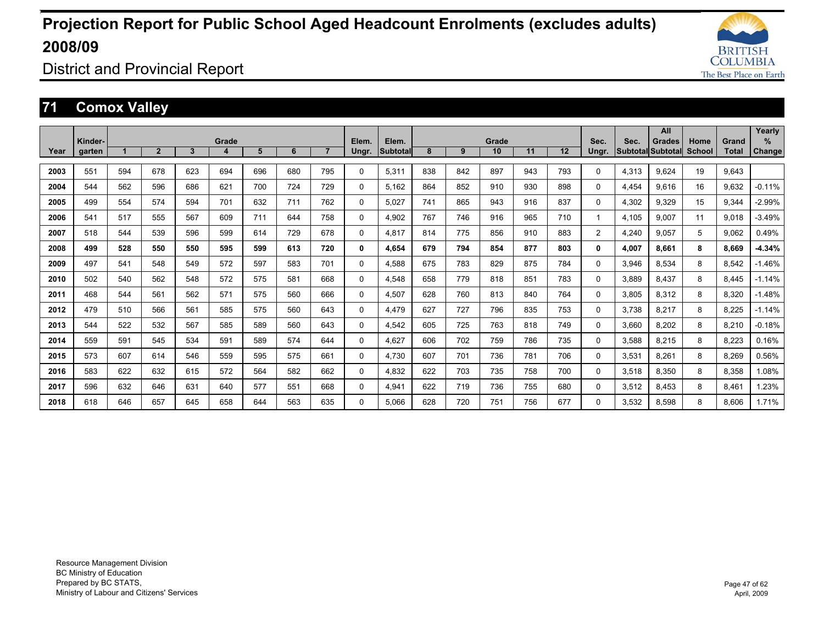![](_page_46_Picture_1.jpeg)

District and Provincial Report

### **71 Comox Valley**

|      |                   |     |                |              |            |     |     |                |             |                   |     |     |             |     |     |                |       | All                                       |                |                | Yearly        |
|------|-------------------|-----|----------------|--------------|------------|-----|-----|----------------|-------------|-------------------|-----|-----|-------------|-----|-----|----------------|-------|-------------------------------------------|----------------|----------------|---------------|
| Year | Kinder-<br>garten |     | $\overline{2}$ | $\mathbf{3}$ | Grade<br>4 | 5   | 6   | $\overline{7}$ | Elem.       | Elem.<br>Subtotal | 8   | 9   | Grade<br>10 | 11  | 12  | Sec.           | Sec.  | <b>Grades</b><br><b>Subtotal Subtotal</b> | Home<br>School | Grand<br>Total | %             |
|      |                   |     |                |              |            |     |     |                | Ungr.       |                   |     |     |             |     |     | Ungr.          |       |                                           |                |                | <b>Change</b> |
| 2003 | 551               | 594 | 678            | 623          | 694        | 696 | 680 | 795            | $\Omega$    | 5,311             | 838 | 842 | 897         | 943 | 793 | 0              | 4,313 | 9,624                                     | 19             | 9,643          |               |
| 2004 | 544               | 562 | 596            | 686          | 621        | 700 | 724 | 729            | $\Omega$    | 5,162             | 864 | 852 | 910         | 930 | 898 | $\Omega$       | 4,454 | 9.616                                     | 16             | 9.632          | $-0.11%$      |
| 2005 | 499               | 554 | 574            | 594          | 701        | 632 | 711 | 762            | $\Omega$    | 5.027             | 741 | 865 | 943         | 916 | 837 | 0              | 4,302 | 9,329                                     | 15             | 9,344          | $-2.99%$      |
| 2006 | 541               | 517 | 555            | 567          | 609        | 711 | 644 | 758            | $\Omega$    | 4,902             | 767 | 746 | 916         | 965 | 710 | -1             | 4,105 | 9,007                                     | 11             | 9,018          | $-3.49%$      |
| 2007 | 518               | 544 | 539            | 596          | 599        | 614 | 729 | 678            | $\mathbf 0$ | 4.817             | 814 | 775 | 856         | 910 | 883 | $\overline{2}$ | 4,240 | 9.057                                     | 5              | 9,062          | 0.49%         |
| 2008 | 499               | 528 | 550            | 550          | 595        | 599 | 613 | 720            | 0           | 4.654             | 679 | 794 | 854         | 877 | 803 | 0              | 4.007 | 8.661                                     | 8              | 8.669          | $-4.34%$      |
| 2009 | 497               | 541 | 548            | 549          | 572        | 597 | 583 | 701            | $\Omega$    | 4.588             | 675 | 783 | 829         | 875 | 784 | 0              | 3.946 | 8.534                                     | 8              | 8.542          | $-1.46%$      |
| 2010 | 502               | 540 | 562            | 548          | 572        | 575 | 581 | 668            | $\Omega$    | 4.548             | 658 | 779 | 818         | 851 | 783 | 0              | 3.889 | 8.437                                     | 8              | 8.445          | $-1.14%$      |
| 2011 | 468               | 544 | 561            | 562          | 571        | 575 | 560 | 666            | $\Omega$    | 4.507             | 628 | 760 | 813         | 840 | 764 | 0              | 3.805 | 8.312                                     | 8              | 8.320          | $-1.48%$      |
| 2012 | 479               | 510 | 566            | 561          | 585        | 575 | 560 | 643            | $\Omega$    | 4.479             | 627 | 727 | 796         | 835 | 753 | 0              | 3.738 | 8.217                                     | 8              | 8.225          | $-1.14%$      |
| 2013 | 544               | 522 | 532            | 567          | 585        | 589 | 560 | 643            | $\Omega$    | 4,542             | 605 | 725 | 763         | 818 | 749 | 0              | 3.660 | 8.202                                     | 8              | 8.210          | $-0.18%$      |
| 2014 | 559               | 591 | 545            | 534          | 591        | 589 | 574 | 644            | $\Omega$    | 4.627             | 606 | 702 | 759         | 786 | 735 | 0              | 3.588 | 8.215                                     | 8              | 8.223          | 0.16%         |
| 2015 | 573               | 607 | 614            | 546          | 559        | 595 | 575 | 661            | $\Omega$    | 4,730             | 607 | 701 | 736         | 781 | 706 | 0              | 3,531 | 8,261                                     | 8              | 8,269          | 0.56%         |
| 2016 | 583               | 622 | 632            | 615          | 572        | 564 | 582 | 662            | $\Omega$    | 4,832             | 622 | 703 | 735         | 758 | 700 | 0              | 3,518 | 8,350                                     | 8              | 8,358          | 1.08%         |
| 2017 | 596               | 632 | 646            | 631          | 640        | 577 | 551 | 668            | $\Omega$    | 4.941             | 622 | 719 | 736         | 755 | 680 | 0              | 3.512 | 8.453                                     | 8              | 8.461          | 1.23%         |
| 2018 | 618               | 646 | 657            | 645          | 658        | 644 | 563 | 635            | $\Omega$    | 5.066             | 628 | 720 | 751         | 756 | 677 | $\Omega$       | 3.532 | 8.598                                     | 8              | 8.606          | 1.71%         |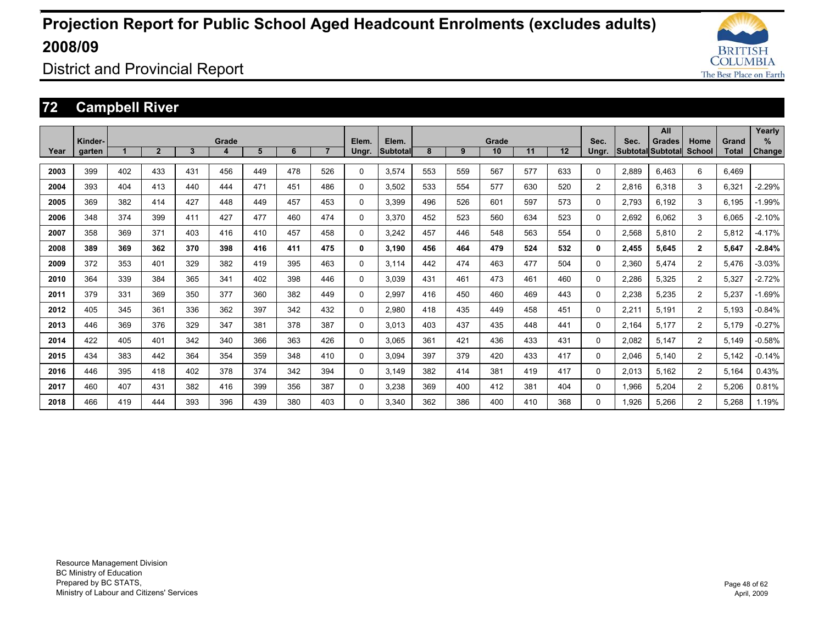![](_page_47_Picture_1.jpeg)

District and Provincial Report

### **72 Campbell River**

|      |                   |     |                |              |            |     |     |                |                |                   |     |     |             |     |     |                |       | All                                 |                       |                       | Yearly        |
|------|-------------------|-----|----------------|--------------|------------|-----|-----|----------------|----------------|-------------------|-----|-----|-------------|-----|-----|----------------|-------|-------------------------------------|-----------------------|-----------------------|---------------|
| Year | Kinder-<br>garten |     | $\overline{2}$ | $\mathbf{3}$ | Grade<br>4 | 5   | 6   | $\overline{7}$ | Elem.<br>Ungr. | Elem.<br>Subtotal | 8   | 9   | Grade<br>10 | 11  | 12  | Sec.<br>Ungr.  | Sec.  | <b>Grades</b><br> Subtotal Subtotal | Home<br><b>School</b> | Grand<br><b>Total</b> | $\%$          |
|      |                   |     |                |              |            |     |     |                |                |                   |     |     |             |     |     |                |       |                                     |                       |                       | <b>Change</b> |
| 2003 | 399               | 402 | 433            | 431          | 456        | 449 | 478 | 526            | 0              | 3.574             | 553 | 559 | 567         | 577 | 633 | $\Omega$       | 2,889 | 6.463                               | 6                     | 6.469                 |               |
| 2004 | 393               | 404 | 413            | 440          | 444        | 471 | 451 | 486            | 0              | 3.502             | 533 | 554 | 577         | 630 | 520 | $\overline{2}$ | 2,816 | 6.318                               | 3                     | 6.321                 | $-2.29%$      |
| 2005 | 369               | 382 | 414            | 427          | 448        | 449 | 457 | 453            | 0              | 3.399             | 496 | 526 | 601         | 597 | 573 | 0              | 2,793 | 6.192                               | 3                     | 6.195                 | $-1.99%$      |
| 2006 | 348               | 374 | 399            | 411          | 427        | 477 | 460 | 474            | 0              | 3.370             | 452 | 523 | 560         | 634 | 523 | $\Omega$       | 2,692 | 6.062                               | 3                     | 6.065                 | $-2.10%$      |
| 2007 | 358               | 369 | 371            | 403          | 416        | 410 | 457 | 458            | 0              | 3.242             | 457 | 446 | 548         | 563 | 554 | $\Omega$       | 2,568 | 5.810                               | $\overline{2}$        | 5.812                 | $-4.17%$      |
| 2008 | 389               | 369 | 362            | 370          | 398        | 416 | 411 | 475            | 0              | 3.190             | 456 | 464 | 479         | 524 | 532 | $\mathbf{0}$   | 2.455 | 5.645                               | $\mathbf{2}$          | 5.647                 | $-2.84%$      |
| 2009 | 372               | 353 | 401            | 329          | 382        | 419 | 395 | 463            | 0              | 3.114             | 442 | 474 | 463         | 477 | 504 | 0              | 2,360 | 5.474                               | 2                     | 5.476                 | $-3.03%$      |
| 2010 | 364               | 339 | 384            | 365          | 341        | 402 | 398 | 446            | 0              | 3.039             | 431 | 461 | 473         | 461 | 460 | 0              | 2,286 | 5,325                               | $\overline{2}$        | 5,327                 | $-2.72%$      |
| 2011 | 379               | 331 | 369            | 350          | 377        | 360 | 382 | 449            | 0              | 2.997             | 416 | 450 | 460         | 469 | 443 | $\Omega$       | 2,238 | 5,235                               | 2                     | 5.237                 | $-1.69%$      |
| 2012 | 405               | 345 | 361            | 336          | 362        | 397 | 342 | 432            | 0              | 2.980             | 418 | 435 | 449         | 458 | 451 | 0              | 2,211 | 5.191                               | $\overline{2}$        | 5.193                 | $-0.84%$      |
| 2013 | 446               | 369 | 376            | 329          | 347        | 381 | 378 | 387            | 0              | 3.013             | 403 | 437 | 435         | 448 | 441 | 0              | 2.164 | 5.177                               | $\overline{2}$        | 5.179                 | $-0.27%$      |
| 2014 | 422               | 405 | 401            | 342          | 340        | 366 | 363 | 426            | 0              | 3.065             | 361 | 421 | 436         | 433 | 431 | $\Omega$       | 2,082 | 5.147                               | 2                     | 5.149                 | $-0.58%$      |
| 2015 | 434               | 383 | 442            | 364          | 354        | 359 | 348 | 410            | 0              | 3.094             | 397 | 379 | 420         | 433 | 417 | $\Omega$       | 2,046 | 5.140                               | 2                     | 5.142                 | $-0.14%$      |
| 2016 | 446               | 395 | 418            | 402          | 378        | 374 | 342 | 394            | 0              | 3.149             | 382 | 414 | 381         | 419 | 417 | 0              | 2,013 | 5.162                               | $\overline{2}$        | 5,164                 | 0.43%         |
| 2017 | 460               | 407 | 431            | 382          | 416        | 399 | 356 | 387            | 0              | 3,238             | 369 | 400 | 412         | 381 | 404 | $\Omega$       | 1,966 | 5,204                               | 2                     | 5,206                 | 0.81%         |
| 2018 | 466               | 419 | 444            | 393          | 396        | 439 | 380 | 403            | 0              | 3.340             | 362 | 386 | 400         | 410 | 368 | 0              | 1.926 | 5.266                               | 2                     | 5.268                 | 1.19%         |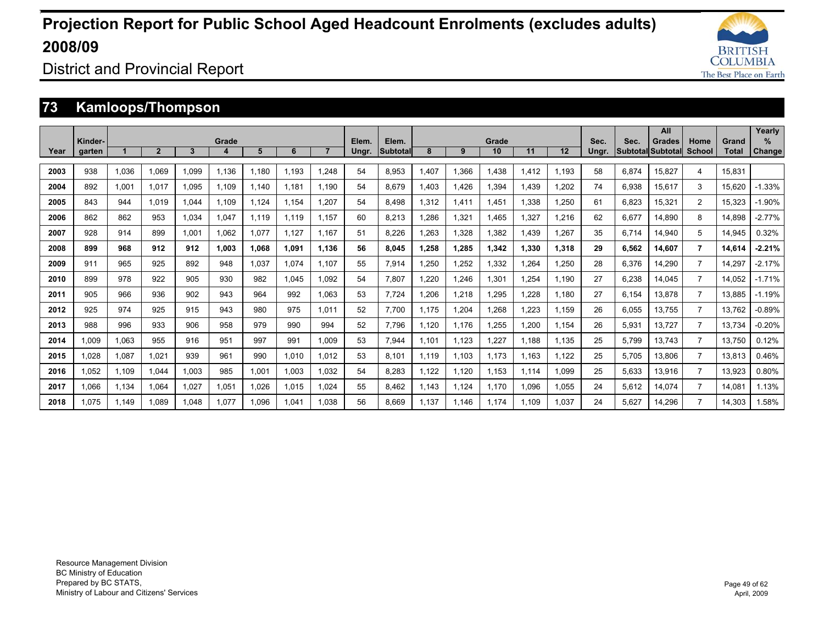![](_page_48_Picture_1.jpeg)

District and Provincial Report

### **73 Kamloops/Thompson**

|      |                   |       |                |       |            |       |       |       |       |                   |       |       |             |       |       |               |                                  | All           |                |                | Yearly        |
|------|-------------------|-------|----------------|-------|------------|-------|-------|-------|-------|-------------------|-------|-------|-------------|-------|-------|---------------|----------------------------------|---------------|----------------|----------------|---------------|
| Year | Kinder-<br>garten |       | $\overline{2}$ | 3     | Grade<br>4 | 5     | 6     |       | Elem. | Elem.<br>Subtotal | 8     | 9     | Grade<br>10 | 11    | 12    | Sec.<br>Ungr. | Sec.<br><b>Subtotal Subtotal</b> | <b>Grades</b> | Home<br>School | Grand<br>Total | $\%$          |
|      |                   |       |                |       |            |       |       |       | Ungr. |                   |       |       |             |       |       |               |                                  |               |                |                | <b>Change</b> |
| 2003 | 938               | 1,036 | 1,069          | 1,099 | 1.136      | 1,180 | 1,193 | 1,248 | 54    | 8,953             | 1,407 | 1,366 | 1.438       | 1,412 | 1.193 | 58            | 6,874                            | 15,827        | 4              | 15.831         |               |
| 2004 | 892               | 1,001 | 1.017          | 1.095 | 1.109      | 1.140 | 1.181 | 1.190 | 54    | 8.679             | 1.403 | 1.426 | 1.394       | 1.439 | ,202  | 74            | 6,938                            | 15,617        | 3              | 15.620         | $-1.33%$      |
| 2005 | 843               | 944   | 1.019          | .044  | 1.109      | 1,124 | 1.154 | 1.207 | 54    | 8.498             | 1,312 | 1,411 | 1.451       | 1,338 | 1,250 | 61            | 6,823                            | 15,321        | 2              | 15.323         | $-1.90%$      |
| 2006 | 862               | 862   | 953            | 1,034 | 1,047      | 1.119 | 1.119 | 1.157 | 60    | 8,213             | 1,286 | 1,321 | 1,465       | 1,327 | .216  | 62            | 6,677                            | 14.890        | 8              | 14,898         | $-2.77%$      |
| 2007 | 928               | 914   | 899            | 1.001 | 1.062      | 1,077 | 1.127 | 1.167 | 51    | 8.226             | .263  | 1,328 | 1,382       | 1.439 | ,267  | 35            | 6.714                            | 14.940        | 5              | 14.945         | 0.32%         |
| 2008 | 899               | 968   | 912            | 912   | 1.003      | 1.068 | 1.091 | 1.136 | 56    | 8.045             | 1.258 | 1.285 | 1.342       | 1.330 | 1.318 | 29            | 6.562                            | 14.607        | 7              | 14.614         | $-2.21%$      |
| 2009 | 911               | 965   | 925            | 892   | 948        | 1.037 | 1.074 | 1.107 | 55    | 7.914             | .250  | 1.252 | 1.332       | 1.264 | .250  | 28            | 6.376                            | 14.290        | $\overline{7}$ | 14.297         | $-2.17%$      |
| 2010 | 899               | 978   | 922            | 905   | 930        | 982   | 1,045 | 1.092 | 54    | 7.807             | 1.220 | 1.246 | 1,301       | 1.254 | 1.190 | 27            | 6,238                            | 14.045        | $\overline{7}$ | 14.052         | $-1.71%$      |
| 2011 | 905               | 966   | 936            | 902   | 943        | 964   | 992   | 1.063 | 53    | 7.724             | 1.206 | 1.218 | 1.295       | 1.228 | 1.180 | 27            | 6.154                            | 13.878        | 7              | 13.885         | $-1.19%$      |
| 2012 | 925               | 974   | 925            | 915   | 943        | 980   | 975   | 1.011 | 52    | 7.700             | 1.175 | 1.204 | 1.268       | 1.223 | 1.159 | 26            | 6.055                            | 13.755        | $\overline{7}$ | 13.762         | $-0.89%$      |
| 2013 | 988               | 996   | 933            | 906   | 958        | 979   | 990   | 994   | 52    | 7.796             | 1.120 | 1.176 | 1,255       | 1.200 | 1.154 | 26            | 5,931                            | 13.727        | $\overline{7}$ | 13.734         | $-0.20%$      |
| 2014 | 1.009             | 1.063 | 955            | 916   | 951        | 997   | 991   | 1.009 | 53    | 7.944             | 1.101 | 1.123 | 1.227       | 1.188 | 1.135 | 25            | 5.799                            | 13.743        | 7              | 13.750         | 0.12%         |
| 2015 | 1.028             | 1,087 | 1,021          | 939   | 961        | 990   | 1,010 | 1,012 | 53    | 8.101             | 1.119 | 1.103 | 1.173       | 1.163 | 1.122 | 25            | 5,705                            | 13,806        | $\overline{7}$ | 13,813         | 0.46%         |
| 2016 | .052              | 1,109 | 1,044          | .003  | 985        | 1,001 | 1,003 | 1,032 | 54    | 8,283             | 1,122 | 1,120 | 1,153       | 1,114 | 1,099 | 25            | 5,633                            | 13,916        |                | 13,923         | 0.80%         |
| 2017 | 1.066             | 1.134 | 1.064          | 1.027 | 1.051      | 1.026 | 1.015 | 1.024 | 55    | 8.462             | 1.143 | 1.124 | 1.170       | 1.096 | 1.055 | 24            | 5.612                            | 14.074        | 7              | 14.081         | 1.13%         |
| 2018 | 1.075             | 1.149 | 1.089          | .048  | 1.077      | 1.096 | 1.041 | 1.038 | 56    | 8.669             | 1.137 | 1.146 | 1.174       | 1.109 | 1.037 | 24            | 5.627                            | 14.296        | 7              | 14.303         | 1.58%         |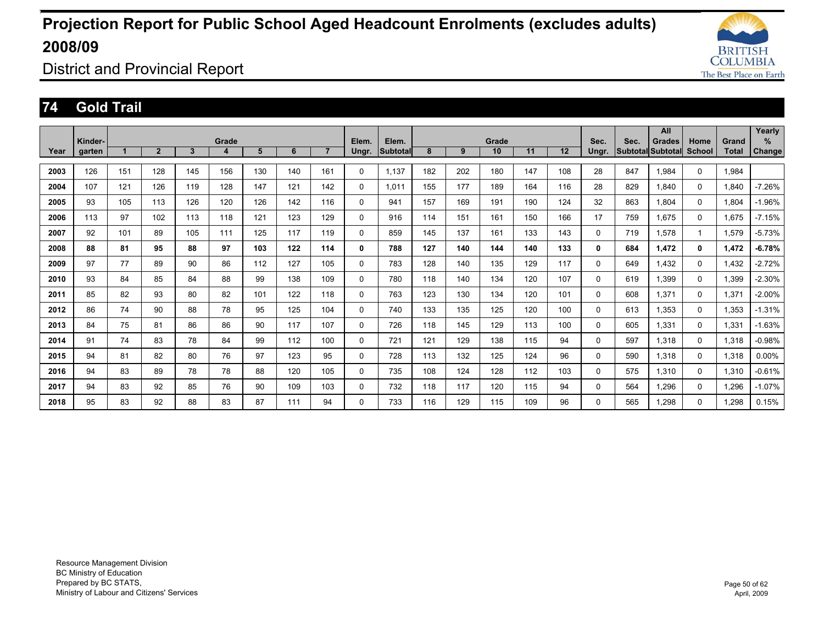![](_page_49_Picture_1.jpeg)

District and Provincial Report

### **74 Gold Trail**

|      |         |     |                |     |       |     |     |                |          |          |     |     |       |     |     |          |      | All               |          |              | Yearly        |
|------|---------|-----|----------------|-----|-------|-----|-----|----------------|----------|----------|-----|-----|-------|-----|-----|----------|------|-------------------|----------|--------------|---------------|
|      | Kinder- |     |                |     | Grade |     |     |                | Elem.    | Elem.    |     |     | Grade |     |     | Sec.     | Sec. | <b>Grades</b>     | Home     | Grand        | $\%$          |
| Year | garten  |     | $\overline{2}$ | 3   | 4     | 5   | 6   | $\overline{7}$ | Ungr.    | Subtotal | 8   | 9   | 10    | 11  | 12  | Ungr.    |      | Subtotal Subtotal | School   | <b>Total</b> | <b>Change</b> |
|      |         |     |                |     | 156   |     |     |                |          |          |     | 202 |       | 147 | 108 |          |      |                   |          |              |               |
| 2003 | 126     | 151 | 128            | 145 |       | 130 | 140 | 161            | 0        | 1.137    | 182 |     | 180   |     |     | 28       | 847  | 1.984             | 0        | 1.984        |               |
| 2004 | 107     | 121 | 126            | 119 | 128   | 147 | 121 | 142            | 0        | 1,011    | 155 | 177 | 189   | 164 | 116 | 28       | 829  | 1.840             | $\Omega$ | 1.840        | $-7.26%$      |
| 2005 | 93      | 105 | 113            | 126 | 120   | 126 | 142 | 116            | 0        | 941      | 157 | 169 | 191   | 190 | 124 | 32       | 863  | 1,804             | 0        | 1,804        | $-1.96%$      |
| 2006 | 113     | 97  | 102            | 113 | 118   | 121 | 123 | 129            | 0        | 916      | 114 | 151 | 161   | 150 | 166 | 17       | 759  | 1.675             | $\Omega$ | 1.675        | $-7.15%$      |
| 2007 | 92      | 101 | 89             | 105 | 111   | 125 | 117 | 119            | 0        | 859      | 145 | 137 | 161   | 133 | 143 | 0        | 719  | 1,578             | 1        | 1.579        | $-5.73%$      |
| 2008 | 88      | 81  | 95             | 88  | 97    | 103 | 122 | 114            | 0        | 788      | 127 | 140 | 144   | 140 | 133 | 0        | 684  | 1,472             | 0        | 1,472        | $-6.78%$      |
| 2009 | 97      | 77  | 89             | 90  | 86    | 112 | 127 | 105            | 0        | 783      | 128 | 140 | 135   | 129 | 117 | $\Omega$ | 649  | 1.432             | 0        | 1.432        | $-2.72%$      |
| 2010 | 93      | 84  | 85             | 84  | 88    | 99  | 138 | 109            | $\Omega$ | 780      | 118 | 140 | 134   | 120 | 107 | $\Omega$ | 619  | 1.399             | $\Omega$ | 1.399        | $-2.30%$      |
| 2011 | 85      | 82  | 93             | 80  | 82    | 101 | 122 | 118            | 0        | 763      | 123 | 130 | 134   | 120 | 101 | $\Omega$ | 608  | 1.371             | $\Omega$ | 1.371        | $-2.00%$      |
| 2012 | 86      | 74  | 90             | 88  | 78    | 95  | 125 | 104            | 0        | 740      | 133 | 135 | 125   | 120 | 100 | 0        | 613  | 1.353             | $\Omega$ | 1,353        | $-1.31%$      |
| 2013 | 84      | 75  | 81             | 86  | 86    | 90  | 117 | 107            | 0        | 726      | 118 | 145 | 129   | 113 | 100 | 0        | 605  | 1.331             | 0        | 1,331        | $-1.63%$      |
| 2014 | 91      | 74  | 83             | 78  | 84    | 99  | 112 | 100            | 0        | 721      | 121 | 129 | 138   | 115 | 94  | 0        | 597  | 1.318             | 0        | 1.318        | $-0.98%$      |
| 2015 | 94      | 81  | 82             | 80  | 76    | 97  | 123 | 95             | 0        | 728      | 113 | 132 | 125   | 124 | 96  | 0        | 590  | 1.318             | $\Omega$ | 1.318        | $0.00\%$      |
| 2016 | 94      | 83  | 89             | 78  | 78    | 88  | 120 | 105            | 0        | 735      | 108 | 124 | 128   | 112 | 103 | $\Omega$ | 575  | 1.310             | $\Omega$ | 1.310        | $-0.61%$      |
| 2017 | 94      | 83  | 92             | 85  | 76    | 90  | 109 | 103            | 0        | 732      | 118 | 117 | 120   | 115 | 94  | 0        | 564  | 1.296             | $\Omega$ | 1.296        | $-1.07%$      |
| 2018 | 95      | 83  | 92             | 88  | 83    | 87  | 111 | 94             | 0        | 733      | 116 | 129 | 115   | 109 | 96  | 0        | 565  | 1.298             | $\Omega$ | 1,298        | 0.15%         |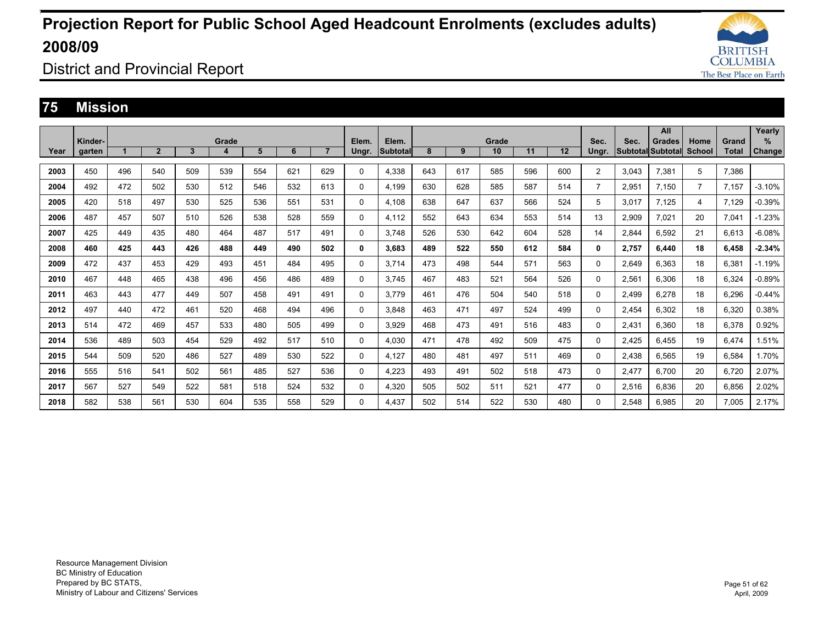![](_page_50_Picture_1.jpeg)

District and Provincial Report

#### **75 Mission**

|      |         |     |                |     |       |     |     |                |       |          |     |     |       |     |     |                |       | All               |                |              | Yearly        |
|------|---------|-----|----------------|-----|-------|-----|-----|----------------|-------|----------|-----|-----|-------|-----|-----|----------------|-------|-------------------|----------------|--------------|---------------|
|      | Kinder- |     |                |     | Grade |     |     |                | Elem. | Elem.    |     |     | Grade |     |     | Sec.           | Sec.  | Grades            | Home           | Grand        | %             |
| Year | garten  |     | $\overline{2}$ | 3   | 4     | 5   | 6   | $\overline{7}$ | Ungr. | Subtotal | 8   | 9   | 10    | 11  | 12  | Ungr.          |       | Subtotal Subtotal | <b>School</b>  | <b>Total</b> | <b>Change</b> |
| 2003 | 450     | 496 | 540            | 509 | 539   | 554 | 621 | 629            | 0     | 4,338    | 643 | 617 | 585   | 596 | 600 | $\overline{2}$ | 3,043 | 7,381             | 5              | 7,386        |               |
|      |         |     |                |     |       |     |     |                |       |          |     |     |       |     |     |                |       |                   |                |              |               |
| 2004 | 492     | 472 | 502            | 530 | 512   | 546 | 532 | 613            | 0     | 4,199    | 630 | 628 | 585   | 587 | 514 | $\overline{7}$ | 2,951 | 7.150             | $\overline{7}$ | 7,157        | $-3.10%$      |
| 2005 | 420     | 518 | 497            | 530 | 525   | 536 | 551 | 531            | 0     | 4,108    | 638 | 647 | 637   | 566 | 524 | 5              | 3,017 | 7.125             | 4              | 7,129        | $-0.39%$      |
| 2006 | 487     | 457 | 507            | 510 | 526   | 538 | 528 | 559            | 0     | 4,112    | 552 | 643 | 634   | 553 | 514 | 13             | 2,909 | 7,021             | 20             | 7,041        | $-1.23%$      |
| 2007 | 425     | 449 | 435            | 480 | 464   | 487 | 517 | 491            | 0     | 3.748    | 526 | 530 | 642   | 604 | 528 | 14             | 2,844 | 6.592             | 21             | 6,613        | $-6.08%$      |
| 2008 | 460     | 425 | 443            | 426 | 488   | 449 | 490 | 502            | 0     | 3.683    | 489 | 522 | 550   | 612 | 584 | 0              | 2.757 | 6.440             | 18             | 6.458        | $-2.34%$      |
| 2009 | 472     | 437 | 453            | 429 | 493   | 451 | 484 | 495            | 0     | 3.714    | 473 | 498 | 544   | 571 | 563 | 0              | 2,649 | 6.363             | 18             | 6,381        | $-1.19%$      |
| 2010 | 467     | 448 | 465            | 438 | 496   | 456 | 486 | 489            | 0     | 3.745    | 467 | 483 | 521   | 564 | 526 | 0              | 2,561 | 6,306             | 18             | 6,324        | $-0.89%$      |
| 2011 | 463     | 443 | 477            | 449 | 507   | 458 | 491 | 491            | 0     | 3.779    | 461 | 476 | 504   | 540 | 518 | 0              | 2,499 | 6,278             | 18             | 6,296        | $-0.44%$      |
| 2012 | 497     | 440 | 472            | 461 | 520   | 468 | 494 | 496            | 0     | 3,848    | 463 | 471 | 497   | 524 | 499 | 0              | 2.454 | 6.302             | 18             | 6.320        | 0.38%         |
| 2013 | 514     | 472 | 469            | 457 | 533   | 480 | 505 | 499            | 0     | 3.929    | 468 | 473 | 491   | 516 | 483 | 0              | 2.431 | 6.360             | 18             | 6.378        | 0.92%         |
| 2014 | 536     | 489 | 503            | 454 | 529   | 492 | 517 | 510            | 0     | 4.030    | 471 | 478 | 492   | 509 | 475 | 0              | 2.425 | 6.455             | 19             | 6.474        | 1.51%         |
| 2015 | 544     | 509 | 520            | 486 | 527   | 489 | 530 | 522            | 0     | 4,127    | 480 | 481 | 497   | 511 | 469 | 0              | 2,438 | 6.565             | 19             | 6,584        | 1.70%         |
| 2016 | 555     | 516 | 541            | 502 | 561   | 485 | 527 | 536            | 0     | 4,223    | 493 | 491 | 502   | 518 | 473 | 0              | 2,477 | 6,700             | 20             | 6,720        | 2.07%         |
| 2017 | 567     | 527 | 549            | 522 | 581   | 518 | 524 | 532            | 0     | 4,320    | 505 | 502 | 511   | 521 | 477 | $\Omega$       | 2,516 | 6,836             | 20             | 6,856        | 2.02%         |
| 2018 | 582     | 538 | 561            | 530 | 604   | 535 | 558 | 529            | 0     | 4.437    | 502 | 514 | 522   | 530 | 480 | 0              | 2,548 | 6.985             | 20             | 7,005        | 2.17%         |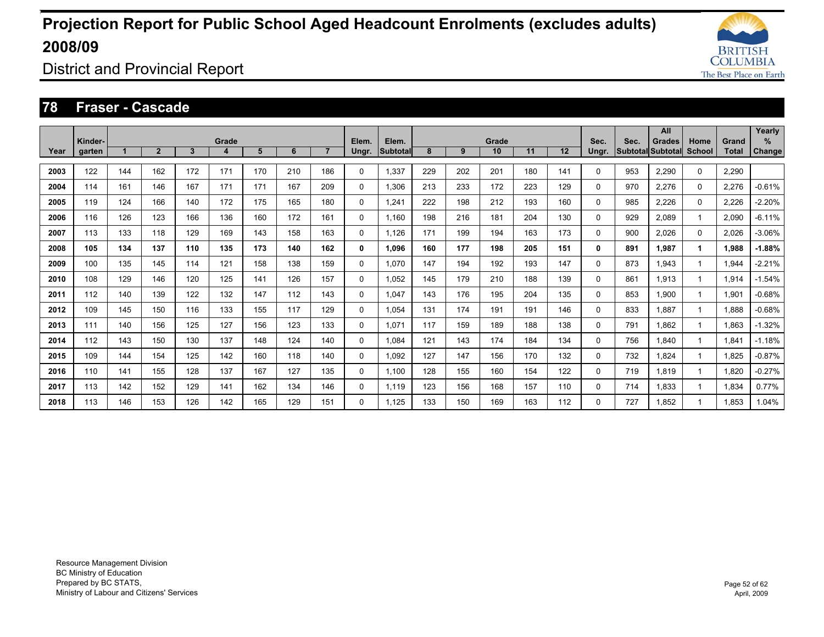![](_page_51_Picture_1.jpeg)

District and Provincial Report

#### **78 Fraser - Cascade**

|      | Kinder- |     |                |              | Grade |     |     |                | Elem.        | Elem.    |     |     | Grade |     |     | Sec.         | Sec. | All<br><b>Grades</b>     | Home     | Grand        | Yearly<br>%   |
|------|---------|-----|----------------|--------------|-------|-----|-----|----------------|--------------|----------|-----|-----|-------|-----|-----|--------------|------|--------------------------|----------|--------------|---------------|
| Year | garten  |     | $\overline{2}$ | $\mathbf{3}$ | 4     | 5   | 6   | $\overline{7}$ | Ungr.        | Subtotal | 8   | 9   | 10    | 11  | 12  | Ungr.        |      | <b>Subtotal Subtotal</b> | School   | <b>Total</b> | <b>Change</b> |
| 2003 | 122     | 144 | 162            | 172          | 171   | 170 | 210 | 186            | $\Omega$     | 1,337    | 229 | 202 | 201   | 180 | 141 | 0            | 953  | 2,290                    | $\Omega$ | 2,290        |               |
| 2004 | 114     | 161 | 146            | 167          | 171   | 171 | 167 | 209            | $\mathbf 0$  | 1.306    | 213 | 233 | 172   | 223 | 129 | 0            | 970  | 2,276                    | 0        | 2,276        | $-0.61%$      |
| 2005 | 119     | 124 | 166            | 140          | 172   | 175 | 165 | 180            | $\mathbf 0$  | 1.241    | 222 | 198 | 212   | 193 | 160 | 0            | 985  | 2,226                    | 0        | 2.226        | $-2.20%$      |
| 2006 | 116     | 126 | 123            | 166          | 136   | 160 | 172 | 161            | $\mathbf 0$  | 1.160    | 198 | 216 | 181   | 204 | 130 | 0            | 929  | 2.089                    |          | 2.090        | $-6.11%$      |
| 2007 | 113     | 133 | 118            | 129          | 169   | 143 | 158 | 163            | $\Omega$     | 1,126    | 171 | 199 | 194   | 163 | 173 | 0            | 900  | 2.026                    | $\Omega$ | 2,026        | $-3.06%$      |
| 2008 | 105     | 134 | 137            | 110          | 135   | 173 | 140 | 162            | 0            | 1.096    | 160 | 177 | 198   | 205 | 151 | $\mathbf{0}$ | 891  | 1.987                    | 1        | 1,988        | $-1.88%$      |
| 2009 | 100     | 135 | 145            | 114          | 121   | 158 | 138 | 159            | 0            | 1.070    | 147 | 194 | 192   | 193 | 147 | 0            | 873  | 1.943                    |          | 1,944        | $-2.21%$      |
| 2010 | 108     | 129 | 146            | 120          | 125   | 141 | 126 | 157            | $\mathbf 0$  | 1.052    | 145 | 179 | 210   | 188 | 139 | 0            | 861  | 1.913                    |          | 1.914        | $-1.54%$      |
| 2011 | 112     | 140 | 139            | 122          | 132   | 147 | 112 | 143            | 0            | 1.047    | 143 | 176 | 195   | 204 | 135 | 0            | 853  | 1.900                    |          | 1,901        | $-0.68%$      |
| 2012 | 109     | 145 | 150            | 116          | 133   | 155 | 117 | 129            | 0            | 1.054    | 131 | 174 | 191   | 191 | 146 | 0            | 833  | 1.887                    |          | 1.888        | $-0.68%$      |
| 2013 | 111     | 140 | 156            | 125          | 127   | 156 | 123 | 133            | $\Omega$     | 1.071    | 117 | 159 | 189   | 188 | 138 | 0            | 791  | 1.862                    |          | 1,863        | $-1.32%$      |
| 2014 | 112     | 143 | 150            | 130          | 137   | 148 | 124 | 140            | 0            | 1.084    | 121 | 143 | 174   | 184 | 134 | 0            | 756  | 1.840                    |          | 1,841        | $-1.18%$      |
| 2015 | 109     | 144 | 154            | 125          | 142   | 160 | 118 | 140            | 0            | 1.092    | 127 | 147 | 156   | 170 | 132 | 0            | 732  | 1.824                    |          | 1,825        | $-0.87%$      |
| 2016 | 110     | 141 | 155            | 128          | 137   | 167 | 127 | 135            | 0            | 1.100    | 128 | 155 | 160   | 154 | 122 | 0            | 719  | 1.819                    |          | 1,820        | $-0.27%$      |
| 2017 | 113     | 142 | 152            | 129          | 141   | 162 | 134 | 146            | $\mathbf{0}$ | 1,119    | 123 | 156 | 168   | 157 | 110 | 0            | 714  | 1.833                    |          | 1,834        | 0.77%         |
| 2018 | 113     | 146 | 153            | 126          | 142   | 165 | 129 | 151            | $\Omega$     | 1.125    | 133 | 150 | 169   | 163 | 112 | 0            | 727  | 1.852                    |          | 1.853        | 1.04%         |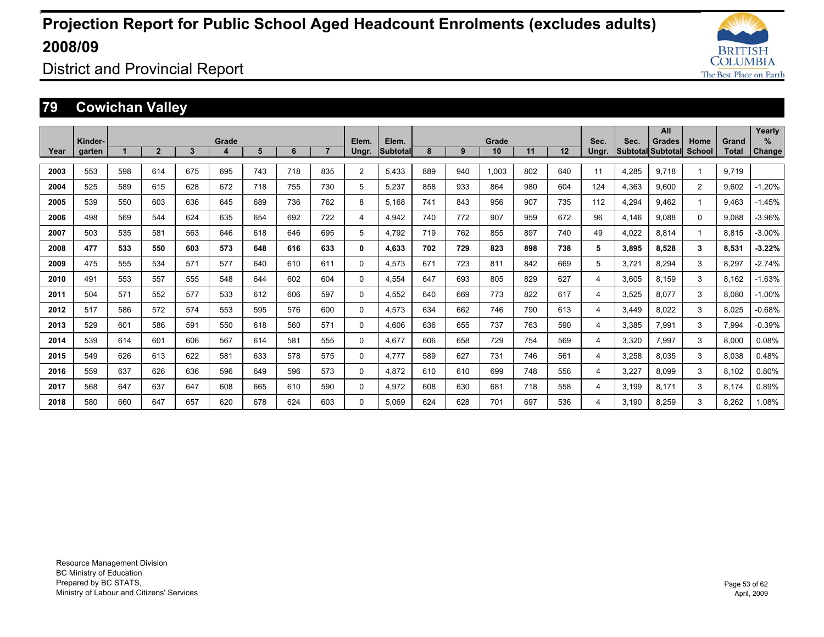![](_page_52_Picture_1.jpeg)

District and Provincial Report

### **79 Cowichan Valley**

|      |         |     |                |     |       |     |     |                |                |                 |     |     |       |     |     |       |       | <b>All</b>               |               |       | Yearly        |
|------|---------|-----|----------------|-----|-------|-----|-----|----------------|----------------|-----------------|-----|-----|-------|-----|-----|-------|-------|--------------------------|---------------|-------|---------------|
|      | Kinder- |     |                |     | Grade |     |     |                | Elem.          | Elem.           |     |     | Grade |     |     | Sec.  | Sec.  | <b>Grades</b>            | Home          | Grand | %             |
| Year | garten  |     | $\overline{2}$ | 3   | 4     | 5   | 6   | $\overline{7}$ | Ungr.          | <b>Subtotal</b> | 8   | 9   | 10    | 11  | 12  | Ungr. |       | <b>Subtotal Subtotal</b> | <b>School</b> | Total | <b>Change</b> |
| 2003 | 553     | 598 | 614            | 675 | 695   | 743 | 718 | 835            | $\overline{2}$ | 5,433           | 889 | 940 | 1.003 | 802 | 640 | 11    | 4,285 | 9.718                    |               | 9.719 |               |
| 2004 | 525     | 589 | 615            | 628 | 672   | 718 | 755 | 730            | 5              | 5,237           | 858 | 933 | 864   | 980 | 604 | 124   | 4,363 | 9,600                    | 2             | 9,602 | $-1.20%$      |
| 2005 | 539     | 550 | 603            | 636 | 645   | 689 | 736 | 762            | 8              | 5.168           | 741 | 843 | 956   | 907 | 735 | 112   | 4,294 | 9.462                    |               | 9.463 | $-1.45%$      |
| 2006 | 498     | 569 | 544            | 624 | 635   | 654 | 692 | 722            | 4              | 4.942           | 740 | 772 | 907   | 959 | 672 | 96    | 4.146 | 9.088                    | $\Omega$      | 9.088 | $-3.96%$      |
| 2007 | 503     | 535 | 581            | 563 | 646   | 618 | 646 | 695            | 5              | 4.792           | 719 | 762 | 855   | 897 | 740 | 49    | 4.022 | 8.814                    |               | 8.815 | $-3.00%$      |
| 2008 | 477     | 533 | 550            | 603 | 573   | 648 | 616 | 633            | 0              | 4.633           | 702 | 729 | 823   | 898 | 738 | 5     | 3.895 | 8.528                    | 3             | 8,531 | $-3.22%$      |
| 2009 | 475     | 555 | 534            | 571 | 577   | 640 | 610 | 611            | $\mathbf 0$    | 4,573           | 671 | 723 | 811   | 842 | 669 | 5     | 3.721 | 8.294                    | 3             | 8.297 | $-2.74%$      |
| 2010 | 491     | 553 | 557            | 555 | 548   | 644 | 602 | 604            | 0              | 4.554           | 647 | 693 | 805   | 829 | 627 | 4     | 3.605 | 8.159                    | 3             | 8.162 | $-1.63%$      |
| 2011 | 504     | 571 | 552            | 577 | 533   | 612 | 606 | 597            | $\Omega$       | 4,552           | 640 | 669 | 773   | 822 | 617 | 4     | 3,525 | 8.077                    | 3             | 8.080 | $-1.00%$      |
| 2012 | 517     | 586 | 572            | 574 | 553   | 595 | 576 | 600            | 0              | 4,573           | 634 | 662 | 746   | 790 | 613 | 4     | 3.449 | 8.022                    | 3             | 8.025 | $-0.68%$      |
| 2013 | 529     | 601 | 586            | 591 | 550   | 618 | 560 | 571            | $\Omega$       | 4,606           | 636 | 655 | 737   | 763 | 590 | 4     | 3,385 | 7,991                    | 3             | 7,994 | $-0.39%$      |
| 2014 | 539     | 614 | 601            | 606 | 567   | 614 | 581 | 555            | $\Omega$       | 4.677           | 606 | 658 | 729   | 754 | 569 | 4     | 3.320 | 7.997                    | 3             | 8.000 | 0.08%         |
| 2015 | 549     | 626 | 613            | 622 | 581   | 633 | 578 | 575            | 0              | 4.777           | 589 | 627 | 731   | 746 | 561 | 4     | 3,258 | 8,035                    | 3             | 8,038 | 0.48%         |
| 2016 | 559     | 637 | 626            | 636 | 596   | 649 | 596 | 573            | $\mathbf{0}$   | 4.872           | 610 | 610 | 699   | 748 | 556 | 4     | 3.227 | 8.099                    | 3             | 8.102 | 0.80%         |
| 2017 | 568     | 647 | 637            | 647 | 608   | 665 | 610 | 590            | 0              | 4.972           | 608 | 630 | 681   | 718 | 558 | 4     | 3.199 | 8.171                    | 3             | 8.174 | 0.89%         |
| 2018 | 580     | 660 | 647            | 657 | 620   | 678 | 624 | 603            | $\Omega$       | 5.069           | 624 | 628 | 701   | 697 | 536 | 4     | 3.190 | 8.259                    | 3             | 8.262 | 1.08%         |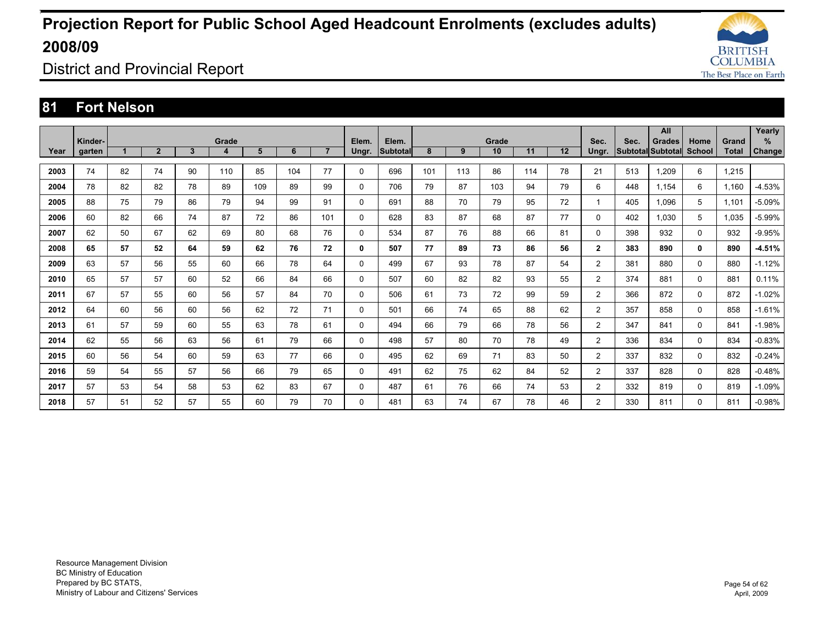![](_page_53_Picture_1.jpeg)

District and Provincial Report

### **81 Fort Nelson**

|      |         |    |                |    |       |     |     |                |              |                 |     |     |       |     |    |                |      | <b>All</b>        |          |              | Yearly        |
|------|---------|----|----------------|----|-------|-----|-----|----------------|--------------|-----------------|-----|-----|-------|-----|----|----------------|------|-------------------|----------|--------------|---------------|
|      | Kinder- |    |                |    | Grade |     |     |                | Elem.        | Elem.           |     |     | Grade |     |    | Sec.           | Sec. | <b>Grades</b>     | Home     | Grand        | $\%$          |
| Year | garten  |    | $\overline{2}$ | 3  | 4     | 5   | 6   | $\overline{7}$ | Ungr.        | <b>Subtotal</b> | 8   | 9   | 10    | 11  | 12 | Ungr.          |      | Subtotal Subtotal | School   | <b>Total</b> | <b>Change</b> |
|      |         |    |                |    |       |     |     |                |              |                 |     |     |       |     |    |                |      |                   |          |              |               |
| 2003 | 74      | 82 | 74             | 90 | 110   | 85  | 104 | 77             | $\mathbf 0$  | 696             | 101 | 113 | 86    | 114 | 78 | 21             | 513  | 1.209             | 6        | 1,215        |               |
| 2004 | 78      | 82 | 82             | 78 | 89    | 109 | 89  | 99             | 0            | 706             | 79  | 87  | 103   | 94  | 79 | 6              | 448  | 1.154             | 6        | 1,160        | $-4.53%$      |
| 2005 | 88      | 75 | 79             | 86 | 79    | 94  | 99  | 91             | $\mathbf 0$  | 691             | 88  | 70  | 79    | 95  | 72 | $\mathbf 1$    | 405  | 1.096             | 5        | 1,101        | $-5.09%$      |
| 2006 | 60      | 82 | 66             | 74 | 87    | 72  | 86  | 101            | 0            | 628             | 83  | 87  | 68    | 87  | 77 | 0              | 402  | 1.030             | 5        | 1.035        | $-5.99%$      |
| 2007 | 62      | 50 | 67             | 62 | 69    | 80  | 68  | 76             | $\mathbf 0$  | 534             | 87  | 76  | 88    | 66  | 81 | 0              | 398  | 932               | 0        | 932          | $-9.95%$      |
| 2008 | 65      | 57 | 52             | 64 | 59    | 62  | 76  | 72             | 0            | 507             | 77  | 89  | 73    | 86  | 56 | $\mathbf{2}$   | 383  | 890               | 0        | 890          | $-4.51%$      |
| 2009 | 63      | 57 | 56             | 55 | 60    | 66  | 78  | 64             | $\Omega$     | 499             | 67  | 93  | 78    | 87  | 54 | $\overline{2}$ | 381  | 880               | $\Omega$ | 880          | $-1.12%$      |
| 2010 | 65      | 57 | 57             | 60 | 52    | 66  | 84  | 66             | 0            | 507             | 60  | 82  | 82    | 93  | 55 | $\overline{2}$ | 374  | 881               | 0        | 881          | 0.11%         |
| 2011 | 67      | 57 | 55             | 60 | 56    | 57  | 84  | 70             | $\mathbf 0$  | 506             | 61  | 73  | 72    | 99  | 59 | $\overline{2}$ | 366  | 872               | $\Omega$ | 872          | $-1.02%$      |
| 2012 | 64      | 60 | 56             | 60 | 56    | 62  | 72  | 71             | $\mathbf{0}$ | 501             | 66  | 74  | 65    | 88  | 62 | $\overline{2}$ | 357  | 858               | $\Omega$ | 858          | $-1.61%$      |
| 2013 | 61      | 57 | 59             | 60 | 55    | 63  | 78  | 61             | $\mathbf{0}$ | 494             | 66  | 79  | 66    | 78  | 56 | $\overline{2}$ | 347  | 841               | $\Omega$ | 841          | $-1.98%$      |
| 2014 | 62      | 55 | 56             | 63 | 56    | 61  | 79  | 66             | $\mathbf{0}$ | 498             | 57  | 80  | 70    | 78  | 49 | $\overline{2}$ | 336  | 834               | $\Omega$ | 834          | $-0.83%$      |
| 2015 | 60      | 56 | 54             | 60 | 59    | 63  | 77  | 66             | $\mathbf 0$  | 495             | 62  | 69  | 71    | 83  | 50 | $\overline{2}$ | 337  | 832               | 0        | 832          | $-0.24%$      |
| 2016 | 59      | 54 | 55             | 57 | 56    | 66  | 79  | 65             | $\mathbf{0}$ | 491             | 62  | 75  | 62    | 84  | 52 | $\overline{2}$ | 337  | 828               | 0        | 828          | $-0.48%$      |
| 2017 | 57      | 53 | 54             | 58 | 53    | 62  | 83  | 67             | $\Omega$     | 487             | 61  | 76  | 66    | 74  | 53 | $\overline{2}$ | 332  | 819               | $\Omega$ | 819          | $-1.09%$      |
| 2018 | 57      | 51 | 52             | 57 | 55    | 60  | 79  | 70             | $\Omega$     | 481             | 63  | 74  | 67    | 78  | 46 | $\overline{2}$ | 330  | 811               | $\Omega$ | 811          | $-0.98%$      |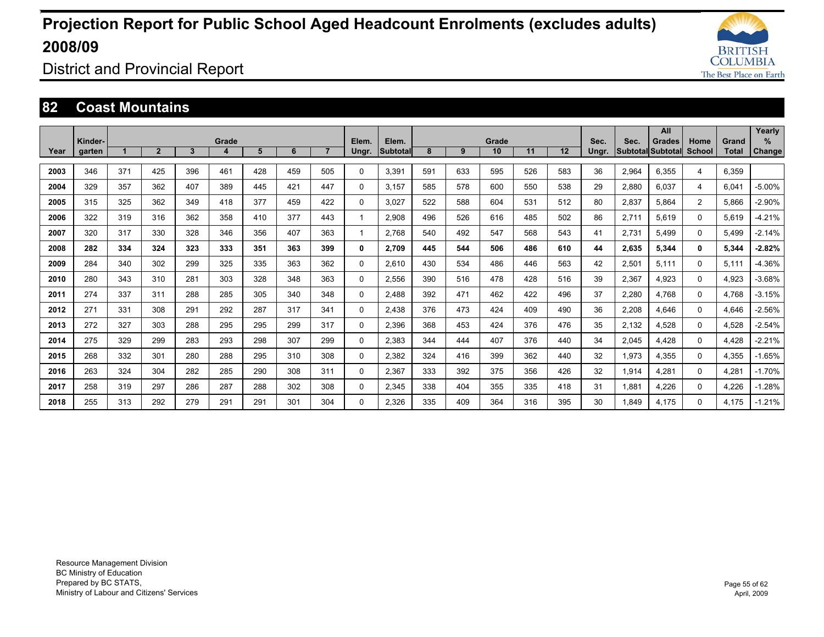![](_page_54_Picture_1.jpeg)

District and Provincial Report

### **82 Coast Mountains**

|      |                   |     |                |     |       |     |     |                |                |                          |     |     |             |     |     |               |       | All                         |                |                       | Yearly                |
|------|-------------------|-----|----------------|-----|-------|-----|-----|----------------|----------------|--------------------------|-----|-----|-------------|-----|-----|---------------|-------|-----------------------------|----------------|-----------------------|-----------------------|
| Year | Kinder-<br>garten |     | $\overline{2}$ | 3   | Grade | 5   | 6   | $\overline{7}$ | Elem.<br>Ungr. | Elem.<br><b>Subtotal</b> | 8   | 9   | Grade<br>10 | 11  | 12  | Sec.<br>Ungr. | Sec.  | Grades<br>Subtotal Subtotal | Home<br>School | Grand<br><b>Total</b> | $\%$<br><b>Change</b> |
|      |                   |     |                |     |       |     |     |                |                |                          |     |     |             |     |     |               |       |                             |                |                       |                       |
| 2003 | 346               | 371 | 425            | 396 | 461   | 428 | 459 | 505            | 0              | 3,391                    | 591 | 633 | 595         | 526 | 583 | 36            | 2,964 | 6,355                       | 4              | 6,359                 |                       |
| 2004 | 329               | 357 | 362            | 407 | 389   | 445 | 421 | 447            | 0              | 3.157                    | 585 | 578 | 600         | 550 | 538 | 29            | 2,880 | 6,037                       | 4              | 6,041                 | $-5.00%$              |
| 2005 | 315               | 325 | 362            | 349 | 418   | 377 | 459 | 422            | 0              | 3.027                    | 522 | 588 | 604         | 531 | 512 | 80            | 2,837 | 5.864                       | 2              | 5.866                 | $-2.90%$              |
| 2006 | 322               | 319 | 316            | 362 | 358   | 410 | 377 | 443            |                | 2,908                    | 496 | 526 | 616         | 485 | 502 | 86            | 2,711 | 5,619                       | 0              | 5,619                 | $-4.21%$              |
| 2007 | 320               | 317 | 330            | 328 | 346   | 356 | 407 | 363            |                | 2.768                    | 540 | 492 | 547         | 568 | 543 | 41            | 2.731 | 5.499                       | 0              | 5.499                 | $-2.14%$              |
| 2008 | 282               | 334 | 324            | 323 | 333   | 351 | 363 | 399            | 0              | 2.709                    | 445 | 544 | 506         | 486 | 610 | 44            | 2,635 | 5.344                       | 0              | 5.344                 | $-2.82%$              |
| 2009 | 284               | 340 | 302            | 299 | 325   | 335 | 363 | 362            | 0              | 2.610                    | 430 | 534 | 486         | 446 | 563 | 42            | 2,501 | 5.111                       | 0              | 5.111                 | $-4.36%$              |
| 2010 | 280               | 343 | 310            | 281 | 303   | 328 | 348 | 363            | 0              | 2,556                    | 390 | 516 | 478         | 428 | 516 | 39            | 2,367 | 4.923                       | 0              | 4.923                 | $-3.68%$              |
| 2011 | 274               | 337 | 311            | 288 | 285   | 305 | 340 | 348            | 0              | 2.488                    | 392 | 471 | 462         | 422 | 496 | 37            | 2.280 | 4.768                       | 0              | 4.768                 | $-3.15%$              |
| 2012 | 271               | 331 | 308            | 291 | 292   | 287 | 317 | 341            | 0              | 2.438                    | 376 | 473 | 424         | 409 | 490 | 36            | 2.208 | 4.646                       | 0              | 4.646                 | $-2.56%$              |
| 2013 | 272               | 327 | 303            | 288 | 295   | 295 | 299 | 317            | 0              | 2.396                    | 368 | 453 | 424         | 376 | 476 | 35            | 2,132 | 4.528                       | 0              | 4.528                 | $-2.54%$              |
| 2014 | 275               | 329 | 299            | 283 | 293   | 298 | 307 | 299            | 0              | 2.383                    | 344 | 444 | 407         | 376 | 440 | 34            | 2,045 | 4.428                       | 0              | 4.428                 | $-2.21%$              |
| 2015 | 268               | 332 | 301            | 280 | 288   | 295 | 310 | 308            | 0              | 2,382                    | 324 | 416 | 399         | 362 | 440 | 32            | 1,973 | 4,355                       | 0              | 4,355                 | $-1.65%$              |
| 2016 | 263               | 324 | 304            | 282 | 285   | 290 | 308 | 311            | 0              | 2,367                    | 333 | 392 | 375         | 356 | 426 | 32            | 1,914 | 4,281                       | 0              | 4,281                 | $-1.70%$              |
| 2017 | 258               | 319 | 297            | 286 | 287   | 288 | 302 | 308            | 0              | 2.345                    | 338 | 404 | 355         | 335 | 418 | 31            | 1.881 | 4.226                       | 0              | 4.226                 | $-1.28%$              |
| 2018 | 255               | 313 | 292            | 279 | 291   | 291 | 301 | 304            | 0              | 2.326                    | 335 | 409 | 364         | 316 | 395 | 30            | 1.849 | 4.175                       | 0              | 4.175                 | $-1.21%$              |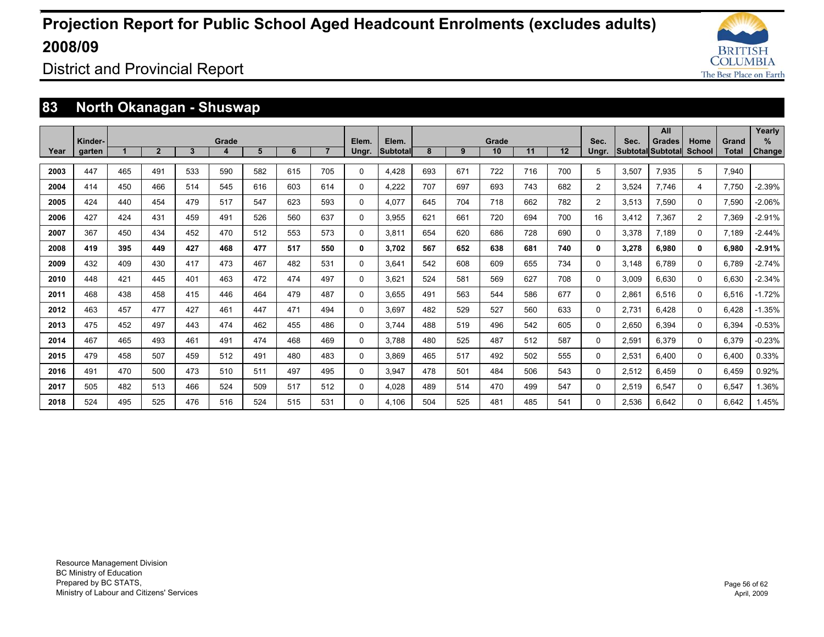![](_page_55_Picture_1.jpeg)

District and Provincial Report

### **83 North Okanagan - Shuswap**

|      |         |     |                |     |       |     |     |                |              |                 |     |     |       |     |     |                |       | All                      |               |              | Yearly        |
|------|---------|-----|----------------|-----|-------|-----|-----|----------------|--------------|-----------------|-----|-----|-------|-----|-----|----------------|-------|--------------------------|---------------|--------------|---------------|
|      | Kinder- |     |                |     | Grade |     |     | $\overline{7}$ | Elem.        | Elem.           |     |     | Grade | 11  | 12  | Sec.           | Sec.  | <b>Grades</b>            | Home          | Grand        | $\%$          |
| Year | garten  |     | $\overline{2}$ | 3   | 4     | 5   | 6   |                | Ungr.        | <b>Subtotal</b> | 8   | 9   | 10    |     |     | Unar.          |       | <b>Subtotal Subtotal</b> | <b>School</b> | <b>Total</b> | <b>Change</b> |
| 2003 | 447     | 465 | 491            | 533 | 590   | 582 | 615 | 705            | $\Omega$     | 4.428           | 693 | 671 | 722   | 716 | 700 | 5              | 3,507 | 7,935                    | 5             | 7,940        |               |
| 2004 | 414     | 450 | 466            | 514 | 545   | 616 | 603 | 614            | 0            | 4.222           | 707 | 697 | 693   | 743 | 682 | $\overline{2}$ | 3,524 | 7.746                    | 4             | 7.750        | $-2.39%$      |
| 2005 | 424     | 440 | 454            | 479 | 517   | 547 | 623 | 593            | 0            | 4.077           | 645 | 704 | 718   | 662 | 782 | $\overline{2}$ | 3,513 | 7,590                    | 0             | 7,590        | $-2.06%$      |
| 2006 | 427     | 424 | 431            | 459 | 491   | 526 | 560 | 637            | $\Omega$     | 3.955           | 621 | 661 | 720   | 694 | 700 | 16             | 3,412 | 7.367                    | 2             | 7,369        | $-2.91%$      |
| 2007 | 367     | 450 | 434            | 452 | 470   | 512 | 553 | 573            | 0            | 3.811           | 654 | 620 | 686   | 728 | 690 | 0              | 3,378 | 7.189                    | 0             | 7.189        | $-2.44%$      |
| 2008 | 419     | 395 | 449            | 427 | 468   | 477 | 517 | 550            | $\mathbf{0}$ | 3.702           | 567 | 652 | 638   | 681 | 740 | 0              | 3,278 | 6.980                    | 0             | 6.980        | $-2.91%$      |
| 2009 | 432     | 409 | 430            | 417 | 473   | 467 | 482 | 531            | 0            | 3.641           | 542 | 608 | 609   | 655 | 734 | 0              | 3.148 | 6.789                    | 0             | 6.789        | $-2.74%$      |
| 2010 | 448     | 421 | 445            | 401 | 463   | 472 | 474 | 497            | 0            | 3.621           | 524 | 581 | 569   | 627 | 708 | 0              | 3,009 | 6.630                    | 0             | 6.630        | $-2.34%$      |
| 2011 | 468     | 438 | 458            | 415 | 446   | 464 | 479 | 487            | $\Omega$     | 3.655           | 491 | 563 | 544   | 586 | 677 | $\Omega$       | 2,861 | 6.516                    | $\Omega$      | 6,516        | $-1.72%$      |
| 2012 | 463     | 457 | 477            | 427 | 461   | 447 | 471 | 494            | 0            | 3.697           | 482 | 529 | 527   | 560 | 633 | 0              | 2,731 | 6.428                    | $\Omega$      | 6.428        | $-1.35%$      |
| 2013 | 475     | 452 | 497            | 443 | 474   | 462 | 455 | 486            | $\Omega$     | 3.744           | 488 | 519 | 496   | 542 | 605 | $\Omega$       | 2,650 | 6,394                    | $\Omega$      | 6,394        | $-0.53%$      |
| 2014 | 467     | 465 | 493            | 461 | 491   | 474 | 468 | 469            | $\Omega$     | 3.788           | 480 | 525 | 487   | 512 | 587 | $\Omega$       | 2,591 | 6.379                    | $\Omega$      | 6,379        | $-0.23%$      |
| 2015 | 479     | 458 | 507            | 459 | 512   | 491 | 480 | 483            | 0            | 3.869           | 465 | 517 | 492   | 502 | 555 | 0              | 2,531 | 6.400                    | 0             | 6.400        | 0.33%         |
| 2016 | 491     | 470 | 500            | 473 | 510   | 511 | 497 | 495            | $\Omega$     | 3,947           | 478 | 501 | 484   | 506 | 543 | $\Omega$       | 2,512 | 6.459                    | $\Omega$      | 6.459        | 0.92%         |
| 2017 | 505     | 482 | 513            | 466 | 524   | 509 | 517 | 512            | $\Omega$     | 4,028           | 489 | 514 | 470   | 499 | 547 | $\Omega$       | 2,519 | 6,547                    | $\Omega$      | 6,547        | .36%          |
| 2018 | 524     | 495 | 525            | 476 | 516   | 524 | 515 | 531            | $\Omega$     | 4.106           | 504 | 525 | 481   | 485 | 541 | $\Omega$       | 2,536 | 6.642                    | $\Omega$      | 6.642        | 1.45%         |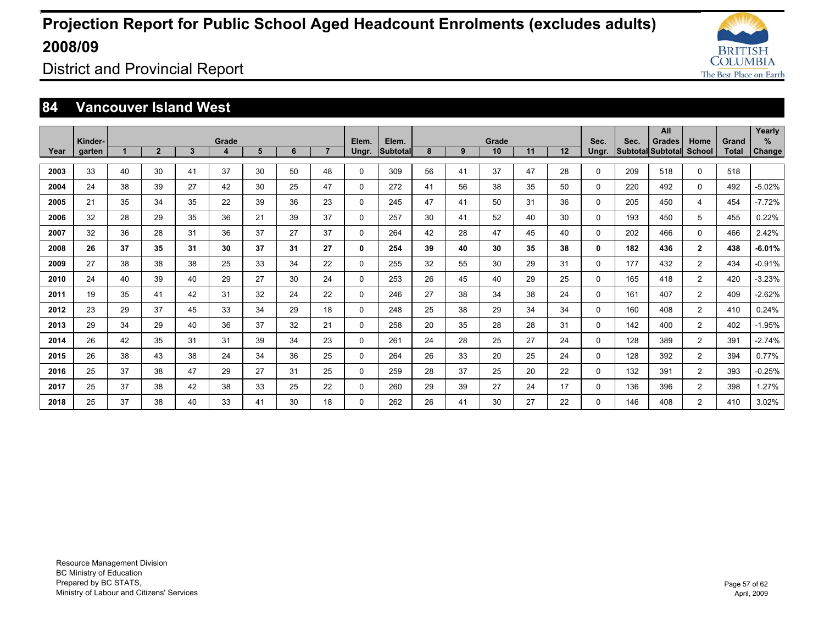![](_page_56_Picture_1.jpeg)

District and Provincial Report

### **84 Vancouver Island West**

|      | Kinder- |    |                |              | Grade |    |    |                | Elem.    | Elem.           |    |    | Grade |    |    | Sec.         | Sec. | All<br><b>Grades</b> | Home           | Grand        | Yearly<br>$\%$ |
|------|---------|----|----------------|--------------|-------|----|----|----------------|----------|-----------------|----|----|-------|----|----|--------------|------|----------------------|----------------|--------------|----------------|
| Year | garten  |    | $\overline{2}$ | $\mathbf{3}$ | 4     | 5  | 6  | $\overline{7}$ | Ungr.    | <b>Subtotal</b> | 8  | 9  | 10    | 11 | 12 | Ungr.        |      | Subtotal Subtotal    | School         | <b>Total</b> | <b>Change</b>  |
| 2003 | 33      | 40 | 30             | 41           | 37    | 30 | 50 | 48             | 0        | 309             | 56 | 41 | 37    | 47 | 28 | 0            | 209  | 518                  | $\Omega$       | 518          |                |
| 2004 | 24      | 38 | 39             | 27           | 42    | 30 | 25 | 47             | 0        | 272             | 41 | 56 | 38    | 35 | 50 | $\mathbf 0$  | 220  | 492                  | 0              | 492          | $-5.02%$       |
| 2005 | 21      | 35 | 34             | 35           | 22    | 39 | 36 | 23             | 0        | 245             | 47 | 41 | 50    | 31 | 36 | 0            | 205  | 450                  | 4              | 454          | $-7.72%$       |
| 2006 | 32      | 28 | 29             | 35           | 36    | 21 | 39 | 37             | 0        | 257             | 30 | 41 | 52    | 40 | 30 | $\mathbf 0$  | 193  | 450                  | 5              | 455          | 0.22%          |
| 2007 | 32      | 36 | 28             | 31           | 36    | 37 | 27 | 37             | 0        | 264             | 42 | 28 | 47    | 45 | 40 | $\Omega$     | 202  | 466                  | $\Omega$       | 466          | 2.42%          |
| 2008 | 26      | 37 | 35             | 31           | 30    | 37 | 31 | 27             | 0        | 254             | 39 | 40 | 30    | 35 | 38 | $\mathbf{0}$ | 182  | 436                  | $\mathbf{2}$   | 438          | $-6.01%$       |
| 2009 | 27      | 38 | 38             | 38           | 25    | 33 | 34 | 22             | $\Omega$ | 255             | 32 | 55 | 30    | 29 | 31 | $\Omega$     | 177  | 432                  | $\overline{2}$ | 434          | $-0.91%$       |
| 2010 | 24      | 40 | 39             | 40           | 29    | 27 | 30 | 24             | 0        | 253             | 26 | 45 | 40    | 29 | 25 | 0            | 165  | 418                  | $\overline{2}$ | 420          | $-3.23%$       |
| 2011 | 19      | 35 | 41             | 42           | 31    | 32 | 24 | 22             | 0        | 246             | 27 | 38 | 34    | 38 | 24 | $\mathbf{0}$ | 161  | 407                  | $\overline{2}$ | 409          | $-2.62%$       |
| 2012 | 23      | 29 | 37             | 45           | 33    | 34 | 29 | 18             | $\Omega$ | 248             | 25 | 38 | 29    | 34 | 34 | $\Omega$     | 160  | 408                  | $\overline{2}$ | 410          | 0.24%          |
| 2013 | 29      | 34 | 29             | 40           | 36    | 37 | 32 | 21             | $\Omega$ | 258             | 20 | 35 | 28    | 28 | 31 | $\Omega$     | 142  | 400                  | $\overline{2}$ | 402          | $-1.95%$       |
| 2014 | 26      | 42 | 35             | 31           | 31    | 39 | 34 | 23             | 0        | 261             | 24 | 28 | 25    | 27 | 24 | $\Omega$     | 128  | 389                  | $\overline{2}$ | 391          | $-2.74%$       |
| 2015 | 26      | 38 | 43             | 38           | 24    | 34 | 36 | 25             | 0        | 264             | 26 | 33 | 20    | 25 | 24 | $\mathbf 0$  | 128  | 392                  | 2              | 394          | 0.77%          |
| 2016 | 25      | 37 | 38             | 47           | 29    | 27 | 31 | 25             | 0        | 259             | 28 | 37 | 25    | 20 | 22 | 0            | 132  | 391                  | 2              | 393          | $-0.25%$       |
| 2017 | 25      | 37 | 38             | 42           | 38    | 33 | 25 | 22             | 0        | 260             | 29 | 39 | 27    | 24 | 17 | $\Omega$     | 136  | 396                  | $\overline{2}$ | 398          | 1.27%          |
| 2018 | 25      | 37 | 38             | 40           | 33    | 41 | 30 | 18             | 0        | 262             | 26 | 41 | 30    | 27 | 22 | $\Omega$     | 146  | 408                  | $\overline{2}$ | 410          | 3.02%          |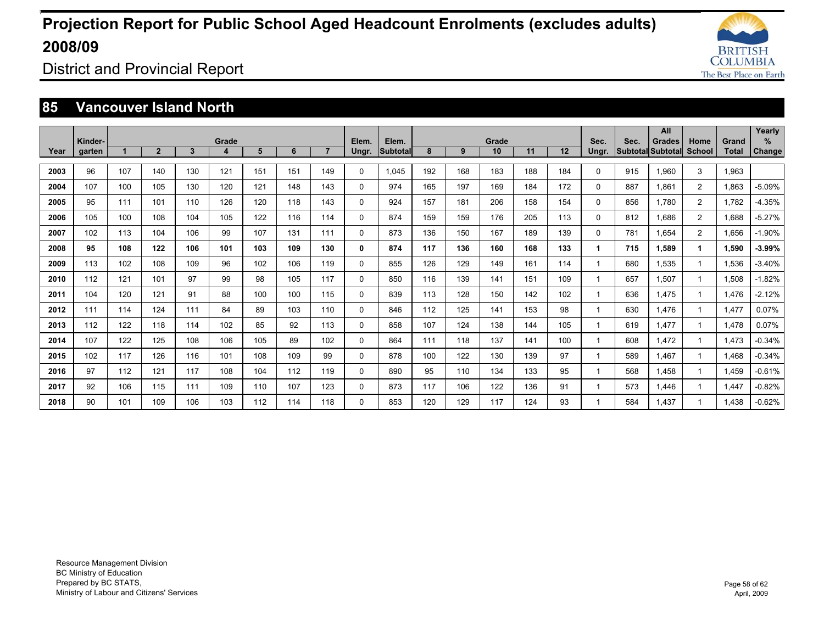![](_page_57_Picture_1.jpeg)

District and Provincial Report

### **85 Vancouver Island North**

|      |         |     |                |     |            |     |     |                |       |          |     |     |             |     |     |              |      | All                                       |                |              | Yearly        |
|------|---------|-----|----------------|-----|------------|-----|-----|----------------|-------|----------|-----|-----|-------------|-----|-----|--------------|------|-------------------------------------------|----------------|--------------|---------------|
|      | Kinder- |     | $\overline{2}$ | 3   | Grade<br>4 | 5   | 6   | $\overline{7}$ | Elem. | Elem.    | 8   | 9   | Grade<br>10 | 11  | 12  | Sec.         | Sec. | <b>Grades</b><br><b>Subtotal Subtotal</b> | Home<br>School | Grand        | %             |
| Year | garten  |     |                |     |            |     |     |                | Ungr. | Subtotal |     |     |             |     |     | Ungr.        |      |                                           |                | <b>Total</b> | <b>Change</b> |
| 2003 | 96      | 107 | 140            | 130 | 121        | 151 | 151 | 149            | 0     | 1.045    | 192 | 168 | 183         | 188 | 184 | $\Omega$     | 915  | 1,960                                     | 3              | 1,963        |               |
| 2004 | 107     | 100 | 105            | 130 | 120        | 121 | 148 | 143            | 0     | 974      | 165 | 197 | 169         | 184 | 172 | 0            | 887  | 1.861                                     | 2              | 1,863        | $-5.09%$      |
| 2005 | 95      | 111 | 101            | 110 | 126        | 120 | 118 | 143            | 0     | 924      | 157 | 181 | 206         | 158 | 154 | 0            | 856  | 1.780                                     | $\overline{c}$ | 1.782        | $-4.35%$      |
| 2006 | 105     | 100 | 108            | 104 | 105        | 122 | 116 | 114            | 0     | 874      | 159 | 159 | 176         | 205 | 113 | 0            | 812  | 1.686                                     | $\overline{2}$ | 1.688        | $-5.27%$      |
| 2007 | 102     | 113 | 104            | 106 | 99         | 107 | 131 | 111            | 0     | 873      | 136 | 150 | 167         | 189 | 139 | 0            | 781  | 1.654                                     | 2              | 1.656        | $-1.90%$      |
| 2008 | 95      | 108 | 122            | 106 | 101        | 103 | 109 | 130            | 0     | 874      | 117 | 136 | 160         | 168 | 133 | $\mathbf 1$  | 715  | 1.589                                     | 1              | 1.590        | $-3.99%$      |
| 2009 | 113     | 102 | 108            | 109 | 96         | 102 | 106 | 119            | 0     | 855      | 126 | 129 | 149         | 161 | 114 |              | 680  | 1.535                                     | 1              | 1.536        | $-3.40%$      |
| 2010 | 112     | 121 | 101            | 97  | 99         | 98  | 105 | 117            | 0     | 850      | 116 | 139 | 141         | 151 | 109 | -1           | 657  | 1.507                                     |                | 1,508        | $-1.82%$      |
| 2011 | 104     | 120 | 121            | 91  | 88         | 100 | 100 | 115            | 0     | 839      | 113 | 128 | 150         | 142 | 102 |              | 636  | 1.475                                     |                | 1.476        | $-2.12%$      |
| 2012 | 111     | 114 | 124            | 111 | 84         | 89  | 103 | 110            | 0     | 846      | 112 | 125 | 141         | 153 | 98  |              | 630  | 1.476                                     |                | 1.477        | 0.07%         |
| 2013 | 112     | 122 | 118            | 114 | 102        | 85  | 92  | 113            | 0     | 858      | 107 | 124 | 138         | 144 | 105 | $\mathbf{1}$ | 619  | 1.477                                     | 1              | 1,478        | 0.07%         |
| 2014 | 107     | 122 | 125            | 108 | 106        | 105 | 89  | 102            | 0     | 864      | 111 | 118 | 137         | 141 | 100 |              | 608  | 1.472                                     |                | 1.473        | $-0.34%$      |
| 2015 | 102     | 117 | 126            | 116 | 101        | 108 | 109 | 99             | 0     | 878      | 100 | 122 | 130         | 139 | 97  |              | 589  | 1.467                                     | 1              | 1,468        | $-0.34%$      |
| 2016 | 97      | 112 | 121            | 117 | 108        | 104 | 112 | 119            | 0     | 890      | 95  | 110 | 134         | 133 | 95  | $\mathbf{1}$ | 568  | 1.458                                     | 1              | 1.459        | $-0.61%$      |
| 2017 | 92      | 106 | 115            | 111 | 109        | 110 | 107 | 123            | 0     | 873      | 117 | 106 | 122         | 136 | 91  |              | 573  | 1.446                                     |                | 1.447        | $-0.82%$      |
| 2018 | 90      | 101 | 109            | 106 | 103        | 112 | 114 | 118            | 0     | 853      | 120 | 129 | 117         | 124 | 93  |              | 584  | 1.437                                     |                | 1.438        | $-0.62%$      |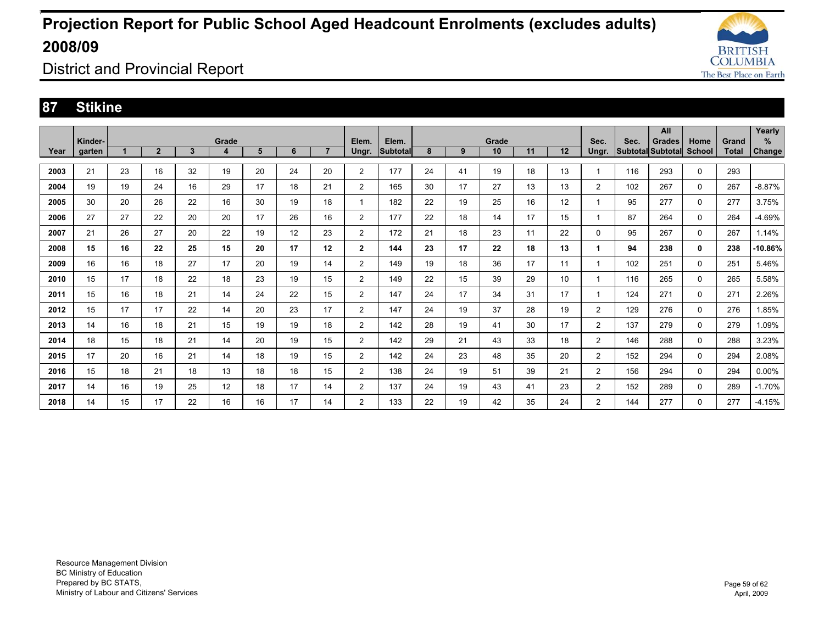![](_page_58_Picture_1.jpeg)

District and Provincial Report

### **87 Stikine**

|      | Kinder- |    |              |    | Grade             |    |    |                 | Elem.          | Elem.           |    |    | Grade |    |    | Sec.           | Sec. | All<br><b>Grades</b> | Home        | Grand        | Yearly<br>%   |
|------|---------|----|--------------|----|-------------------|----|----|-----------------|----------------|-----------------|----|----|-------|----|----|----------------|------|----------------------|-------------|--------------|---------------|
| Year | garten  |    | $\mathbf{2}$ | 3  | 4                 | 5  | 6  |                 | Ungr.          | <b>Subtotal</b> | 8  | 9  | 10    | 11 | 12 | Ungr.          |      | Subtotal Subtotal    | School      | <b>Total</b> | <b>Change</b> |
|      |         |    |              |    |                   |    |    |                 |                |                 |    |    |       |    |    |                |      |                      |             |              |               |
| 2003 | 21      | 23 | 16           | 32 | 19                | 20 | 24 | 20              | $\overline{2}$ | 177             | 24 | 41 | 19    | 18 | 13 |                | 116  | 293                  | $\mathbf 0$ | 293          |               |
| 2004 | 19      | 19 | 24           | 16 | 29                | 17 | 18 | 21              | $\overline{2}$ | 165             | 30 | 17 | 27    | 13 | 13 | $\overline{2}$ | 102  | 267                  | 0           | 267          | $-8.87%$      |
| 2005 | 30      | 20 | 26           | 22 | 16                | 30 | 19 | 18              | -1             | 182             | 22 | 19 | 25    | 16 | 12 | -1             | 95   | 277                  | 0           | 277          | 3.75%         |
| 2006 | 27      | 27 | 22           | 20 | 20                | 17 | 26 | 16              | $\overline{2}$ | 177             | 22 | 18 | 14    | 17 | 15 |                | 87   | 264                  | $\mathbf 0$ | 264          | -4.69%        |
| 2007 | 21      | 26 | 27           | 20 | 22                | 19 | 12 | 23              | $\overline{2}$ | 172             | 21 | 18 | 23    | 11 | 22 | 0              | 95   | 267                  | 0           | 267          | 1.14%         |
| 2008 | 15      | 16 | 22           | 25 | 15                | 20 | 17 | 12 <sup>2</sup> | 2              | 144             | 23 | 17 | 22    | 18 | 13 | 1.             | 94   | 238                  | 0           | 238          | $-10.86\%$    |
| 2009 | 16      | 16 | 18           | 27 | 17                | 20 | 19 | 14              | $\overline{2}$ | 149             | 19 | 18 | 36    | 17 | 11 |                | 102  | 251                  | 0           | 251          | 5.46%         |
| 2010 | 15      | 17 | 18           | 22 | 18                | 23 | 19 | 15              | $\overline{2}$ | 149             | 22 | 15 | 39    | 29 | 10 |                | 116  | 265                  | 0           | 265          | 5.58%         |
| 2011 | 15      | 16 | 18           | 21 | 14                | 24 | 22 | 15              | $\overline{2}$ | 147             | 24 | 17 | 34    | 31 | 17 |                | 124  | 271                  | 0           | 271          | 2.26%         |
| 2012 | 15      | 17 | 17           | 22 | 14                | 20 | 23 | 17              | $\overline{2}$ | 147             | 24 | 19 | 37    | 28 | 19 | $\overline{2}$ | 129  | 276                  | 0           | 276          | 1.85%         |
| 2013 | 14      | 16 | 18           | 21 | 15                | 19 | 19 | 18              | $\overline{2}$ | 142             | 28 | 19 | 41    | 30 | 17 | $\overline{2}$ | 137  | 279                  | 0           | 279          | 1.09%         |
| 2014 | 18      | 15 | 18           | 21 | 14                | 20 | 19 | 15              | $\overline{2}$ | 142             | 29 | 21 | 43    | 33 | 18 | $\overline{2}$ | 146  | 288                  | 0           | 288          | 3.23%         |
| 2015 | 17      | 20 | 16           | 21 | 14                | 18 | 19 | 15              | $\overline{2}$ | 142             | 24 | 23 | 48    | 35 | 20 | $\overline{2}$ | 152  | 294                  | 0           | 294          | 2.08%         |
| 2016 | 15      | 18 | 21           | 18 | 13                | 18 | 18 | 15              | $\overline{2}$ | 138             | 24 | 19 | 51    | 39 | 21 | 2              | 156  | 294                  | 0           | 294          | 0.00%         |
| 2017 | 14      | 16 | 19           | 25 | $12 \overline{ }$ | 18 | 17 | 14              | $\overline{2}$ | 137             | 24 | 19 | 43    | 41 | 23 | $\overline{2}$ | 152  | 289                  | 0           | 289          | $-1.70%$      |
| 2018 | 14      | 15 | 17           | 22 | 16                | 16 | 17 | 14              | $\overline{2}$ | 133             | 22 | 19 | 42    | 35 | 24 | $\overline{2}$ | 144  | 277                  | 0           | 277          | $-4.15%$      |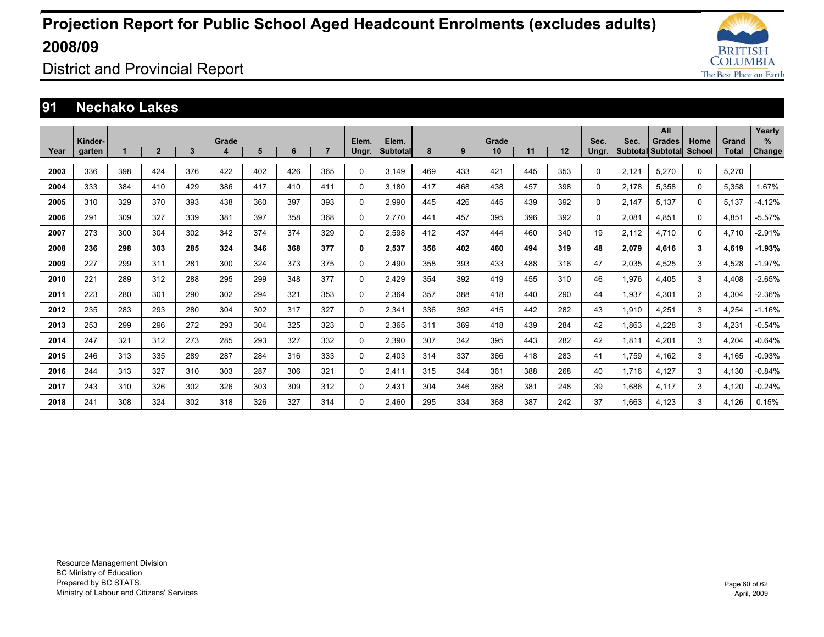![](_page_59_Picture_1.jpeg)

District and Provincial Report

#### **91 Nechako Lakes**

|      |         |     |                |              |            |     |     |                |       |                   |     |     |             |     |     |          |       | All                                 |                       |                       | Yearly        |
|------|---------|-----|----------------|--------------|------------|-----|-----|----------------|-------|-------------------|-----|-----|-------------|-----|-----|----------|-------|-------------------------------------|-----------------------|-----------------------|---------------|
| Year | Kinder- |     | $\overline{2}$ | $\mathbf{3}$ | Grade<br>4 | 5   | 6   | $\overline{7}$ | Elem. | Elem.<br>Subtotal | 8   | 9   | Grade<br>10 | 11  | 12  | Sec.     | Sec.  | <b>Grades</b><br> Subtotal Subtotal | Home<br><b>School</b> | Grand<br><b>Total</b> | $\%$          |
|      | garten  |     |                |              |            |     |     |                | Ungr. |                   |     |     |             |     |     | Ungr.    |       |                                     |                       |                       | <b>Change</b> |
| 2003 | 336     | 398 | 424            | 376          | 422        | 402 | 426 | 365            | 0     | 3.149             | 469 | 433 | 421         | 445 | 353 | $\Omega$ | 2.121 | 5,270                               | 0                     | 5.270                 |               |
| 2004 | 333     | 384 | 410            | 429          | 386        | 417 | 410 | 411            | 0     | 3.180             | 417 | 468 | 438         | 457 | 398 | $\Omega$ | 2.178 | 5.358                               | 0                     | 5.358                 | 1.67%         |
| 2005 | 310     | 329 | 370            | 393          | 438        | 360 | 397 | 393            | 0     | 2,990             | 445 | 426 | 445         | 439 | 392 | 0        | 2.147 | 5.137                               | 0                     | 5.137                 | $-4.12%$      |
| 2006 | 291     | 309 | 327            | 339          | 381        | 397 | 358 | 368            | 0     | 2.770             | 441 | 457 | 395         | 396 | 392 | $\Omega$ | 2,081 | 4.851                               | 0                     | 4,851                 | $-5.57%$      |
| 2007 | 273     | 300 | 304            | 302          | 342        | 374 | 374 | 329            | 0     | 2.598             | 412 | 437 | 444         | 460 | 340 | 19       | 2.112 | 4.710                               | 0                     | 4.710                 | $-2.91%$      |
| 2008 | 236     | 298 | 303            | 285          | 324        | 346 | 368 | 377            | 0     | 2.537             | 356 | 402 | 460         | 494 | 319 | 48       | 2,079 | 4.616                               | 3                     | 4.619                 | $-1.93%$      |
| 2009 | 227     | 299 | 311            | 281          | 300        | 324 | 373 | 375            | 0     | 2.490             | 358 | 393 | 433         | 488 | 316 | 47       | 2,035 | 4.525                               | 3                     | 4.528                 | $-1.97%$      |
| 2010 | 221     | 289 | 312            | 288          | 295        | 299 | 348 | 377            | 0     | 2.429             | 354 | 392 | 419         | 455 | 310 | 46       | 1,976 | 4,405                               | 3                     | 4.408                 | $-2.65%$      |
| 2011 | 223     | 280 | 301            | 290          | 302        | 294 | 321 | 353            | 0     | 2.364             | 357 | 388 | 418         | 440 | 290 | 44       | 1,937 | 4,301                               | 3                     | 4,304                 | $-2.36%$      |
| 2012 | 235     | 283 | 293            | 280          | 304        | 302 | 317 | 327            | 0     | 2.341             | 336 | 392 | 415         | 442 | 282 | 43       | 1,910 | 4,251                               | 3                     | 4.254                 | $-1.16%$      |
| 2013 | 253     | 299 | 296            | 272          | 293        | 304 | 325 | 323            | 0     | 2,365             | 311 | 369 | 418         | 439 | 284 | 42       | 1,863 | 4,228                               | 3                     | 4,231                 | $-0.54%$      |
| 2014 | 247     | 321 | 312            | 273          | 285        | 293 | 327 | 332            | 0     | 2,390             | 307 | 342 | 395         | 443 | 282 | 42       | 1,811 | 4,201                               | 3                     | 4,204                 | $-0.64%$      |
| 2015 | 246     | 313 | 335            | 289          | 287        | 284 | 316 | 333            | 0     | 2.403             | 314 | 337 | 366         | 418 | 283 | 41       | 1.759 | 4,162                               | 3                     | 4.165                 | $-0.93%$      |
| 2016 | 244     | 313 | 327            | 310          | 303        | 287 | 306 | 321            | 0     | 2.411             | 315 | 344 | 361         | 388 | 268 | 40       | 1.716 | 4,127                               | 3                     | 4.130                 | $-0.84%$      |
| 2017 | 243     | 310 | 326            | 302          | 326        | 303 | 309 | 312            | 0     | 2,431             | 304 | 346 | 368         | 381 | 248 | 39       | 1,686 | 4,117                               | 3                     | 4,120                 | $-0.24%$      |
| 2018 | 241     | 308 | 324            | 302          | 318        | 326 | 327 | 314            | 0     | 2.460             | 295 | 334 | 368         | 387 | 242 | 37       | 1.663 | 4.123                               | 3                     | 4.126                 | 0.15%         |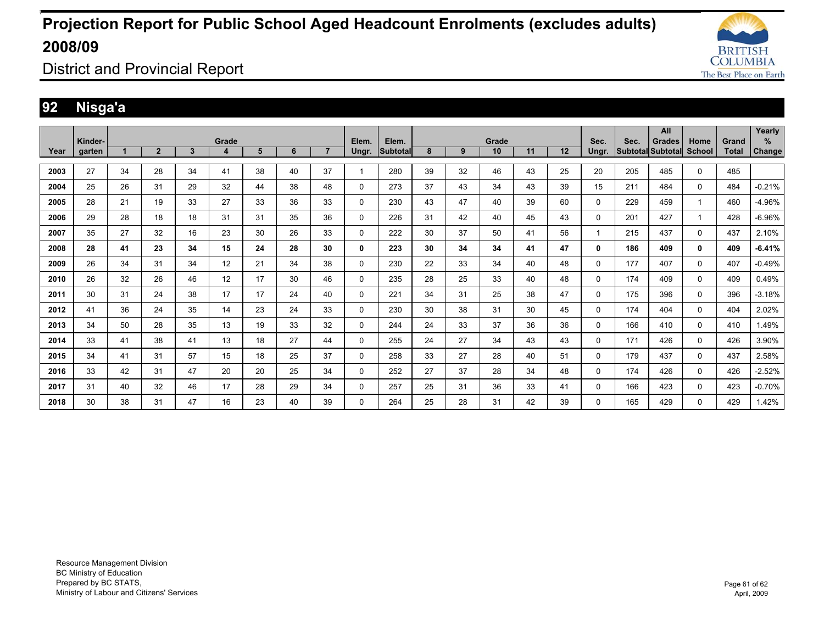![](_page_60_Picture_1.jpeg)

District and Provincial Report

### **92 Nisga'a**

|      | Kinder- |    |                |    | Grade |    |    |                | Elem.    | Elem.           |    |    | Grade |    |    | Sec.        | Sec. | All                                       | Home        | Grand        | Yearly<br>%   |
|------|---------|----|----------------|----|-------|----|----|----------------|----------|-----------------|----|----|-------|----|----|-------------|------|-------------------------------------------|-------------|--------------|---------------|
| Year | garten  |    | $\overline{2}$ | 3  | 4     | 5  | 6  | $\overline{7}$ | Ungr.    | <b>Subtotal</b> | 8  | 9  | 10    | 11 | 12 | Ungr.       |      | <b>Grades</b><br><b>Subtotal Subtotal</b> | School      | <b>Total</b> | <b>Change</b> |
| 2003 | 27      | 34 | 28             | 34 | 41    | 38 | 40 | 37             |          | 280             | 39 | 32 | 46    | 43 | 25 | 20          | 205  | 485                                       | $\mathbf 0$ | 485          |               |
|      |         |    |                |    |       |    |    |                |          |                 |    |    |       |    |    |             |      |                                           |             |              |               |
| 2004 | 25      | 26 | 31             | 29 | 32    | 44 | 38 | 48             | 0        | 273             | 37 | 43 | 34    | 43 | 39 | 15          | 211  | 484                                       | 0           | 484          | $-0.21%$      |
| 2005 | 28      | 21 | 19             | 33 | 27    | 33 | 36 | 33             | 0        | 230             | 43 | 47 | 40    | 39 | 60 | 0           | 229  | 459                                       | 1           | 460          | -4.96%        |
| 2006 | 29      | 28 | 18             | 18 | 31    | 31 | 35 | 36             | 0        | 226             | 31 | 42 | 40    | 45 | 43 | 0           | 201  | 427                                       | 1           | 428          | $-6.96%$      |
| 2007 | 35      | 27 | 32             | 16 | 23    | 30 | 26 | 33             | 0        | 222             | 30 | 37 | 50    | 41 | 56 |             | 215  | 437                                       | 0           | 437          | 2.10%         |
| 2008 | 28      | 41 | 23             | 34 | 15    | 24 | 28 | 30             | 0        | 223             | 30 | 34 | 34    | 41 | 47 | $\mathbf 0$ | 186  | 409                                       | 0           | 409          | $-6.41%$      |
| 2009 | 26      | 34 | 31             | 34 | 12    | 21 | 34 | 38             | 0        | 230             | 22 | 33 | 34    | 40 | 48 | 0           | 177  | 407                                       | 0           | 407          | $-0.49%$      |
| 2010 | 26      | 32 | 26             | 46 | 12    | 17 | 30 | 46             | 0        | 235             | 28 | 25 | 33    | 40 | 48 | 0           | 174  | 409                                       | 0           | 409          | 0.49%         |
| 2011 | 30      | 31 | 24             | 38 | 17    | 17 | 24 | 40             | 0        | 221             | 34 | 31 | 25    | 38 | 47 | 0           | 175  | 396                                       | 0           | 396          | $-3.18%$      |
| 2012 | 41      | 36 | 24             | 35 | 14    | 23 | 24 | 33             | 0        | 230             | 30 | 38 | 31    | 30 | 45 | 0           | 174  | 404                                       | 0           | 404          | 2.02%         |
| 2013 | 34      | 50 | 28             | 35 | 13    | 19 | 33 | 32             | 0        | 244             | 24 | 33 | 37    | 36 | 36 | 0           | 166  | 410                                       | 0           | 410          | 1.49%         |
| 2014 | 33      | 41 | 38             | 41 | 13    | 18 | 27 | 44             | 0        | 255             | 24 | 27 | 34    | 43 | 43 | 0           | 171  | 426                                       | 0           | 426          | 3.90%         |
| 2015 | 34      | 41 | 31             | 57 | 15    | 18 | 25 | 37             | $\Omega$ | 258             | 33 | 27 | 28    | 40 | 51 | 0           | 179  | 437                                       | 0           | 437          | 2.58%         |
| 2016 | 33      | 42 | 31             | 47 | 20    | 20 | 25 | 34             | $\Omega$ | 252             | 27 | 37 | 28    | 34 | 48 | 0           | 174  | 426                                       | $\mathbf 0$ | 426          | $-2.52%$      |
| 2017 | 31      | 40 | 32             | 46 | 17    | 28 | 29 | 34             | $\Omega$ | 257             | 25 | 31 | 36    | 33 | 41 | $\Omega$    | 166  | 423                                       | 0           | 423          | $-0.70%$      |
| 2018 | 30      | 38 | 31             | 47 | 16    | 23 | 40 | 39             | 0        | 264             | 25 | 28 | 31    | 42 | 39 | 0           | 165  | 429                                       | 0           | 429          | 1.42%         |